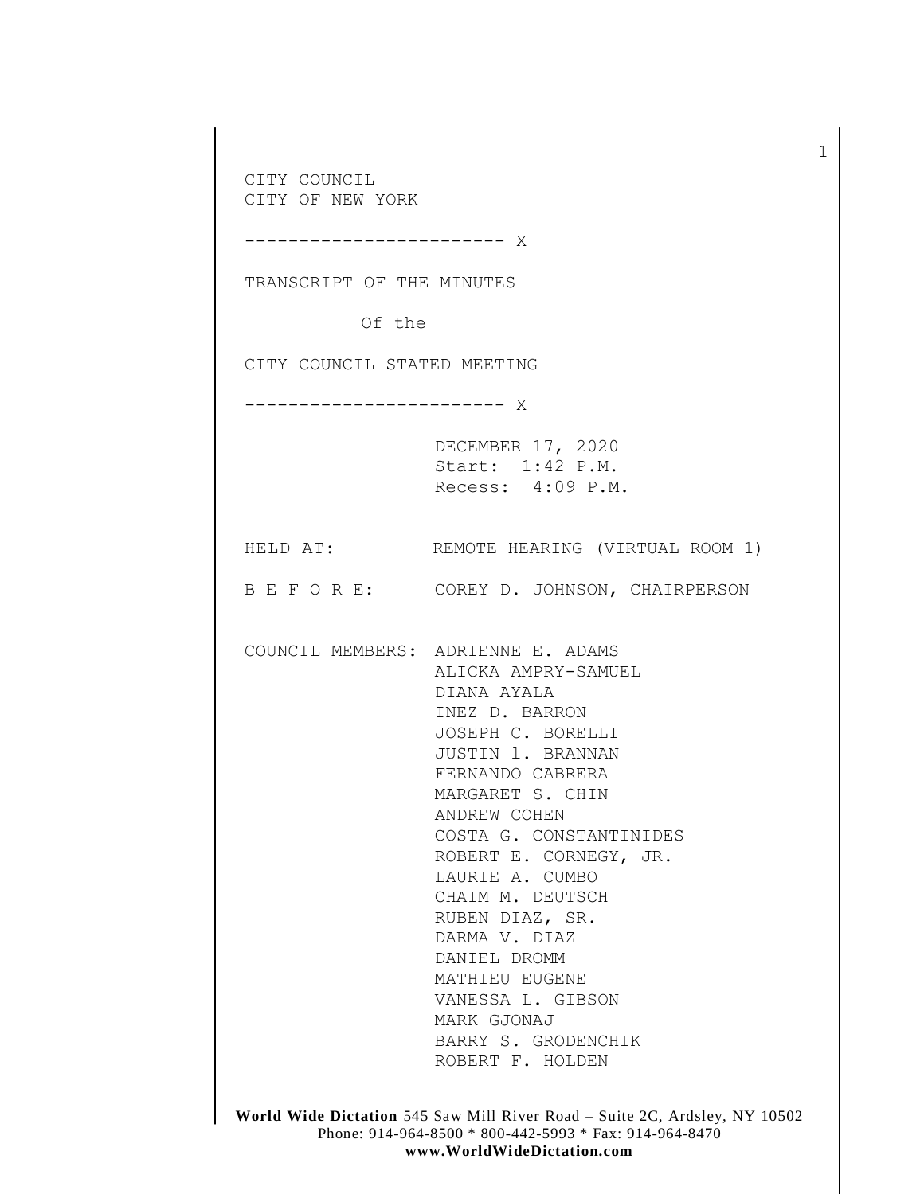CITY COUNCIL CITY OF NEW YORK ------------------------ X TRANSCRIPT OF THE MINUTES Of the CITY COUNCIL STATED MEETING ------------------------ X DECEMBER 17, 2020 Start: 1:42 P.M. Recess: 4:09 P.M. HELD AT: REMOTE HEARING (VIRTUAL ROOM 1) B E F O R E: COREY D. JOHNSON, CHAIRPERSON COUNCIL MEMBERS: ADRIENNE E. ADAMS ALICKA AMPRY-SAMUEL DIANA AYALA INEZ D. BARRON JOSEPH C. BORELLI JUSTIN l. BRANNAN FERNANDO CABRERA MARGARET S. CHIN ANDREW COHEN COSTA G. CONSTANTINIDES ROBERT E. CORNEGY, JR. LAURIE A. CUMBO CHAIM M. DEUTSCH RUBEN DIAZ, SR. DARMA V. DIAZ DANIEL DROMM MATHIEU EUGENE VANESSA L. GIBSON MARK GJONAJ BARRY S. GRODENCHIK ROBERT F. HOLDEN

1

**World Wide Dictation** 545 Saw Mill River Road – Suite 2C, Ardsley, NY 10502 Phone: 914-964-8500 \* 800-442-5993 \* Fax: 914-964-8470 **www.WorldWideDictation.com**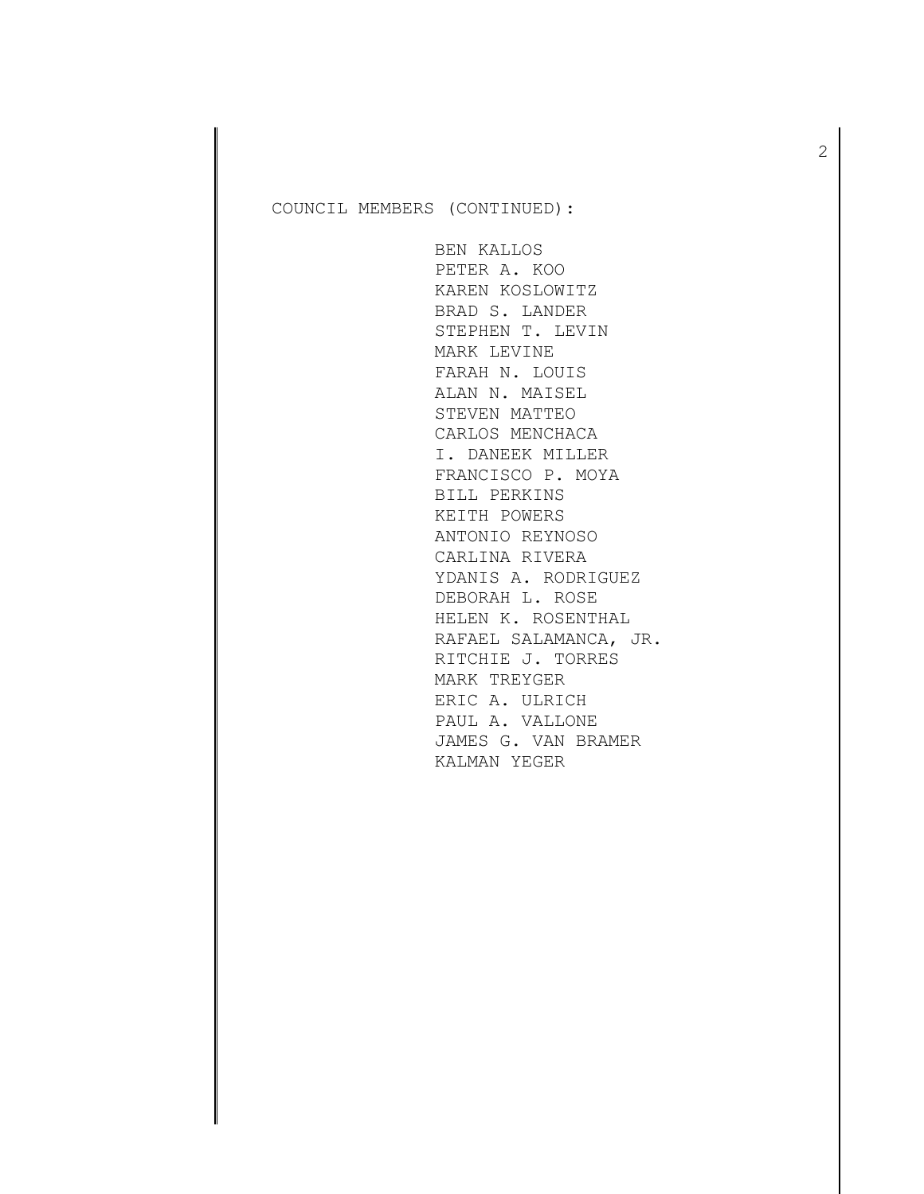BEN KALLOS PETER A. KOO KAREN KOSLOWITZ BRAD S. LANDER STEPHEN T. LEVIN MARK LEVINE FARAH N. LOUIS ALAN N. MAISEL STEVEN MATTEO CARLOS MENCHACA I. DANEEK MILLER FRANCISCO P. MOYA BILL PERKINS KEITH POWERS ANTONIO REYNOSO CARLINA RIVERA YDANIS A. RODRIGUEZ DEBORAH L. ROSE HELEN K. ROSENTHAL RAFAEL SALAMANCA, JR. RITCHIE J. TORRES MARK TREYGER ERIC A. ULRICH PAUL A. VALLONE JAMES G. VAN BRAMER KALMAN YEGER

2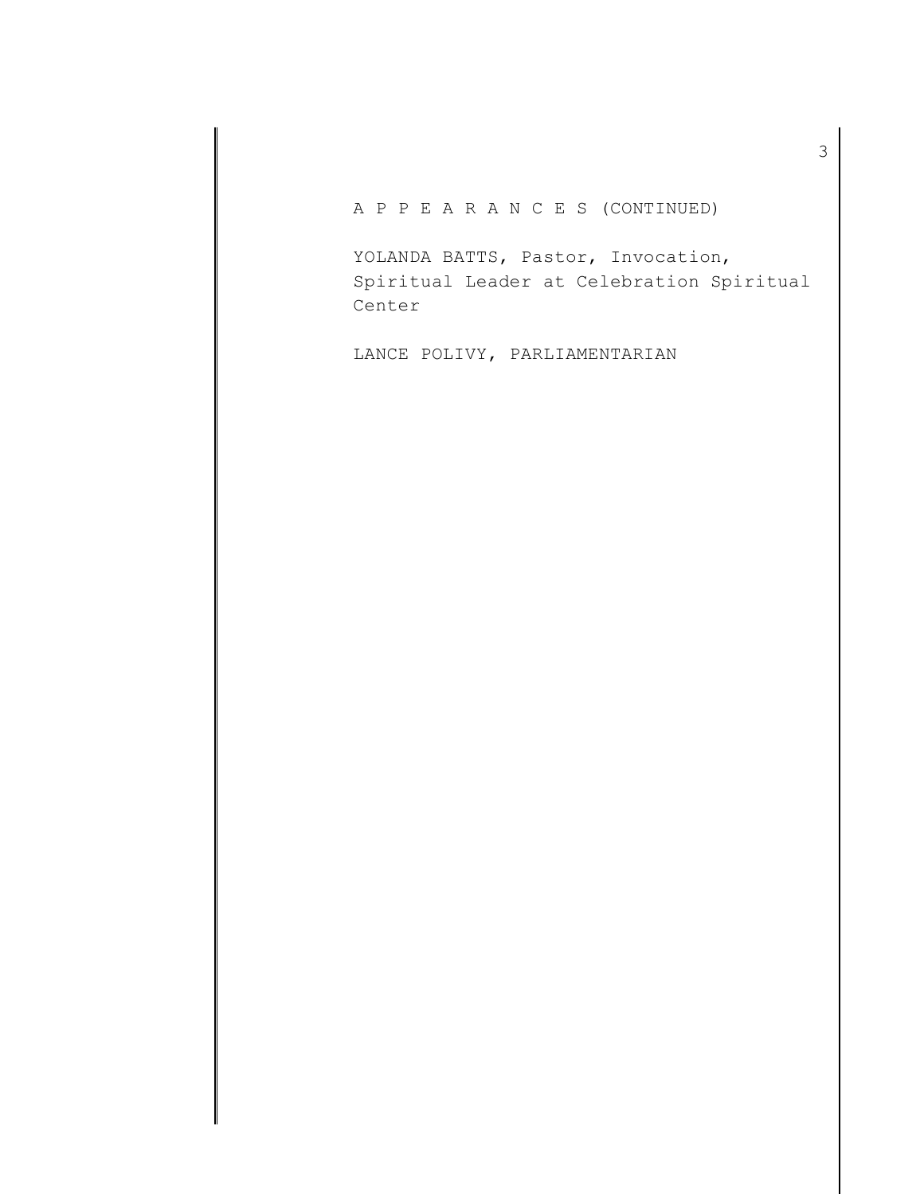A P P E A R A N C E S (CONTINUED)

YOLANDA BATTS, Pastor, Invocation, Spiritual Leader at Celebration Spiritual Center

LANCE POLIVY, PARLIAMENTARIAN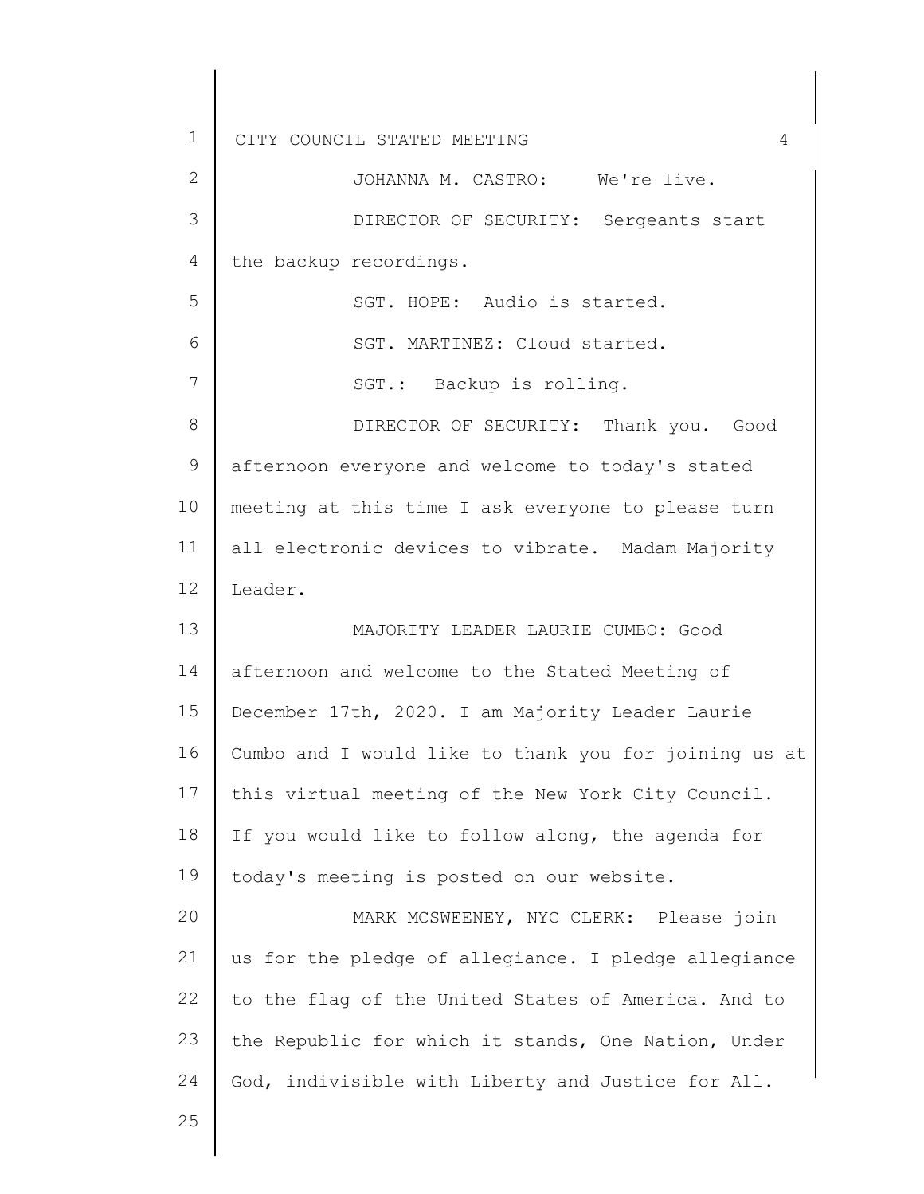1 2 3 4 5 6 7 8 9 10 11 12 13 14 15 16 17 18 19  $20$ 21 22 23 24 25 CITY COUNCIL STATED MEETING 4 the backup recordings. JOHANNA M. CASTRO: We're live. DIRECTOR OF SECURITY: Sergeants start SGT. HOPE: Audio is started. SGT. MARTINEZ: Cloud started. SGT.: Backup is rolling. DIRECTOR OF SECURITY: Thank you. Good afternoon everyone and welcome to today's stated meeting at this time I ask everyone to please turn all electronic devices to vibrate. Madam Majority Leader. MAJORITY LEADER LAURIE CUMBO: Good afternoon and welcome to the Stated Meeting of December 17th, 2020. I am Majority Leader Laurie Cumbo and I would like to thank you for joining us at this virtual meeting of the New York City Council. If you would like to follow along, the agenda for today's meeting is posted on our website. MARK MCSWEENEY, NYC CLERK: Please join us for the pledge of allegiance. I pledge allegiance to the flag of the United States of America. And to the Republic for which it stands, One Nation, Under God, indivisible with Liberty and Justice for All.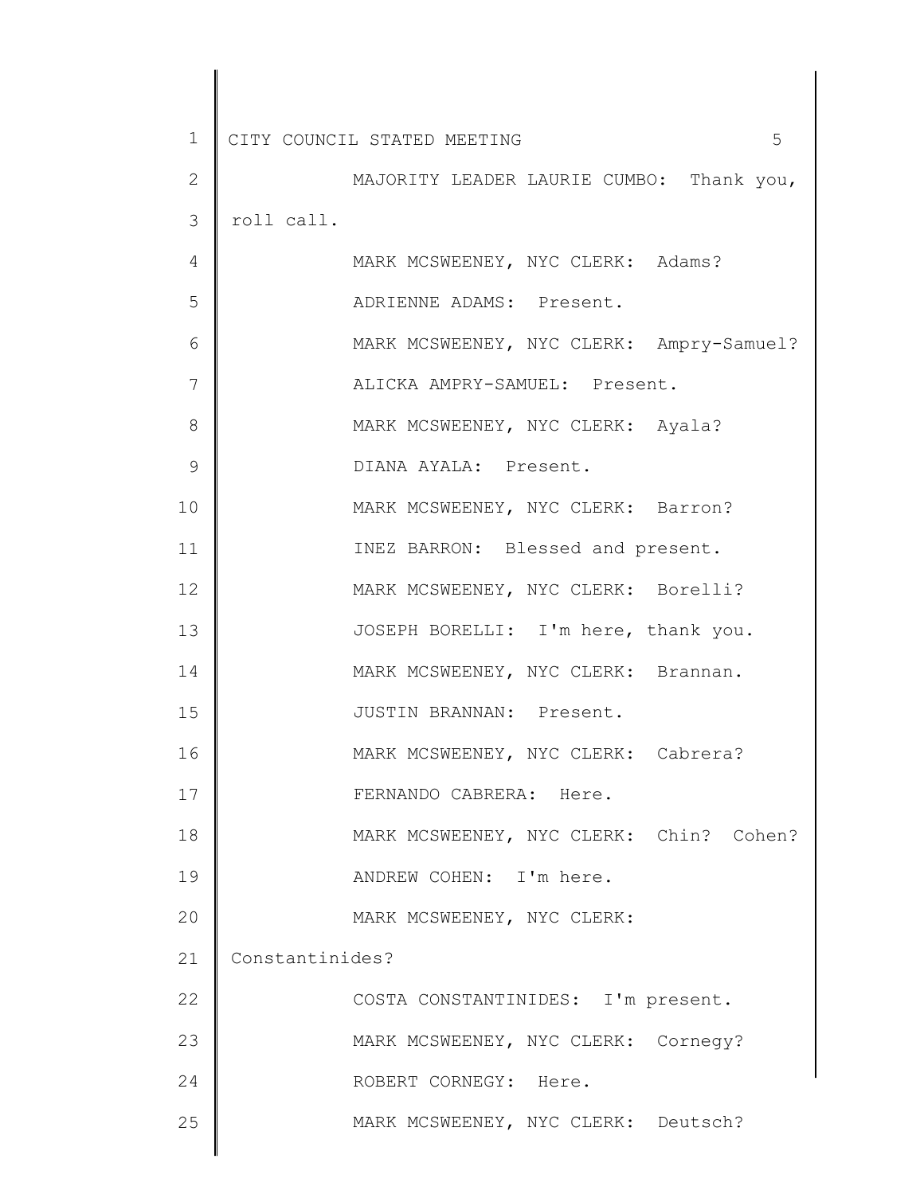| $\mathbf 1$   | 5<br>CITY COUNCIL STATED MEETING         |
|---------------|------------------------------------------|
| $\mathbf{2}$  | MAJORITY LEADER LAURIE CUMBO: Thank you, |
| 3             | roll call.                               |
| 4             | MARK MCSWEENEY, NYC CLERK: Adams?        |
| 5             | ADRIENNE ADAMS: Present.                 |
| 6             | MARK MCSWEENEY, NYC CLERK: Ampry-Samuel? |
| 7             | ALICKA AMPRY-SAMUEL: Present.            |
| 8             | MARK MCSWEENEY, NYC CLERK: Ayala?        |
| $\mathcal{G}$ | DIANA AYALA: Present.                    |
| 10            | MARK MCSWEENEY, NYC CLERK: Barron?       |
| 11            | INEZ BARRON: Blessed and present.        |
| 12            | MARK MCSWEENEY, NYC CLERK: Borelli?      |
| 13            | JOSEPH BORELLI: I'm here, thank you.     |
| 14            | MARK MCSWEENEY, NYC CLERK: Brannan.      |
| 15            | JUSTIN BRANNAN: Present.                 |
| 16            | MARK MCSWEENEY, NYC CLERK: Cabrera?      |
| 17            | FERNANDO CABRERA: Here.                  |
| 18            | MARK MCSWEENEY, NYC CLERK: Chin? Cohen?  |
| 19            | ANDREW COHEN: I'm here.                  |
| 20            | MARK MCSWEENEY, NYC CLERK:               |
| 21            | Constantinides?                          |
| 22            | COSTA CONSTANTINIDES: I'm present.       |
| 23            | MARK MCSWEENEY, NYC CLERK: Cornegy?      |
| 24            | ROBERT CORNEGY: Here.                    |
| 25            | MARK MCSWEENEY, NYC CLERK: Deutsch?      |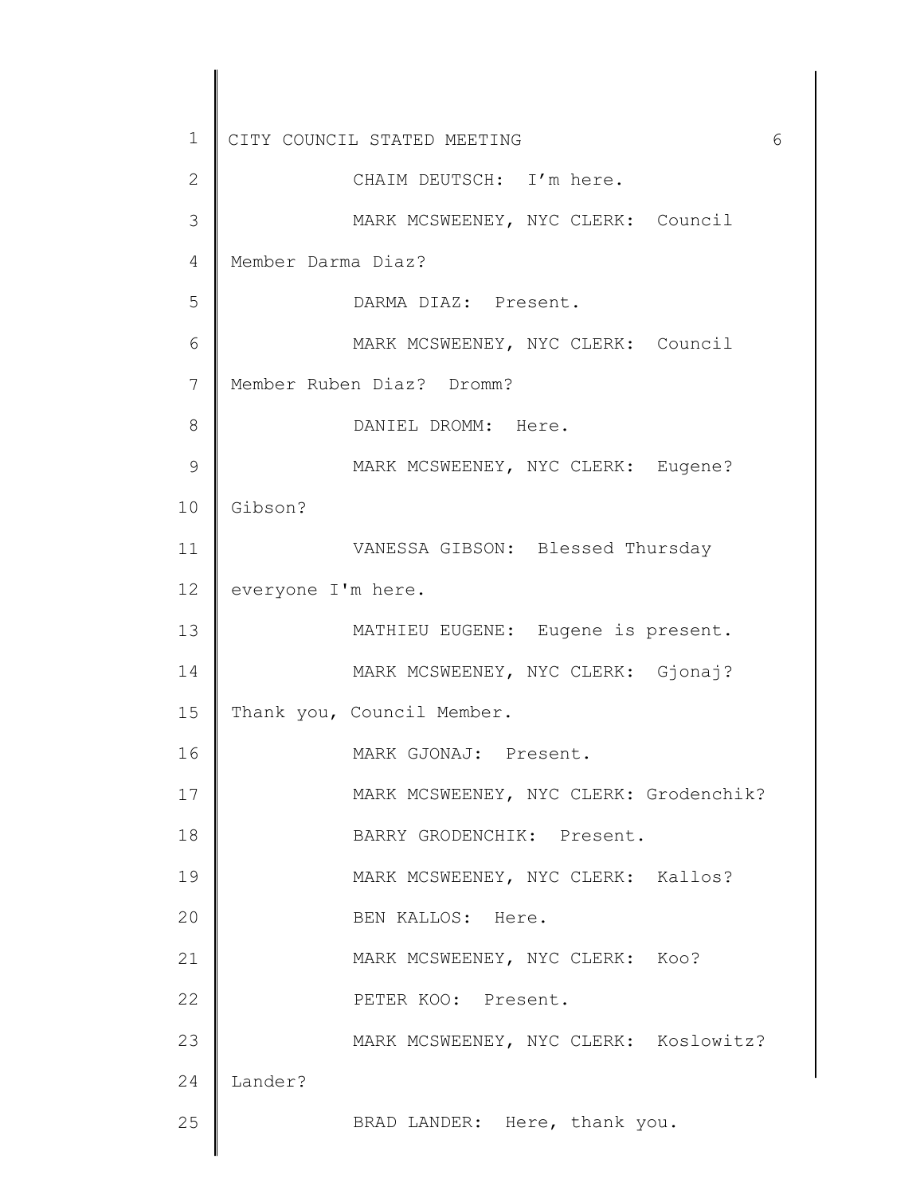1 2 3 4 5 6 7 8 9 10 11 12 13 14 15 16 17 18 19 20 21 22 23 24 25 CITY COUNCIL STATED MEETING 6 CHAIM DEUTSCH: I'm here. MARK MCSWEENEY, NYC CLERK: Council Member Darma Diaz? DARMA DIAZ: Present. MARK MCSWEENEY, NYC CLERK: Council Member Ruben Diaz? Dromm? DANIEL DROMM: Here. MARK MCSWEENEY, NYC CLERK: Eugene? Gibson? VANESSA GIBSON: Blessed Thursday everyone I'm here. MATHIEU EUGENE: Eugene is present. MARK MCSWEENEY, NYC CLERK: Gjonaj? Thank you, Council Member. MARK GJONAJ: Present. MARK MCSWEENEY, NYC CLERK: Grodenchik? BARRY GRODENCHIK: Present. MARK MCSWEENEY, NYC CLERK: Kallos? BEN KALLOS: Here. MARK MCSWEENEY, NYC CLERK: Koo? PETER KOO: Present. MARK MCSWEENEY, NYC CLERK: Koslowitz? Lander? BRAD LANDER: Here, thank you.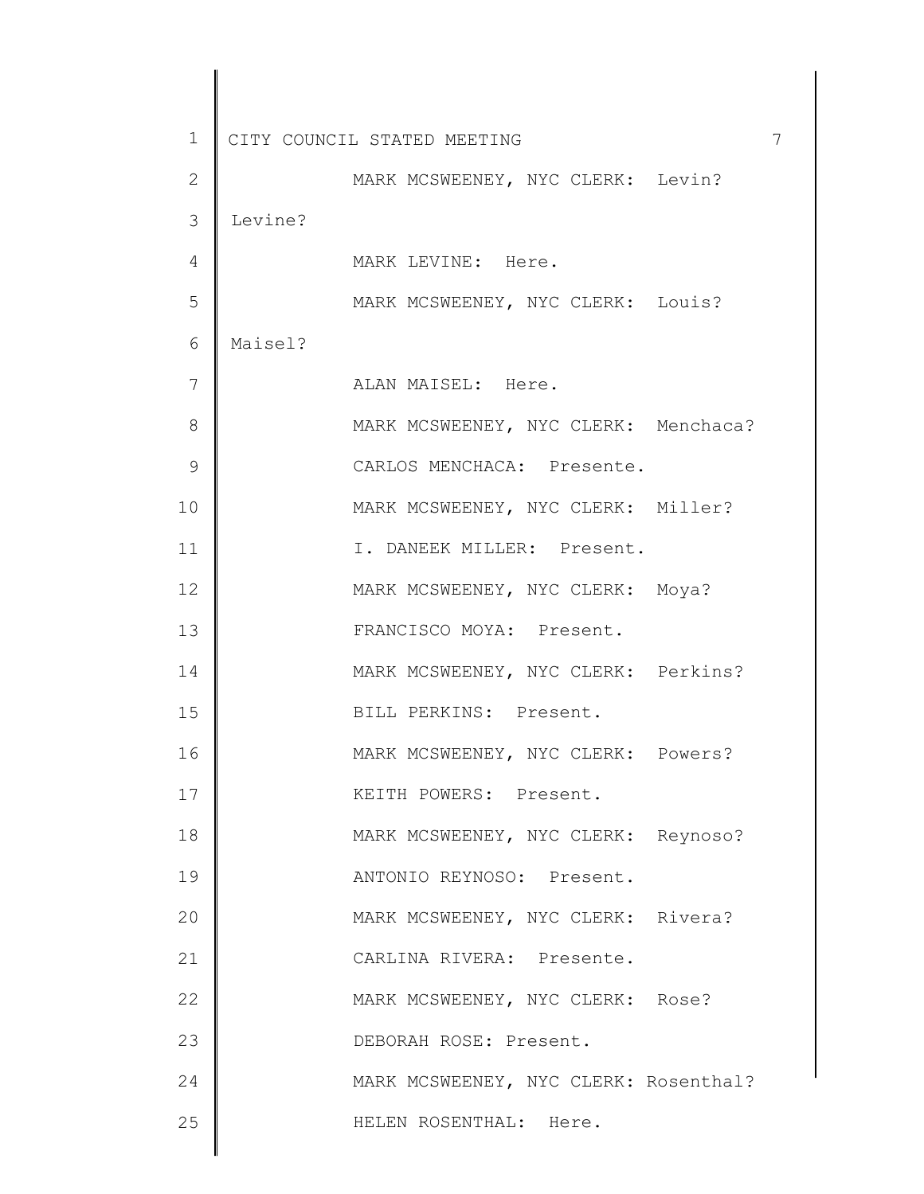1 2 3 4 5 6 7 8 9 10 11 12 13 14 15 16 17 18 19 20 21 22 23 24 25 CITY COUNCIL STATED MEETING 7 MARK MCSWEENEY, NYC CLERK: Levin? Levine? MARK LEVINE: Here. MARK MCSWEENEY, NYC CLERK: Louis? Maisel? ALAN MAISEL: Here. MARK MCSWEENEY, NYC CLERK: Menchaca? CARLOS MENCHACA: Presente. MARK MCSWEENEY, NYC CLERK: Miller? I. DANEEK MILLER: Present. MARK MCSWEENEY, NYC CLERK: Moya? FRANCISCO MOYA: Present. MARK MCSWEENEY, NYC CLERK: Perkins? BILL PERKINS: Present. MARK MCSWEENEY, NYC CLERK: Powers? KEITH POWERS: Present. MARK MCSWEENEY, NYC CLERK: Reynoso? ANTONIO REYNOSO: Present. MARK MCSWEENEY, NYC CLERK: Rivera? CARLINA RIVERA: Presente. MARK MCSWEENEY, NYC CLERK: Rose? DEBORAH ROSE: Present. MARK MCSWEENEY, NYC CLERK: Rosenthal? HELEN ROSENTHAL: Here.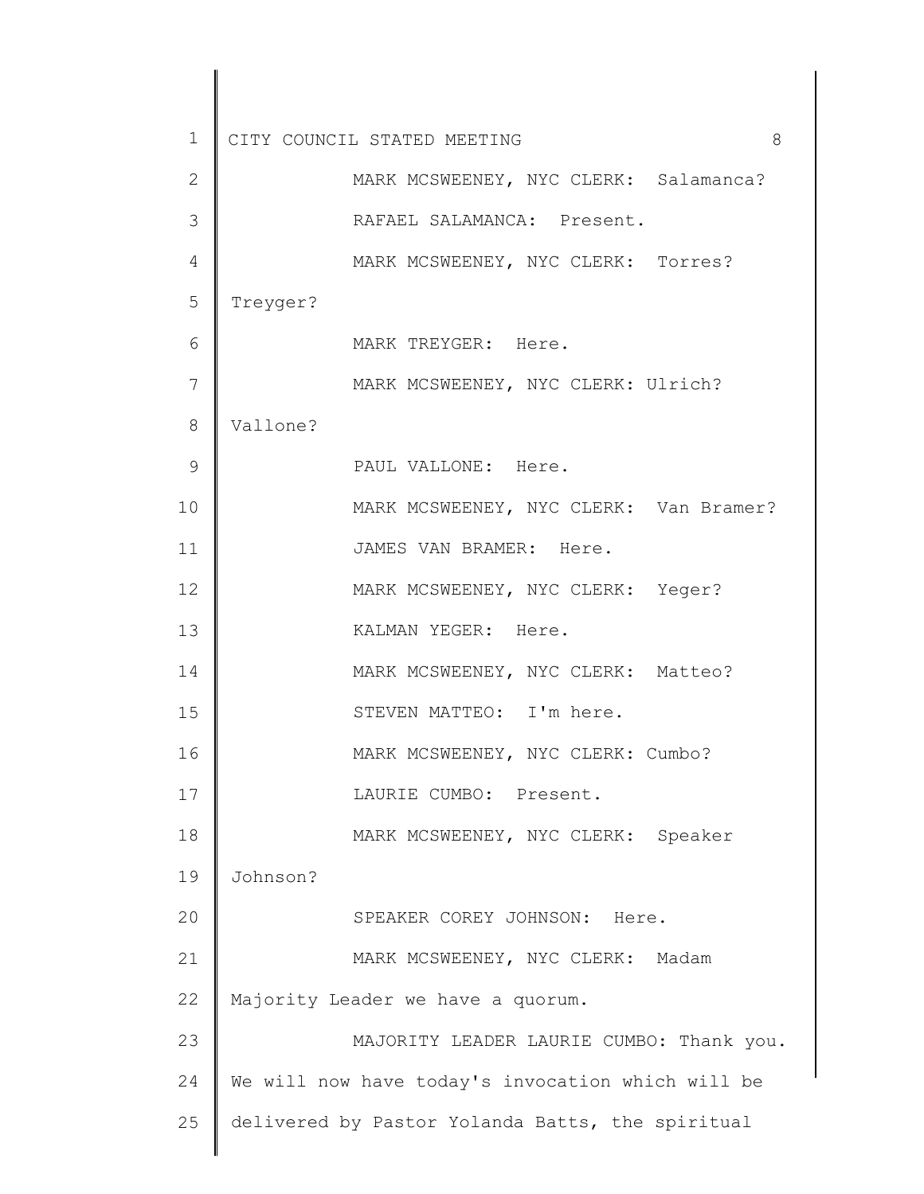1 2 3 4 5 6 7 8 9 10 11 12 13 14 15 16 17 18 19 20 21 22 23 24 25 CITY COUNCIL STATED MEETING 8 MARK MCSWEENEY, NYC CLERK: Salamanca? RAFAEL SALAMANCA: Present. MARK MCSWEENEY, NYC CLERK: Torres? Treyger? MARK TREYGER: Here. MARK MCSWEENEY, NYC CLERK: Ulrich? Vallone? PAUL VALLONE: Here. MARK MCSWEENEY, NYC CLERK: Van Bramer? JAMES VAN BRAMER: Here. MARK MCSWEENEY, NYC CLERK: Yeger? KALMAN YEGER: Here. MARK MCSWEENEY, NYC CLERK: Matteo? STEVEN MATTEO: I'm here. MARK MCSWEENEY, NYC CLERK: Cumbo? LAURIE CUMBO: Present. MARK MCSWEENEY, NYC CLERK: Speaker Johnson? SPEAKER COREY JOHNSON: Here. MARK MCSWEENEY, NYC CLERK: Madam Majority Leader we have a quorum. MAJORITY LEADER LAURIE CUMBO: Thank you. We will now have today's invocation which will be delivered by Pastor Yolanda Batts, the spiritual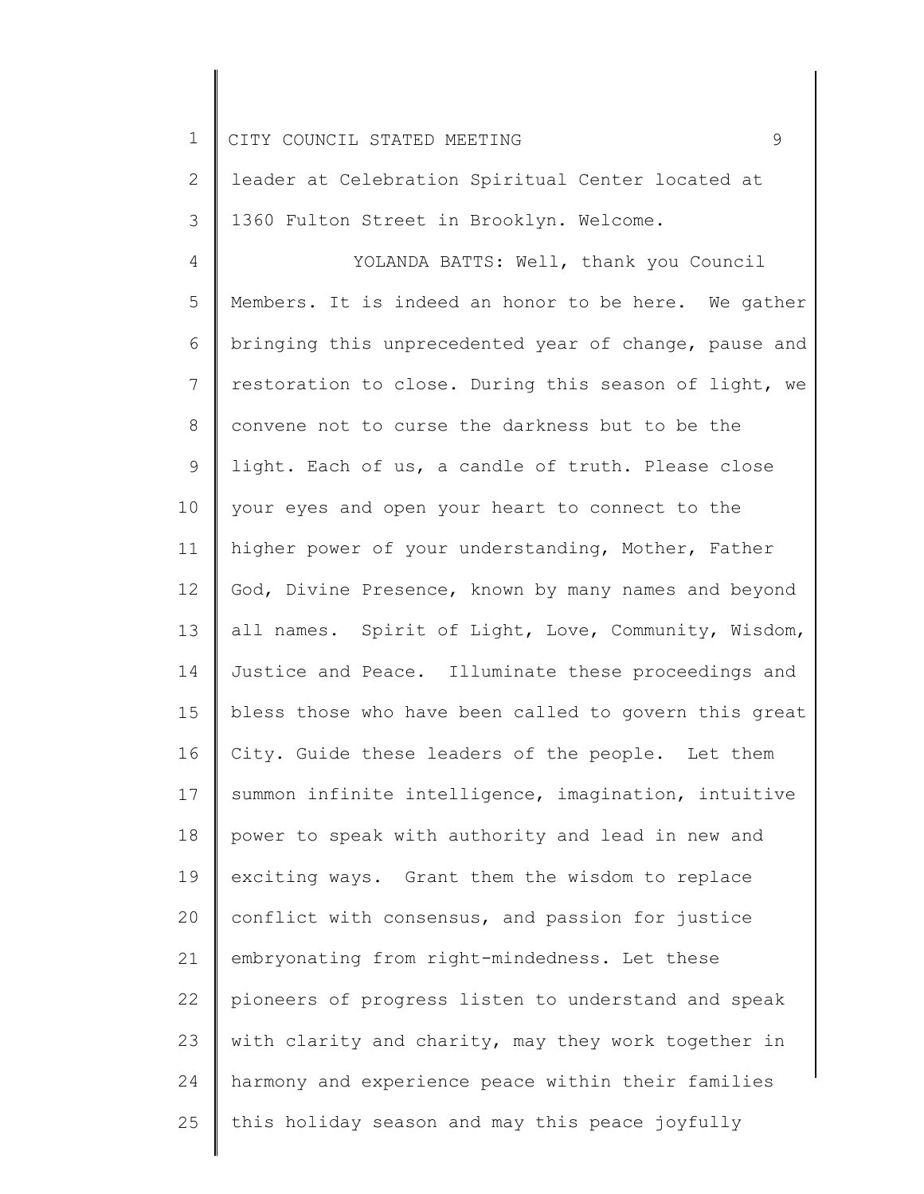1 2 3 4 5 6 7 8 9 10 11 12 13 14 15 16 17 18 19 20 21 22 23 24 25 CITY COUNCIL STATED MEETING 9 leader at Celebration Spiritual Center located at 1360 Fulton Street in Brooklyn. Welcome. YOLANDA BATTS: Well, thank you Council Members. It is indeed an honor to be here. We gather bringing this unprecedented year of change, pause and restoration to close. During this season of light, we convene not to curse the darkness but to be the light. Each of us, a candle of truth. Please close your eyes and open your heart to connect to the higher power of your understanding, Mother, Father God, Divine Presence, known by many names and beyond all names. Spirit of Light, Love, Community, Wisdom, Justice and Peace. Illuminate these proceedings and bless those who have been called to govern this great City. Guide these leaders of the people. Let them summon infinite intelligence, imagination, intuitive power to speak with authority and lead in new and exciting ways. Grant them the wisdom to replace conflict with consensus, and passion for justice embryonating from right-mindedness. Let these pioneers of progress listen to understand and speak with clarity and charity, may they work together in harmony and experience peace within their families this holiday season and may this peace joyfully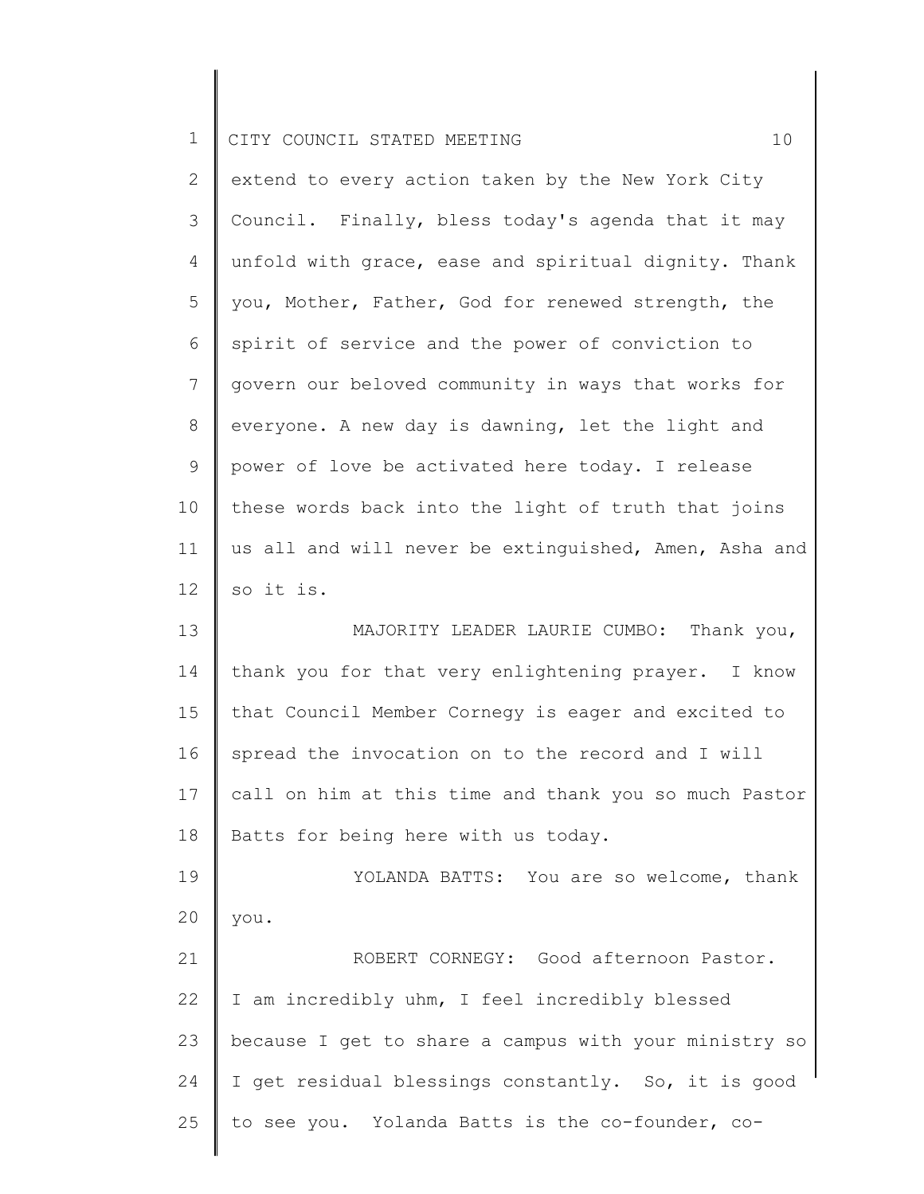| $\mathbf{2}^{\prime}$ | extend to every action taken by the New York City                                                                                                                                                                                                                                                                                                                                                                                                        |
|-----------------------|----------------------------------------------------------------------------------------------------------------------------------------------------------------------------------------------------------------------------------------------------------------------------------------------------------------------------------------------------------------------------------------------------------------------------------------------------------|
| 3                     | Council. Finally, bless today's agenda that it may                                                                                                                                                                                                                                                                                                                                                                                                       |
| 4                     | unfold with grace, ease and spiritual dignity. Thank                                                                                                                                                                                                                                                                                                                                                                                                     |
| 5                     | you, Mother, Father, God for renewed strength, the                                                                                                                                                                                                                                                                                                                                                                                                       |
| 6                     | spirit of service and the power of conviction to                                                                                                                                                                                                                                                                                                                                                                                                         |
| 7                     | govern our beloved community in ways that works for                                                                                                                                                                                                                                                                                                                                                                                                      |
| 8                     | everyone. A new day is dawning, let the light and                                                                                                                                                                                                                                                                                                                                                                                                        |
| 9                     | power of love be activated here today. I release                                                                                                                                                                                                                                                                                                                                                                                                         |
| 10                    | these words back into the light of truth that joins                                                                                                                                                                                                                                                                                                                                                                                                      |
| 11                    | us all and will never be extinguished, Amen, Asha and                                                                                                                                                                                                                                                                                                                                                                                                    |
| 12 <sup>°</sup>       | so it is.                                                                                                                                                                                                                                                                                                                                                                                                                                                |
| $\sim$                | $\tau$ $\cap$ $\tau$ $\overline{\ldots}$ $\tau$ $\overline{\ldots}$ $\overline{\ldots}$ $\overline{\ldots}$ $\overline{\ldots}$ $\overline{\ldots}$ $\overline{\ldots}$ $\overline{\ldots}$ $\overline{\ldots}$ $\overline{\ldots}$ $\overline{\ldots}$ $\overline{\ldots}$ $\overline{\ldots}$ $\overline{\ldots}$ $\overline{\ldots}$ $\overline{\ldots}$ $\overline{\ldots}$ $\overline{\ldots}$ $\overline{\ldots}$ $\overline{\ldots}$<br>$-1$ $-1$ |

13 14 15 16 17 18 MAJORITY LEADER LAURIE CUMBO: Thank you, thank you for that very enlightening prayer. I know that Council Member Cornegy is eager and excited to spread the invocation on to the record and I will call on him at this time and thank you so much Pastor Batts for being here with us today.

19 20 YOLANDA BATTS: You are so welcome, thank you.

21 22 23 24 25 ROBERT CORNEGY: Good afternoon Pastor. I am incredibly uhm, I feel incredibly blessed because I get to share a campus with your ministry so I get residual blessings constantly. So, it is good to see you. Yolanda Batts is the co-founder, co-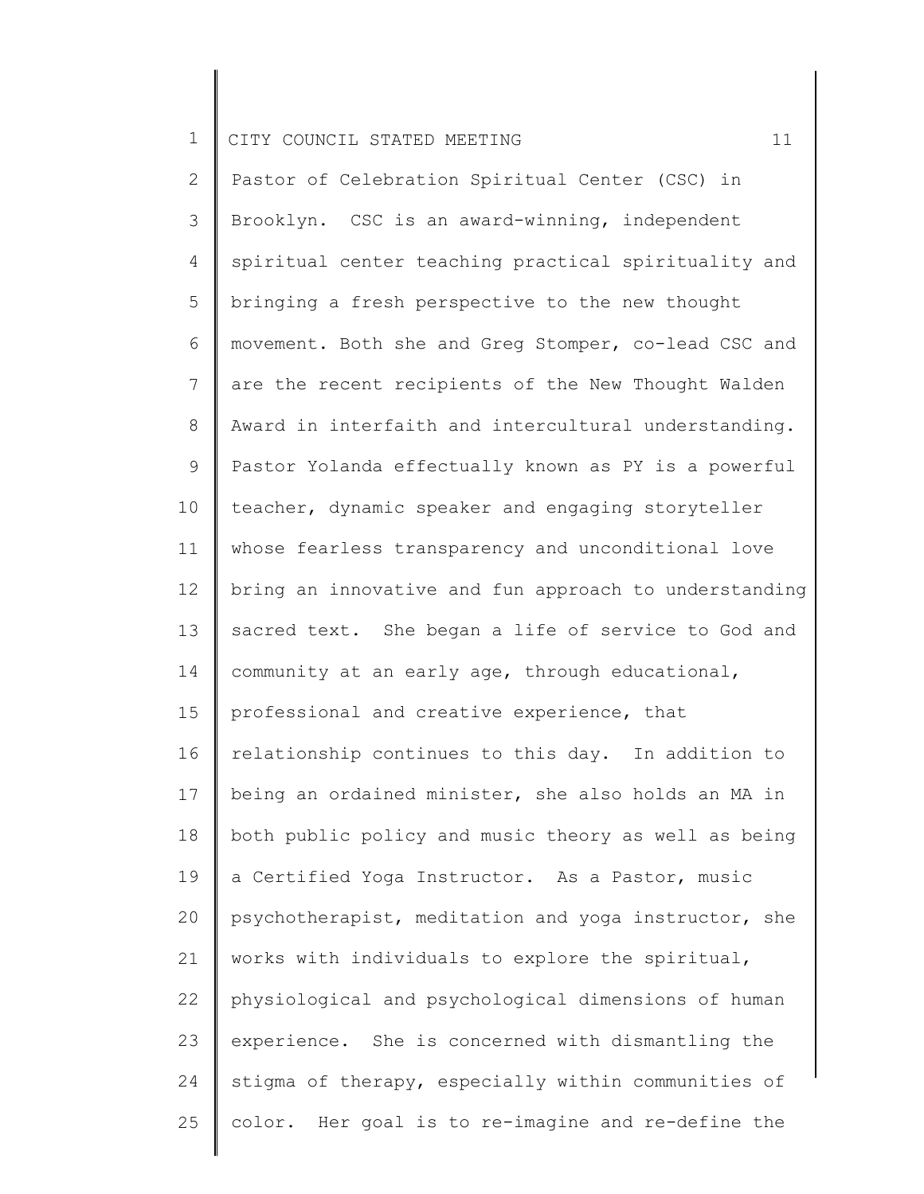2 3 4 5 6 7 8 9 10 11 12 13 14 15 16 17 18 19 20 21 22 23 24 25 Pastor of Celebration Spiritual Center (CSC) in Brooklyn. CSC is an award-winning, independent spiritual center teaching practical spirituality and bringing a fresh perspective to the new thought movement. Both she and Greg Stomper, co-lead CSC and are the recent recipients of the New Thought Walden Award in interfaith and intercultural understanding. Pastor Yolanda effectually known as PY is a powerful teacher, dynamic speaker and engaging storyteller whose fearless transparency and unconditional love bring an innovative and fun approach to understanding sacred text. She began a life of service to God and community at an early age, through educational, professional and creative experience, that relationship continues to this day. In addition to being an ordained minister, she also holds an MA in both public policy and music theory as well as being a Certified Yoga Instructor. As a Pastor, music psychotherapist, meditation and yoga instructor, she works with individuals to explore the spiritual, physiological and psychological dimensions of human experience. She is concerned with dismantling the stigma of therapy, especially within communities of color. Her goal is to re-imagine and re-define the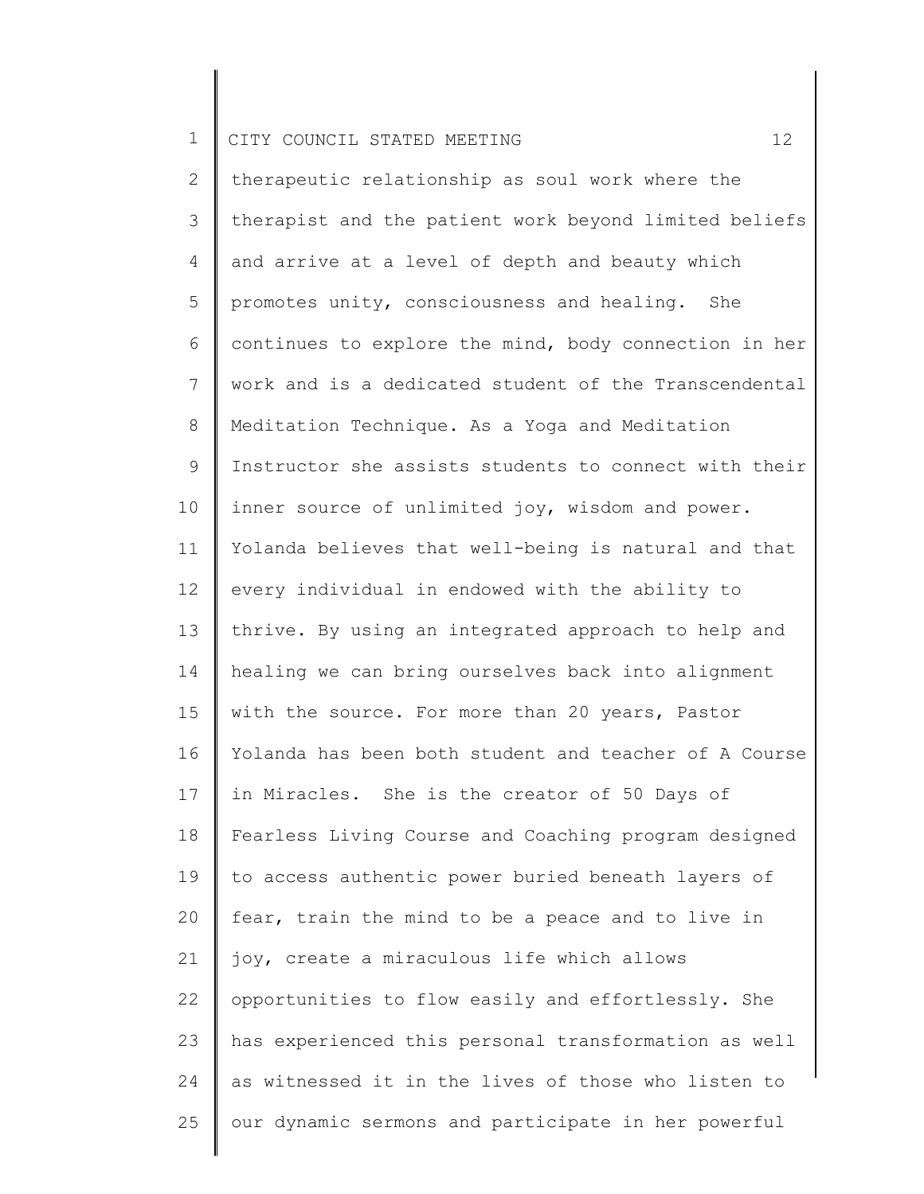2 3 4 5 6 7 8 9 10 11 12 13 14 15 16 17 18 19 20 21 22 23 24 25 therapeutic relationship as soul work where the therapist and the patient work beyond limited beliefs and arrive at a level of depth and beauty which promotes unity, consciousness and healing. She continues to explore the mind, body connection in her work and is a dedicated student of the Transcendental Meditation Technique. As a Yoga and Meditation Instructor she assists students to connect with their inner source of unlimited joy, wisdom and power. Yolanda believes that well-being is natural and that every individual in endowed with the ability to thrive. By using an integrated approach to help and healing we can bring ourselves back into alignment with the source. For more than 20 years, Pastor Yolanda has been both student and teacher of A Course in Miracles. She is the creator of 50 Days of Fearless Living Course and Coaching program designed to access authentic power buried beneath layers of fear, train the mind to be a peace and to live in joy, create a miraculous life which allows opportunities to flow easily and effortlessly. She has experienced this personal transformation as well as witnessed it in the lives of those who listen to our dynamic sermons and participate in her powerful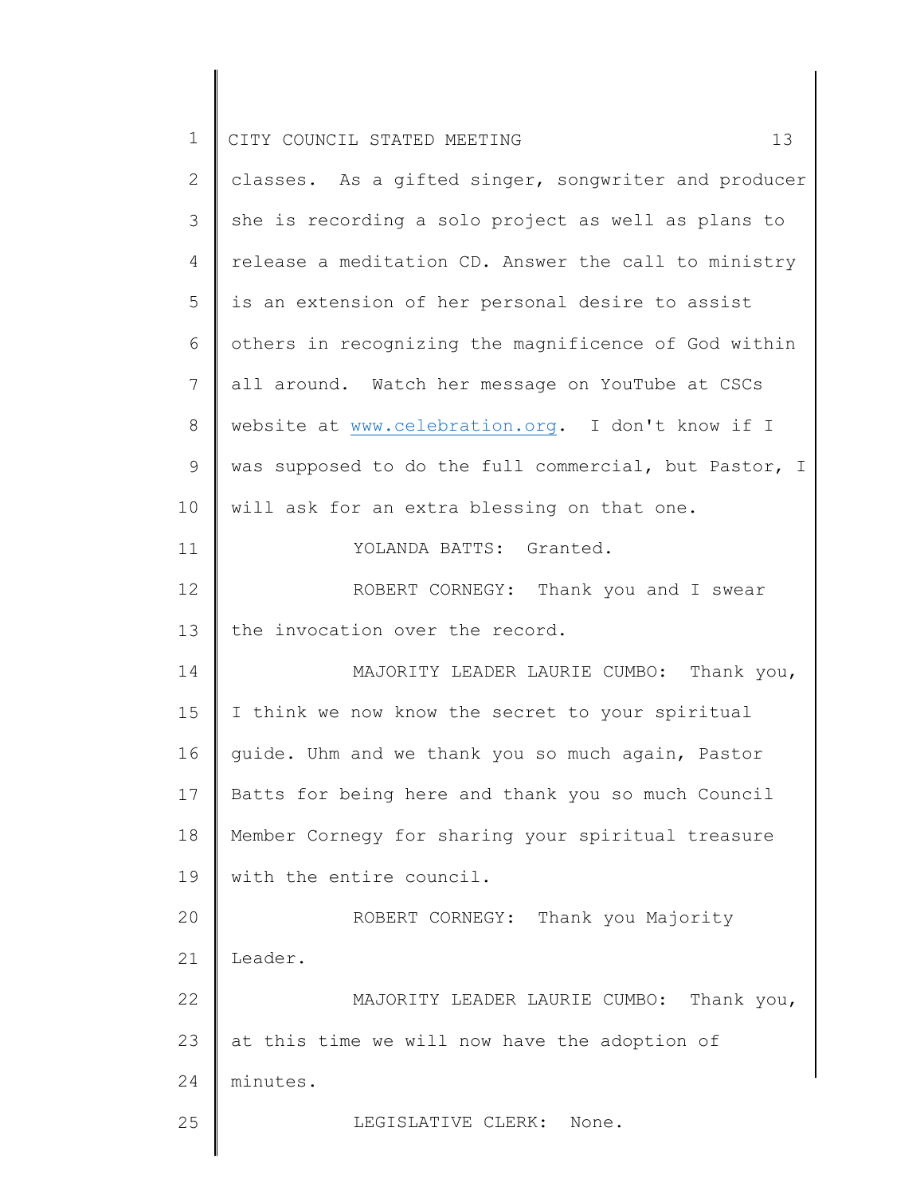| $\mathbf 1$    | 13<br>CITY COUNCIL STATED MEETING                     |
|----------------|-------------------------------------------------------|
| $\mathbf{2}$   | classes. As a gifted singer, songwriter and producer  |
| 3              | she is recording a solo project as well as plans to   |
| 4              | release a meditation CD. Answer the call to ministry  |
| 5              | is an extension of her personal desire to assist      |
| 6              | others in recognizing the magnificence of God within  |
| $\overline{7}$ | all around. Watch her message on YouTube at CSCs      |
| $\,8\,$        | website at www.celebration.org. I don't know if I     |
| 9              | was supposed to do the full commercial, but Pastor, I |
| 10             | will ask for an extra blessing on that one.           |
| 11             | YOLANDA BATTS: Granted.                               |
| 12             | ROBERT CORNEGY: Thank you and I swear                 |
| 13             | the invocation over the record.                       |
| 14             | MAJORITY LEADER LAURIE CUMBO: Thank you,              |
| 15             | I think we now know the secret to your spiritual      |
| 16             | guide. Uhm and we thank you so much again, Pastor     |
| 17             | Batts for being here and thank you so much Council    |
| 18             | Member Cornegy for sharing your spiritual treasure    |
| 19             | with the entire council.                              |
| 20             | ROBERT CORNEGY: Thank you Majority                    |
| 21             | Leader.                                               |
| 22             | MAJORITY LEADER LAURIE CUMBO: Thank you,              |
|                |                                                       |
| 23             | at this time we will now have the adoption of         |
| 24             | minutes.                                              |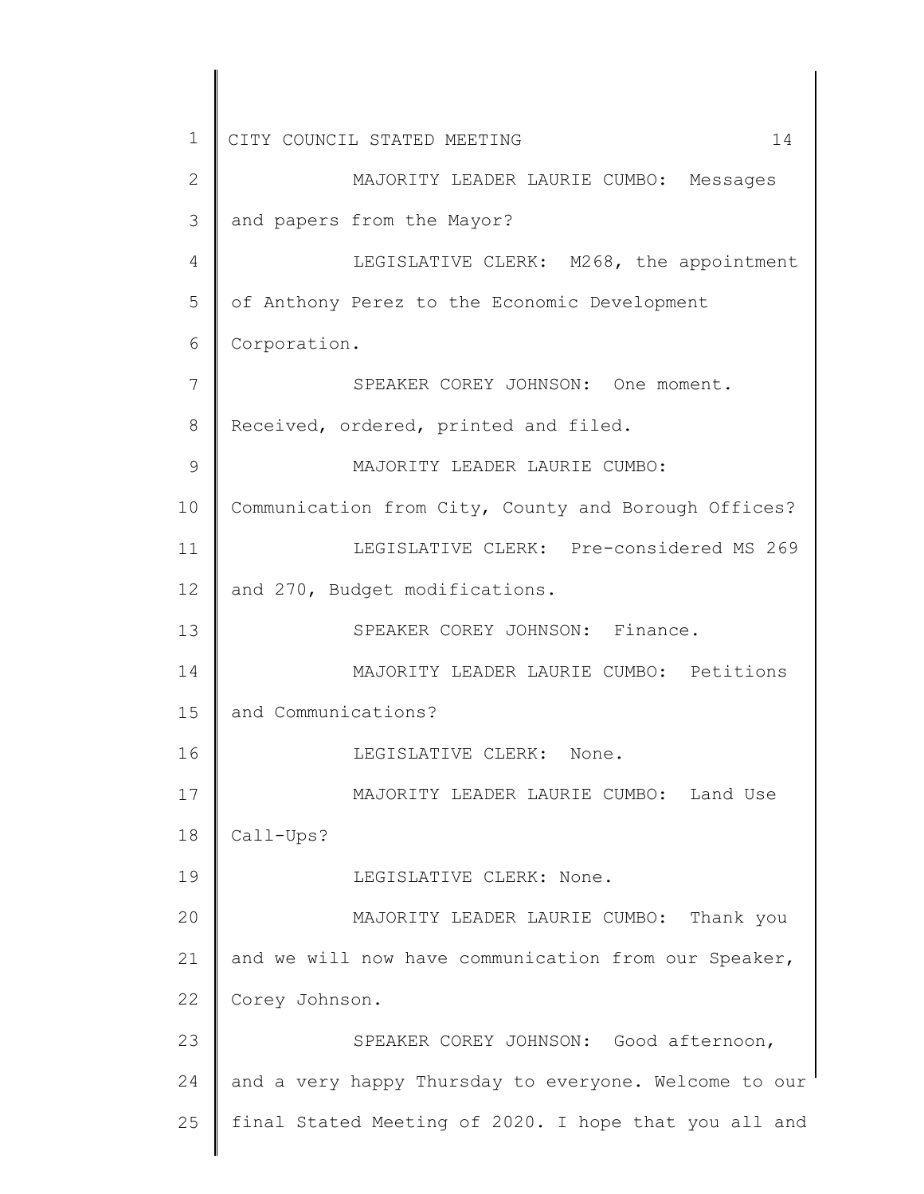1 2 3 4 5 6 7 8 9 10 11 12 13 14 15 16 17 18 19 20 21 22 23 24 25 CITY COUNCIL STATED MEETING 14 MAJORITY LEADER LAURIE CUMBO: Messages and papers from the Mayor? LEGISLATIVE CLERK: M268, the appointment of Anthony Perez to the Economic Development Corporation. SPEAKER COREY JOHNSON: One moment. Received, ordered, printed and filed. MAJORITY LEADER LAURIE CUMBO: Communication from City, County and Borough Offices? LEGISLATIVE CLERK: Pre-considered MS 269 and 270, Budget modifications. SPEAKER COREY JOHNSON: Finance. MAJORITY LEADER LAURIE CUMBO: Petitions and Communications? LEGISLATIVE CLERK: None. MAJORITY LEADER LAURIE CUMBO: Land Use Call-Ups? LEGISLATIVE CLERK: None. MAJORITY LEADER LAURIE CUMBO: Thank you and we will now have communication from our Speaker, Corey Johnson. SPEAKER COREY JOHNSON: Good afternoon, and a very happy Thursday to everyone. Welcome to our final Stated Meeting of 2020. I hope that you all and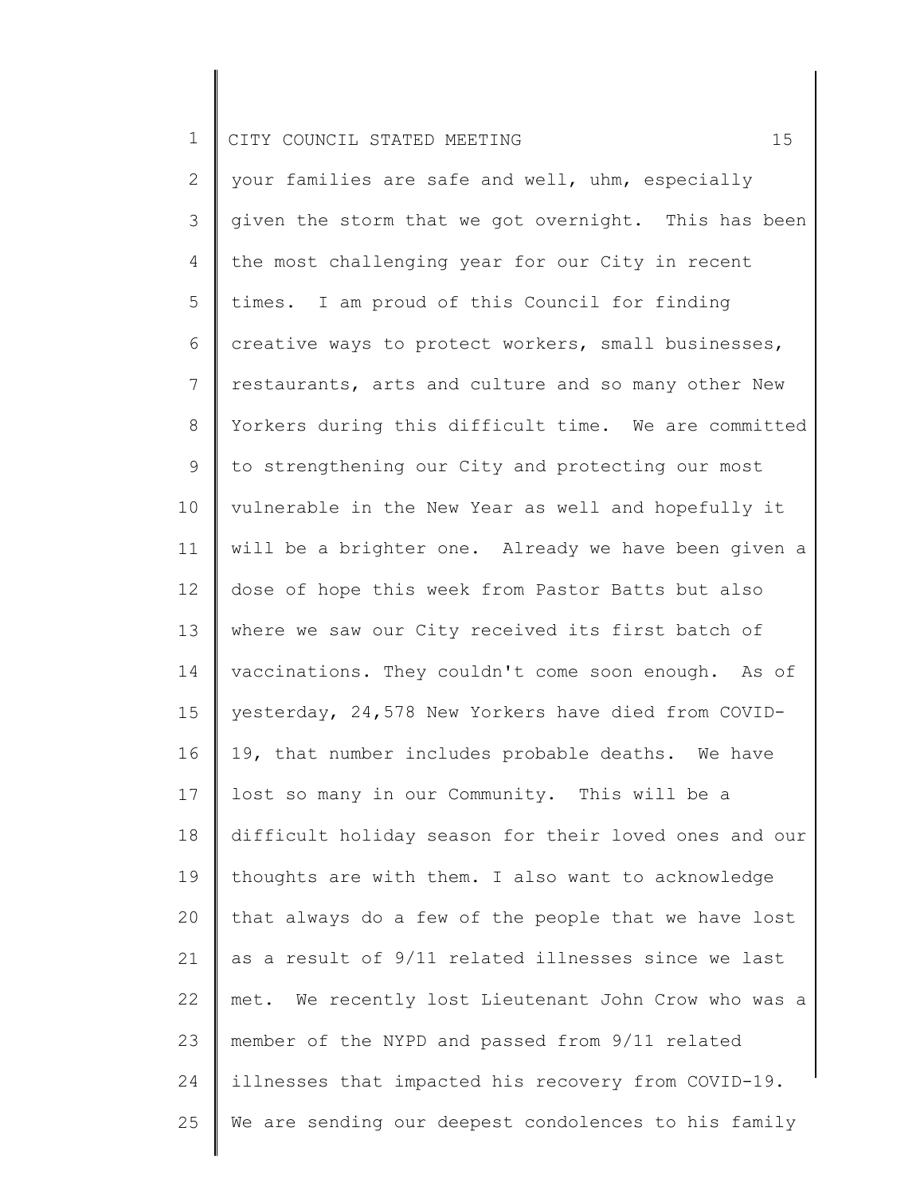2 3 4 5 6 7 8 9 10 11 12 13 14 15 16 17 18 19 20 21 22 23 24 25 your families are safe and well, uhm, especially given the storm that we got overnight. This has been the most challenging year for our City in recent times. I am proud of this Council for finding creative ways to protect workers, small businesses, restaurants, arts and culture and so many other New Yorkers during this difficult time. We are committed to strengthening our City and protecting our most vulnerable in the New Year as well and hopefully it will be a brighter one. Already we have been given a dose of hope this week from Pastor Batts but also where we saw our City received its first batch of vaccinations. They couldn't come soon enough. As of yesterday, 24,578 New Yorkers have died from COVID-19, that number includes probable deaths. We have lost so many in our Community. This will be a difficult holiday season for their loved ones and our thoughts are with them. I also want to acknowledge that always do a few of the people that we have lost as a result of 9/11 related illnesses since we last met. We recently lost Lieutenant John Crow who was a member of the NYPD and passed from 9/11 related illnesses that impacted his recovery from COVID-19. We are sending our deepest condolences to his family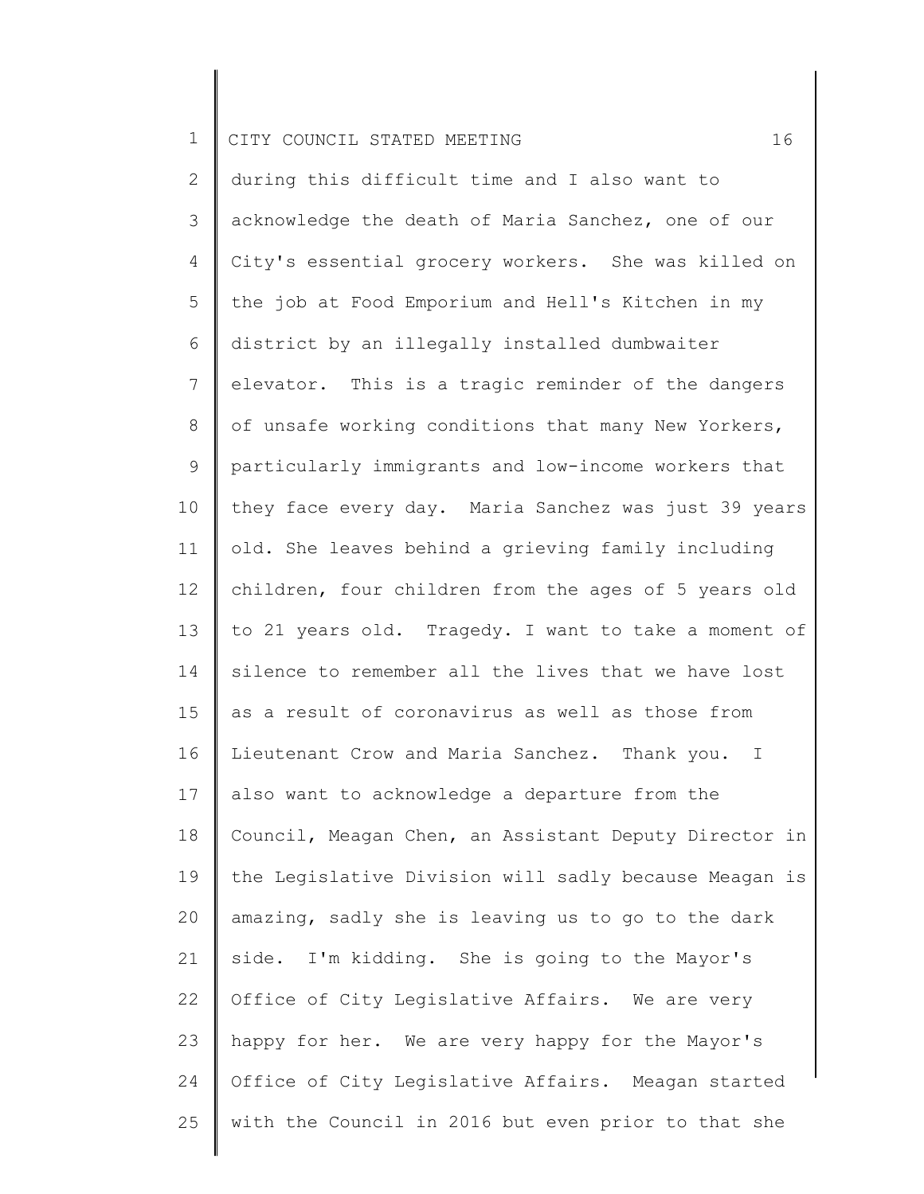2 3 4 5 6 7 8 9 10 11 12 13 14 15 16 17 18 19 20 21 22 23 24 25 during this difficult time and I also want to acknowledge the death of Maria Sanchez, one of our City's essential grocery workers. She was killed on the job at Food Emporium and Hell's Kitchen in my district by an illegally installed dumbwaiter elevator. This is a tragic reminder of the dangers of unsafe working conditions that many New Yorkers, particularly immigrants and low-income workers that they face every day. Maria Sanchez was just 39 years old. She leaves behind a grieving family including children, four children from the ages of 5 years old to 21 years old. Tragedy. I want to take a moment of silence to remember all the lives that we have lost as a result of coronavirus as well as those from Lieutenant Crow and Maria Sanchez. Thank you. I also want to acknowledge a departure from the Council, Meagan Chen, an Assistant Deputy Director in the Legislative Division will sadly because Meagan is amazing, sadly she is leaving us to go to the dark side. I'm kidding. She is going to the Mayor's Office of City Legislative Affairs. We are very happy for her. We are very happy for the Mayor's Office of City Legislative Affairs. Meagan started with the Council in 2016 but even prior to that she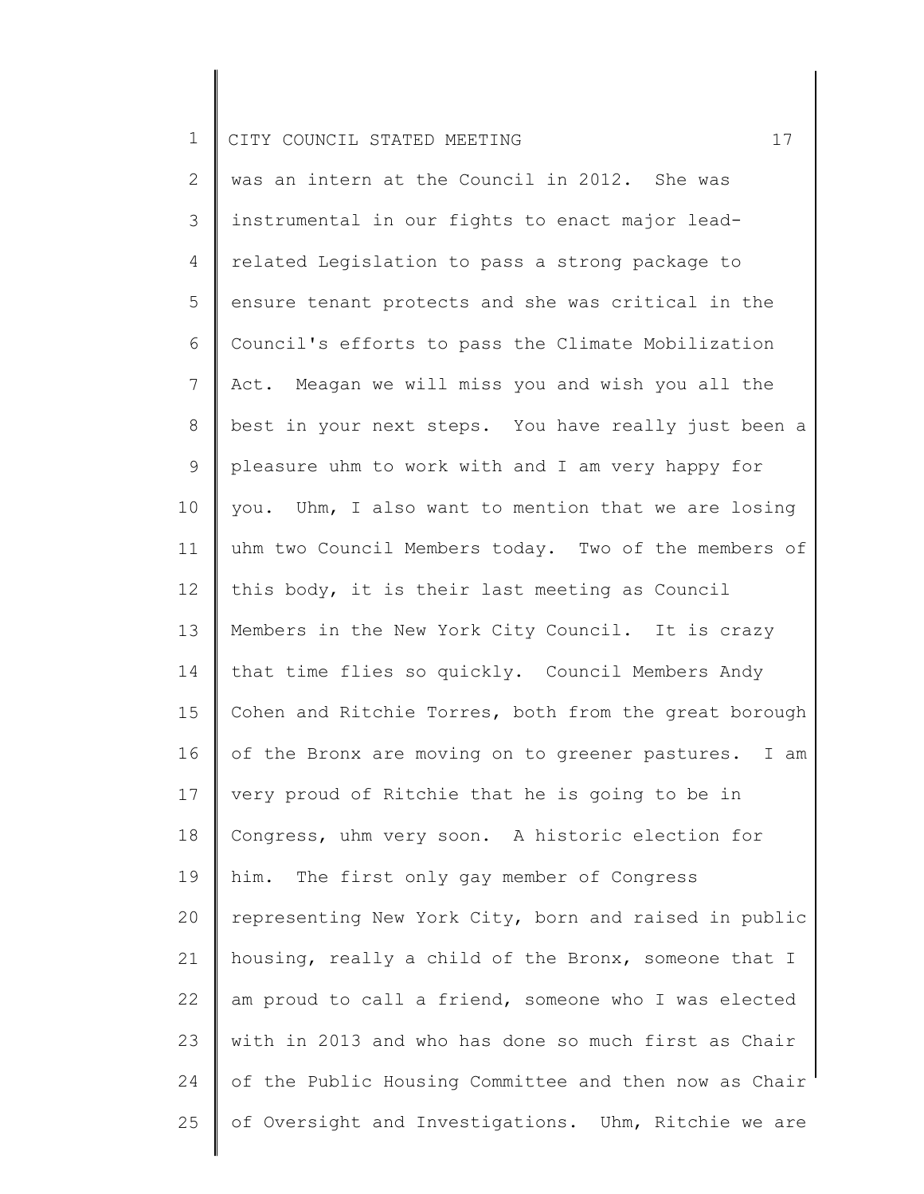2 3 4 5 6 7 8 9 10 11 12 13 14 15 16 17 18 19 20 21 22 23 24 25 was an intern at the Council in 2012. She was instrumental in our fights to enact major leadrelated Legislation to pass a strong package to ensure tenant protects and she was critical in the Council's efforts to pass the Climate Mobilization Act. Meagan we will miss you and wish you all the best in your next steps. You have really just been a pleasure uhm to work with and I am very happy for you. Uhm, I also want to mention that we are losing uhm two Council Members today. Two of the members of this body, it is their last meeting as Council Members in the New York City Council. It is crazy that time flies so quickly. Council Members Andy Cohen and Ritchie Torres, both from the great borough of the Bronx are moving on to greener pastures. I am very proud of Ritchie that he is going to be in Congress, uhm very soon. A historic election for him. The first only gay member of Congress representing New York City, born and raised in public housing, really a child of the Bronx, someone that I am proud to call a friend, someone who I was elected with in 2013 and who has done so much first as Chair of the Public Housing Committee and then now as Chair of Oversight and Investigations. Uhm, Ritchie we are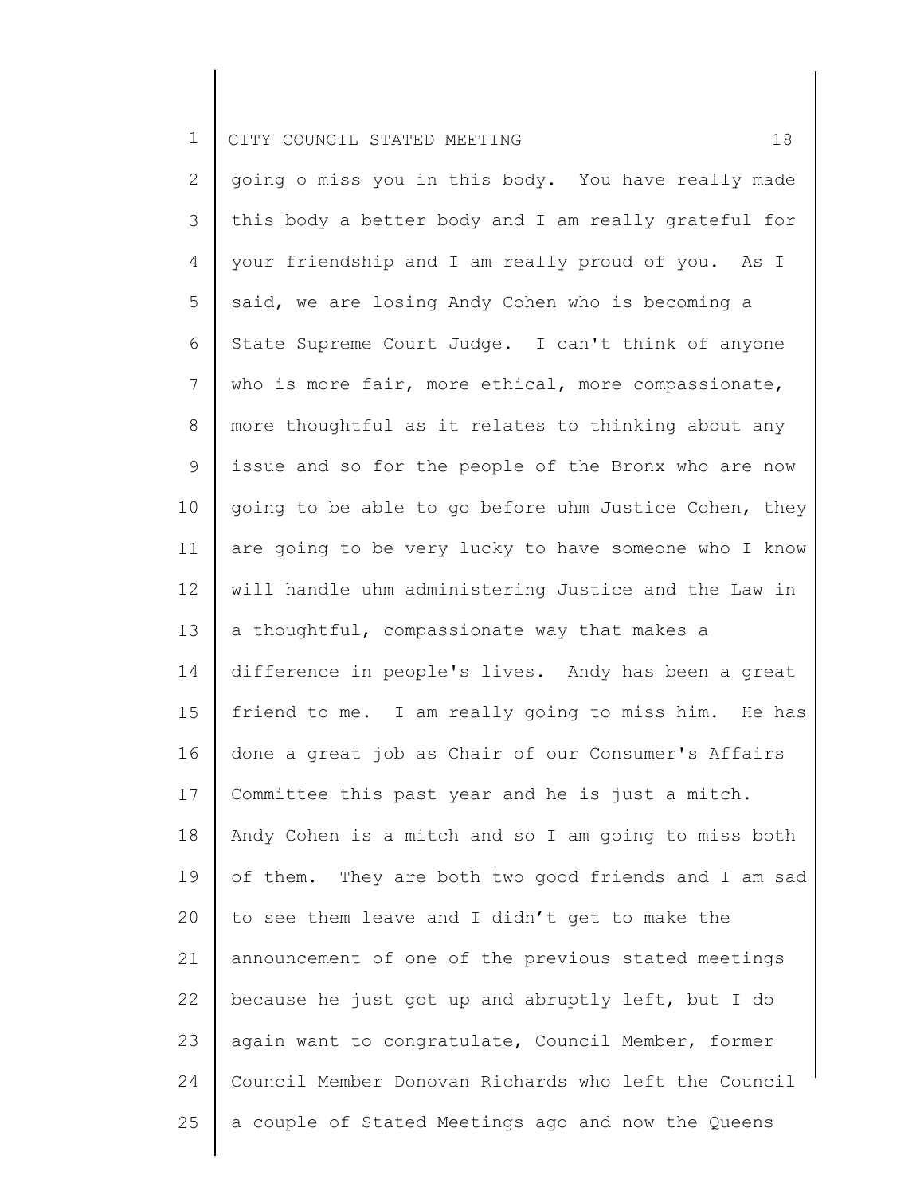2 3 4 5 6 7 8 9 10 11 12 13 14 15 16 17 18 19 20 21 22 23 24 25 going o miss you in this body. You have really made this body a better body and I am really grateful for your friendship and I am really proud of you. As I said, we are losing Andy Cohen who is becoming a State Supreme Court Judge. I can't think of anyone who is more fair, more ethical, more compassionate, more thoughtful as it relates to thinking about any issue and so for the people of the Bronx who are now going to be able to go before uhm Justice Cohen, they are going to be very lucky to have someone who I know will handle uhm administering Justice and the Law in a thoughtful, compassionate way that makes a difference in people's lives. Andy has been a great friend to me. I am really going to miss him. He has done a great job as Chair of our Consumer's Affairs Committee this past year and he is just a mitch. Andy Cohen is a mitch and so I am going to miss both of them. They are both two good friends and I am sad to see them leave and I didn't get to make the announcement of one of the previous stated meetings because he just got up and abruptly left, but I do again want to congratulate, Council Member, former Council Member Donovan Richards who left the Council a couple of Stated Meetings ago and now the Queens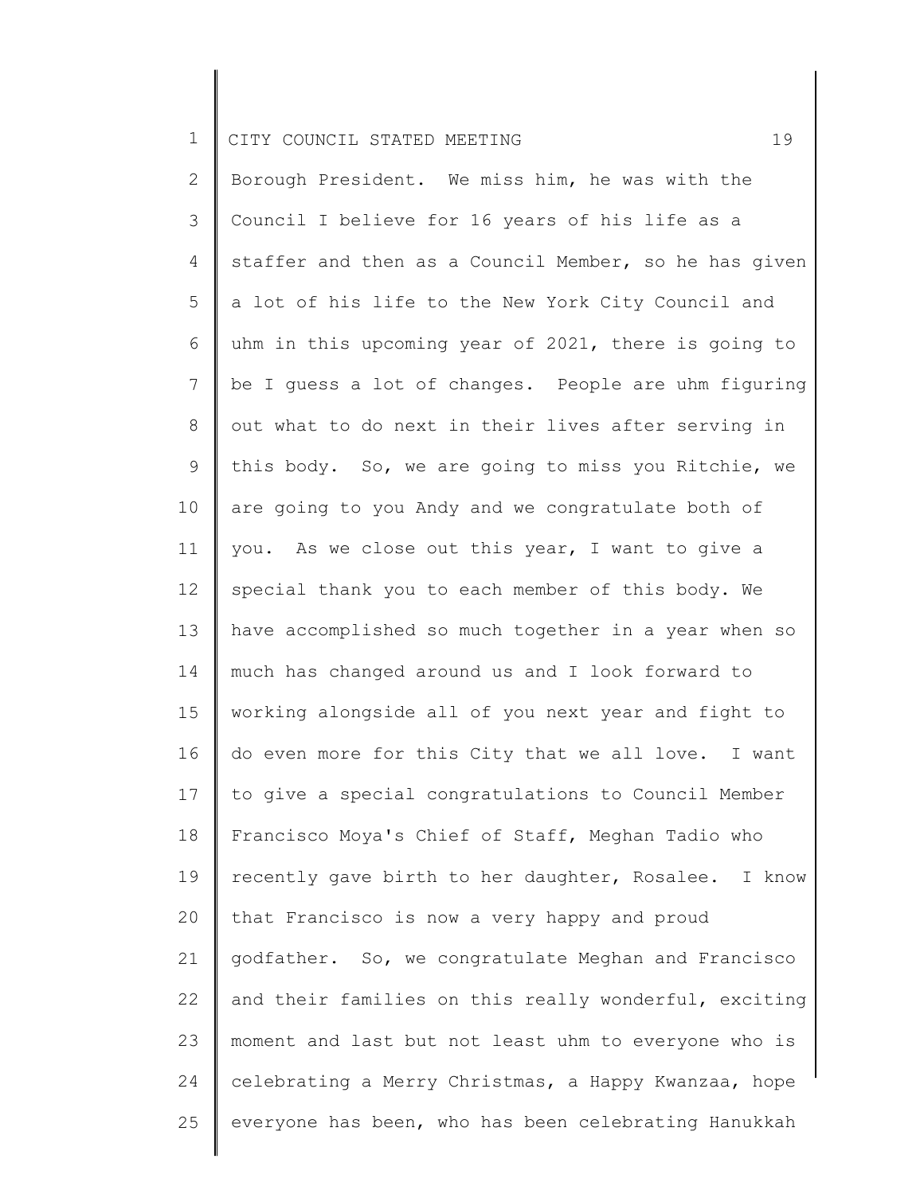2 3 4 5 6 7 8 9 10 11 12 13 14 15 16 17 18 19 20 21 22 23 24 25 Borough President. We miss him, he was with the Council I believe for 16 years of his life as a staffer and then as a Council Member, so he has given a lot of his life to the New York City Council and uhm in this upcoming year of 2021, there is going to be I guess a lot of changes. People are uhm figuring out what to do next in their lives after serving in this body. So, we are going to miss you Ritchie, we are going to you Andy and we congratulate both of you. As we close out this year, I want to give a special thank you to each member of this body. We have accomplished so much together in a year when so much has changed around us and I look forward to working alongside all of you next year and fight to do even more for this City that we all love. I want to give a special congratulations to Council Member Francisco Moya's Chief of Staff, Meghan Tadio who recently gave birth to her daughter, Rosalee. I know that Francisco is now a very happy and proud godfather. So, we congratulate Meghan and Francisco and their families on this really wonderful, exciting moment and last but not least uhm to everyone who is celebrating a Merry Christmas, a Happy Kwanzaa, hope everyone has been, who has been celebrating Hanukkah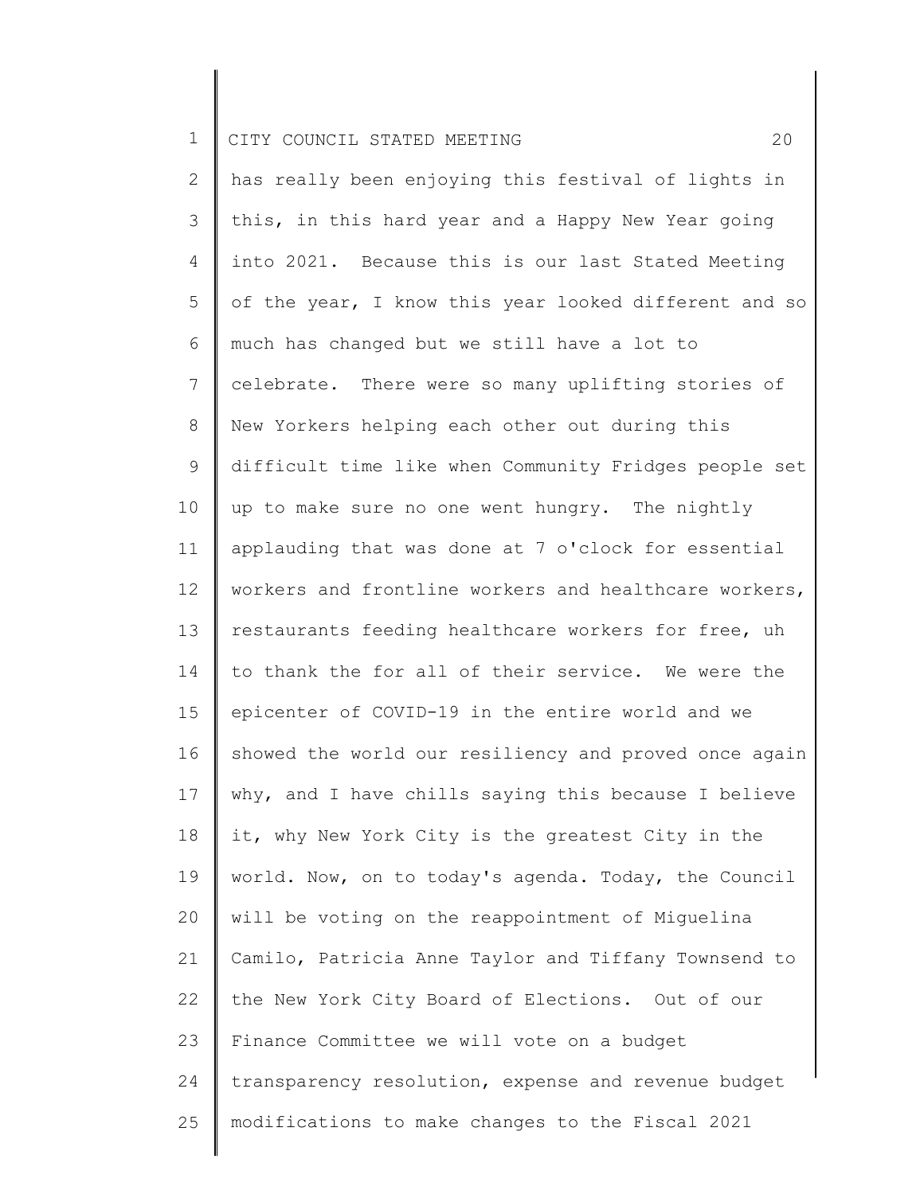2 3 4 5 6 7 8 9 10 11 12 13 14 15 16 17 18 19 20 21 22 23 24 25 has really been enjoying this festival of lights in this, in this hard year and a Happy New Year going into 2021. Because this is our last Stated Meeting of the year, I know this year looked different and so much has changed but we still have a lot to celebrate. There were so many uplifting stories of New Yorkers helping each other out during this difficult time like when Community Fridges people set up to make sure no one went hungry. The nightly applauding that was done at 7 o'clock for essential workers and frontline workers and healthcare workers, restaurants feeding healthcare workers for free, uh to thank the for all of their service. We were the epicenter of COVID-19 in the entire world and we showed the world our resiliency and proved once again why, and I have chills saying this because I believe it, why New York City is the greatest City in the world. Now, on to today's agenda. Today, the Council will be voting on the reappointment of Miguelina Camilo, Patricia Anne Taylor and Tiffany Townsend to the New York City Board of Elections. Out of our Finance Committee we will vote on a budget transparency resolution, expense and revenue budget modifications to make changes to the Fiscal 2021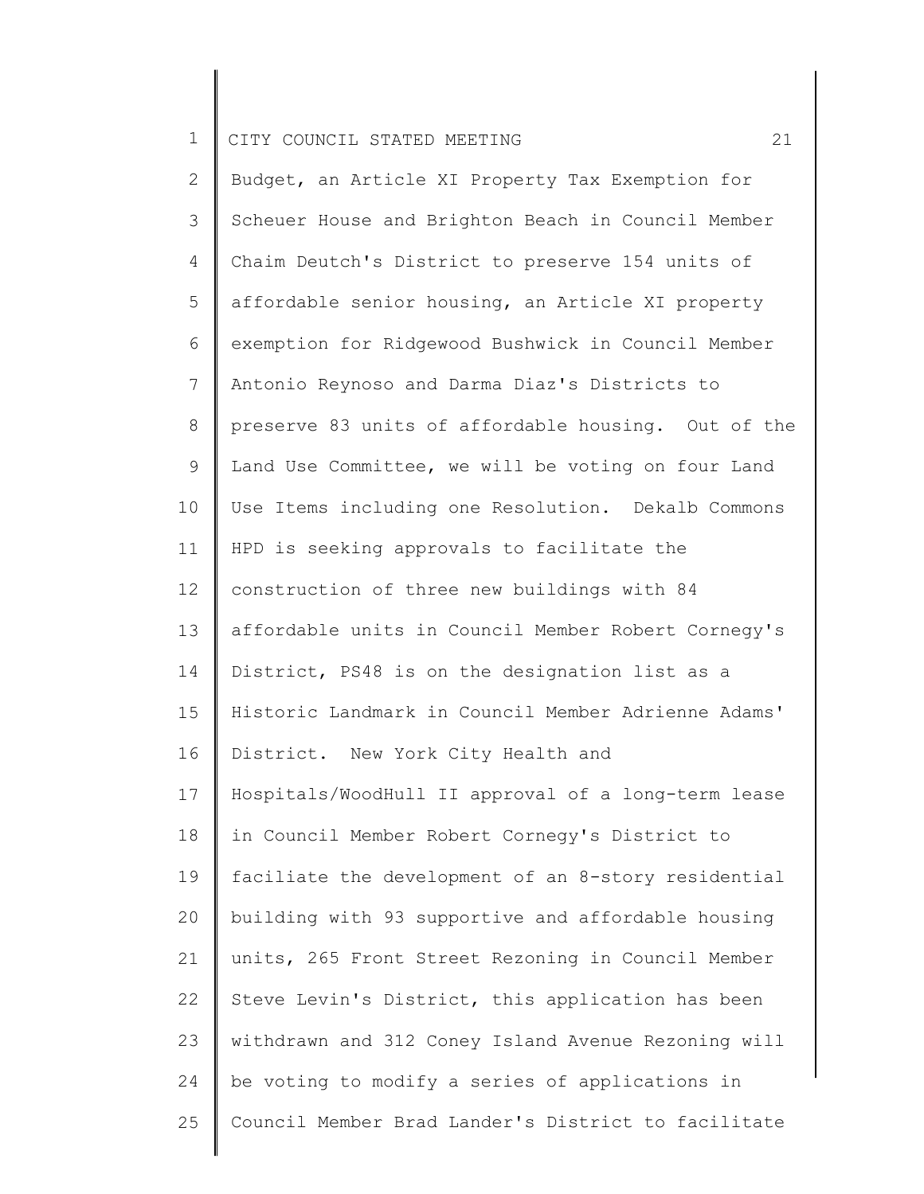2 3 4 5 6 7 8 9 10 11 12 13 14 15 16 17 18 19 20 21 22 23 24 25 Budget, an Article XI Property Tax Exemption for Scheuer House and Brighton Beach in Council Member Chaim Deutch's District to preserve 154 units of affordable senior housing, an Article XI property exemption for Ridgewood Bushwick in Council Member Antonio Reynoso and Darma Diaz's Districts to preserve 83 units of affordable housing. Out of the Land Use Committee, we will be voting on four Land Use Items including one Resolution. Dekalb Commons HPD is seeking approvals to facilitate the construction of three new buildings with 84 affordable units in Council Member Robert Cornegy's District, PS48 is on the designation list as a Historic Landmark in Council Member Adrienne Adams' District. New York City Health and Hospitals/WoodHull II approval of a long-term lease in Council Member Robert Cornegy's District to faciliate the development of an 8-story residential building with 93 supportive and affordable housing units, 265 Front Street Rezoning in Council Member Steve Levin's District, this application has been withdrawn and 312 Coney Island Avenue Rezoning will be voting to modify a series of applications in Council Member Brad Lander's District to facilitate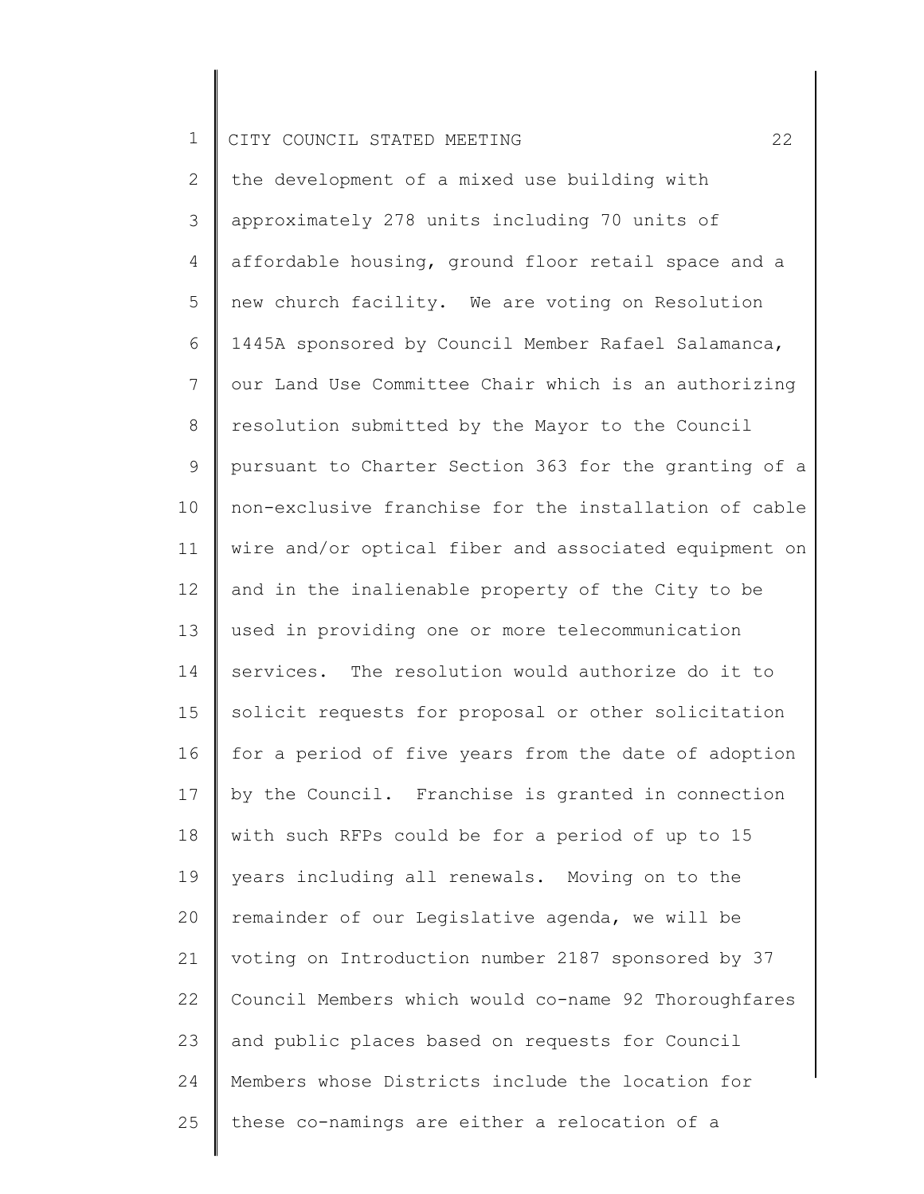2 3 4 5 6 7 8 9 10 11 12 13 14 15 16 17 18 19 20 21 22 23 24 25 the development of a mixed use building with approximately 278 units including 70 units of affordable housing, ground floor retail space and a new church facility. We are voting on Resolution 1445A sponsored by Council Member Rafael Salamanca, our Land Use Committee Chair which is an authorizing resolution submitted by the Mayor to the Council pursuant to Charter Section 363 for the granting of a non-exclusive franchise for the installation of cable wire and/or optical fiber and associated equipment on and in the inalienable property of the City to be used in providing one or more telecommunication services. The resolution would authorize do it to solicit requests for proposal or other solicitation for a period of five years from the date of adoption by the Council. Franchise is granted in connection with such RFPs could be for a period of up to 15 years including all renewals. Moving on to the remainder of our Legislative agenda, we will be voting on Introduction number 2187 sponsored by 37 Council Members which would co-name 92 Thoroughfares and public places based on requests for Council Members whose Districts include the location for these co-namings are either a relocation of a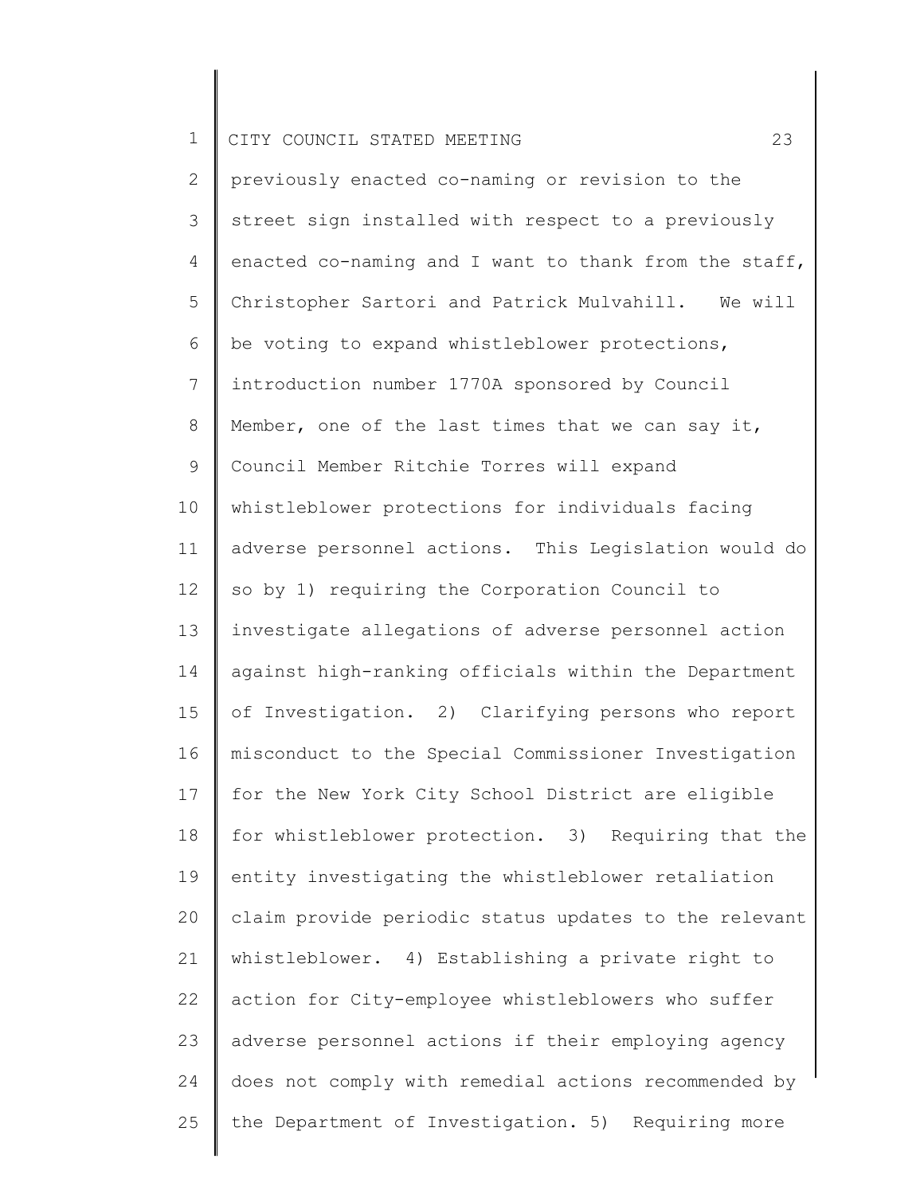2 3 4 5 6 7 8 9 10 11 12 13 14 15 16 17 18 19 20 21 22 23 24 25 previously enacted co-naming or revision to the street sign installed with respect to a previously enacted co-naming and I want to thank from the staff, Christopher Sartori and Patrick Mulvahill. We will be voting to expand whistleblower protections, introduction number 1770A sponsored by Council Member, one of the last times that we can say it, Council Member Ritchie Torres will expand whistleblower protections for individuals facing adverse personnel actions. This Legislation would do so by 1) requiring the Corporation Council to investigate allegations of adverse personnel action against high-ranking officials within the Department of Investigation. 2) Clarifying persons who report misconduct to the Special Commissioner Investigation for the New York City School District are eligible for whistleblower protection. 3) Requiring that the entity investigating the whistleblower retaliation claim provide periodic status updates to the relevant whistleblower. 4) Establishing a private right to action for City-employee whistleblowers who suffer adverse personnel actions if their employing agency does not comply with remedial actions recommended by the Department of Investigation. 5) Requiring more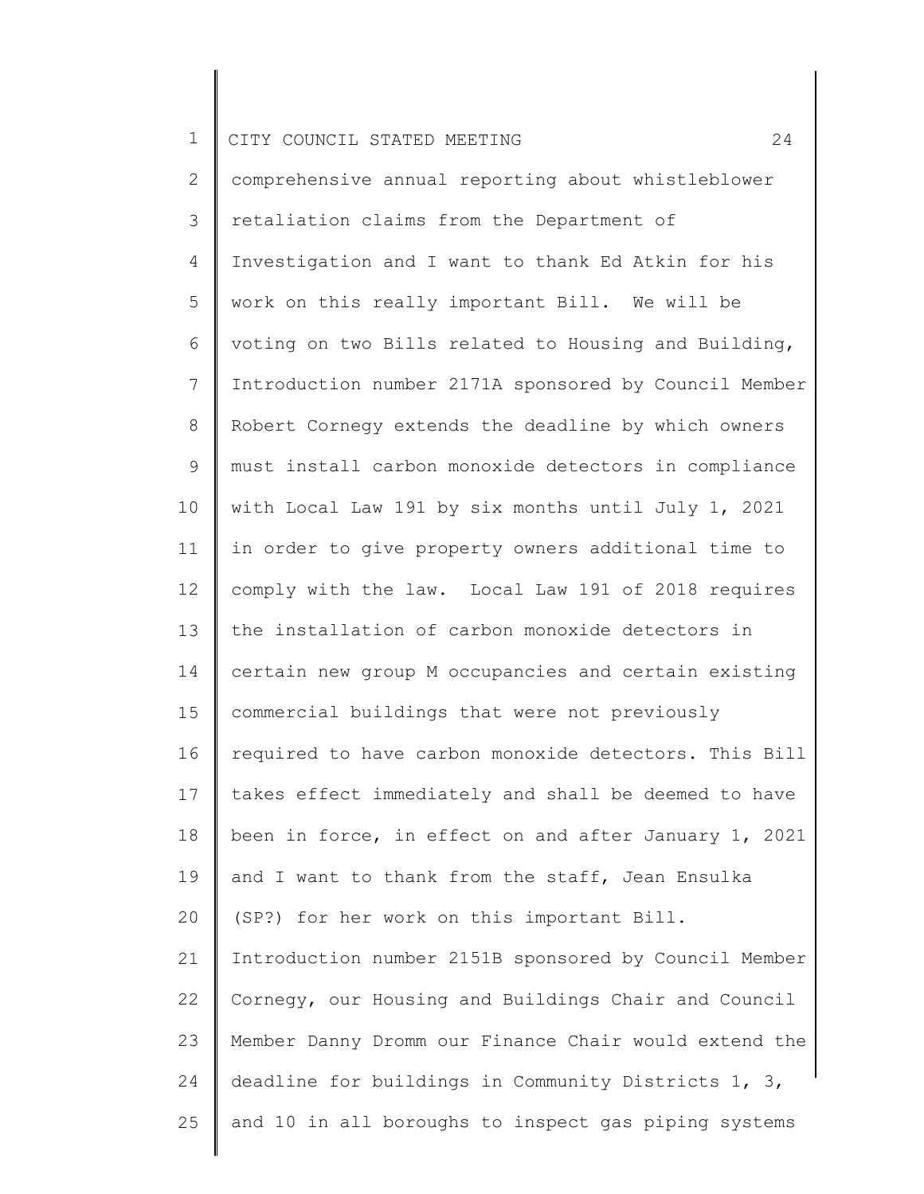1 2 3 4 5 6 7 8 9 10 11 12 13 14 15 16 17 18 19 20 21 22 23 24 CITY COUNCIL STATED MEETING 24 comprehensive annual reporting about whistleblower retaliation claims from the Department of Investigation and I want to thank Ed Atkin for his work on this really important Bill. We will be voting on two Bills related to Housing and Building, Introduction number 2171A sponsored by Council Member Robert Cornegy extends the deadline by which owners must install carbon monoxide detectors in compliance with Local Law 191 by six months until July 1, 2021 in order to give property owners additional time to comply with the law. Local Law 191 of 2018 requires the installation of carbon monoxide detectors in certain new group M occupancies and certain existing commercial buildings that were not previously required to have carbon monoxide detectors. This Bill takes effect immediately and shall be deemed to have been in force, in effect on and after January 1, 2021 and I want to thank from the staff, Jean Ensulka (SP?) for her work on this important Bill. Introduction number 2151B sponsored by Council Member Cornegy, our Housing and Buildings Chair and Council Member Danny Dromm our Finance Chair would extend the deadline for buildings in Community Districts 1, 3,

and 10 in all boroughs to inspect gas piping systems

25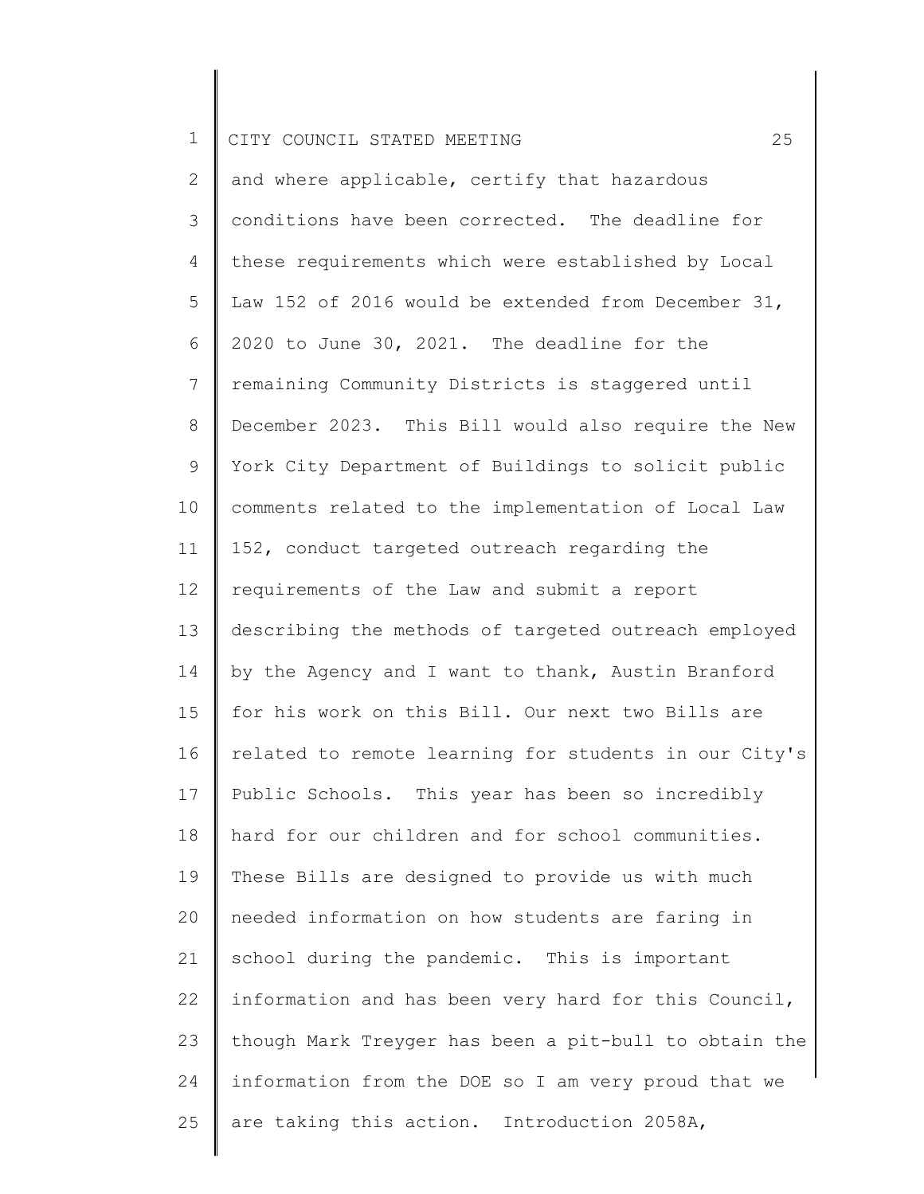2 3 4 5 6 7 8 9 10 11 12 13 14 15 16 17 18 19 20 21 22 23 24 25 and where applicable, certify that hazardous conditions have been corrected. The deadline for these requirements which were established by Local Law 152 of 2016 would be extended from December 31, 2020 to June 30, 2021. The deadline for the remaining Community Districts is staggered until December 2023. This Bill would also require the New York City Department of Buildings to solicit public comments related to the implementation of Local Law 152, conduct targeted outreach regarding the requirements of the Law and submit a report describing the methods of targeted outreach employed by the Agency and I want to thank, Austin Branford for his work on this Bill. Our next two Bills are related to remote learning for students in our City's Public Schools. This year has been so incredibly hard for our children and for school communities. These Bills are designed to provide us with much needed information on how students are faring in school during the pandemic. This is important information and has been very hard for this Council, though Mark Treyger has been a pit-bull to obtain the information from the DOE so I am very proud that we are taking this action. Introduction 2058A,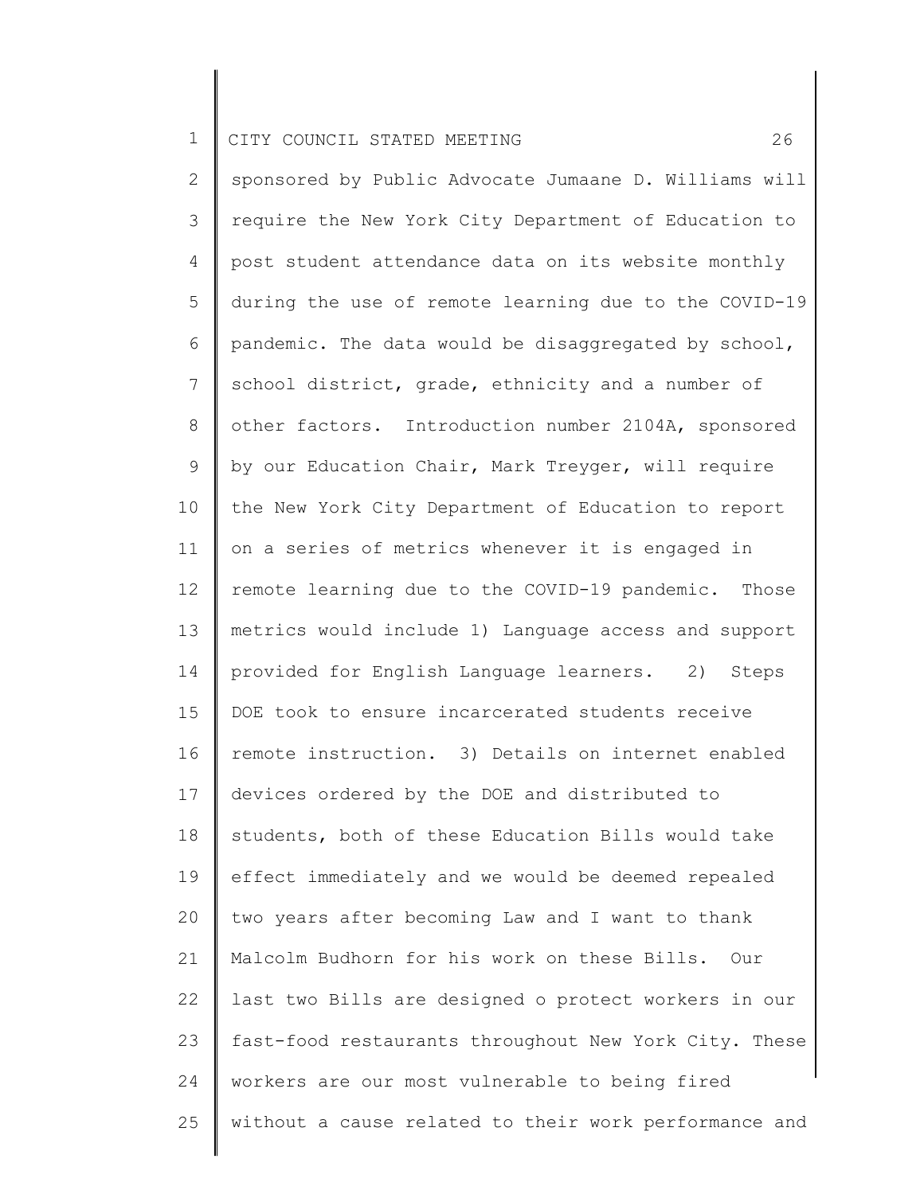2 3 4 5 6 7 8 9 10 11 12 13 14 15 16 17 18 19 20 21 22 23 24 25 sponsored by Public Advocate Jumaane D. Williams will require the New York City Department of Education to post student attendance data on its website monthly during the use of remote learning due to the COVID-19 pandemic. The data would be disaggregated by school, school district, grade, ethnicity and a number of other factors. Introduction number 2104A, sponsored by our Education Chair, Mark Treyger, will require the New York City Department of Education to report on a series of metrics whenever it is engaged in remote learning due to the COVID-19 pandemic. Those metrics would include 1) Language access and support provided for English Language learners. 2) Steps DOE took to ensure incarcerated students receive remote instruction. 3) Details on internet enabled devices ordered by the DOE and distributed to students, both of these Education Bills would take effect immediately and we would be deemed repealed two years after becoming Law and I want to thank Malcolm Budhorn for his work on these Bills. Our last two Bills are designed o protect workers in our fast-food restaurants throughout New York City. These workers are our most vulnerable to being fired without a cause related to their work performance and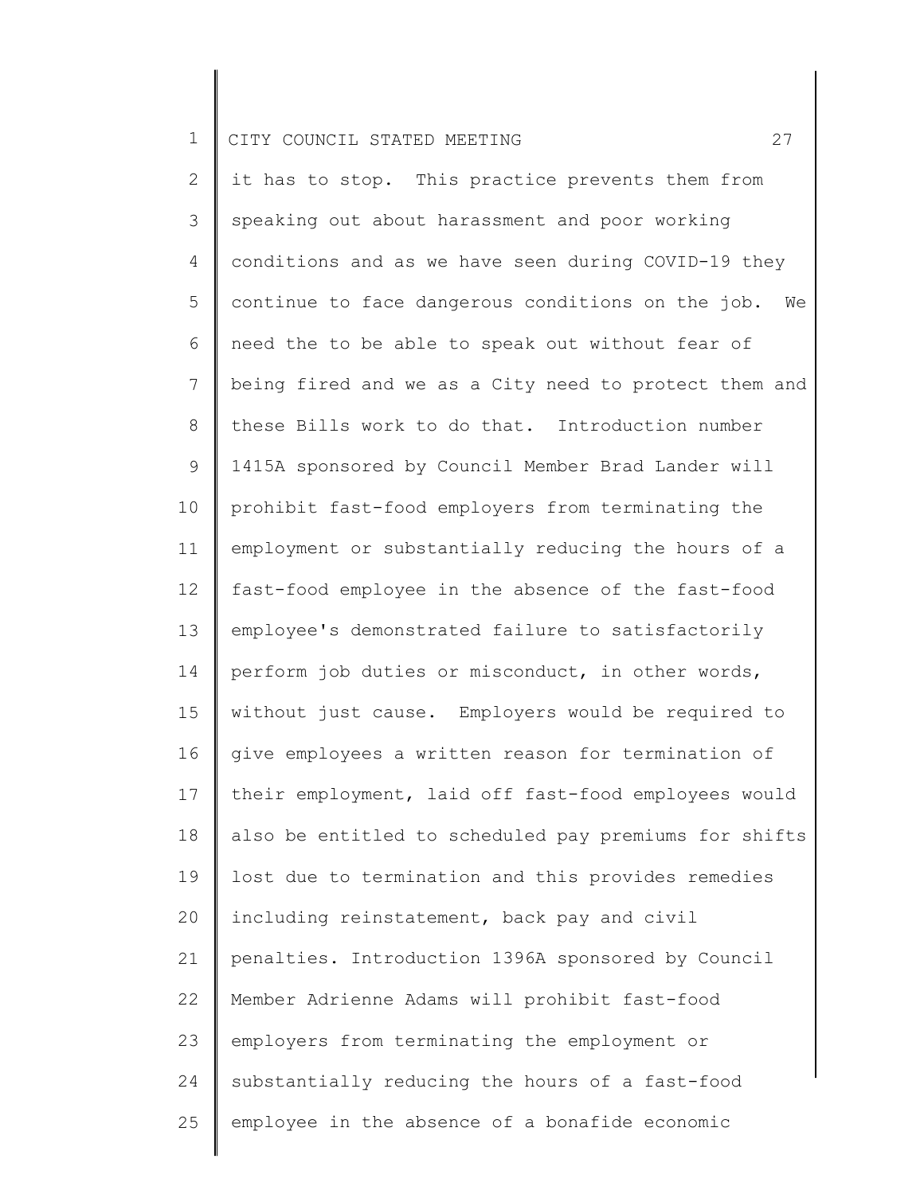2 3 4 5 6 7 8 9 10 11 12 13 14 15 16 17 18 19 20 21 22 23 24 25 it has to stop. This practice prevents them from speaking out about harassment and poor working conditions and as we have seen during COVID-19 they continue to face dangerous conditions on the job. We need the to be able to speak out without fear of being fired and we as a City need to protect them and these Bills work to do that. Introduction number 1415A sponsored by Council Member Brad Lander will prohibit fast-food employers from terminating the employment or substantially reducing the hours of a fast-food employee in the absence of the fast-food employee's demonstrated failure to satisfactorily perform job duties or misconduct, in other words, without just cause. Employers would be required to give employees a written reason for termination of their employment, laid off fast-food employees would also be entitled to scheduled pay premiums for shifts lost due to termination and this provides remedies including reinstatement, back pay and civil penalties. Introduction 1396A sponsored by Council Member Adrienne Adams will prohibit fast-food employers from terminating the employment or substantially reducing the hours of a fast-food employee in the absence of a bonafide economic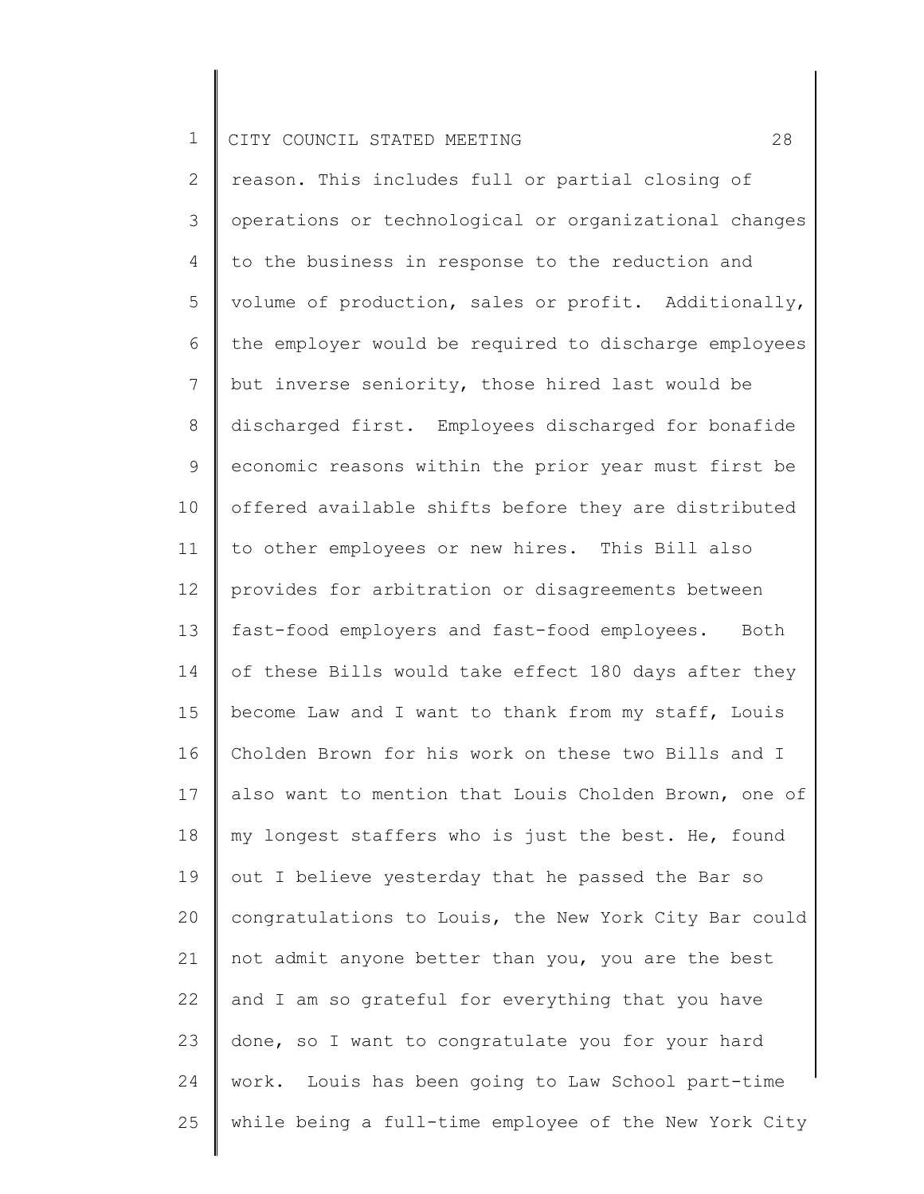2 3 4 5 6 7 8 9 10 11 12 13 14 15 16 17 18 19 20 21 22 23 24 25 reason. This includes full or partial closing of operations or technological or organizational changes to the business in response to the reduction and volume of production, sales or profit. Additionally, the employer would be required to discharge employees but inverse seniority, those hired last would be discharged first. Employees discharged for bonafide economic reasons within the prior year must first be offered available shifts before they are distributed to other employees or new hires. This Bill also provides for arbitration or disagreements between fast-food employers and fast-food employees. Both of these Bills would take effect 180 days after they become Law and I want to thank from my staff, Louis Cholden Brown for his work on these two Bills and I also want to mention that Louis Cholden Brown, one of my longest staffers who is just the best. He, found out I believe yesterday that he passed the Bar so congratulations to Louis, the New York City Bar could not admit anyone better than you, you are the best and I am so grateful for everything that you have done, so I want to congratulate you for your hard work. Louis has been going to Law School part-time while being a full-time employee of the New York City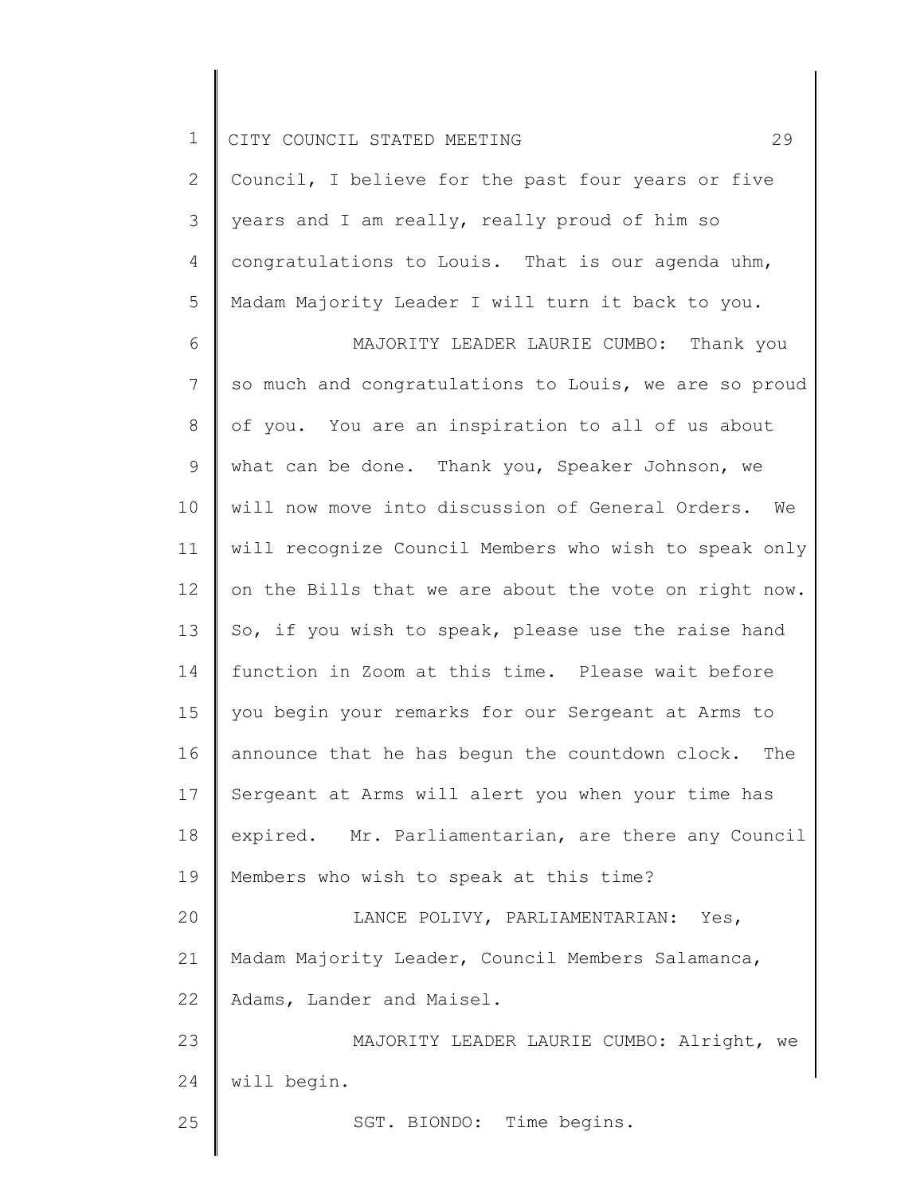|  |  | 1    CITY COUNCIL STATED MEETING |  |  |  |  |  |
|--|--|----------------------------------|--|--|--|--|--|
|--|--|----------------------------------|--|--|--|--|--|

2 3 4 5 Council, I believe for the past four years or five years and I am really, really proud of him so congratulations to Louis. That is our agenda uhm, Madam Majority Leader I will turn it back to you.

6 7 8 9 10 11 12 13 14 15 16 17 18 19 20 21 22 23 24 25 MAJORITY LEADER LAURIE CUMBO: Thank you so much and congratulations to Louis, we are so proud of you. You are an inspiration to all of us about what can be done. Thank you, Speaker Johnson, we will now move into discussion of General Orders. We will recognize Council Members who wish to speak only on the Bills that we are about the vote on right now. So, if you wish to speak, please use the raise hand function in Zoom at this time. Please wait before you begin your remarks for our Sergeant at Arms to announce that he has begun the countdown clock. The Sergeant at Arms will alert you when your time has expired. Mr. Parliamentarian, are there any Council Members who wish to speak at this time? LANCE POLIVY, PARLIAMENTARIAN: Yes, Madam Majority Leader, Council Members Salamanca, Adams, Lander and Maisel. MAJORITY LEADER LAURIE CUMBO: Alright, we will begin. SGT. BIONDO: Time begins.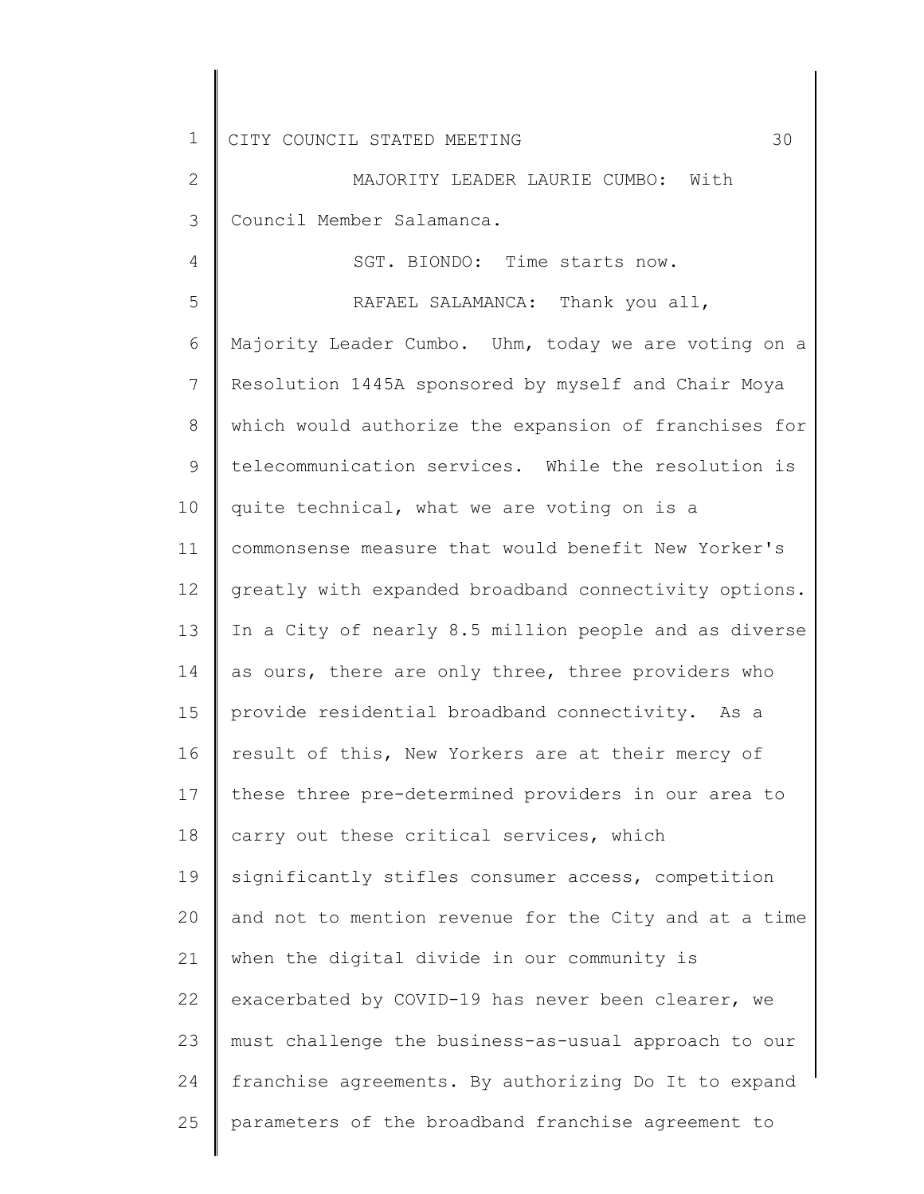4

2 3 MAJORITY LEADER LAURIE CUMBO: With Council Member Salamanca.

SGT. BIONDO: Time starts now.

5 6 7 8 9 10 11 12 13 14 15 16 17 18 19 20 21 22 23 24 25 RAFAEL SALAMANCA: Thank you all, Majority Leader Cumbo. Uhm, today we are voting on a Resolution 1445A sponsored by myself and Chair Moya which would authorize the expansion of franchises for telecommunication services. While the resolution is quite technical, what we are voting on is a commonsense measure that would benefit New Yorker's greatly with expanded broadband connectivity options. In a City of nearly 8.5 million people and as diverse as ours, there are only three, three providers who provide residential broadband connectivity. As a result of this, New Yorkers are at their mercy of these three pre-determined providers in our area to carry out these critical services, which significantly stifles consumer access, competition and not to mention revenue for the City and at a time when the digital divide in our community is exacerbated by COVID-19 has never been clearer, we must challenge the business-as-usual approach to our franchise agreements. By authorizing Do It to expand parameters of the broadband franchise agreement to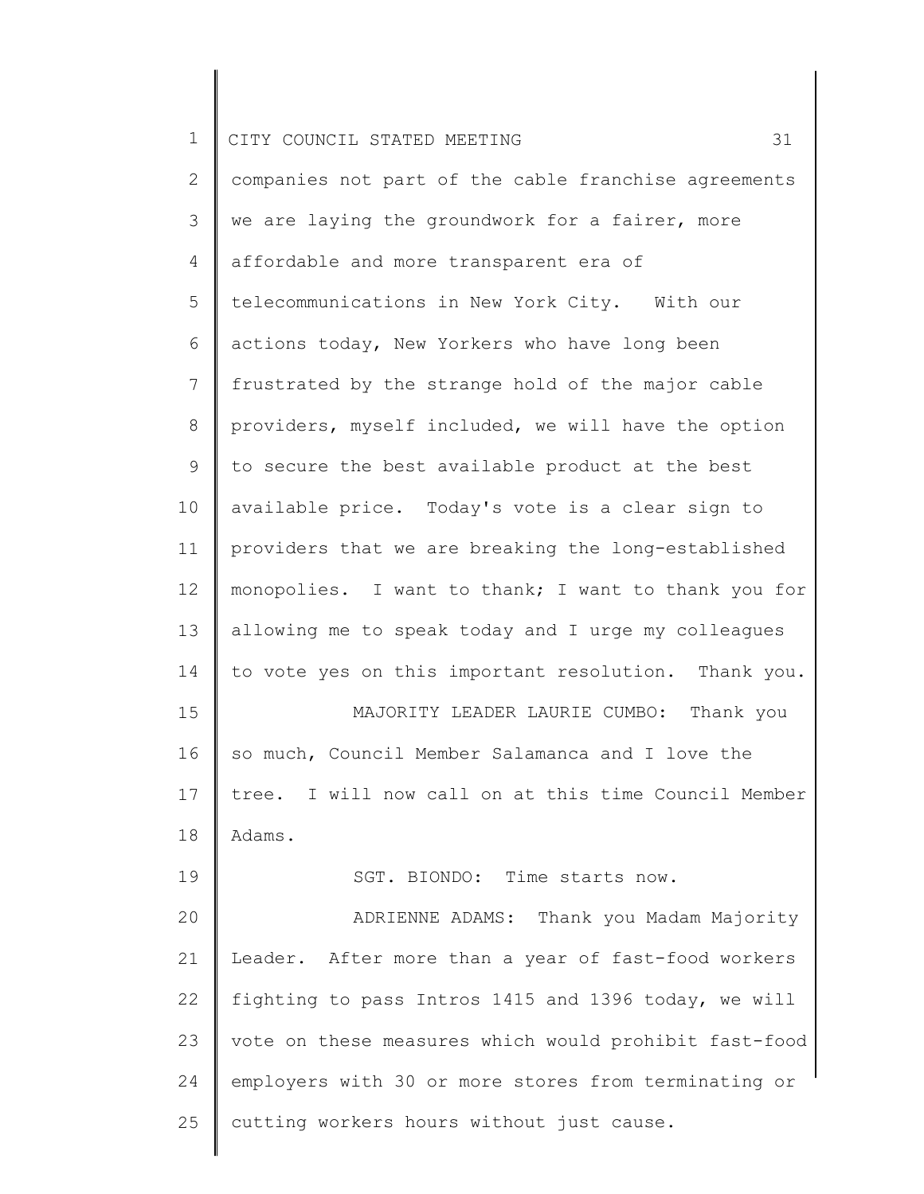2 3 4 5 6 7 8 9 10 11 12 13 14 15 16 17 18 19 20 21 22 23 24 25 companies not part of the cable franchise agreements we are laying the groundwork for a fairer, more affordable and more transparent era of telecommunications in New York City. With our actions today, New Yorkers who have long been frustrated by the strange hold of the major cable providers, myself included, we will have the option to secure the best available product at the best available price. Today's vote is a clear sign to providers that we are breaking the long-established monopolies. I want to thank; I want to thank you for allowing me to speak today and I urge my colleagues to vote yes on this important resolution. Thank you. MAJORITY LEADER LAURIE CUMBO: Thank you so much, Council Member Salamanca and I love the tree. I will now call on at this time Council Member Adams. SGT. BIONDO: Time starts now. ADRIENNE ADAMS: Thank you Madam Majority Leader. After more than a year of fast-food workers fighting to pass Intros 1415 and 1396 today, we will vote on these measures which would prohibit fast-food employers with 30 or more stores from terminating or cutting workers hours without just cause.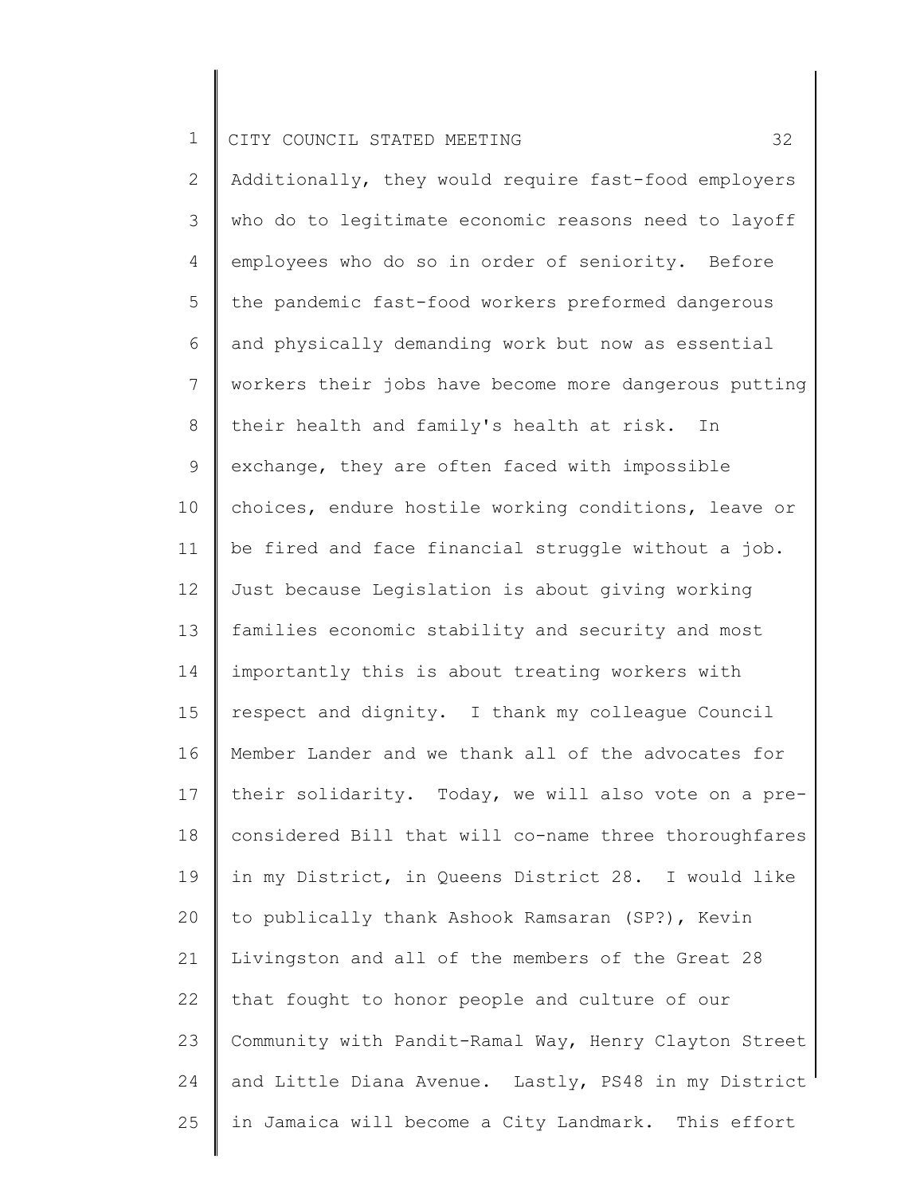2 3 4 5 6 7 8 9 10 11 12 13 14 15 16 17 18 19 20 21 22 23 24 25 Additionally, they would require fast-food employers who do to legitimate economic reasons need to layoff employees who do so in order of seniority. Before the pandemic fast-food workers preformed dangerous and physically demanding work but now as essential workers their jobs have become more dangerous putting their health and family's health at risk. In exchange, they are often faced with impossible choices, endure hostile working conditions, leave or be fired and face financial struggle without a job. Just because Legislation is about giving working families economic stability and security and most importantly this is about treating workers with respect and dignity. I thank my colleague Council Member Lander and we thank all of the advocates for their solidarity. Today, we will also vote on a preconsidered Bill that will co-name three thoroughfares in my District, in Queens District 28. I would like to publically thank Ashook Ramsaran (SP?), Kevin Livingston and all of the members of the Great 28 that fought to honor people and culture of our Community with Pandit-Ramal Way, Henry Clayton Street and Little Diana Avenue. Lastly, PS48 in my District in Jamaica will become a City Landmark. This effort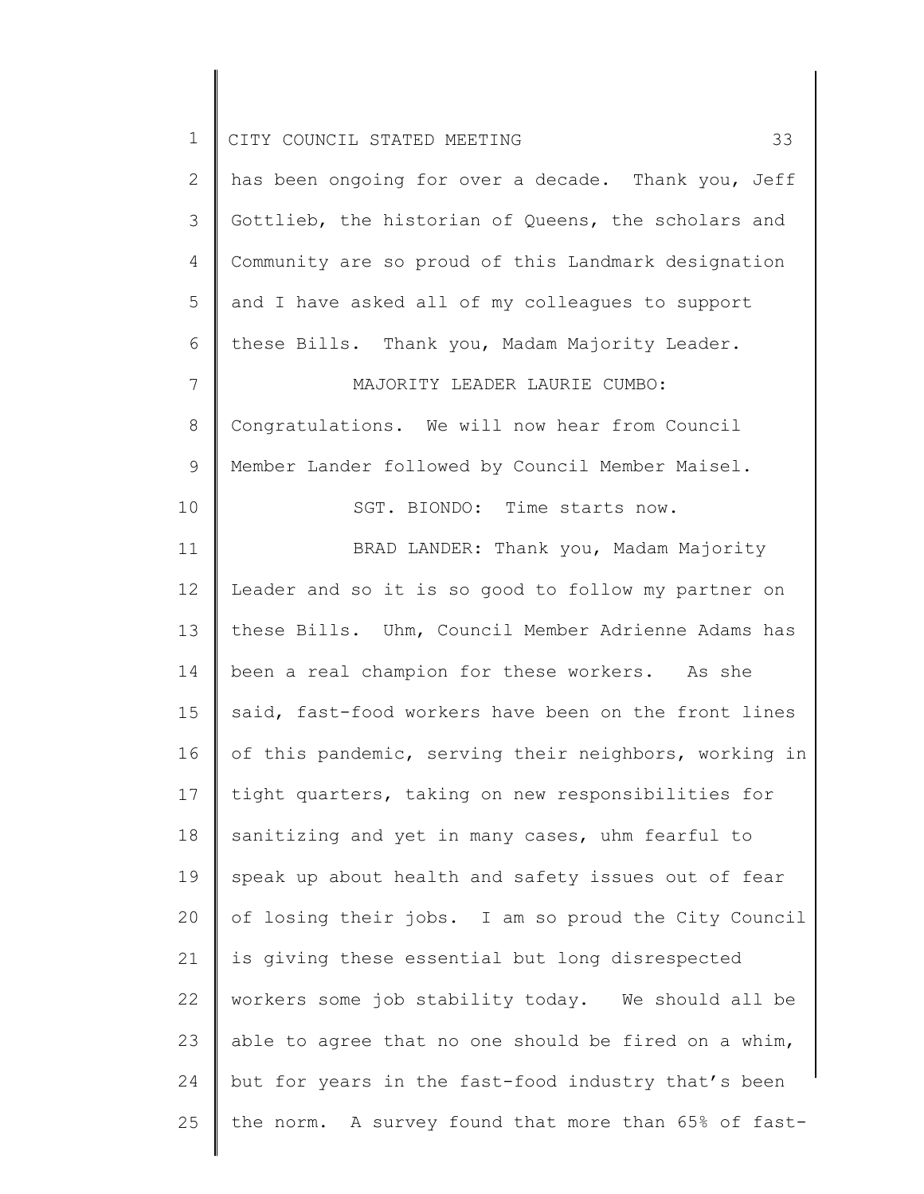| $\mathbf 1$    | 33<br>CITY COUNCIL STATED MEETING                     |
|----------------|-------------------------------------------------------|
| 2              | has been ongoing for over a decade. Thank you, Jeff   |
| 3              | Gottlieb, the historian of Queens, the scholars and   |
| 4              | Community are so proud of this Landmark designation   |
| 5              | and I have asked all of my colleagues to support      |
| 6              | these Bills. Thank you, Madam Majority Leader.        |
| $7\phantom{.}$ | MAJORITY LEADER LAURIE CUMBO:                         |
| $8\,$          | Congratulations. We will now hear from Council        |
| $\mathsf 9$    | Member Lander followed by Council Member Maisel.      |
| 10             | SGT. BIONDO: Time starts now.                         |
| 11             | BRAD LANDER: Thank you, Madam Majority                |
| 12             | Leader and so it is so good to follow my partner on   |
| 13             | these Bills. Uhm, Council Member Adrienne Adams has   |
| 14             | been a real champion for these workers. As she        |
| 15             | said, fast-food workers have been on the front lines  |
| 16             | of this pandemic, serving their neighbors, working in |
| 17             | tight quarters, taking on new responsibilities for    |
| 18             | sanitizing and yet in many cases, uhm fearful to      |
| 19             | speak up about health and safety issues out of fear   |
| 20             | of losing their jobs. I am so proud the City Council  |
| 21             | is giving these essential but long disrespected       |
| 22             | workers some job stability today. We should all be    |
| 23             | able to agree that no one should be fired on a whim,  |
| 24             | but for years in the fast-food industry that's been   |
| 25             | the norm. A survey found that more than 65% of fast-  |

║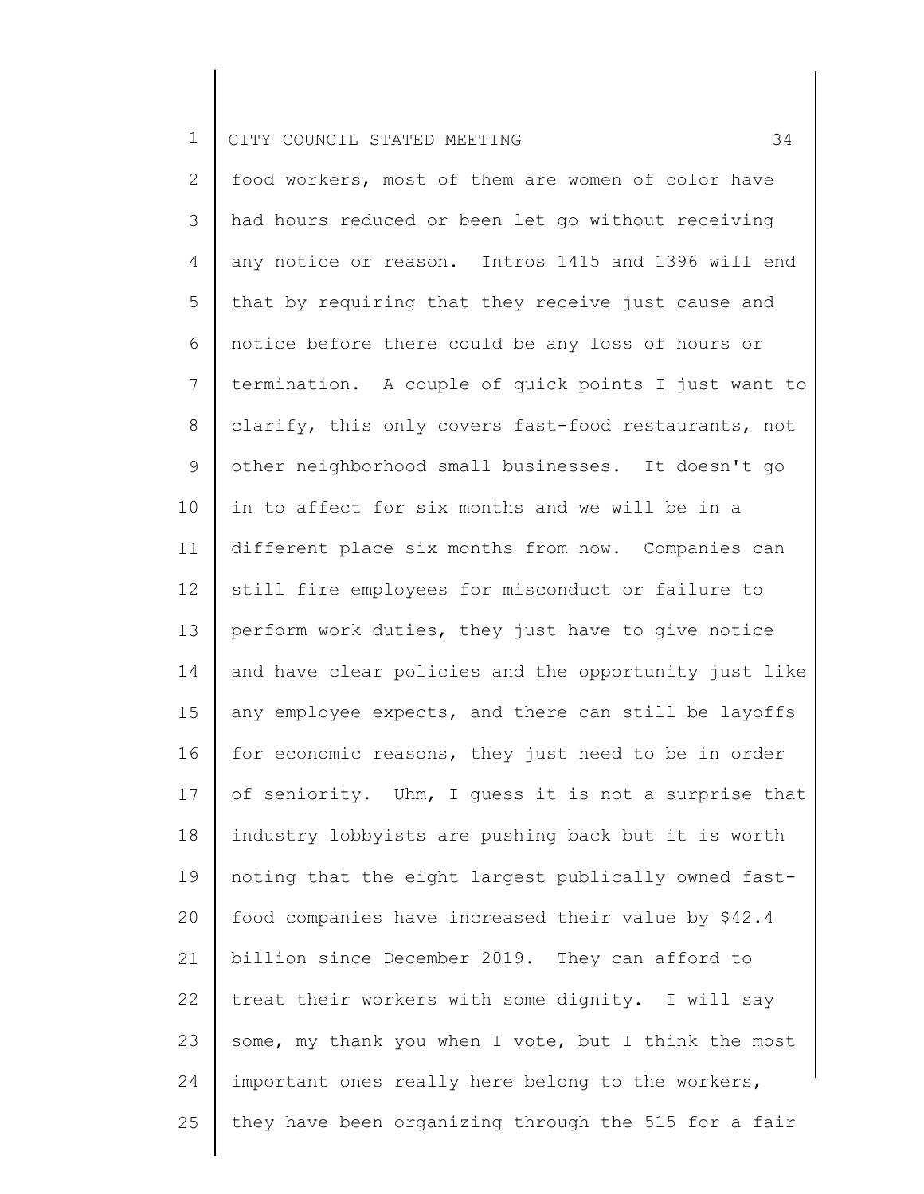2 3 4 5 6 7 8 9 10 11 12 13 14 15 16 17 18 19 20 21 22 23 24 25 food workers, most of them are women of color have had hours reduced or been let go without receiving any notice or reason. Intros 1415 and 1396 will end that by requiring that they receive just cause and notice before there could be any loss of hours or termination. A couple of quick points I just want to clarify, this only covers fast-food restaurants, not other neighborhood small businesses. It doesn't go in to affect for six months and we will be in a different place six months from now. Companies can still fire employees for misconduct or failure to perform work duties, they just have to give notice and have clear policies and the opportunity just like any employee expects, and there can still be layoffs for economic reasons, they just need to be in order of seniority. Uhm, I guess it is not a surprise that industry lobbyists are pushing back but it is worth noting that the eight largest publically owned fastfood companies have increased their value by \$42.4 billion since December 2019. They can afford to treat their workers with some dignity. I will say some, my thank you when I vote, but I think the most important ones really here belong to the workers, they have been organizing through the 515 for a fair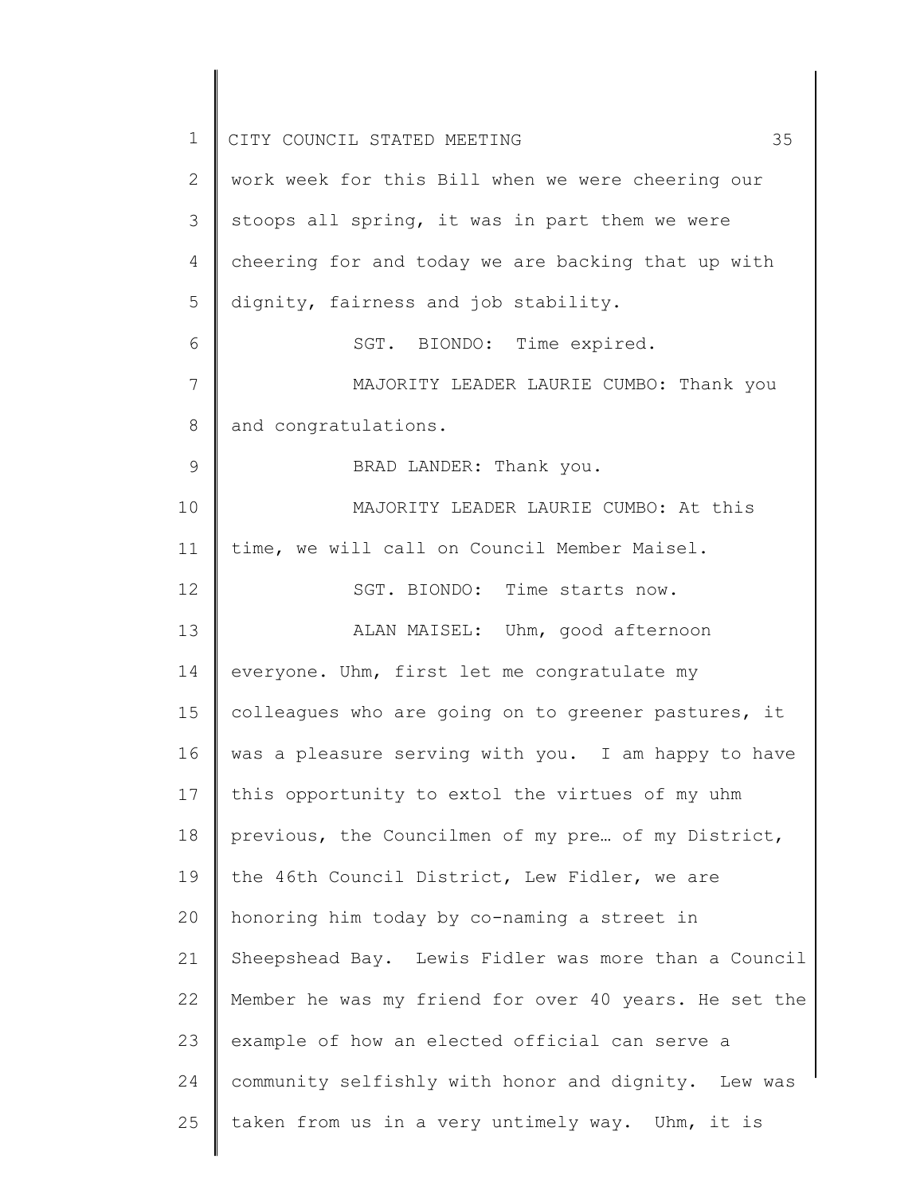| $\mathbf 1$     | 35<br>CITY COUNCIL STATED MEETING                     |
|-----------------|-------------------------------------------------------|
| 2               | work week for this Bill when we were cheering our     |
| 3               | stoops all spring, it was in part them we were        |
| 4               | cheering for and today we are backing that up with    |
| 5               | dignity, fairness and job stability.                  |
| 6               | SGT. BIONDO: Time expired.                            |
| $7\phantom{.0}$ | MAJORITY LEADER LAURIE CUMBO: Thank you               |
| 8               | and congratulations.                                  |
| 9               | BRAD LANDER: Thank you.                               |
| 10              | MAJORITY LEADER LAURIE CUMBO: At this                 |
| 11              | time, we will call on Council Member Maisel.          |
| 12              | SGT. BIONDO: Time starts now.                         |
| 13              | ALAN MAISEL: Uhm, good afternoon                      |
| 14              | everyone. Uhm, first let me congratulate my           |
| 15              | colleagues who are going on to greener pastures, it   |
| 16              | was a pleasure serving with you. I am happy to have   |
| 17              | this opportunity to extol the virtues of my uhm       |
| 18              | previous, the Councilmen of my pre of my District,    |
| 19              | the 46th Council District, Lew Fidler, we are         |
| 20              | honoring him today by co-naming a street in           |
| 21              | Sheepshead Bay. Lewis Fidler was more than a Council  |
| 22              | Member he was my friend for over 40 years. He set the |
| 23              | example of how an elected official can serve a        |
| 24              | community selfishly with honor and dignity. Lew was   |
| 25              | taken from us in a very untimely way. Uhm, it is      |
|                 |                                                       |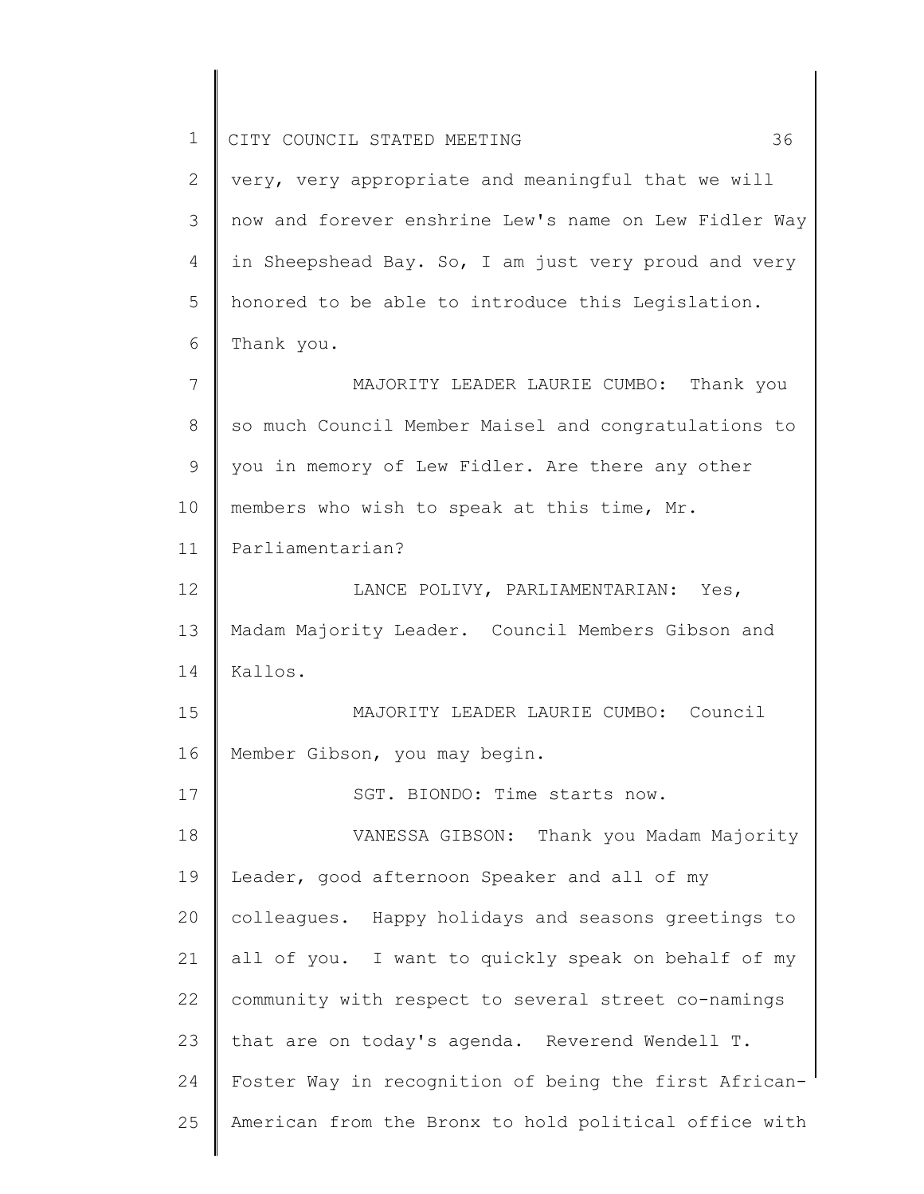| 1  | 36<br>CITY COUNCIL STATED MEETING                     |
|----|-------------------------------------------------------|
| 2  | very, very appropriate and meaningful that we will    |
| 3  | now and forever enshrine Lew's name on Lew Fidler Way |
| 4  | in Sheepshead Bay. So, I am just very proud and very  |
| 5  | honored to be able to introduce this Legislation.     |
| 6  | Thank you.                                            |
| 7  | MAJORITY LEADER LAURIE CUMBO: Thank you               |
| 8  | so much Council Member Maisel and congratulations to  |
| 9  | you in memory of Lew Fidler. Are there any other      |
| 10 | members who wish to speak at this time, Mr.           |
| 11 | Parliamentarian?                                      |
| 12 | LANCE POLIVY, PARLIAMENTARIAN: Yes,                   |
| 13 | Madam Majority Leader. Council Members Gibson and     |
| 14 | Kallos.                                               |
| 15 | MAJORITY LEADER LAURIE CUMBO: Council                 |
| 16 | Member Gibson, you may begin.                         |
| 17 | SGT. BIONDO: Time starts now.                         |
| 18 | VANESSA GIBSON: Thank you Madam Majority              |
| 19 | Leader, good afternoon Speaker and all of my          |
| 20 | colleagues. Happy holidays and seasons greetings to   |
| 21 | all of you. I want to quickly speak on behalf of my   |
| 22 | community with respect to several street co-namings   |
| 23 | that are on today's agenda. Reverend Wendell T.       |
| 24 | Foster Way in recognition of being the first African- |
| 25 | American from the Bronx to hold political office with |
|    |                                                       |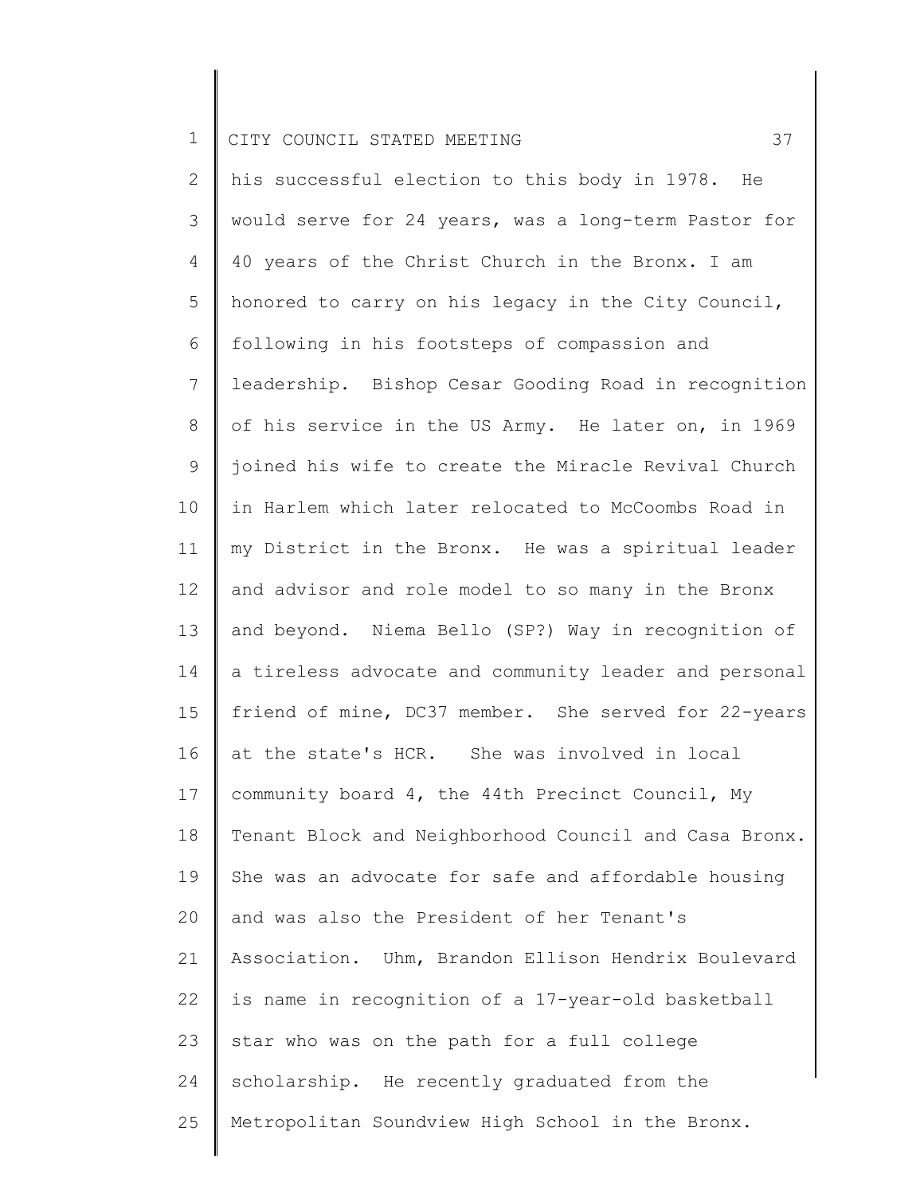2 3 4 5 6 7 8 9 10 11 12 13 14 15 16 17 18 19 20 21 22 23 24 25 his successful election to this body in 1978. He would serve for 24 years, was a long-term Pastor for 40 years of the Christ Church in the Bronx. I am honored to carry on his legacy in the City Council, following in his footsteps of compassion and leadership. Bishop Cesar Gooding Road in recognition of his service in the US Army. He later on, in 1969 joined his wife to create the Miracle Revival Church in Harlem which later relocated to McCoombs Road in my District in the Bronx. He was a spiritual leader and advisor and role model to so many in the Bronx and beyond. Niema Bello (SP?) Way in recognition of a tireless advocate and community leader and personal friend of mine, DC37 member. She served for 22-years at the state's HCR. She was involved in local community board 4, the 44th Precinct Council, My Tenant Block and Neighborhood Council and Casa Bronx. She was an advocate for safe and affordable housing and was also the President of her Tenant's Association. Uhm, Brandon Ellison Hendrix Boulevard is name in recognition of a 17-year-old basketball star who was on the path for a full college scholarship. He recently graduated from the Metropolitan Soundview High School in the Bronx.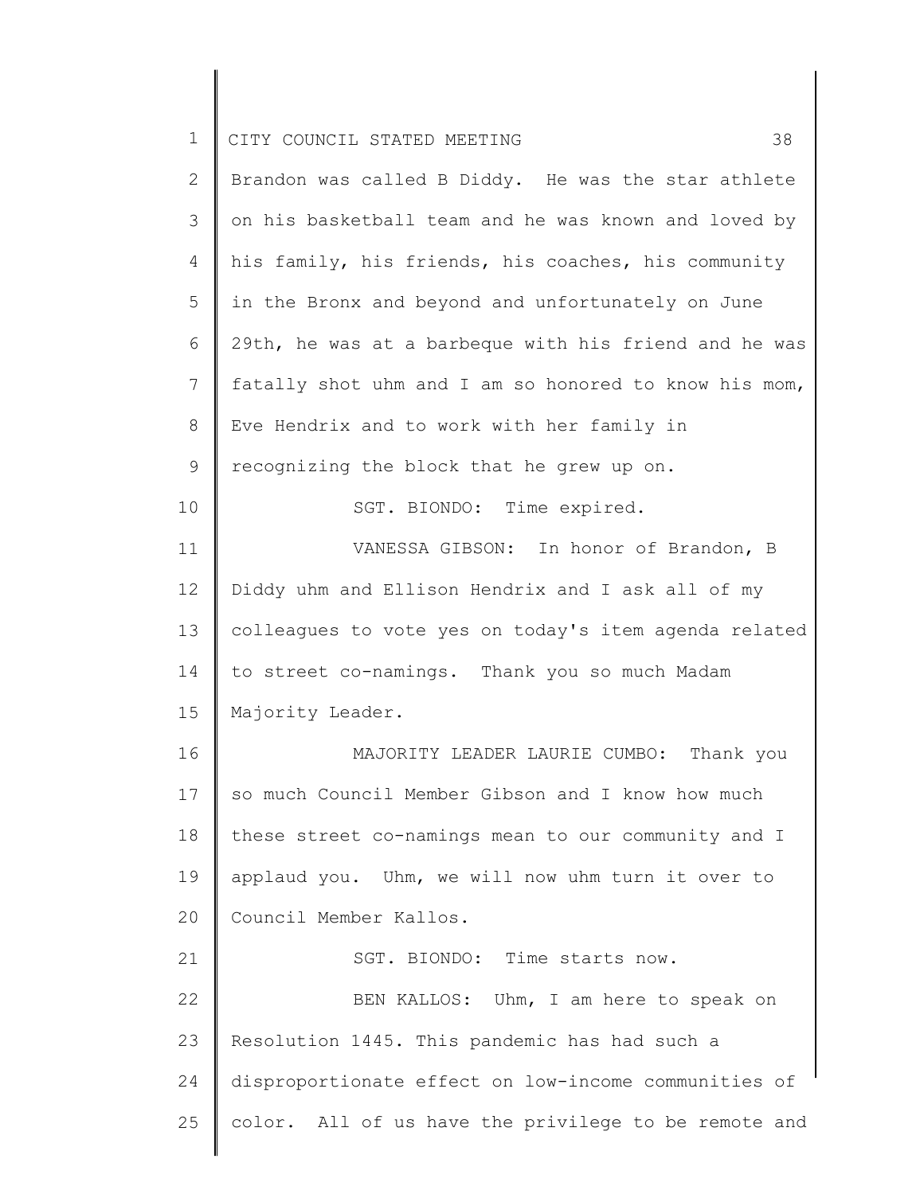| $\mathbf 1$  | 38<br>CITY COUNCIL STATED MEETING                     |
|--------------|-------------------------------------------------------|
| $\mathbf{2}$ | Brandon was called B Diddy. He was the star athlete   |
| 3            | on his basketball team and he was known and loved by  |
| 4            | his family, his friends, his coaches, his community   |
| 5            | in the Bronx and beyond and unfortunately on June     |
| 6            | 29th, he was at a barbeque with his friend and he was |
| 7            | fatally shot uhm and I am so honored to know his mom, |
| 8            | Eve Hendrix and to work with her family in            |
| 9            | recognizing the block that he grew up on.             |
| 10           | SGT. BIONDO: Time expired.                            |
| 11           | VANESSA GIBSON: In honor of Brandon, B                |
| $12 \,$      | Diddy uhm and Ellison Hendrix and I ask all of my     |
| 13           | colleagues to vote yes on today's item agenda related |
| 14           | to street co-namings. Thank you so much Madam         |
| 15           | Majority Leader.                                      |
| 16           | MAJORITY LEADER LAURIE CUMBO:<br>Thank you            |
| 17           | so much Council Member Gibson and I know how much     |
| 18           | these street co-namings mean to our community and I   |
| 19           | applaud you. Uhm, we will now uhm turn it over to     |
| 20           | Council Member Kallos.                                |
| 21           | SGT. BIONDO: Time starts now.                         |
| 22           | BEN KALLOS: Uhm, I am here to speak on                |
| 23           | Resolution 1445. This pandemic has had such a         |
| 24           | disproportionate effect on low-income communities of  |
| 25           | color. All of us have the privilege to be remote and  |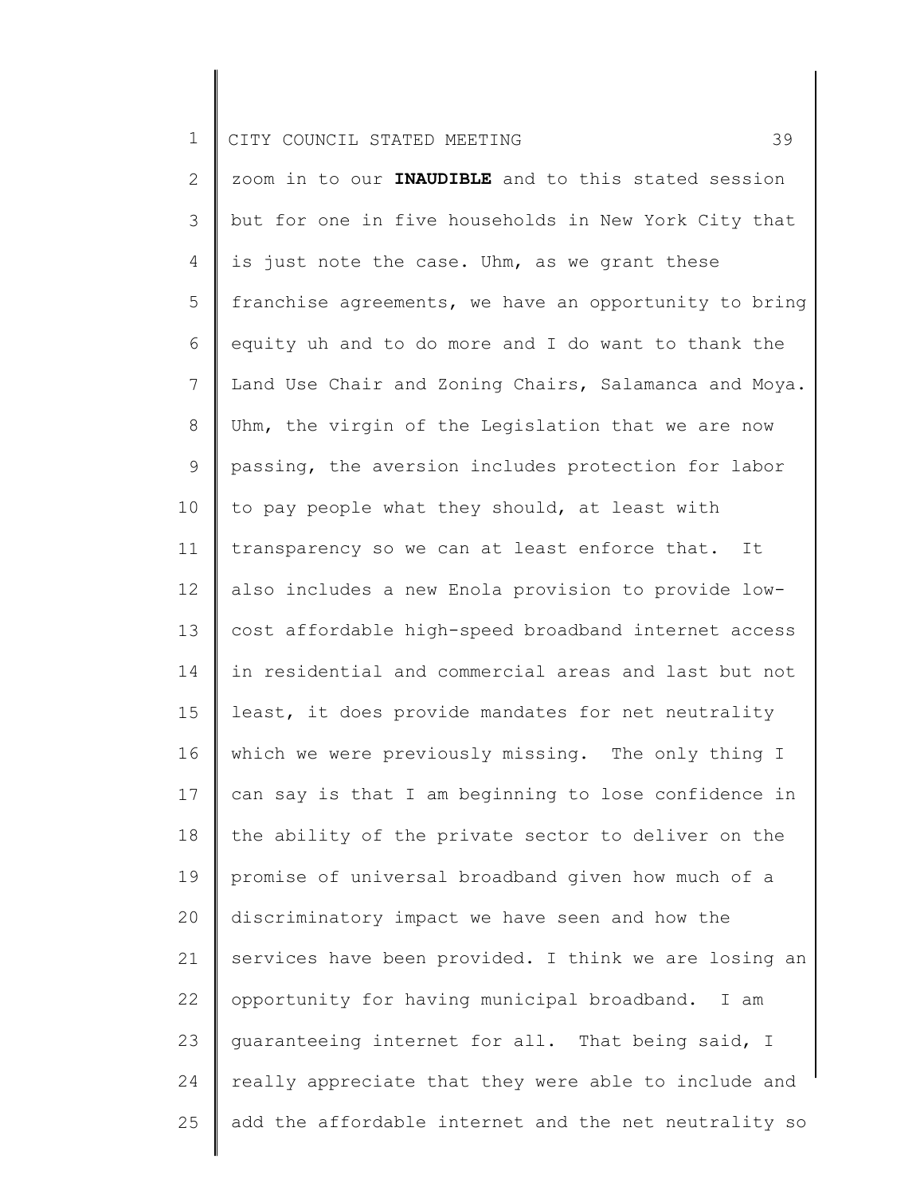|  |  | 1   CITY COUNCIL STATED MEETING |  |  |  |  |  |
|--|--|---------------------------------|--|--|--|--|--|
|--|--|---------------------------------|--|--|--|--|--|

2 3 4 5 6 7 8 9 10 11 12 13 14 15 16 17 18 19 20 21 22 23 24 25 zoom in to our **INAUDIBLE** and to this stated session but for one in five households in New York City that is just note the case. Uhm, as we grant these franchise agreements, we have an opportunity to bring equity uh and to do more and I do want to thank the Land Use Chair and Zoning Chairs, Salamanca and Moya. Uhm, the virgin of the Legislation that we are now passing, the aversion includes protection for labor to pay people what they should, at least with transparency so we can at least enforce that. It also includes a new Enola provision to provide lowcost affordable high-speed broadband internet access in residential and commercial areas and last but not least, it does provide mandates for net neutrality which we were previously missing. The only thing I can say is that I am beginning to lose confidence in the ability of the private sector to deliver on the promise of universal broadband given how much of a discriminatory impact we have seen and how the services have been provided. I think we are losing an opportunity for having municipal broadband. I am guaranteeing internet for all. That being said, I really appreciate that they were able to include and add the affordable internet and the net neutrality so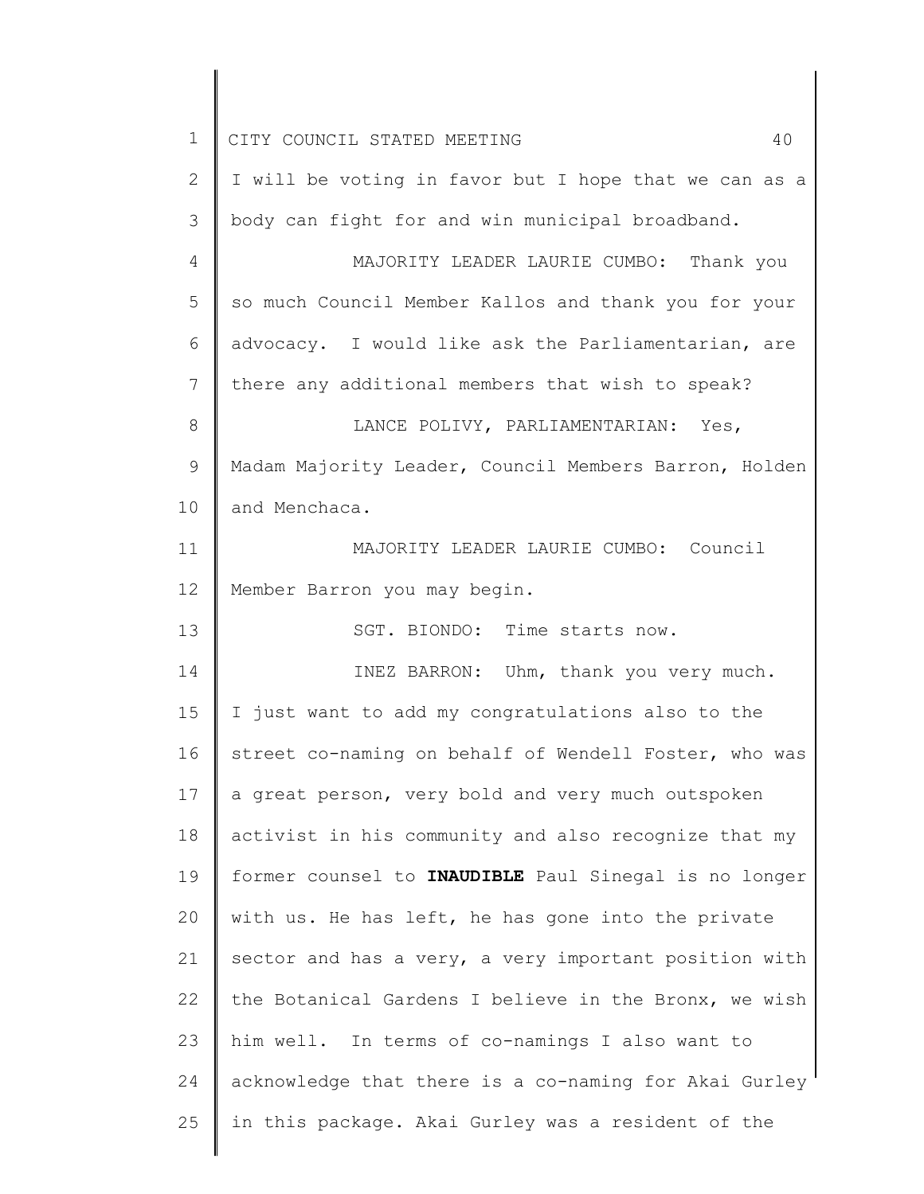| 1  | CITY COUNCIL STATED MEETING<br>40                     |
|----|-------------------------------------------------------|
| 2  | I will be voting in favor but I hope that we can as a |
| 3  | body can fight for and win municipal broadband.       |
| 4  | MAJORITY LEADER LAURIE CUMBO: Thank you               |
| 5  | so much Council Member Kallos and thank you for your  |
| 6  | advocacy. I would like ask the Parliamentarian, are   |
| 7  | there any additional members that wish to speak?      |
| 8  | LANCE POLIVY, PARLIAMENTARIAN: Yes,                   |
| 9  | Madam Majority Leader, Council Members Barron, Holden |
| 10 | and Menchaca.                                         |
| 11 | MAJORITY LEADER LAURIE CUMBO: Council                 |
| 12 | Member Barron you may begin.                          |
| 13 | SGT. BIONDO: Time starts now.                         |
| 14 | INEZ BARRON: Uhm, thank you very much.                |
| 15 | I just want to add my congratulations also to the     |
| 16 | street co-naming on behalf of Wendell Foster, who was |
| 17 | a great person, very bold and very much outspoken     |
| 18 | activist in his community and also recognize that my  |
| 19 | former counsel to INAUDIBLE Paul Sinegal is no longer |
| 20 | with us. He has left, he has gone into the private    |
| 21 | sector and has a very, a very important position with |
| 22 | the Botanical Gardens I believe in the Bronx, we wish |
| 23 | him well. In terms of co-namings I also want to       |
| 24 | acknowledge that there is a co-naming for Akai Gurley |
| 25 | in this package. Akai Gurley was a resident of the    |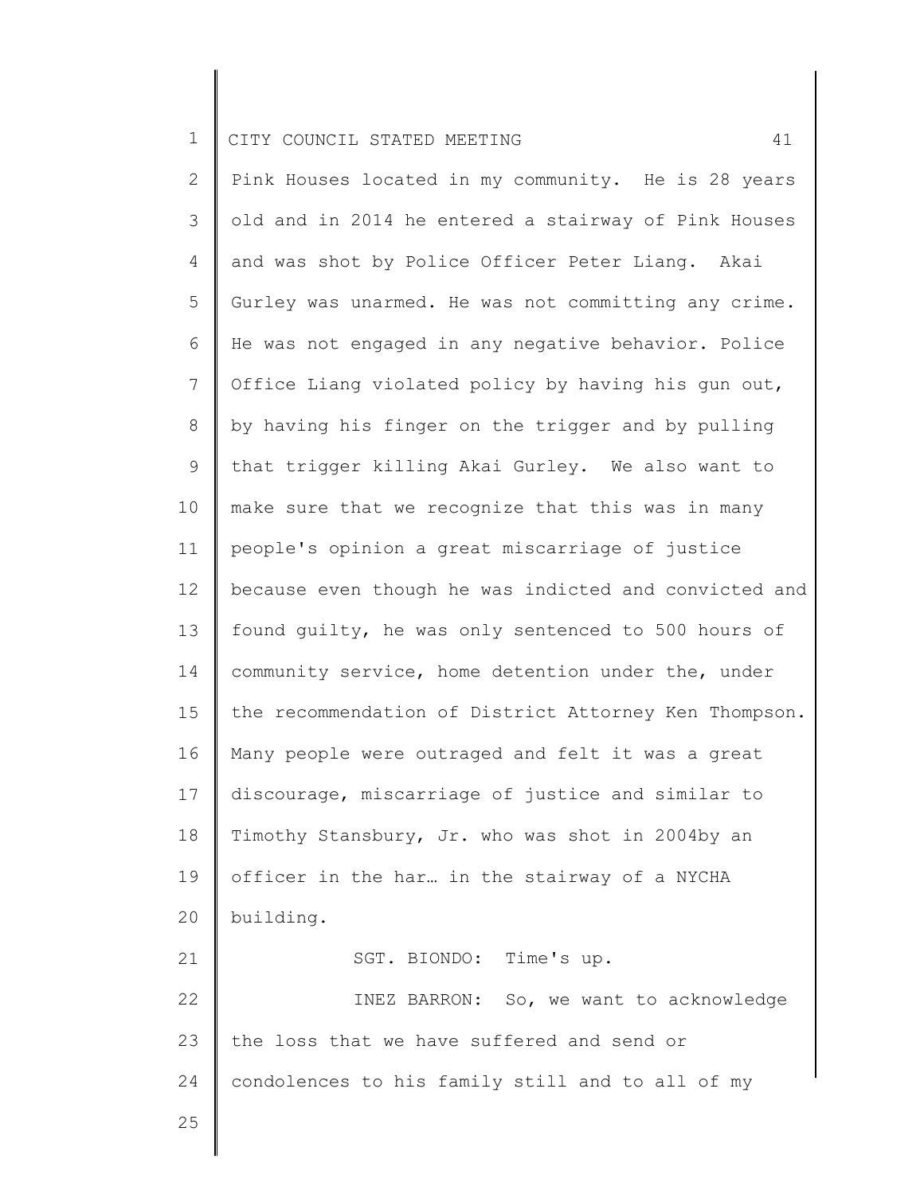2 3 4 5 6 7 8 9 10 11 12 13 14 15 16 17 18 19 20 21 22 23 24 Pink Houses located in my community. He is 28 years old and in 2014 he entered a stairway of Pink Houses and was shot by Police Officer Peter Liang. Akai Gurley was unarmed. He was not committing any crime. He was not engaged in any negative behavior. Police Office Liang violated policy by having his gun out, by having his finger on the trigger and by pulling that trigger killing Akai Gurley. We also want to make sure that we recognize that this was in many people's opinion a great miscarriage of justice because even though he was indicted and convicted and found guilty, he was only sentenced to 500 hours of community service, home detention under the, under the recommendation of District Attorney Ken Thompson. Many people were outraged and felt it was a great discourage, miscarriage of justice and similar to Timothy Stansbury, Jr. who was shot in 2004by an officer in the har… in the stairway of a NYCHA building. SGT. BIONDO: Time's up. INEZ BARRON: So, we want to acknowledge the loss that we have suffered and send or condolences to his family still and to all of my

25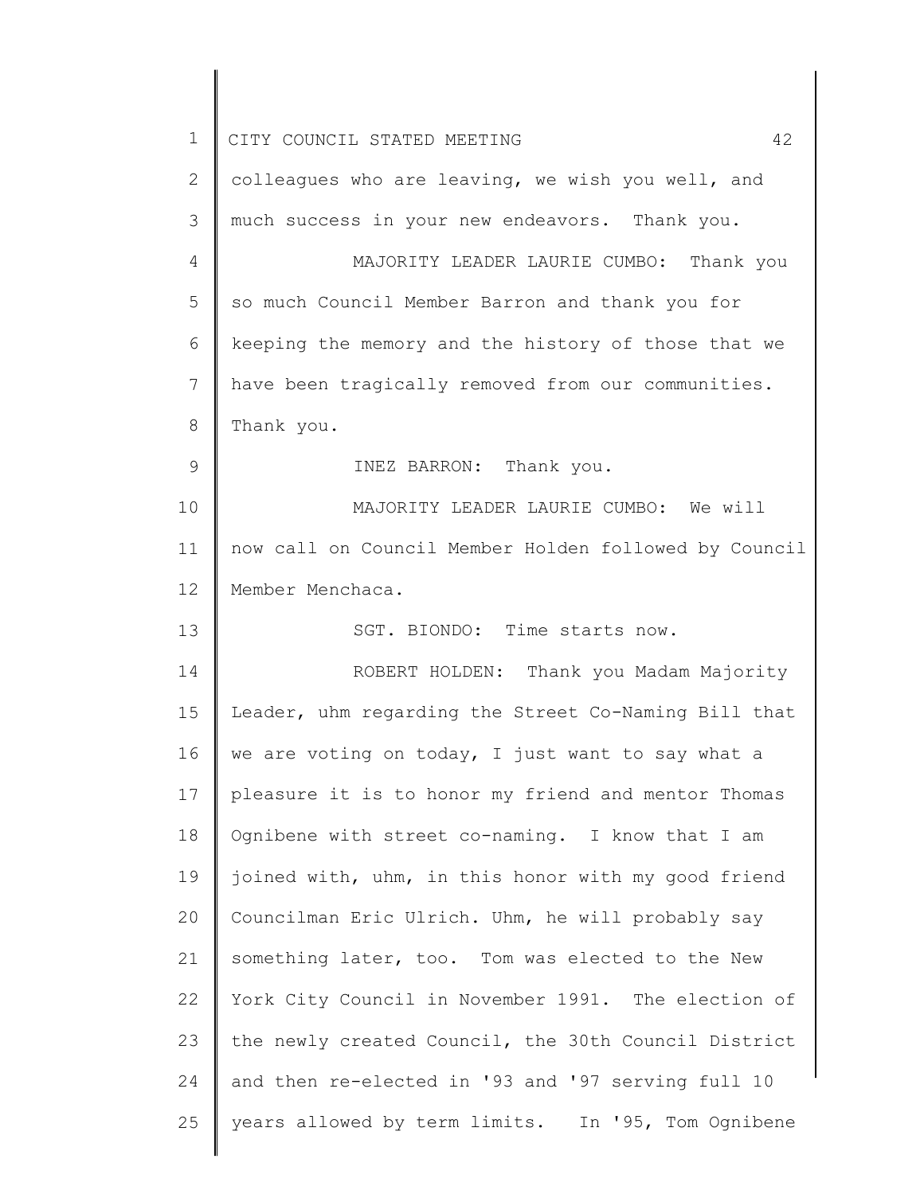| 1  | 42<br>CITY COUNCIL STATED MEETING                     |
|----|-------------------------------------------------------|
| 2  | colleagues who are leaving, we wish you well, and     |
| 3  | much success in your new endeavors. Thank you.        |
| 4  | MAJORITY LEADER LAURIE CUMBO: Thank you               |
| 5  | so much Council Member Barron and thank you for       |
| 6  | keeping the memory and the history of those that we   |
| 7  | have been tragically removed from our communities.    |
| 8  | Thank you.                                            |
| 9  | INEZ BARRON: Thank you.                               |
| 10 | MAJORITY LEADER LAURIE CUMBO: We will                 |
| 11 | now call on Council Member Holden followed by Council |
| 12 | Member Menchaca.                                      |
| 13 | SGT. BIONDO: Time starts now.                         |
| 14 | ROBERT HOLDEN: Thank you Madam Majority               |
| 15 | Leader, uhm regarding the Street Co-Naming Bill that  |
| 16 | we are voting on today, I just want to say what a     |
| 17 | pleasure it is to honor my friend and mentor Thomas   |
| 18 | Ognibene with street co-naming. I know that I am      |
| 19 | joined with, uhm, in this honor with my good friend   |
| 20 | Councilman Eric Ulrich. Uhm, he will probably say     |
| 21 | something later, too. Tom was elected to the New      |
| 22 | York City Council in November 1991. The election of   |
| 23 | the newly created Council, the 30th Council District  |
| 24 | and then re-elected in '93 and '97 serving full 10    |
| 25 | years allowed by term limits. In '95, Tom Ognibene    |
|    |                                                       |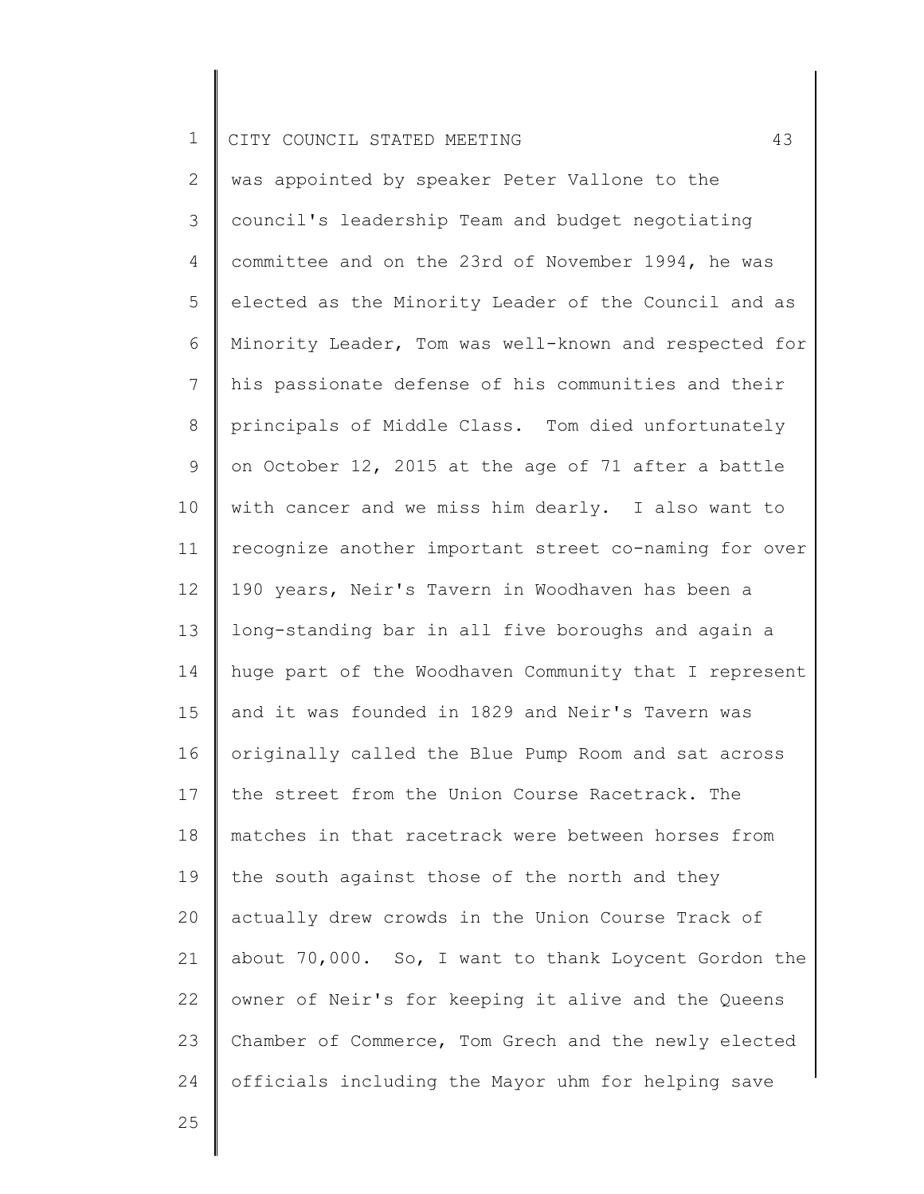2 3 4 5 6 7 8 9 10 11 12 13 14 15 16 17 18 19 20 21 22 23 24 was appointed by speaker Peter Vallone to the council's leadership Team and budget negotiating committee and on the 23rd of November 1994, he was elected as the Minority Leader of the Council and as Minority Leader, Tom was well-known and respected for his passionate defense of his communities and their principals of Middle Class. Tom died unfortunately on October 12, 2015 at the age of 71 after a battle with cancer and we miss him dearly. I also want to recognize another important street co-naming for over 190 years, Neir's Tavern in Woodhaven has been a long-standing bar in all five boroughs and again a huge part of the Woodhaven Community that I represent and it was founded in 1829 and Neir's Tavern was originally called the Blue Pump Room and sat across the street from the Union Course Racetrack. The matches in that racetrack were between horses from the south against those of the north and they actually drew crowds in the Union Course Track of about 70,000. So, I want to thank Loycent Gordon the owner of Neir's for keeping it alive and the Queens Chamber of Commerce, Tom Grech and the newly elected officials including the Mayor uhm for helping save

25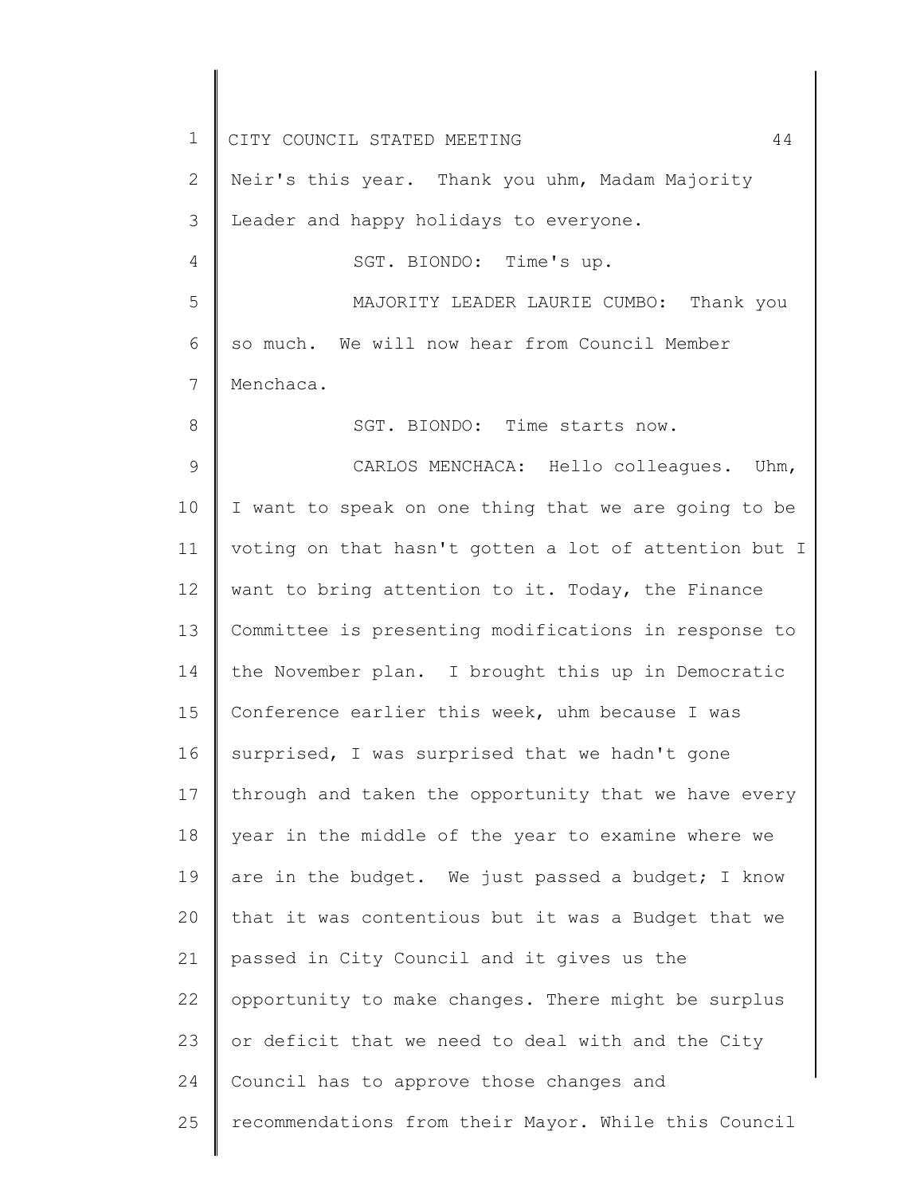1 2 3 4 5 6 7 8 9 10 11 12 13 14 15 16 17 18 19 20 21 22 23 24 25 CITY COUNCIL STATED MEETING 44 Neir's this year. Thank you uhm, Madam Majority Leader and happy holidays to everyone. SGT. BIONDO: Time's up. MAJORITY LEADER LAURIE CUMBO: Thank you so much. We will now hear from Council Member Menchaca. SGT. BIONDO: Time starts now. CARLOS MENCHACA: Hello colleagues. Uhm, I want to speak on one thing that we are going to be voting on that hasn't gotten a lot of attention but I want to bring attention to it. Today, the Finance Committee is presenting modifications in response to the November plan. I brought this up in Democratic Conference earlier this week, uhm because I was surprised, I was surprised that we hadn't gone through and taken the opportunity that we have every year in the middle of the year to examine where we are in the budget. We just passed a budget; I know that it was contentious but it was a Budget that we passed in City Council and it gives us the opportunity to make changes. There might be surplus or deficit that we need to deal with and the City Council has to approve those changes and recommendations from their Mayor. While this Council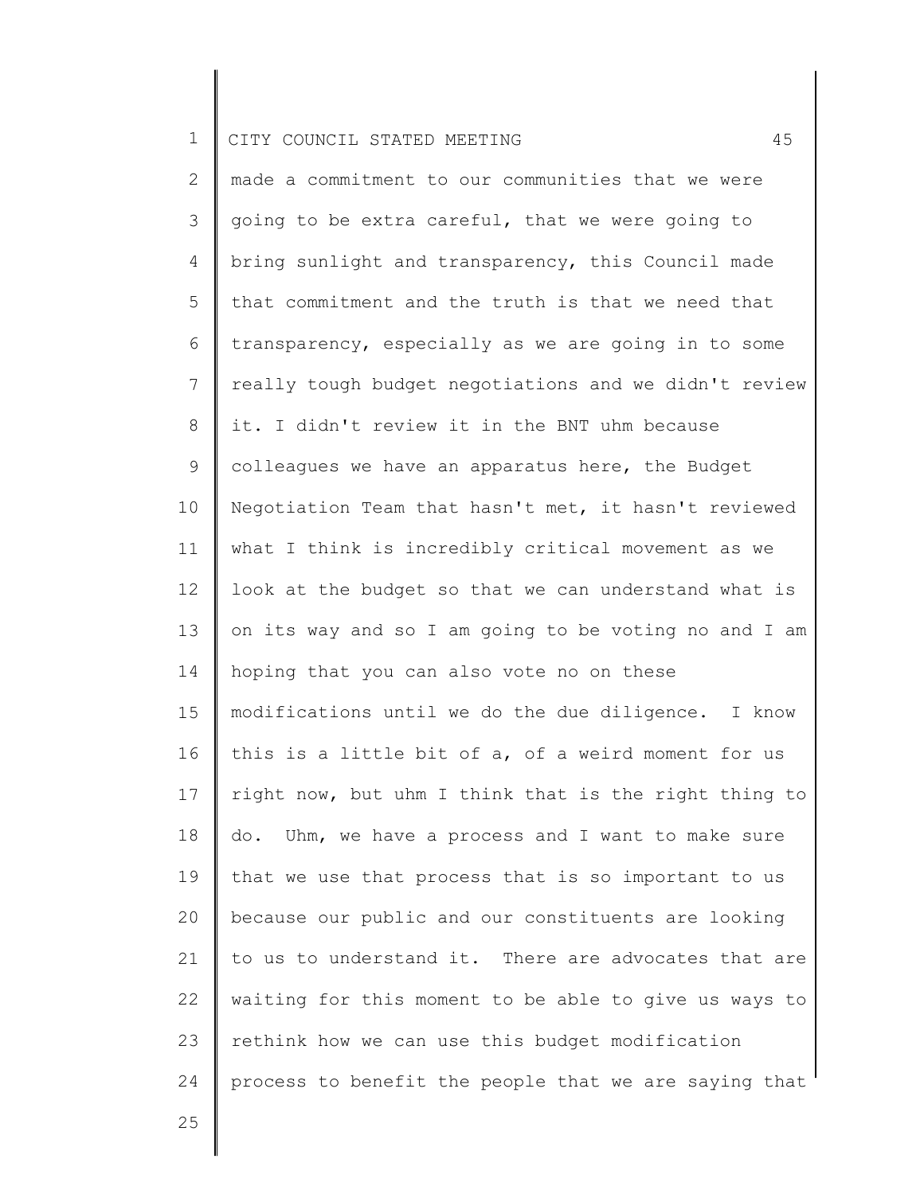2 3 4 5 6 7 8 9 10 11 12 13 14 15 16 17 18 19 20 21 22 23 24 made a commitment to our communities that we were going to be extra careful, that we were going to bring sunlight and transparency, this Council made that commitment and the truth is that we need that transparency, especially as we are going in to some really tough budget negotiations and we didn't review it. I didn't review it in the BNT uhm because colleagues we have an apparatus here, the Budget Negotiation Team that hasn't met, it hasn't reviewed what I think is incredibly critical movement as we look at the budget so that we can understand what is on its way and so I am going to be voting no and I am hoping that you can also vote no on these modifications until we do the due diligence. I know this is a little bit of a, of a weird moment for us right now, but uhm I think that is the right thing to do. Uhm, we have a process and I want to make sure that we use that process that is so important to us because our public and our constituents are looking to us to understand it. There are advocates that are waiting for this moment to be able to give us ways to rethink how we can use this budget modification process to benefit the people that we are saying that

25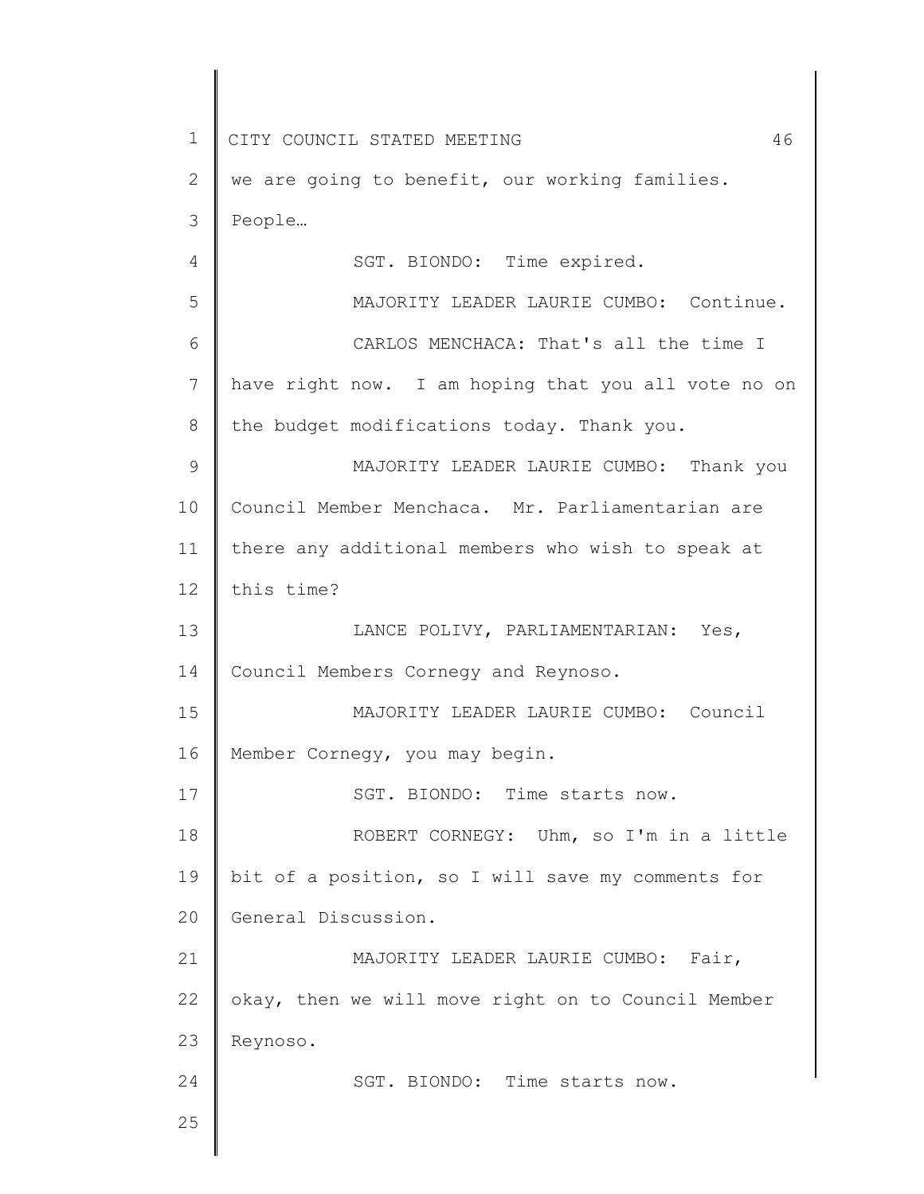1 2 3 4 5 6 7 8 9 10 11 12 13 14 15 16 17 18 19 20 21 22 23 24 25 CITY COUNCIL STATED MEETING 46 we are going to benefit, our working families. People… SGT. BIONDO: Time expired. MAJORITY LEADER LAURIE CUMBO: Continue. CARLOS MENCHACA: That's all the time I have right now. I am hoping that you all vote no on the budget modifications today. Thank you. MAJORITY LEADER LAURIE CUMBO: Thank you Council Member Menchaca. Mr. Parliamentarian are there any additional members who wish to speak at this time? LANCE POLIVY, PARLIAMENTARIAN: Yes, Council Members Cornegy and Reynoso. MAJORITY LEADER LAURIE CUMBO: Council Member Cornegy, you may begin. SGT. BIONDO: Time starts now. ROBERT CORNEGY: Uhm, so I'm in a little bit of a position, so I will save my comments for General Discussion. MAJORITY LEADER LAURIE CUMBO: Fair, okay, then we will move right on to Council Member Reynoso. SGT. BIONDO: Time starts now.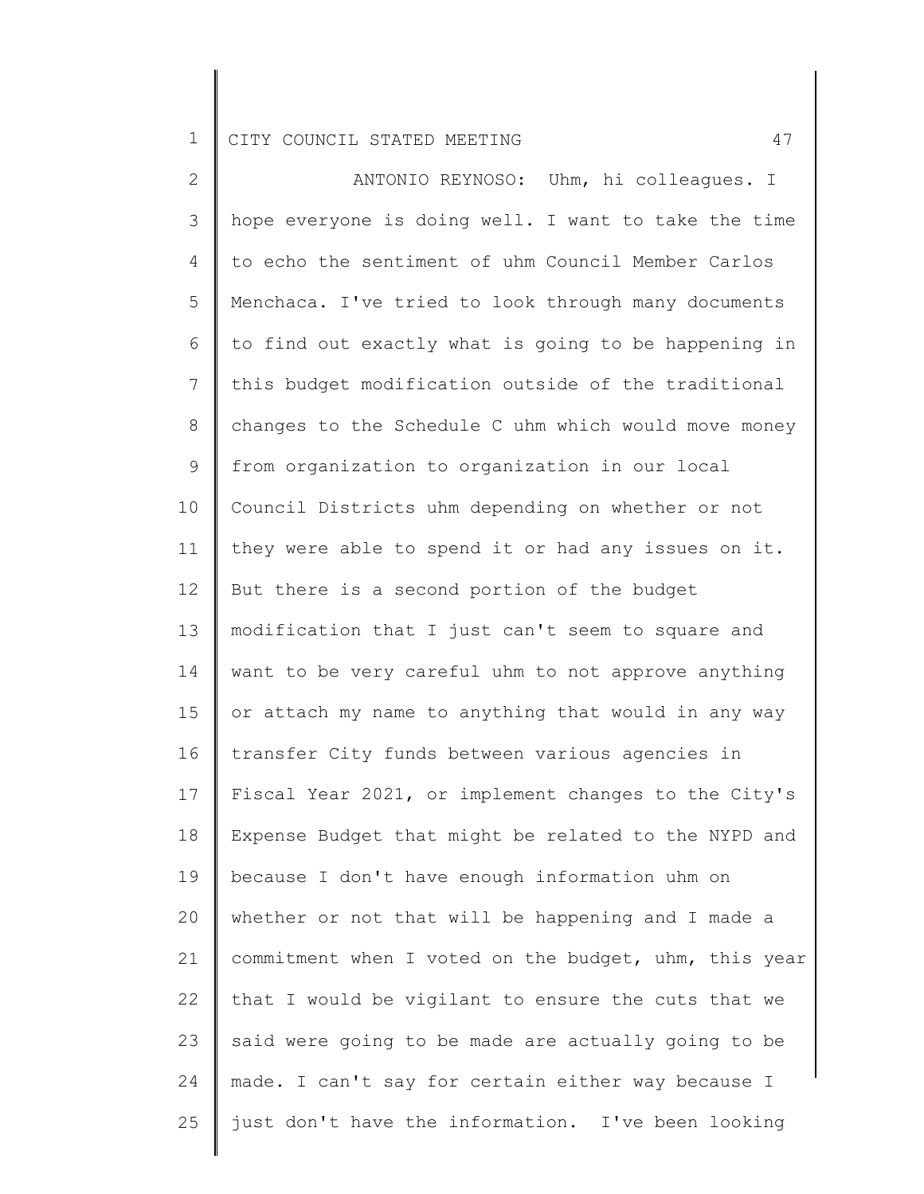2 3 4 5 6 7 8 9 10 11 12 13 14 15 16 17 18 19 20 21 22 23 24 25 ANTONIO REYNOSO: Uhm, hi colleagues. I hope everyone is doing well. I want to take the time to echo the sentiment of uhm Council Member Carlos Menchaca. I've tried to look through many documents to find out exactly what is going to be happening in this budget modification outside of the traditional changes to the Schedule C uhm which would move money from organization to organization in our local Council Districts uhm depending on whether or not they were able to spend it or had any issues on it. But there is a second portion of the budget modification that I just can't seem to square and want to be very careful uhm to not approve anything or attach my name to anything that would in any way transfer City funds between various agencies in Fiscal Year 2021, or implement changes to the City's Expense Budget that might be related to the NYPD and because I don't have enough information uhm on whether or not that will be happening and I made a commitment when I voted on the budget, uhm, this year that I would be vigilant to ensure the cuts that we said were going to be made are actually going to be made. I can't say for certain either way because I just don't have the information. I've been looking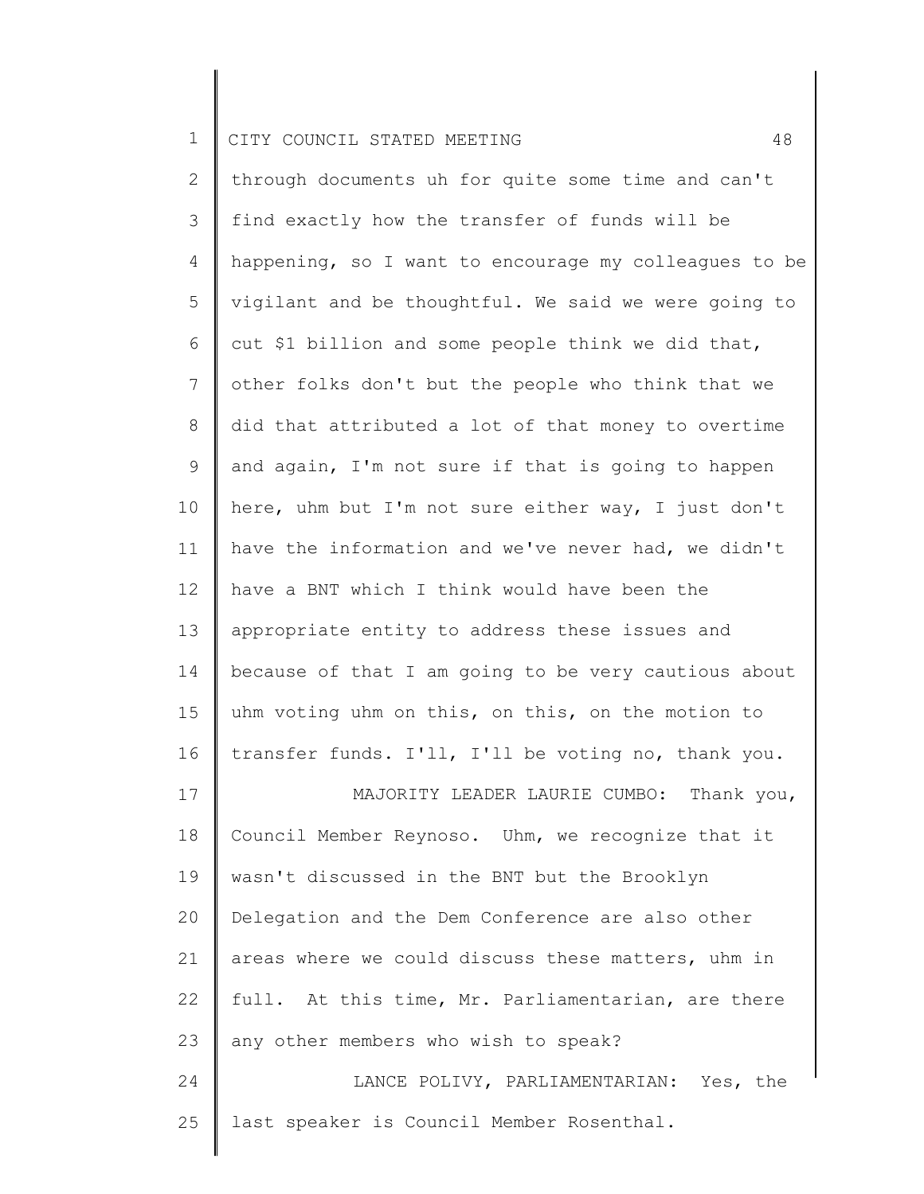25

2 3 4 5 6 7 8 9 10 11 12 13 14 15 16 17 18 19 20 21 22 23 24 through documents uh for quite some time and can't find exactly how the transfer of funds will be happening, so I want to encourage my colleagues to be vigilant and be thoughtful. We said we were going to cut \$1 billion and some people think we did that, other folks don't but the people who think that we did that attributed a lot of that money to overtime and again, I'm not sure if that is going to happen here, uhm but I'm not sure either way, I just don't have the information and we've never had, we didn't have a BNT which I think would have been the appropriate entity to address these issues and because of that I am going to be very cautious about uhm voting uhm on this, on this, on the motion to transfer funds. I'll, I'll be voting no, thank you. MAJORITY LEADER LAURIE CUMBO: Thank you, Council Member Reynoso. Uhm, we recognize that it wasn't discussed in the BNT but the Brooklyn Delegation and the Dem Conference are also other areas where we could discuss these matters, uhm in full. At this time, Mr. Parliamentarian, are there any other members who wish to speak? LANCE POLIVY, PARLIAMENTARIAN: Yes, the

last speaker is Council Member Rosenthal.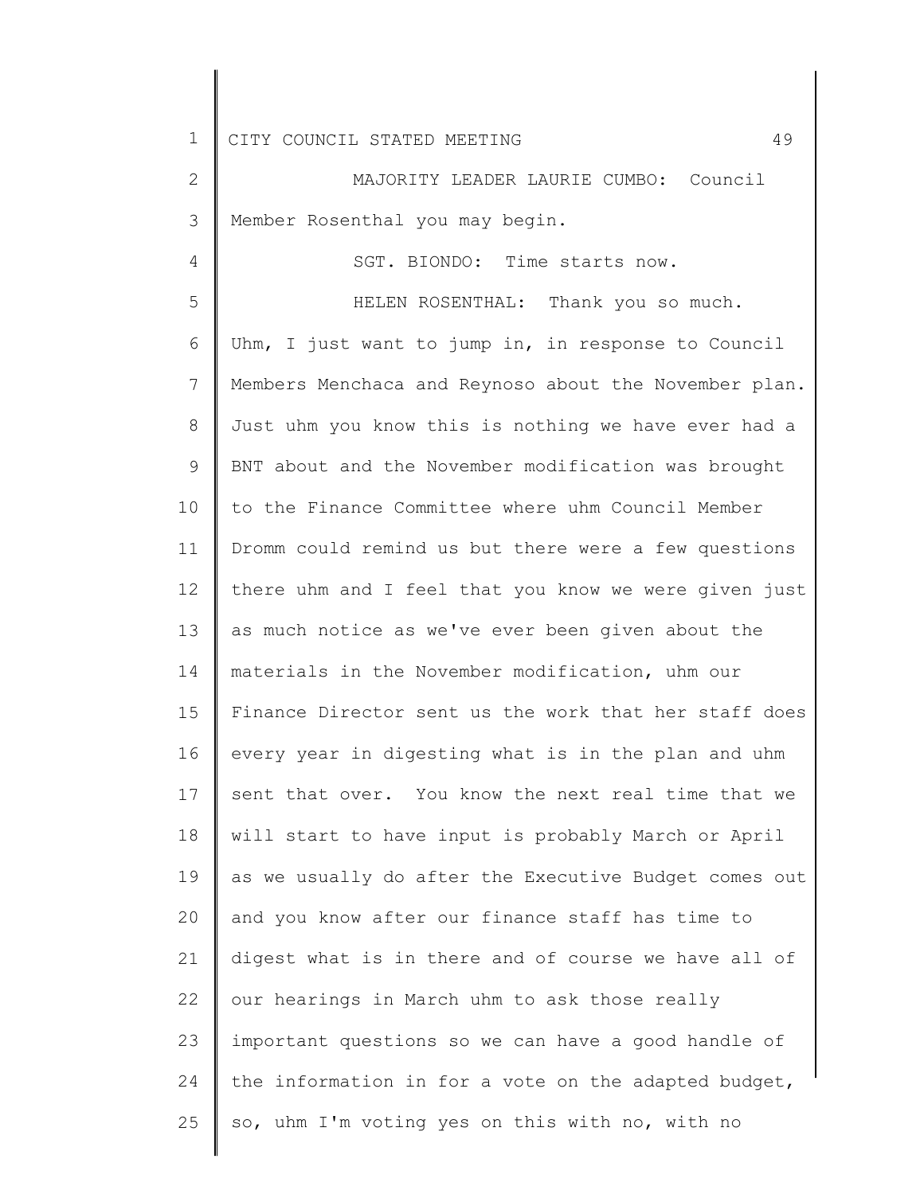4

2 3 MAJORITY LEADER LAURIE CUMBO: Council Member Rosenthal you may begin.

SGT. BIONDO: Time starts now.

5 6 7 8 9 10 11 12 13 14 15 16 17 18 19 20 21 22 23 24 25 HELEN ROSENTHAL: Thank you so much. Uhm, I just want to jump in, in response to Council Members Menchaca and Reynoso about the November plan. Just uhm you know this is nothing we have ever had a BNT about and the November modification was brought to the Finance Committee where uhm Council Member Dromm could remind us but there were a few questions there uhm and I feel that you know we were given just as much notice as we've ever been given about the materials in the November modification, uhm our Finance Director sent us the work that her staff does every year in digesting what is in the plan and uhm sent that over. You know the next real time that we will start to have input is probably March or April as we usually do after the Executive Budget comes out and you know after our finance staff has time to digest what is in there and of course we have all of our hearings in March uhm to ask those really important questions so we can have a good handle of the information in for a vote on the adapted budget, so, uhm I'm voting yes on this with no, with no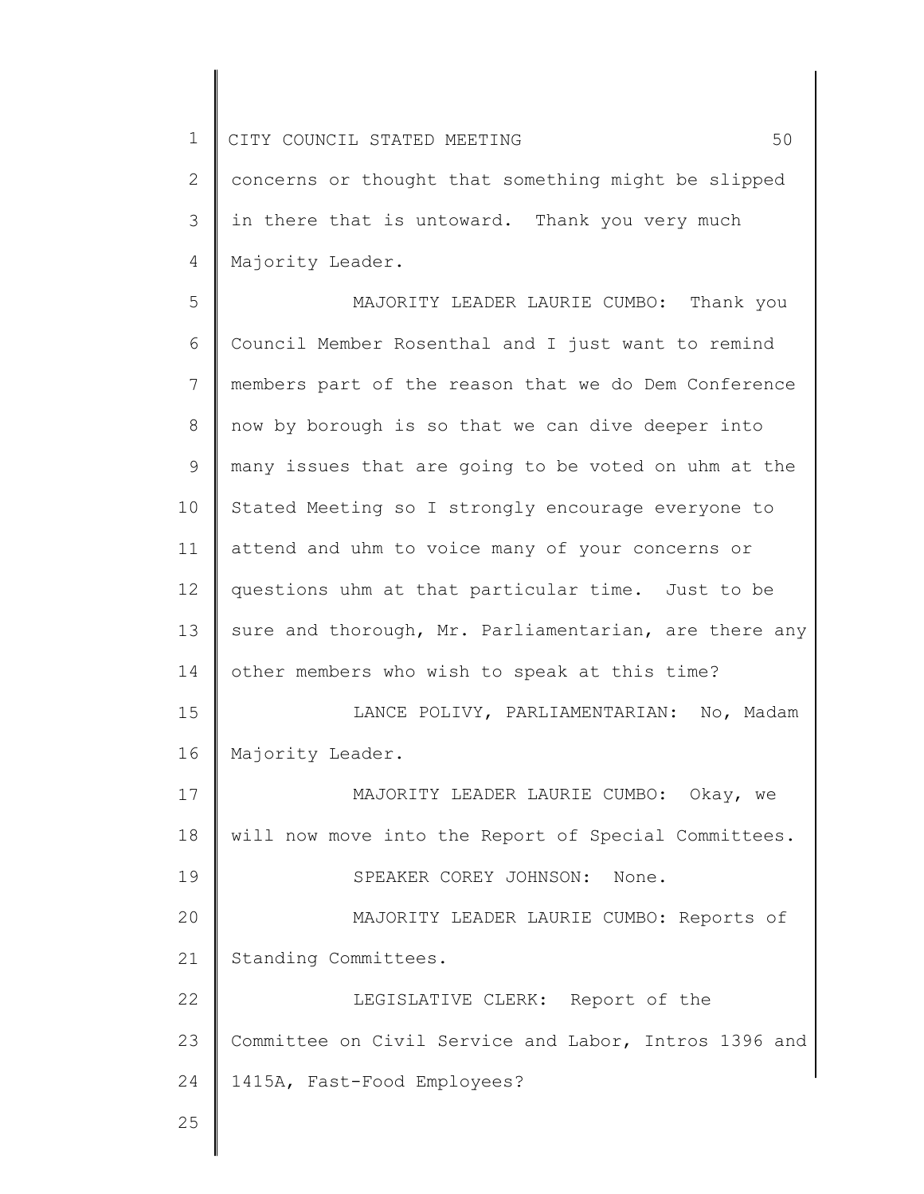2 3 4 concerns or thought that something might be slipped in there that is untoward. Thank you very much Majority Leader.

5 6 7 8 9 10 11 12 13 14 15 16 17 18 19 20 21 22 23 24 25 MAJORITY LEADER LAURIE CUMBO: Thank you Council Member Rosenthal and I just want to remind members part of the reason that we do Dem Conference now by borough is so that we can dive deeper into many issues that are going to be voted on uhm at the Stated Meeting so I strongly encourage everyone to attend and uhm to voice many of your concerns or questions uhm at that particular time. Just to be sure and thorough, Mr. Parliamentarian, are there any other members who wish to speak at this time? LANCE POLIVY, PARLIAMENTARIAN: No, Madam Majority Leader. MAJORITY LEADER LAURIE CUMBO: Okay, we will now move into the Report of Special Committees. SPEAKER COREY JOHNSON: None. MAJORITY LEADER LAURIE CUMBO: Reports of Standing Committees. LEGISLATIVE CLERK: Report of the Committee on Civil Service and Labor, Intros 1396 and 1415A, Fast-Food Employees?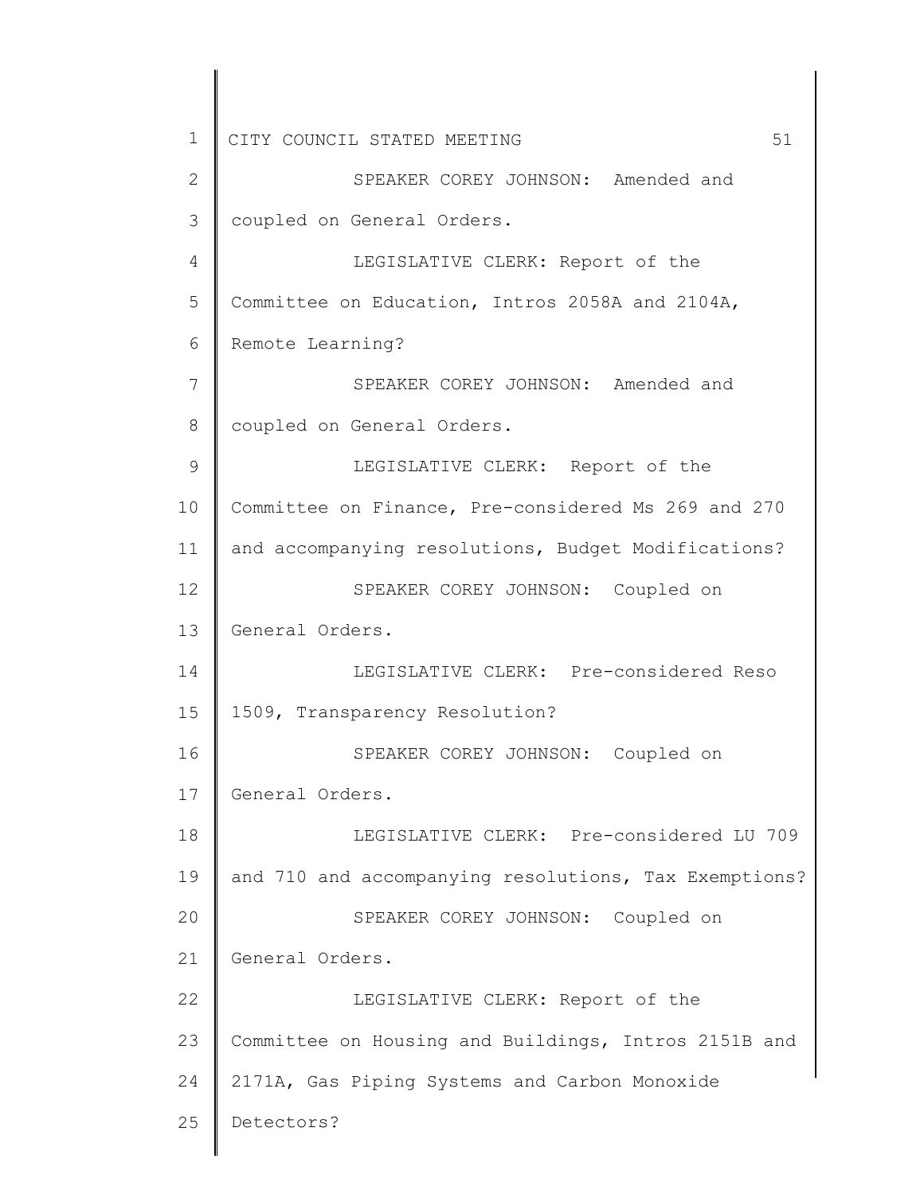1 2 3 4 5 6 7 8 9 10 11 12 13 14 15 16 17 18 19 20 21 22 23 24 25 CITY COUNCIL STATED MEETING 51 SPEAKER COREY JOHNSON: Amended and coupled on General Orders. LEGISLATIVE CLERK: Report of the Committee on Education, Intros 2058A and 2104A, Remote Learning? SPEAKER COREY JOHNSON: Amended and coupled on General Orders. LEGISLATIVE CLERK: Report of the Committee on Finance, Pre-considered Ms 269 and 270 and accompanying resolutions, Budget Modifications? SPEAKER COREY JOHNSON: Coupled on General Orders. LEGISLATIVE CLERK: Pre-considered Reso 1509, Transparency Resolution? SPEAKER COREY JOHNSON: Coupled on General Orders. LEGISLATIVE CLERK: Pre-considered LU 709 and 710 and accompanying resolutions, Tax Exemptions? SPEAKER COREY JOHNSON: Coupled on General Orders. LEGISLATIVE CLERK: Report of the Committee on Housing and Buildings, Intros 2151B and 2171A, Gas Piping Systems and Carbon Monoxide Detectors?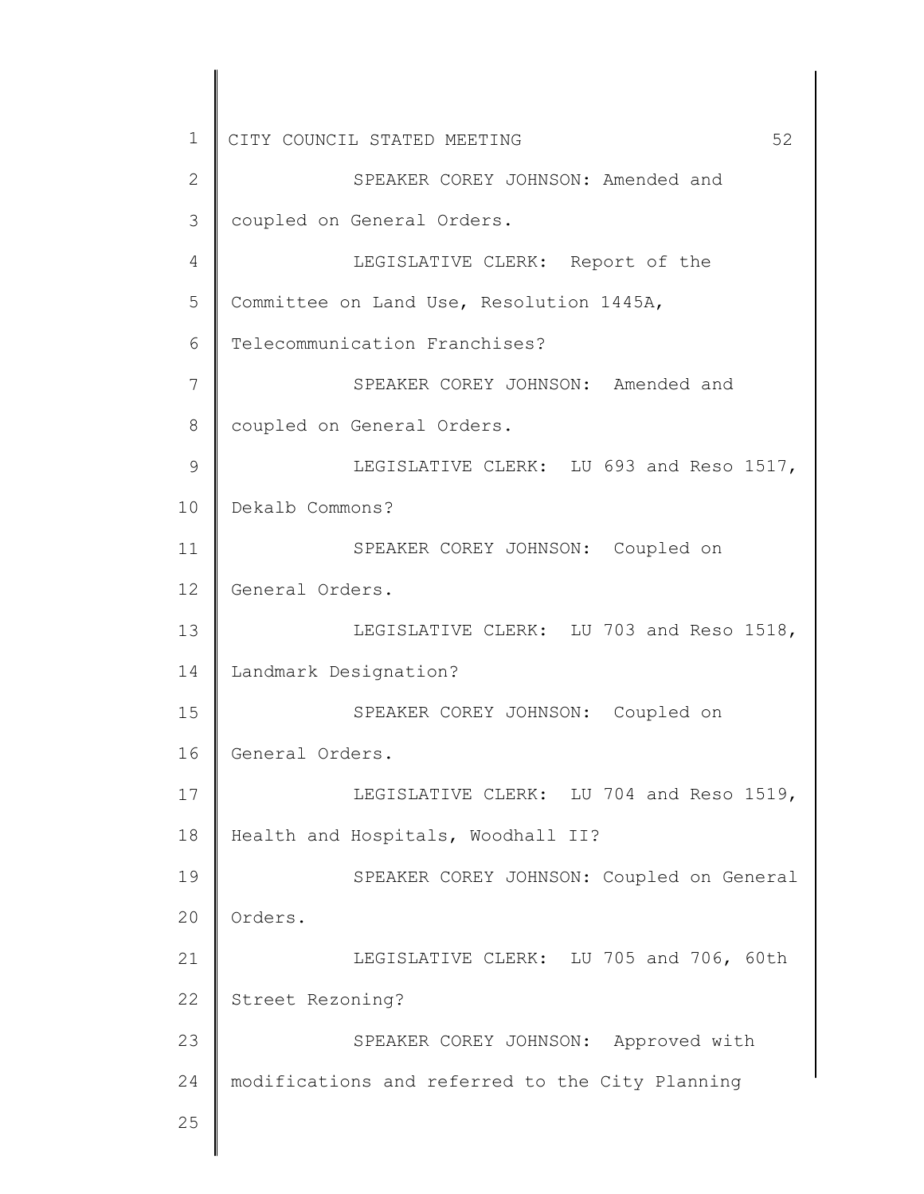1 2 3 4 5 6 7 8 9 10 11 12 13 14 15 16 17 18 19 20 21 22 23 24 25 CITY COUNCIL STATED MEETING 52 SPEAKER COREY JOHNSON: Amended and coupled on General Orders. LEGISLATIVE CLERK: Report of the Committee on Land Use, Resolution 1445A, Telecommunication Franchises? SPEAKER COREY JOHNSON: Amended and coupled on General Orders. LEGISLATIVE CLERK: LU 693 and Reso 1517, Dekalb Commons? SPEAKER COREY JOHNSON: Coupled on General Orders. LEGISLATIVE CLERK: LU 703 and Reso 1518, Landmark Designation? SPEAKER COREY JOHNSON: Coupled on General Orders. LEGISLATIVE CLERK: LU 704 and Reso 1519, Health and Hospitals, Woodhall II? SPEAKER COREY JOHNSON: Coupled on General Orders. LEGISLATIVE CLERK: LU 705 and 706, 60th Street Rezoning? SPEAKER COREY JOHNSON: Approved with modifications and referred to the City Planning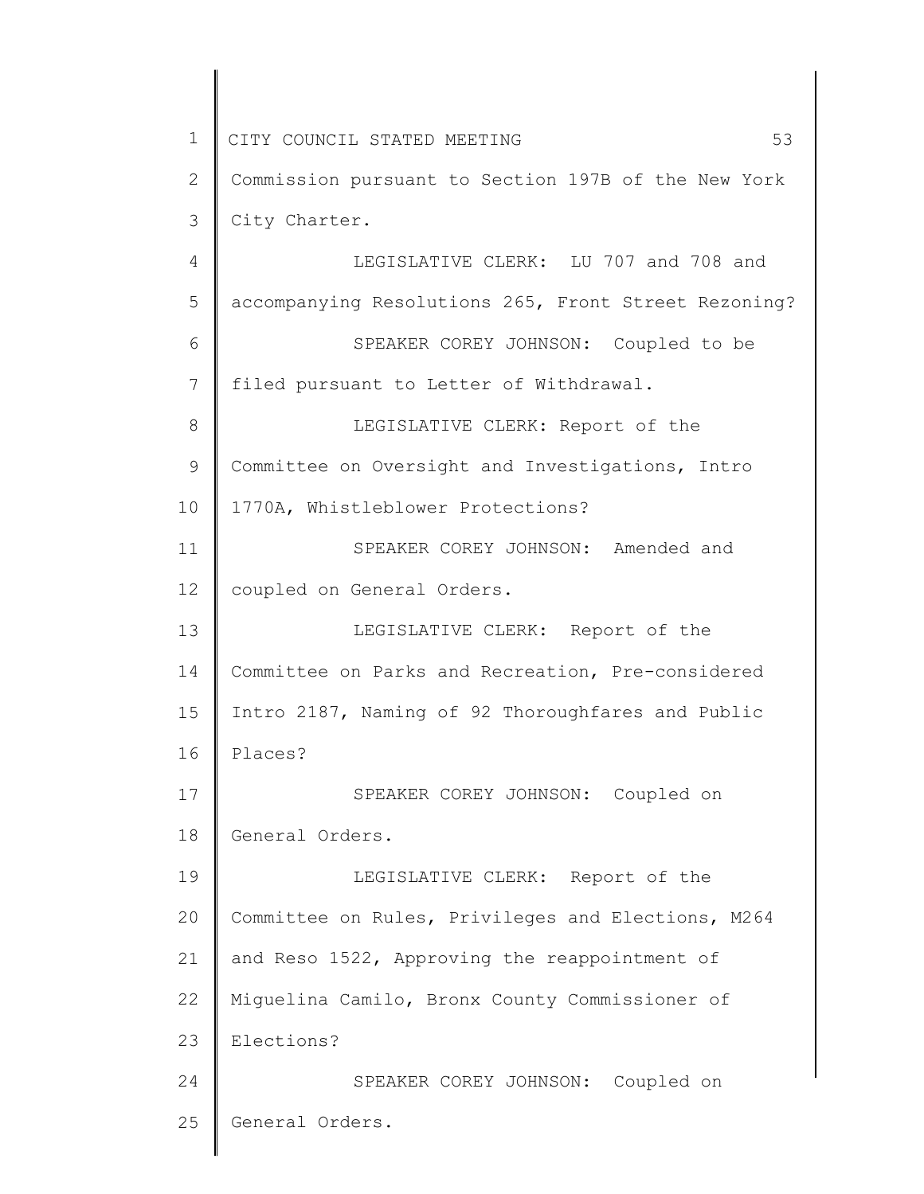1 2 3 4 5 6 7 8 9 10 11 12 13 14 15 16 17 18 19 20 21 22 23 24 25 CITY COUNCIL STATED MEETING 53 Commission pursuant to Section 197B of the New York City Charter. LEGISLATIVE CLERK: LU 707 and 708 and accompanying Resolutions 265, Front Street Rezoning? SPEAKER COREY JOHNSON: Coupled to be filed pursuant to Letter of Withdrawal. LEGISLATIVE CLERK: Report of the Committee on Oversight and Investigations, Intro 1770A, Whistleblower Protections? SPEAKER COREY JOHNSON: Amended and coupled on General Orders. LEGISLATIVE CLERK: Report of the Committee on Parks and Recreation, Pre-considered Intro 2187, Naming of 92 Thoroughfares and Public Places? SPEAKER COREY JOHNSON: Coupled on General Orders. LEGISLATIVE CLERK: Report of the Committee on Rules, Privileges and Elections, M264 and Reso 1522, Approving the reappointment of Miguelina Camilo, Bronx County Commissioner of Elections? SPEAKER COREY JOHNSON: Coupled on General Orders.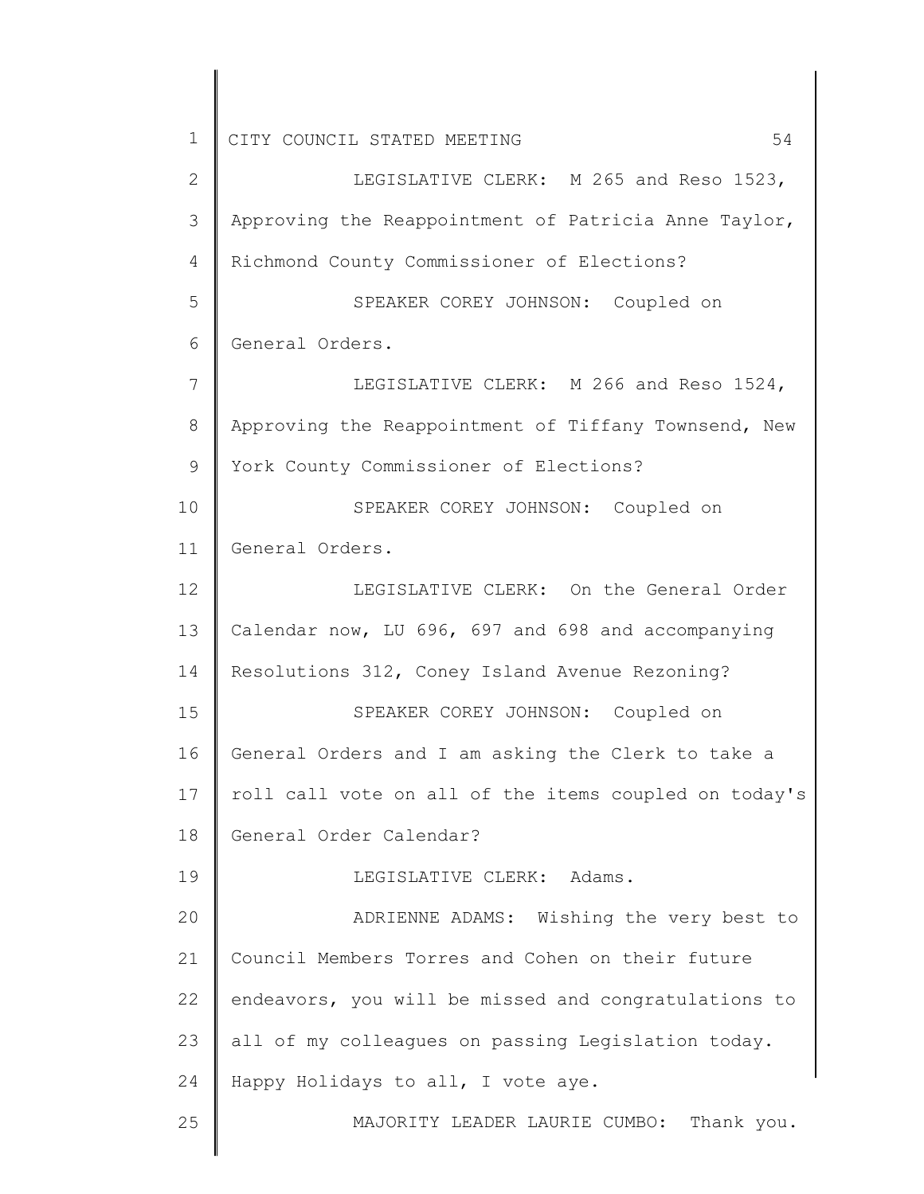2 3 4 5 6 7 8 9 10 11 12 13 14 15 16 17 18 19 20 21 22 23 24 25 LEGISLATIVE CLERK: M 265 and Reso 1523, Approving the Reappointment of Patricia Anne Taylor, Richmond County Commissioner of Elections? SPEAKER COREY JOHNSON: Coupled on General Orders. LEGISLATIVE CLERK: M 266 and Reso 1524, Approving the Reappointment of Tiffany Townsend, New York County Commissioner of Elections? SPEAKER COREY JOHNSON: Coupled on General Orders. LEGISLATIVE CLERK: On the General Order Calendar now, LU 696, 697 and 698 and accompanying Resolutions 312, Coney Island Avenue Rezoning? SPEAKER COREY JOHNSON: Coupled on General Orders and I am asking the Clerk to take a roll call vote on all of the items coupled on today's General Order Calendar? LEGISLATIVE CLERK: Adams. ADRIENNE ADAMS: Wishing the very best to Council Members Torres and Cohen on their future endeavors, you will be missed and congratulations to all of my colleagues on passing Legislation today. Happy Holidays to all, I vote aye. MAJORITY LEADER LAURIE CUMBO: Thank you.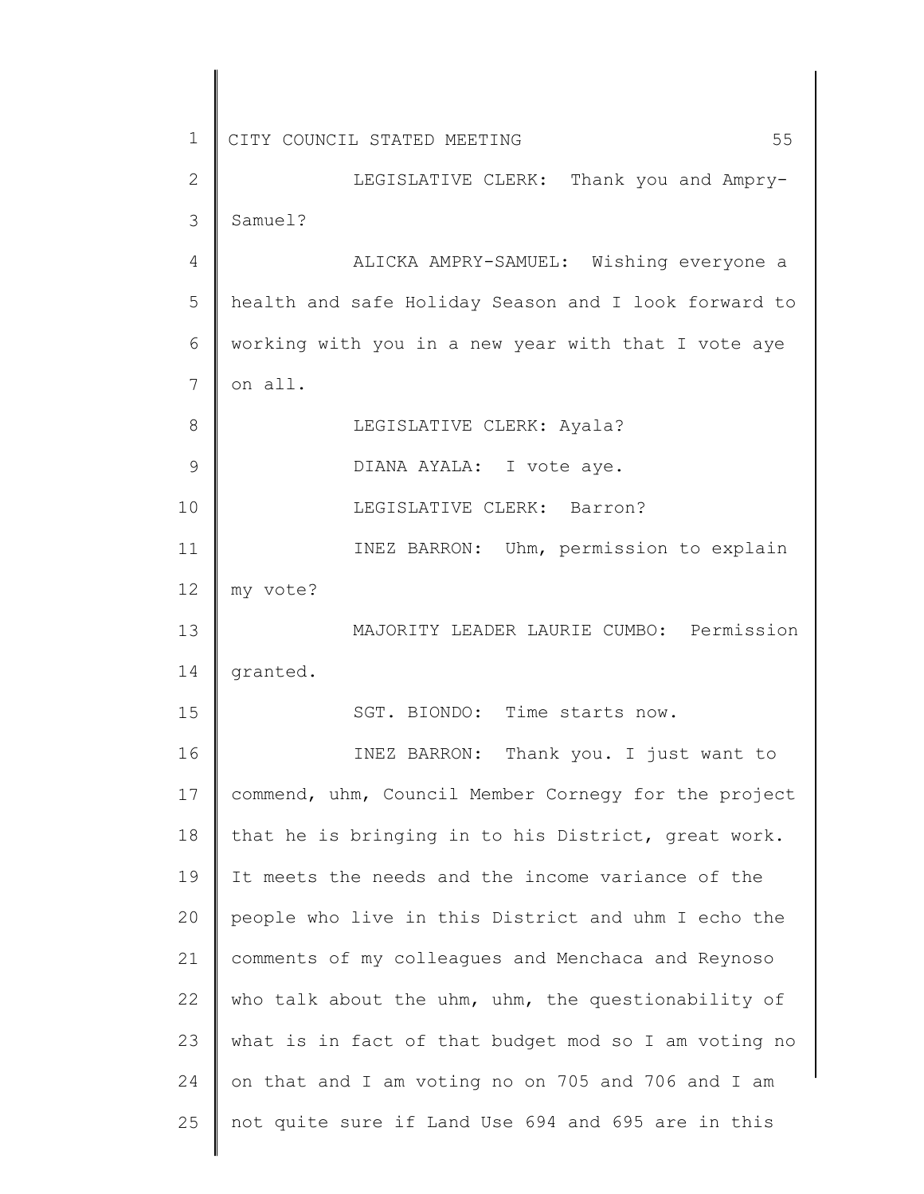| $\mathbf 1$     | 55<br>CITY COUNCIL STATED MEETING                    |
|-----------------|------------------------------------------------------|
| $\mathbf{2}$    | LEGISLATIVE CLERK: Thank you and Ampry-              |
| 3               | Samuel?                                              |
| 4               | ALICKA AMPRY-SAMUEL: Wishing everyone a              |
| 5               | health and safe Holiday Season and I look forward to |
| 6               | working with you in a new year with that I vote aye  |
| 7               | on all.                                              |
| 8               | LEGISLATIVE CLERK: Ayala?                            |
| 9               | DIANA AYALA: I vote aye.                             |
| 10              | LEGISLATIVE CLERK: Barron?                           |
| 11              | INEZ BARRON: Uhm, permission to explain              |
| 12 <sup>°</sup> | my vote?                                             |
| 13              | MAJORITY LEADER LAURIE CUMBO: Permission             |
| 14              | granted.                                             |
| 15              | SGT. BIONDO: Time starts now.                        |
| 16              | INEZ BARRON: Thank you. I just want to               |
| 17              | commend, uhm, Council Member Cornegy for the project |
| 18              | that he is bringing in to his District, great work.  |
| 19              | It meets the needs and the income variance of the    |
| 20              | people who live in this District and uhm I echo the  |
| 21              | comments of my colleagues and Menchaca and Reynoso   |
| 22              | who talk about the uhm, uhm, the questionability of  |
| 23              | what is in fact of that budget mod so I am voting no |
| 24              | on that and I am voting no on 705 and 706 and I am   |
| 25              | not quite sure if Land Use 694 and 695 are in this   |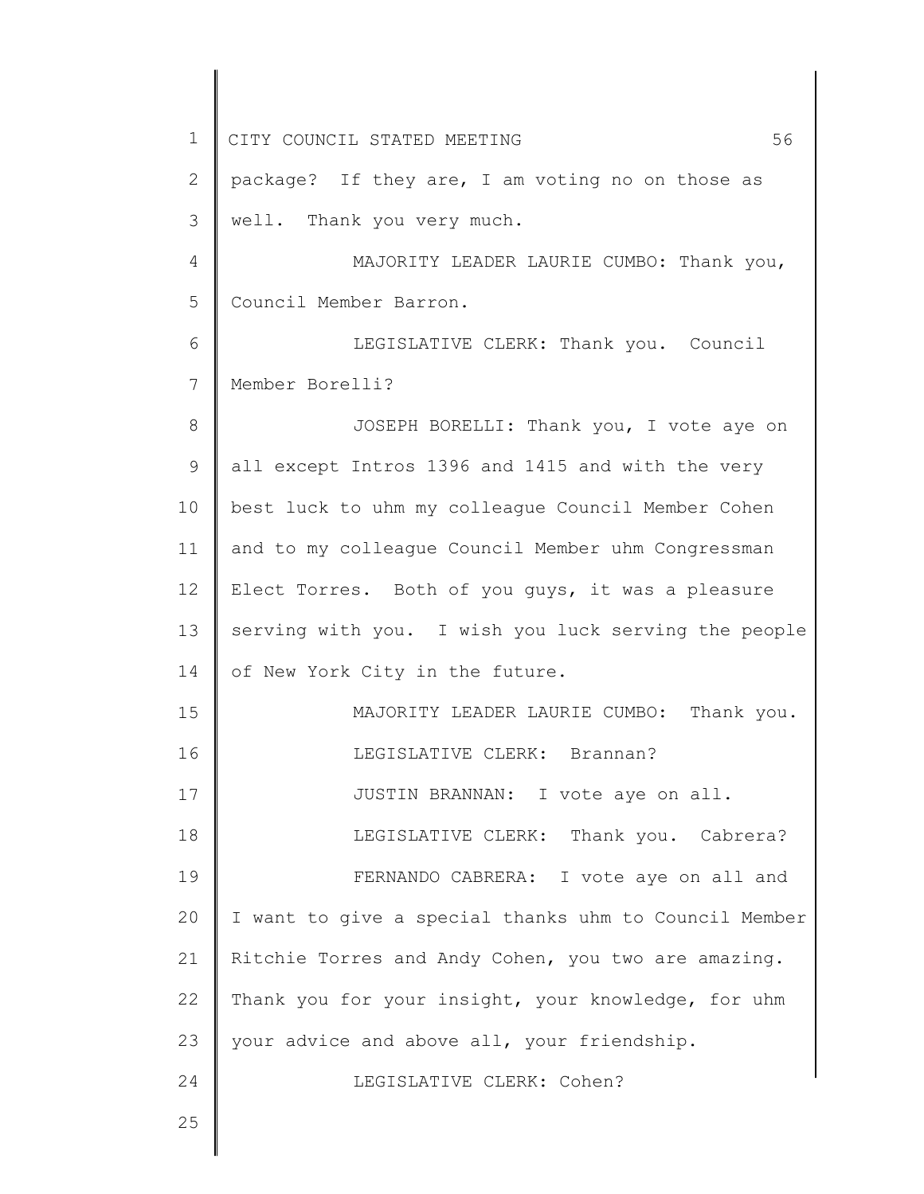1 2 3 4 5 6 7 8 9 10 11 12 13 14 15 16 17 18 19 20 21 22 23 24 25 CITY COUNCIL STATED MEETING 56 package? If they are, I am voting no on those as well. Thank you very much. MAJORITY LEADER LAURIE CUMBO: Thank you, Council Member Barron. LEGISLATIVE CLERK: Thank you. Council Member Borelli? JOSEPH BORELLI: Thank you, I vote aye on all except Intros 1396 and 1415 and with the very best luck to uhm my colleague Council Member Cohen and to my colleague Council Member uhm Congressman Elect Torres. Both of you guys, it was a pleasure serving with you. I wish you luck serving the people of New York City in the future. MAJORITY LEADER LAURIE CUMBO: Thank you. LEGISLATIVE CLERK: Brannan? JUSTIN BRANNAN: I vote aye on all. LEGISLATIVE CLERK: Thank you. Cabrera? FERNANDO CABRERA: I vote aye on all and I want to give a special thanks uhm to Council Member Ritchie Torres and Andy Cohen, you two are amazing. Thank you for your insight, your knowledge, for uhm your advice and above all, your friendship. LEGISLATIVE CLERK: Cohen?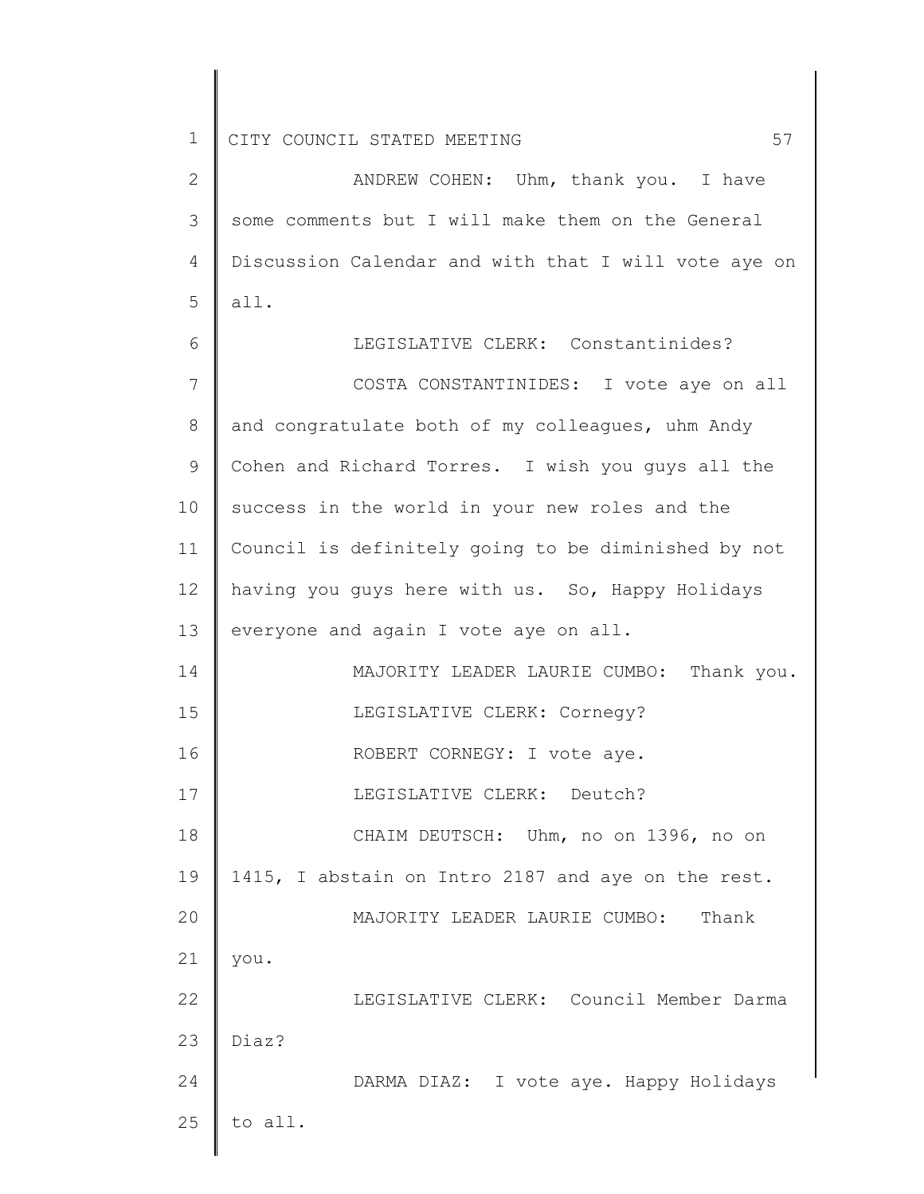2 3 4 5 6 7 8 9 10 11 12 13 14 15 16 17 18 19 20 21 22 23 24 25 ANDREW COHEN: Uhm, thank you. I have some comments but I will make them on the General Discussion Calendar and with that I will vote aye on all. LEGISLATIVE CLERK: Constantinides? COSTA CONSTANTINIDES: I vote aye on all and congratulate both of my colleagues, uhm Andy Cohen and Richard Torres. I wish you guys all the success in the world in your new roles and the Council is definitely going to be diminished by not having you guys here with us. So, Happy Holidays everyone and again I vote aye on all. MAJORITY LEADER LAURIE CUMBO: Thank you. LEGISLATIVE CLERK: Cornegy? ROBERT CORNEGY: I vote aye. LEGISLATIVE CLERK: Deutch? CHAIM DEUTSCH: Uhm, no on 1396, no on 1415, I abstain on Intro 2187 and aye on the rest. MAJORITY LEADER LAURIE CUMBO: Thank you. LEGISLATIVE CLERK: Council Member Darma Diaz? DARMA DIAZ: I vote aye. Happy Holidays to all.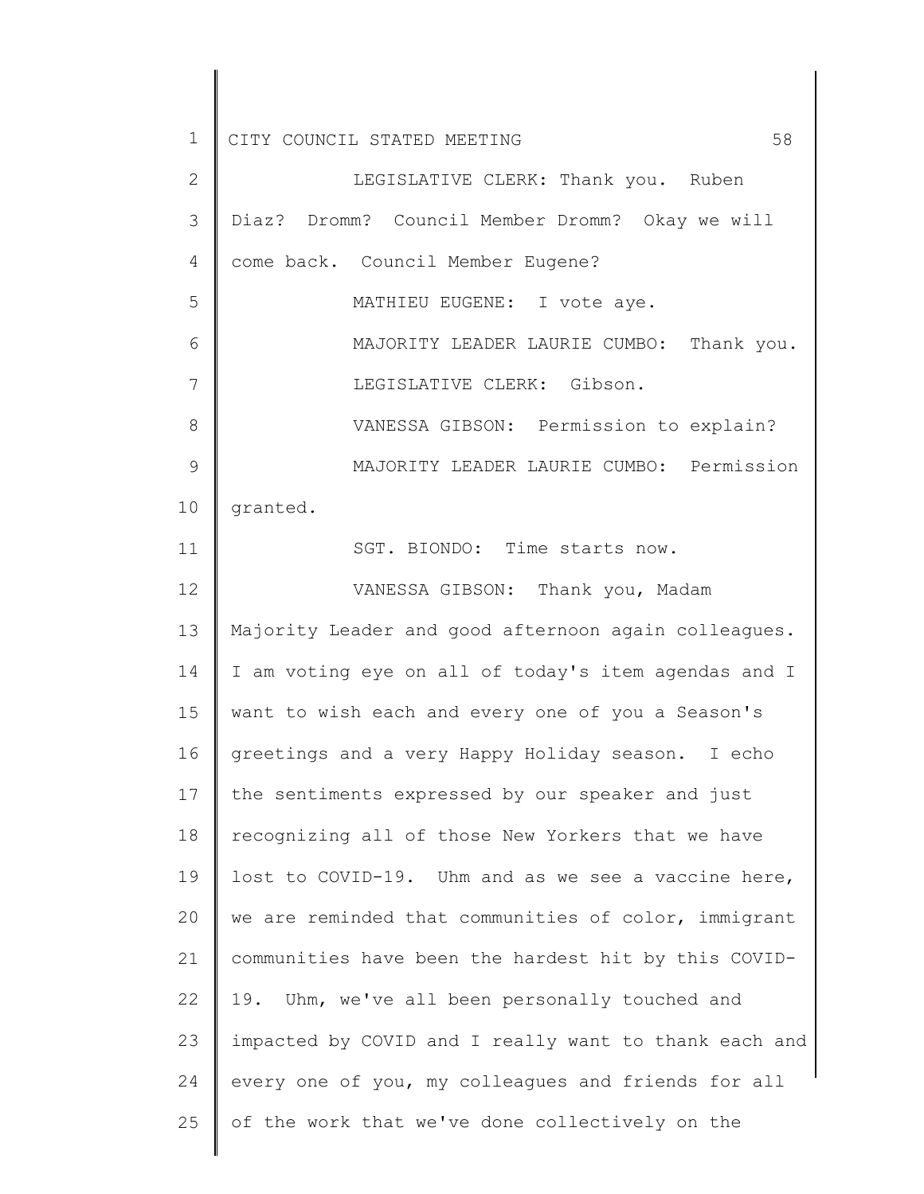2 3 4 5 6 7 8 9 10 11 12 13 14 15 16 17 18 19 20 21 22 23 24 25 LEGISLATIVE CLERK: Thank you. Ruben Diaz? Dromm? Council Member Dromm? Okay we will come back. Council Member Eugene? MATHIEU EUGENE: I vote aye. MAJORITY LEADER LAURIE CUMBO: Thank you. LEGISLATIVE CLERK: Gibson. VANESSA GIBSON: Permission to explain? MAJORITY LEADER LAURIE CUMBO: Permission granted. SGT. BIONDO: Time starts now. VANESSA GIBSON: Thank you, Madam Majority Leader and good afternoon again colleagues. I am voting eye on all of today's item agendas and I want to wish each and every one of you a Season's greetings and a very Happy Holiday season. I echo the sentiments expressed by our speaker and just recognizing all of those New Yorkers that we have lost to COVID-19. Uhm and as we see a vaccine here, we are reminded that communities of color, immigrant communities have been the hardest hit by this COVID-19. Uhm, we've all been personally touched and impacted by COVID and I really want to thank each and every one of you, my colleagues and friends for all of the work that we've done collectively on the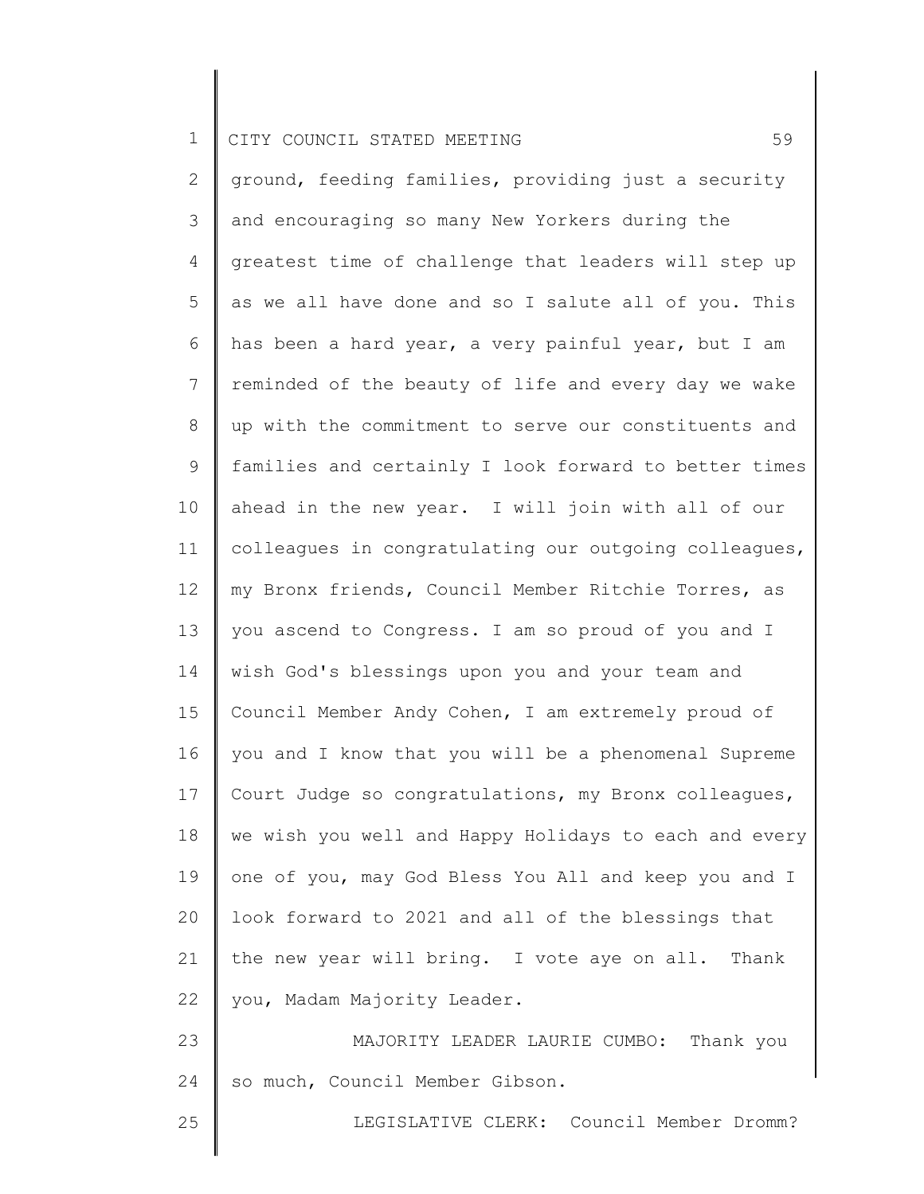2 3 4 5 6 7 8 9 10 11 12 13 14 15 16 17 18 19 20 21 22 23 24 ground, feeding families, providing just a security and encouraging so many New Yorkers during the greatest time of challenge that leaders will step up as we all have done and so I salute all of you. This has been a hard year, a very painful year, but I am reminded of the beauty of life and every day we wake up with the commitment to serve our constituents and families and certainly I look forward to better times ahead in the new year. I will join with all of our colleagues in congratulating our outgoing colleagues, my Bronx friends, Council Member Ritchie Torres, as you ascend to Congress. I am so proud of you and I wish God's blessings upon you and your team and Council Member Andy Cohen, I am extremely proud of you and I know that you will be a phenomenal Supreme Court Judge so congratulations, my Bronx colleagues, we wish you well and Happy Holidays to each and every one of you, may God Bless You All and keep you and I look forward to 2021 and all of the blessings that the new year will bring. I vote aye on all. Thank you, Madam Majority Leader. MAJORITY LEADER LAURIE CUMBO: Thank you so much, Council Member Gibson.

25

LEGISLATIVE CLERK: Council Member Dromm?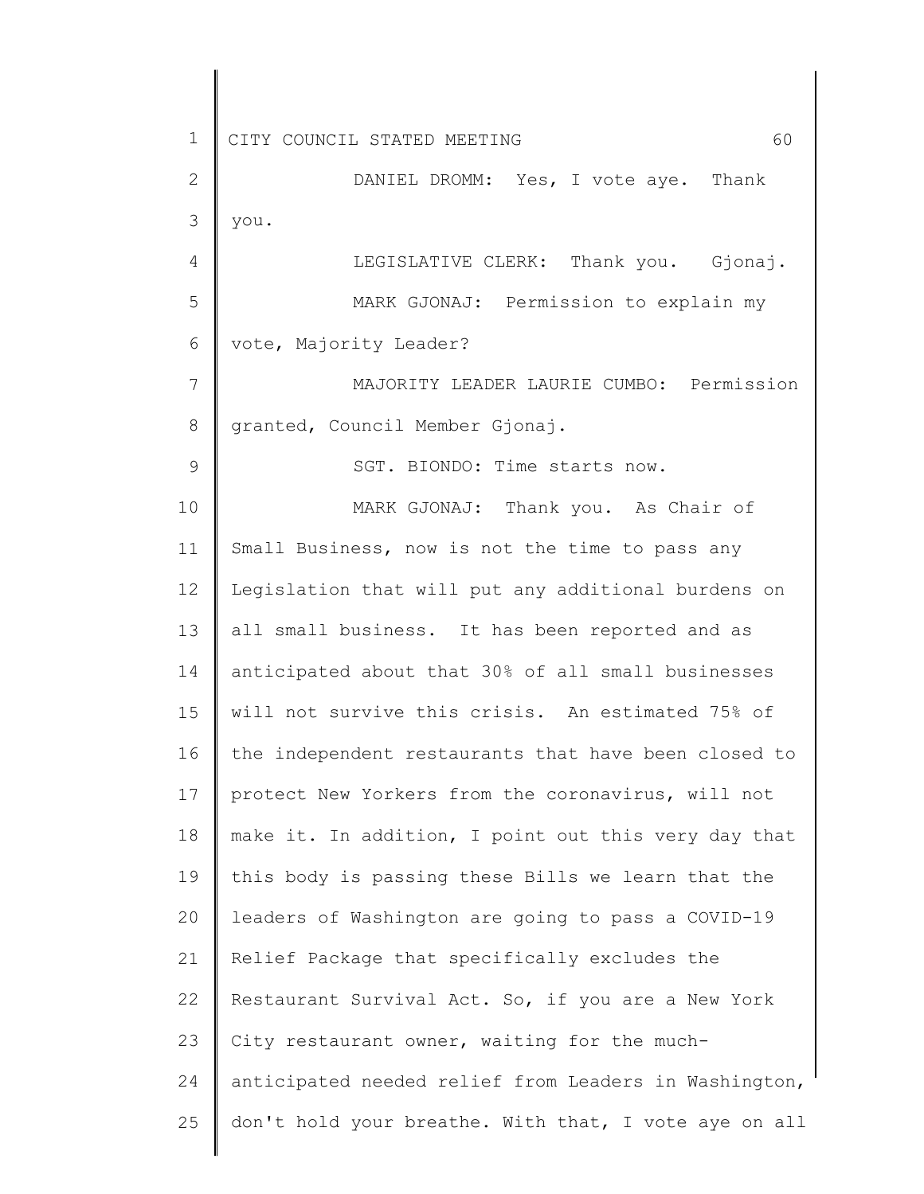9

2 3 DANIEL DROMM: Yes, I vote aye. Thank you.

4 5 6 LEGISLATIVE CLERK: Thank you. Gjonaj. MARK GJONAJ: Permission to explain my vote, Majority Leader?

7 8 MAJORITY LEADER LAURIE CUMBO: Permission granted, Council Member Gjonaj.

SGT. BIONDO: Time starts now.

10 11 12 13 14 15 16 17 18 19 20 21 22 23 24 25 MARK GJONAJ: Thank you. As Chair of Small Business, now is not the time to pass any Legislation that will put any additional burdens on all small business. It has been reported and as anticipated about that 30% of all small businesses will not survive this crisis. An estimated 75% of the independent restaurants that have been closed to protect New Yorkers from the coronavirus, will not make it. In addition, I point out this very day that this body is passing these Bills we learn that the leaders of Washington are going to pass a COVID-19 Relief Package that specifically excludes the Restaurant Survival Act. So, if you are a New York City restaurant owner, waiting for the muchanticipated needed relief from Leaders in Washington, don't hold your breathe. With that, I vote aye on all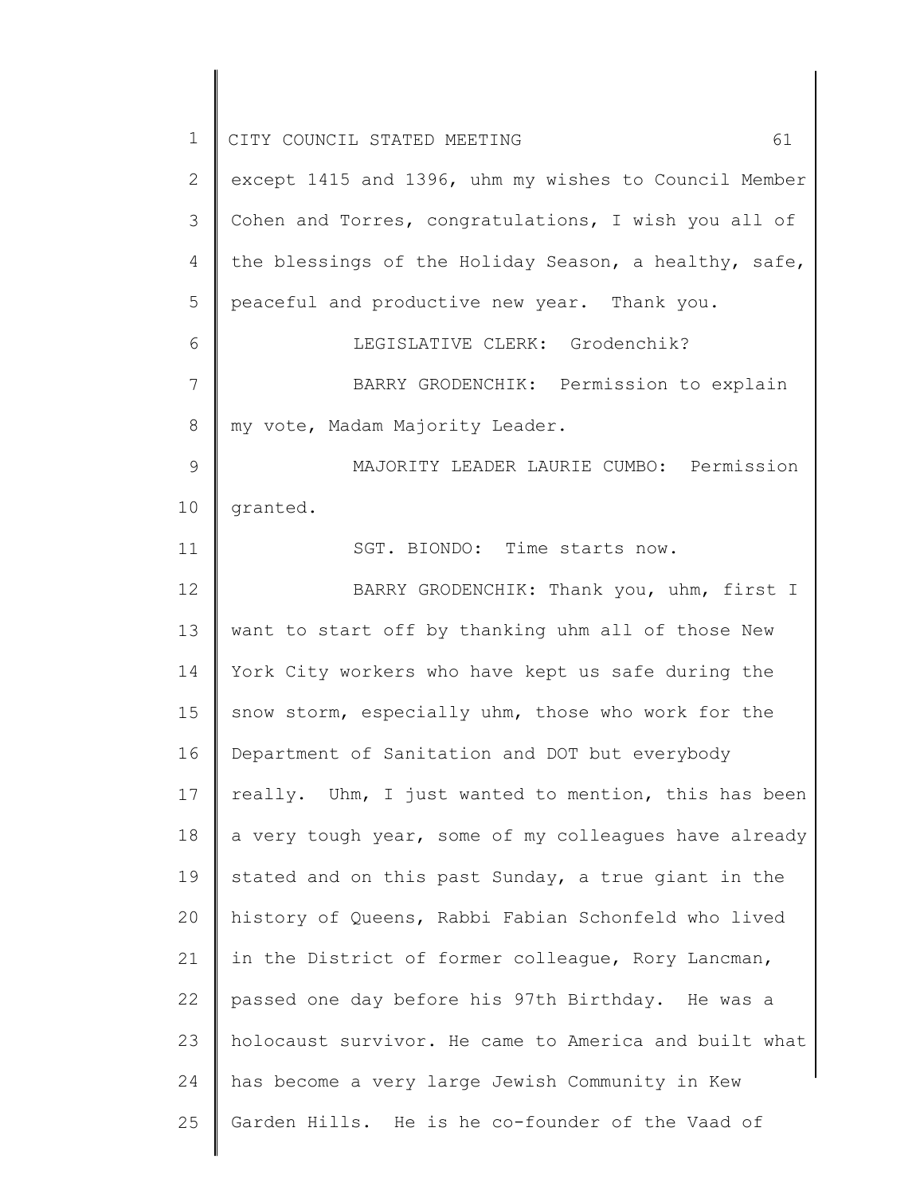| $\mathbf 1$   | 61<br>CITY COUNCIL STATED MEETING                     |
|---------------|-------------------------------------------------------|
| 2             | except 1415 and 1396, uhm my wishes to Council Member |
| 3             | Cohen and Torres, congratulations, I wish you all of  |
| 4             | the blessings of the Holiday Season, a healthy, safe, |
| 5             | peaceful and productive new year. Thank you.          |
| 6             | LEGISLATIVE CLERK: Grodenchik?                        |
| 7             | BARRY GRODENCHIK: Permission to explain               |
| 8             | my vote, Madam Majority Leader.                       |
| $\mathcal{G}$ | MAJORITY LEADER LAURIE CUMBO: Permission              |
| 10            | granted.                                              |
| 11            | SGT. BIONDO: Time starts now.                         |
| 12            | BARRY GRODENCHIK: Thank you, uhm, first I             |
| 13            | want to start off by thanking uhm all of those New    |
| 14            | York City workers who have kept us safe during the    |
| 15            | snow storm, especially uhm, those who work for the    |
| 16            | Department of Sanitation and DOT but everybody        |
| 17            | really. Uhm, I just wanted to mention, this has been  |
| 18            | a very tough year, some of my colleagues have already |
| 19            | stated and on this past Sunday, a true giant in the   |
| 20            | history of Queens, Rabbi Fabian Schonfeld who lived   |
| 21            | in the District of former colleague, Rory Lancman,    |
| 22            | passed one day before his 97th Birthday. He was a     |
| 23            | holocaust survivor. He came to America and built what |
| 24            | has become a very large Jewish Community in Kew       |
| 25            | Garden Hills. He is he co-founder of the Vaad of      |
|               |                                                       |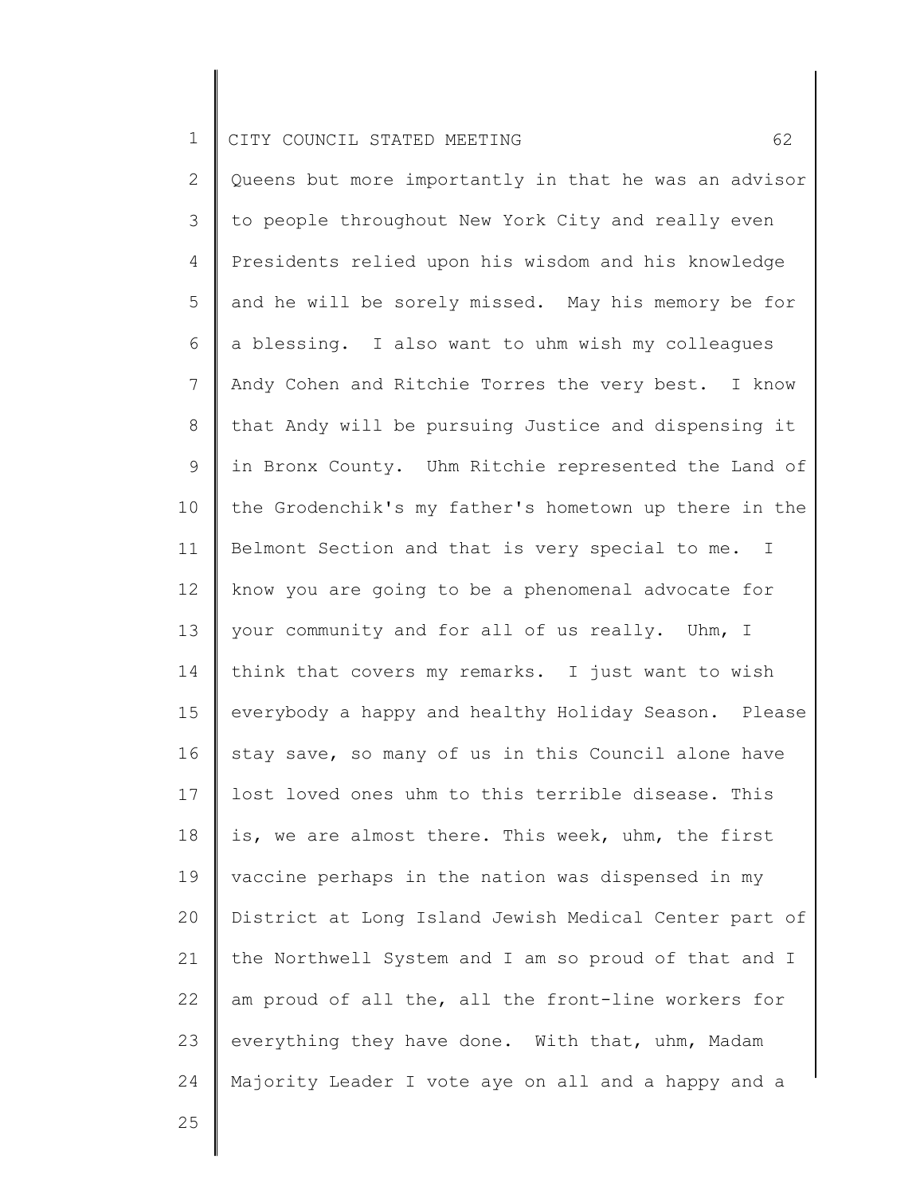2 3 4 5 6 7 8 9 10 11 12 13 14 15 16 17 18 19 20 21 22 23 24 Queens but more importantly in that he was an advisor to people throughout New York City and really even Presidents relied upon his wisdom and his knowledge and he will be sorely missed. May his memory be for a blessing. I also want to uhm wish my colleagues Andy Cohen and Ritchie Torres the very best. I know that Andy will be pursuing Justice and dispensing it in Bronx County. Uhm Ritchie represented the Land of the Grodenchik's my father's hometown up there in the Belmont Section and that is very special to me. I know you are going to be a phenomenal advocate for your community and for all of us really. Uhm, I think that covers my remarks. I just want to wish everybody a happy and healthy Holiday Season. Please stay save, so many of us in this Council alone have lost loved ones uhm to this terrible disease. This is, we are almost there. This week, uhm, the first vaccine perhaps in the nation was dispensed in my District at Long Island Jewish Medical Center part of the Northwell System and I am so proud of that and I am proud of all the, all the front-line workers for everything they have done. With that, uhm, Madam Majority Leader I vote aye on all and a happy and a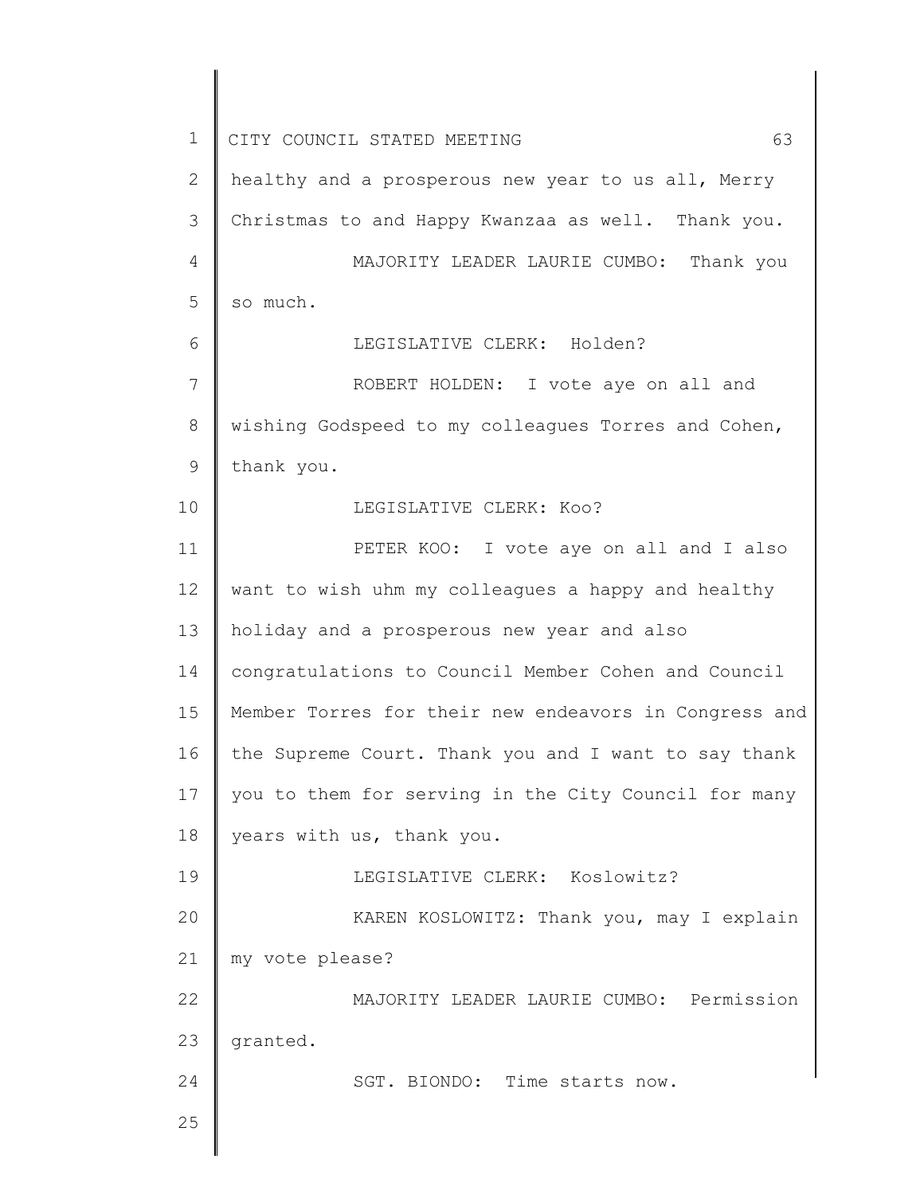1 2 3 4 5 6 7 8 9 10 11 12 13 14 15 16 17 18 19 20 21 22 23 24 25 CITY COUNCIL STATED MEETING 63 healthy and a prosperous new year to us all, Merry Christmas to and Happy Kwanzaa as well. Thank you. MAJORITY LEADER LAURIE CUMBO: Thank you so much. LEGISLATIVE CLERK: Holden? ROBERT HOLDEN: I vote aye on all and wishing Godspeed to my colleagues Torres and Cohen, thank you. LEGISLATIVE CLERK: Koo? PETER KOO: I vote aye on all and I also want to wish uhm my colleagues a happy and healthy holiday and a prosperous new year and also congratulations to Council Member Cohen and Council Member Torres for their new endeavors in Congress and the Supreme Court. Thank you and I want to say thank you to them for serving in the City Council for many years with us, thank you. LEGISLATIVE CLERK: Koslowitz? KAREN KOSLOWITZ: Thank you, may I explain my vote please? MAJORITY LEADER LAURIE CUMBO: Permission granted. SGT. BIONDO: Time starts now.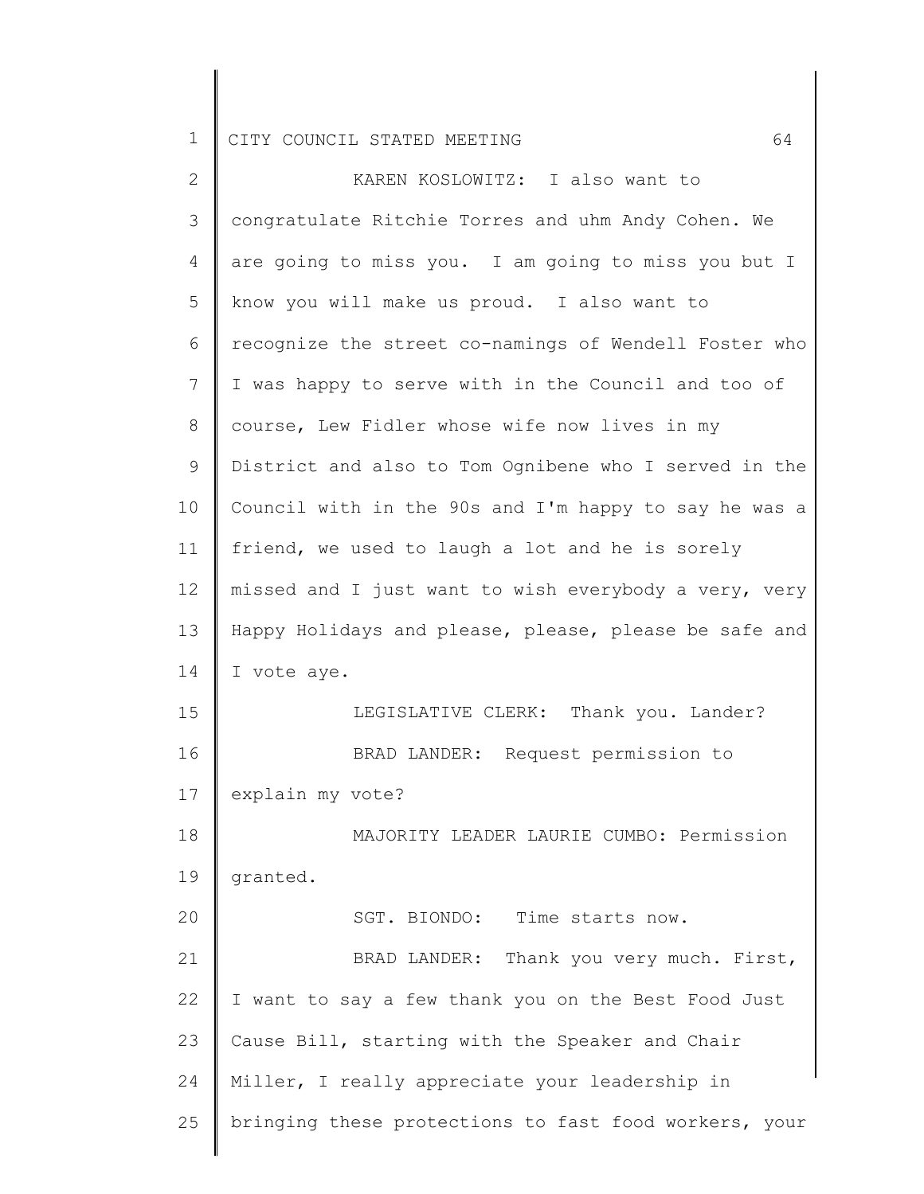| 2               | KAREN KOSLOWITZ: I also want to                       |
|-----------------|-------------------------------------------------------|
| 3               | congratulate Ritchie Torres and uhm Andy Cohen. We    |
| 4               | are going to miss you. I am going to miss you but I   |
| 5               | know you will make us proud. I also want to           |
| 6               | recognize the street co-namings of Wendell Foster who |
| $7\phantom{.0}$ | I was happy to serve with in the Council and too of   |
| 8               | course, Lew Fidler whose wife now lives in my         |
| 9               | District and also to Tom Ognibene who I served in the |
| 10 <sub>o</sub> | Council with in the 90s and I'm happy to say he was a |
| 11              | friend, we used to laugh a lot and he is sorely       |
| 12              | missed and I just want to wish everybody a very, very |
| 13              | Happy Holidays and please, please, please be safe and |
| 14              | I vote aye.                                           |
| 15              | LEGISLATIVE CLERK: Thank you. Lander?                 |
| 16              | BRAD LANDER: Request permission to                    |
| 17              | explain my vote?                                      |
| 18              | MAJORITY LEADER LAURIE CUMBO: Permission              |
| 19              | granted.                                              |
| 20              | SGT. BIONDO: Time starts now.                         |
| 21              | BRAD LANDER: Thank you very much. First,              |
| 22              | I want to say a few thank you on the Best Food Just   |
| 23              | Cause Bill, starting with the Speaker and Chair       |
| 24              | Miller, I really appreciate your leadership in        |
| 25              | bringing these protections to fast food workers, your |
|                 |                                                       |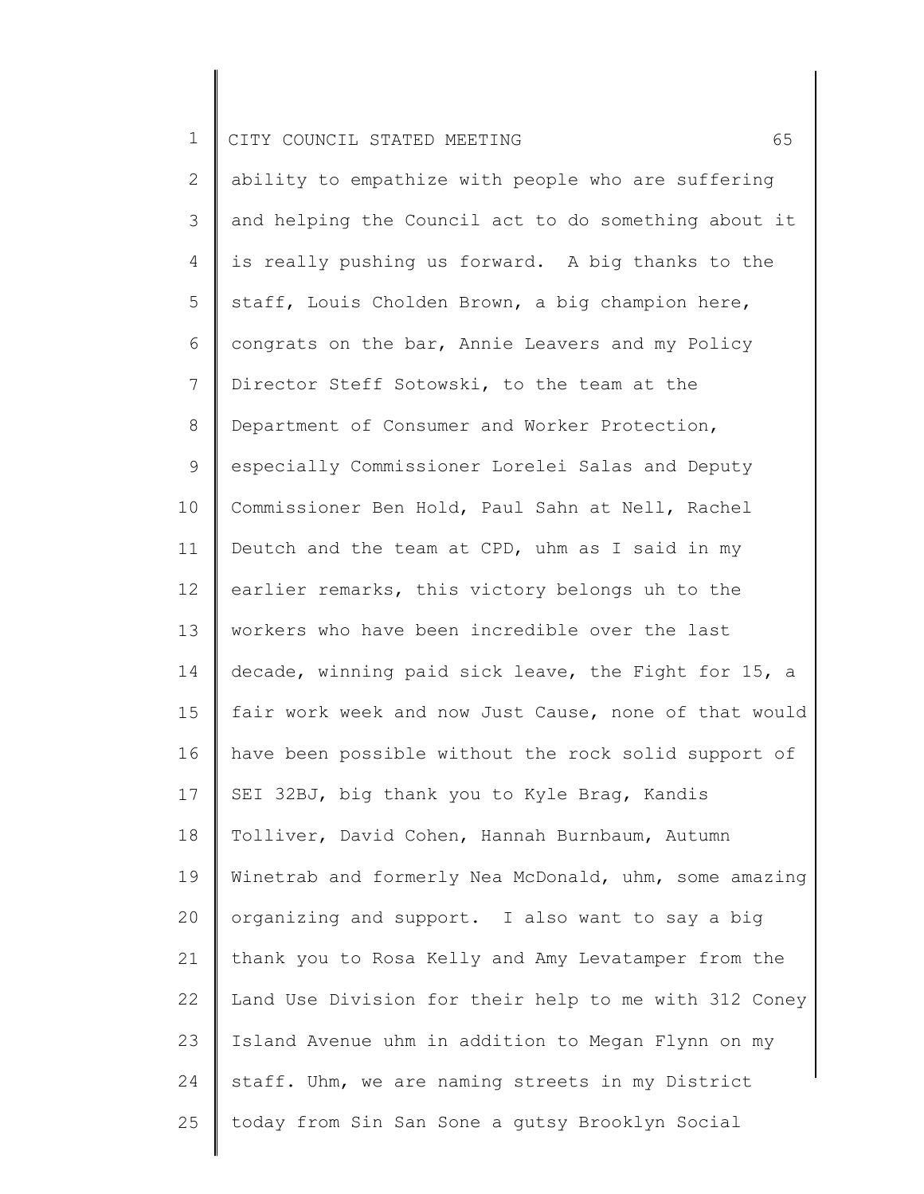2 3 4 5 6 7 8 9 10 11 12 13 14 15 16 17 18 19 20 21 22 23 24 25 ability to empathize with people who are suffering and helping the Council act to do something about it is really pushing us forward. A big thanks to the staff, Louis Cholden Brown, a big champion here, congrats on the bar, Annie Leavers and my Policy Director Steff Sotowski, to the team at the Department of Consumer and Worker Protection, especially Commissioner Lorelei Salas and Deputy Commissioner Ben Hold, Paul Sahn at Nell, Rachel Deutch and the team at CPD, uhm as I said in my earlier remarks, this victory belongs uh to the workers who have been incredible over the last decade, winning paid sick leave, the Fight for 15, a fair work week and now Just Cause, none of that would have been possible without the rock solid support of SEI 32BJ, big thank you to Kyle Brag, Kandis Tolliver, David Cohen, Hannah Burnbaum, Autumn Winetrab and formerly Nea McDonald, uhm, some amazing organizing and support. I also want to say a big thank you to Rosa Kelly and Amy Levatamper from the Land Use Division for their help to me with 312 Coney Island Avenue uhm in addition to Megan Flynn on my staff. Uhm, we are naming streets in my District today from Sin San Sone a gutsy Brooklyn Social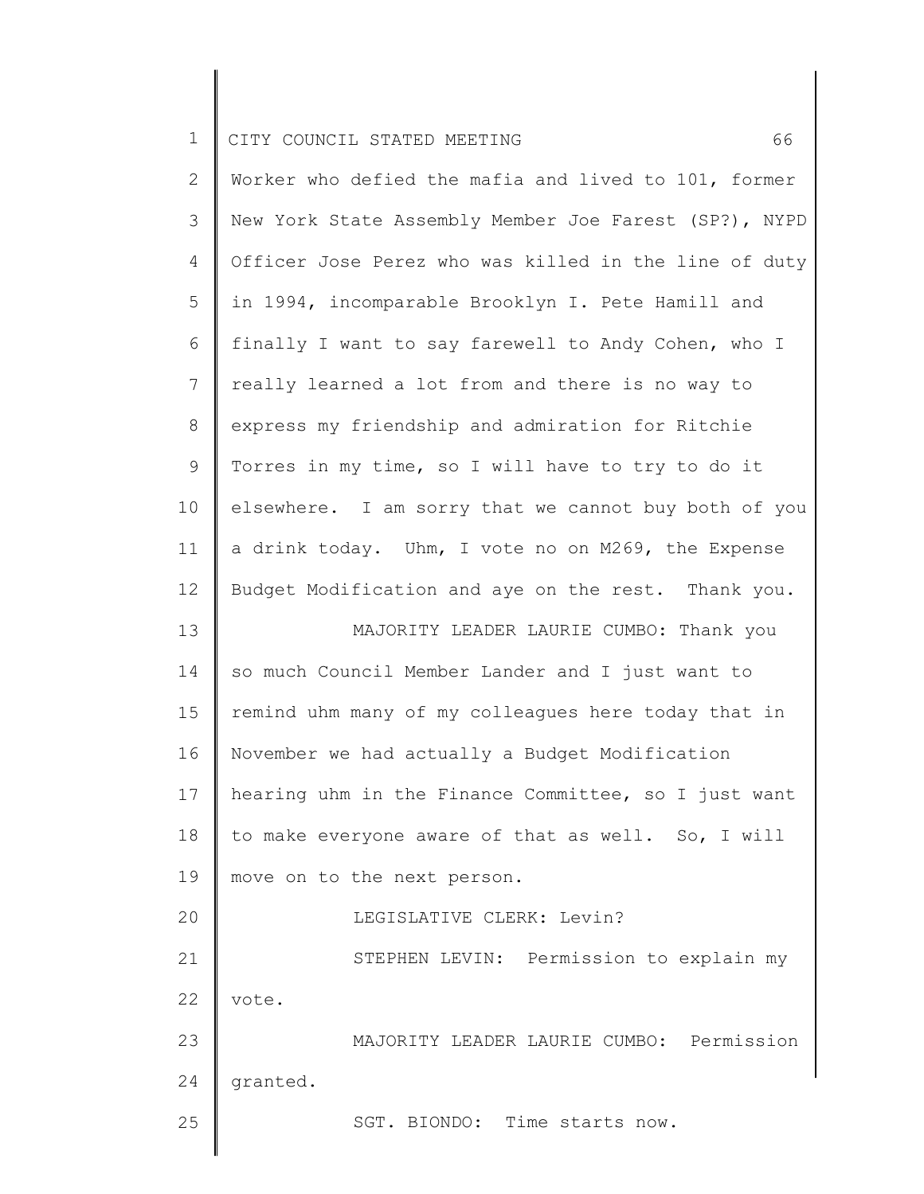|  |  | 1 CITY COUNCIL STATED MEETING |  |  |  |  |
|--|--|-------------------------------|--|--|--|--|
|--|--|-------------------------------|--|--|--|--|

| $\mathbf{2}$   | Worker who defied the mafia and lived to 101, former  |
|----------------|-------------------------------------------------------|
| 3              | New York State Assembly Member Joe Farest (SP?), NYPD |
| 4              | Officer Jose Perez who was killed in the line of duty |
| 5              | in 1994, incomparable Brooklyn I. Pete Hamill and     |
| 6              | finally I want to say farewell to Andy Cohen, who I   |
| $7\phantom{.}$ | really learned a lot from and there is no way to      |
| 8              | express my friendship and admiration for Ritchie      |
|                |                                                       |
| 9              | Torres in my time, so I will have to try to do it     |
| 10             | elsewhere. I am sorry that we cannot buy both of you  |
| 11             | a drink today. Uhm, I vote no on M269, the Expense    |
| 12             | Budget Modification and aye on the rest. Thank you.   |
| 13             | MAJORITY LEADER LAURIE CUMBO: Thank you               |
| 14             | so much Council Member Lander and I just want to      |
| 15             | remind uhm many of my colleagues here today that in   |
| 16             | November we had actually a Budget Modification        |
| 17             | hearing uhm in the Finance Committee, so I just want  |
| 18             | to make everyone aware of that as well. So, I will    |
| 19             | move on to the next person.                           |
| 20             | LEGISLATIVE CLERK: Levin?                             |
| 21             | STEPHEN LEVIN: Permission to explain my               |
| 22             | vote.                                                 |
| 23             | MAJORITY LEADER LAURIE CUMBO: Permission              |
| 24             | granted.                                              |
| 25             | SGT. BIONDO: Time starts now.                         |
|                |                                                       |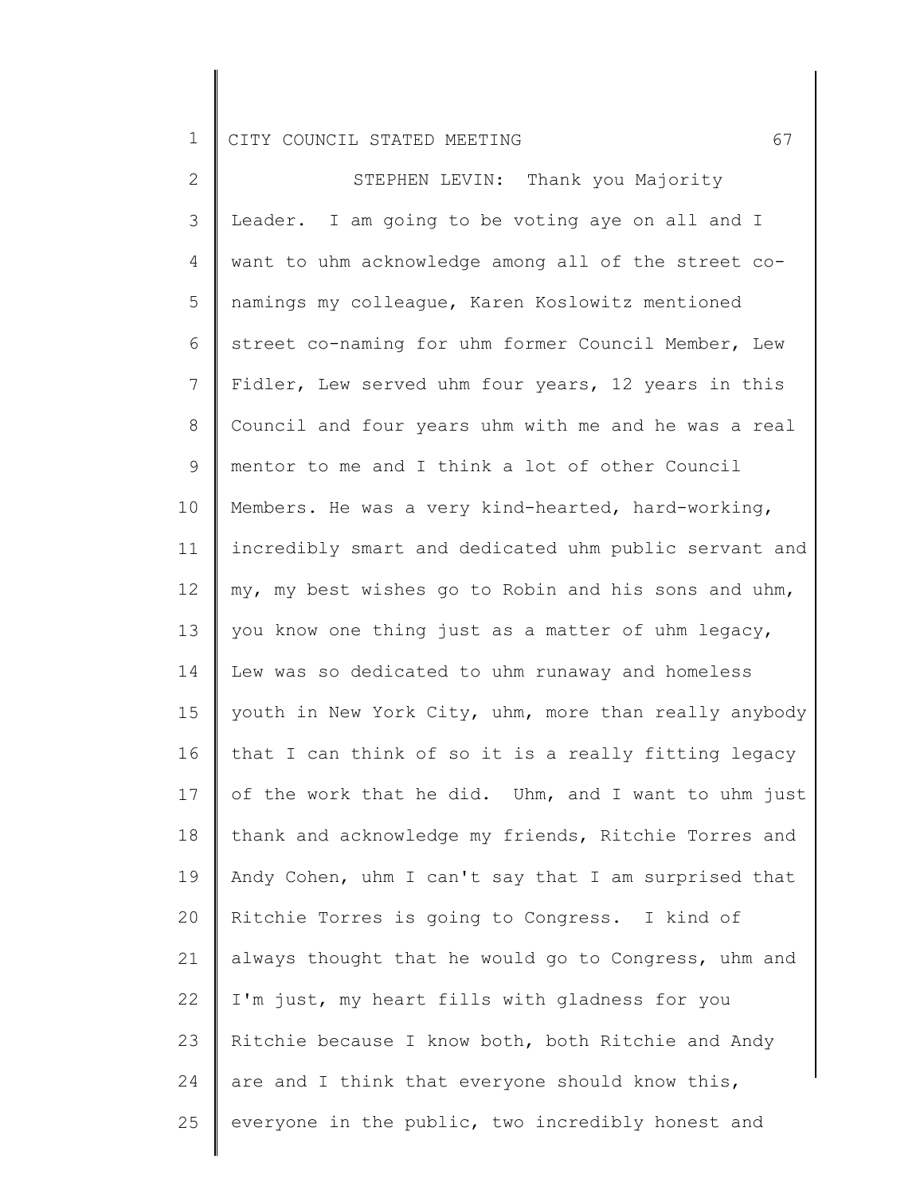2 3 4 5 6 7 8 9 10 11 12 13 14 15 16 17 18 19 20 21 22 23 24 25 STEPHEN LEVIN: Thank you Majority Leader. I am going to be voting aye on all and I want to uhm acknowledge among all of the street conamings my colleague, Karen Koslowitz mentioned street co-naming for uhm former Council Member, Lew Fidler, Lew served uhm four years, 12 years in this Council and four years uhm with me and he was a real mentor to me and I think a lot of other Council Members. He was a very kind-hearted, hard-working, incredibly smart and dedicated uhm public servant and my, my best wishes go to Robin and his sons and uhm, you know one thing just as a matter of uhm legacy, Lew was so dedicated to uhm runaway and homeless youth in New York City, uhm, more than really anybody that I can think of so it is a really fitting legacy of the work that he did. Uhm, and I want to uhm just thank and acknowledge my friends, Ritchie Torres and Andy Cohen, uhm I can't say that I am surprised that Ritchie Torres is going to Congress. I kind of always thought that he would go to Congress, uhm and I'm just, my heart fills with gladness for you Ritchie because I know both, both Ritchie and Andy are and I think that everyone should know this, everyone in the public, two incredibly honest and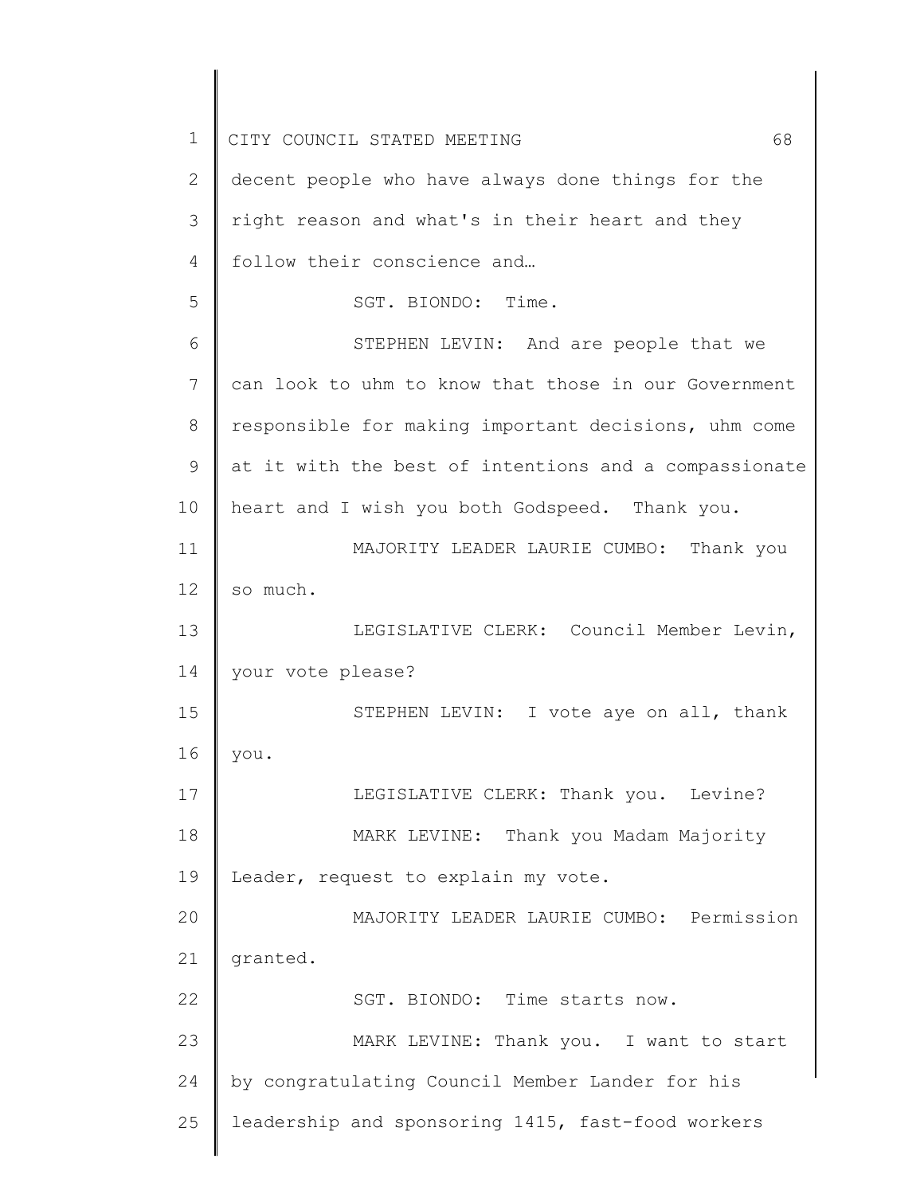| $\mathbf 1$    | CITY COUNCIL STATED MEETING<br>68                     |
|----------------|-------------------------------------------------------|
| $\overline{2}$ | decent people who have always done things for the     |
| 3              | right reason and what's in their heart and they       |
| 4              | follow their conscience and                           |
| 5              | SGT. BIONDO: Time.                                    |
| 6              | STEPHEN LEVIN: And are people that we                 |
| 7              | can look to uhm to know that those in our Government  |
| 8              | responsible for making important decisions, uhm come  |
| 9              | at it with the best of intentions and a compassionate |
| 10             | heart and I wish you both Godspeed. Thank you.        |
| 11             | MAJORITY LEADER LAURIE CUMBO: Thank you               |
| 12             | so much.                                              |
| 13             | LEGISLATIVE CLERK: Council Member Levin,              |
| 14             | your vote please?                                     |
| 15             | STEPHEN LEVIN: I vote aye on all, thank               |
| 16             | you.                                                  |
| 17             | LEGISLATIVE CLERK: Thank you. Levine?                 |
| 18             | MARK LEVINE: Thank you Madam Majority                 |
| 19             | Leader, request to explain my vote.                   |
| 20             | MAJORITY LEADER LAURIE CUMBO: Permission              |
| 21             | granted.                                              |
| 22             | SGT. BIONDO: Time starts now.                         |
| 23             | MARK LEVINE: Thank you. I want to start               |
| 24             | by congratulating Council Member Lander for his       |
| 25             | leadership and sponsoring 1415, fast-food workers     |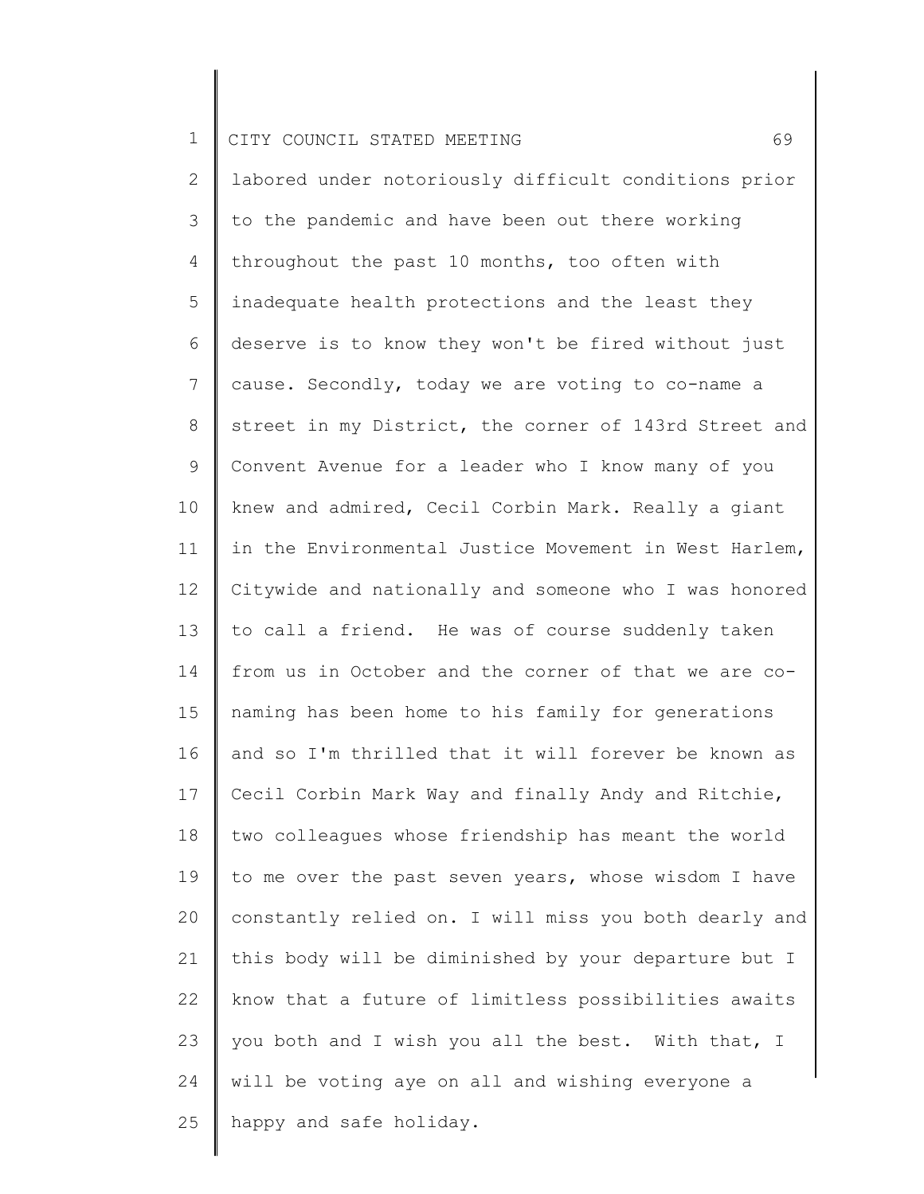2 3 4 5 6 7 8 9 10 11 12 13 14 15 16 17 18 19 20 21 22 23 24 25 labored under notoriously difficult conditions prior to the pandemic and have been out there working throughout the past 10 months, too often with inadequate health protections and the least they deserve is to know they won't be fired without just cause. Secondly, today we are voting to co-name a street in my District, the corner of 143rd Street and Convent Avenue for a leader who I know many of you knew and admired, Cecil Corbin Mark. Really a giant in the Environmental Justice Movement in West Harlem, Citywide and nationally and someone who I was honored to call a friend. He was of course suddenly taken from us in October and the corner of that we are conaming has been home to his family for generations and so I'm thrilled that it will forever be known as Cecil Corbin Mark Way and finally Andy and Ritchie, two colleagues whose friendship has meant the world to me over the past seven years, whose wisdom I have constantly relied on. I will miss you both dearly and this body will be diminished by your departure but I know that a future of limitless possibilities awaits you both and I wish you all the best. With that, I will be voting aye on all and wishing everyone a happy and safe holiday.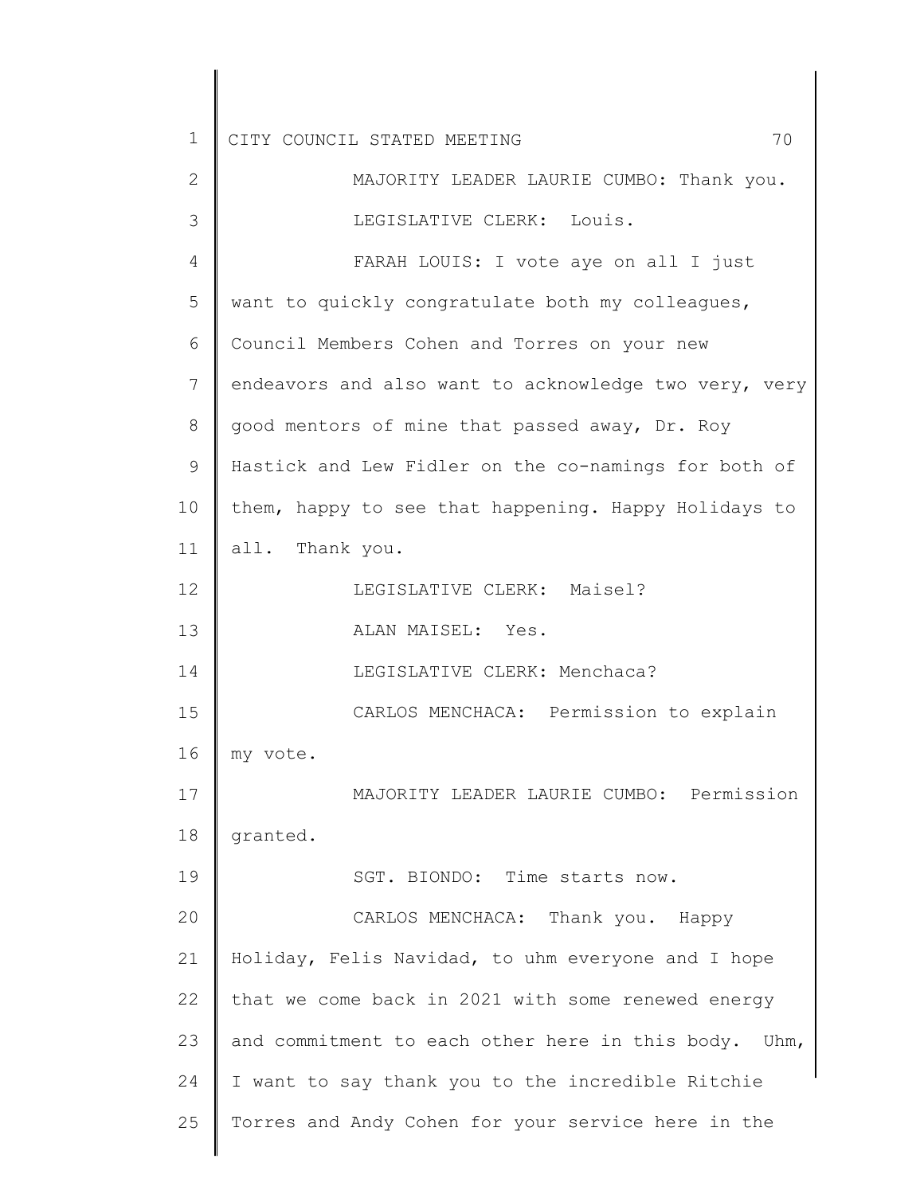| 1  | 70<br>CITY COUNCIL STATED MEETING                     |
|----|-------------------------------------------------------|
| 2  | MAJORITY LEADER LAURIE CUMBO: Thank you.              |
| 3  | LEGISLATIVE CLERK: Louis.                             |
| 4  | FARAH LOUIS: I vote aye on all I just                 |
| 5  | want to quickly congratulate both my colleagues,      |
| 6  | Council Members Cohen and Torres on your new          |
| 7  | endeavors and also want to acknowledge two very, very |
| 8  | good mentors of mine that passed away, Dr. Roy        |
| 9  | Hastick and Lew Fidler on the co-namings for both of  |
| 10 | them, happy to see that happening. Happy Holidays to  |
| 11 | all. Thank you.                                       |
| 12 | LEGISLATIVE CLERK: Maisel?                            |
| 13 | ALAN MAISEL: Yes.                                     |
| 14 | LEGISLATIVE CLERK: Menchaca?                          |
| 15 | CARLOS MENCHACA: Permission to explain                |
| 16 | my vote.                                              |
| 17 | MAJORITY LEADER LAURIE CUMBO: Permission              |
| 18 | granted.                                              |
| 19 | SGT. BIONDO: Time starts now.                         |
| 20 | CARLOS MENCHACA: Thank you. Happy                     |
| 21 | Holiday, Felis Navidad, to uhm everyone and I hope    |
| 22 | that we come back in 2021 with some renewed energy    |
| 23 | and commitment to each other here in this body. Uhm,  |
| 24 | I want to say thank you to the incredible Ritchie     |
| 25 | Torres and Andy Cohen for your service here in the    |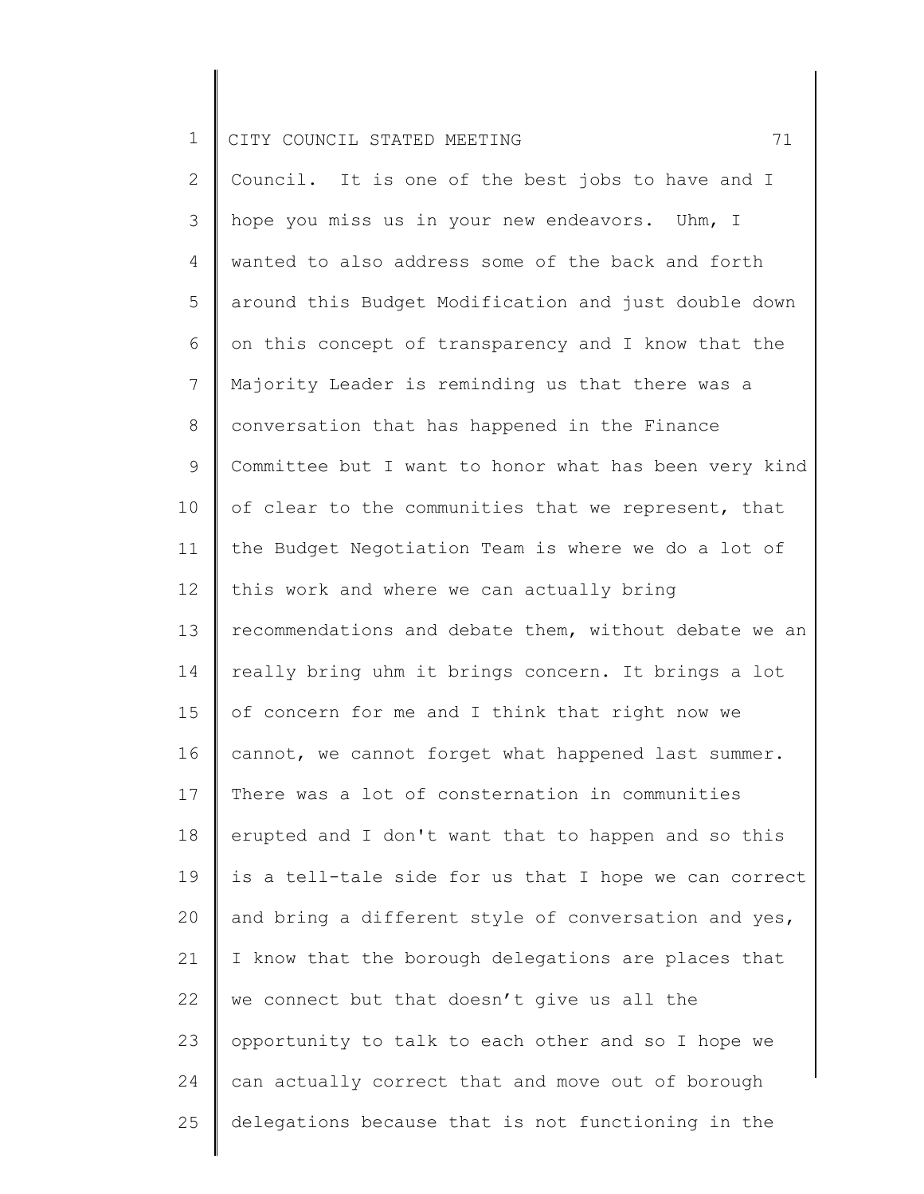2 3 4 5 6 7 8 9 10 11 12 13 14 15 16 17 18 19 20 21 22 23 24 25 Council. It is one of the best jobs to have and I hope you miss us in your new endeavors. Uhm, I wanted to also address some of the back and forth around this Budget Modification and just double down on this concept of transparency and I know that the Majority Leader is reminding us that there was a conversation that has happened in the Finance Committee but I want to honor what has been very kind of clear to the communities that we represent, that the Budget Negotiation Team is where we do a lot of this work and where we can actually bring recommendations and debate them, without debate we an really bring uhm it brings concern. It brings a lot of concern for me and I think that right now we cannot, we cannot forget what happened last summer. There was a lot of consternation in communities erupted and I don't want that to happen and so this is a tell-tale side for us that I hope we can correct and bring a different style of conversation and yes, I know that the borough delegations are places that we connect but that doesn't give us all the opportunity to talk to each other and so I hope we can actually correct that and move out of borough delegations because that is not functioning in the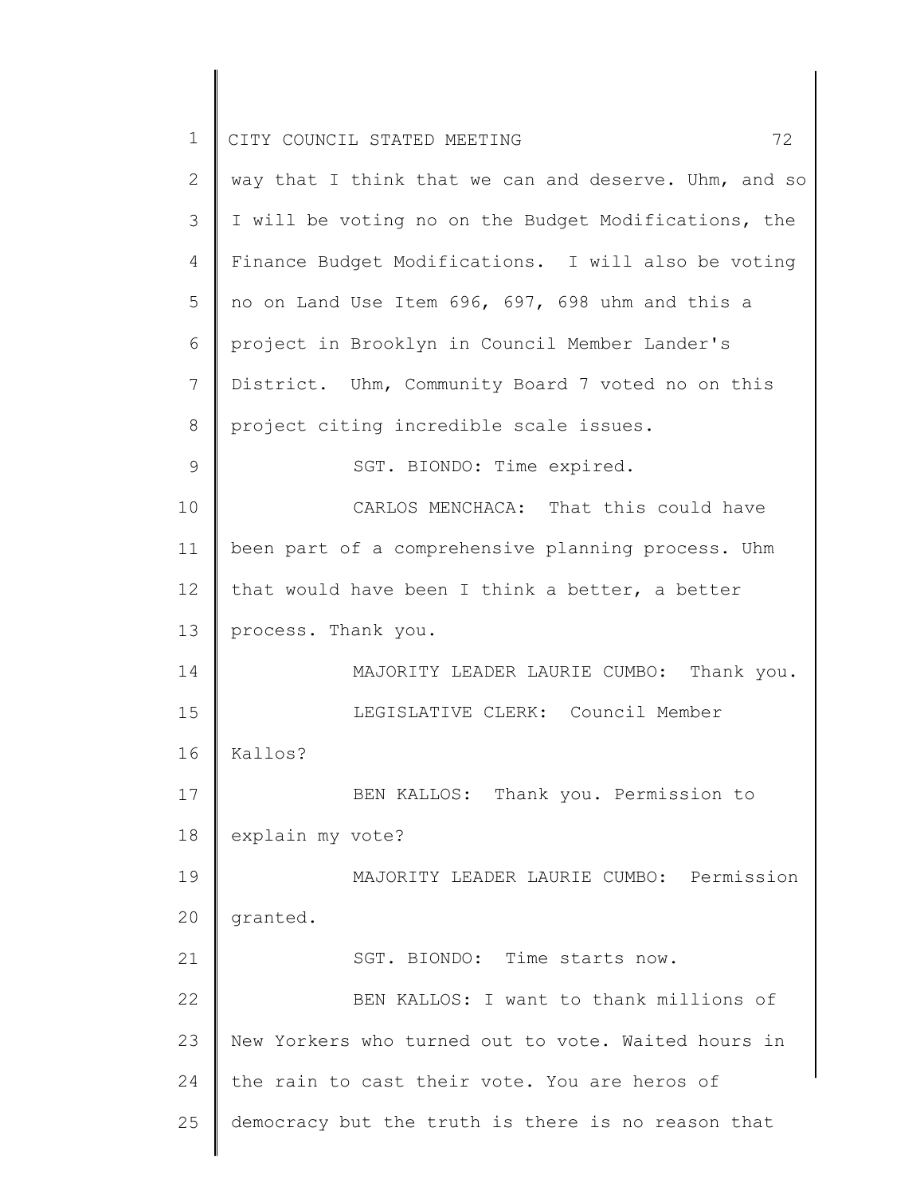| $\mathbf 1$    | 72<br>CITY COUNCIL STATED MEETING                     |
|----------------|-------------------------------------------------------|
| 2              | way that I think that we can and deserve. Uhm, and so |
| 3              | I will be voting no on the Budget Modifications, the  |
| $\overline{4}$ | Finance Budget Modifications. I will also be voting   |
| 5              | no on Land Use Item 696, 697, 698 uhm and this a      |
| 6              | project in Brooklyn in Council Member Lander's        |
| 7              | District. Uhm, Community Board 7 voted no on this     |
| 8              | project citing incredible scale issues.               |
| $\mathcal{G}$  | SGT. BIONDO: Time expired.                            |
| 10             | CARLOS MENCHACA: That this could have                 |
| 11             | been part of a comprehensive planning process. Uhm    |
| 12             | that would have been I think a better, a better       |
| 13             | process. Thank you.                                   |
| 14             | MAJORITY LEADER LAURIE CUMBO: Thank you.              |
| 15             | LEGISLATIVE CLERK: Council Member                     |
| 16             | Kallos?                                               |
| 17             | BEN KALLOS: Thank you. Permission to                  |
| 18             | explain my vote?                                      |
| 19             | MAJORITY LEADER LAURIE CUMBO: Permission              |
| 20             | granted.                                              |
| 21             | SGT. BIONDO: Time starts now.                         |
| 22             | BEN KALLOS: I want to thank millions of               |
| 23             | New Yorkers who turned out to vote. Waited hours in   |
| 24             | the rain to cast their vote. You are heros of         |
| 25             | democracy but the truth is there is no reason that    |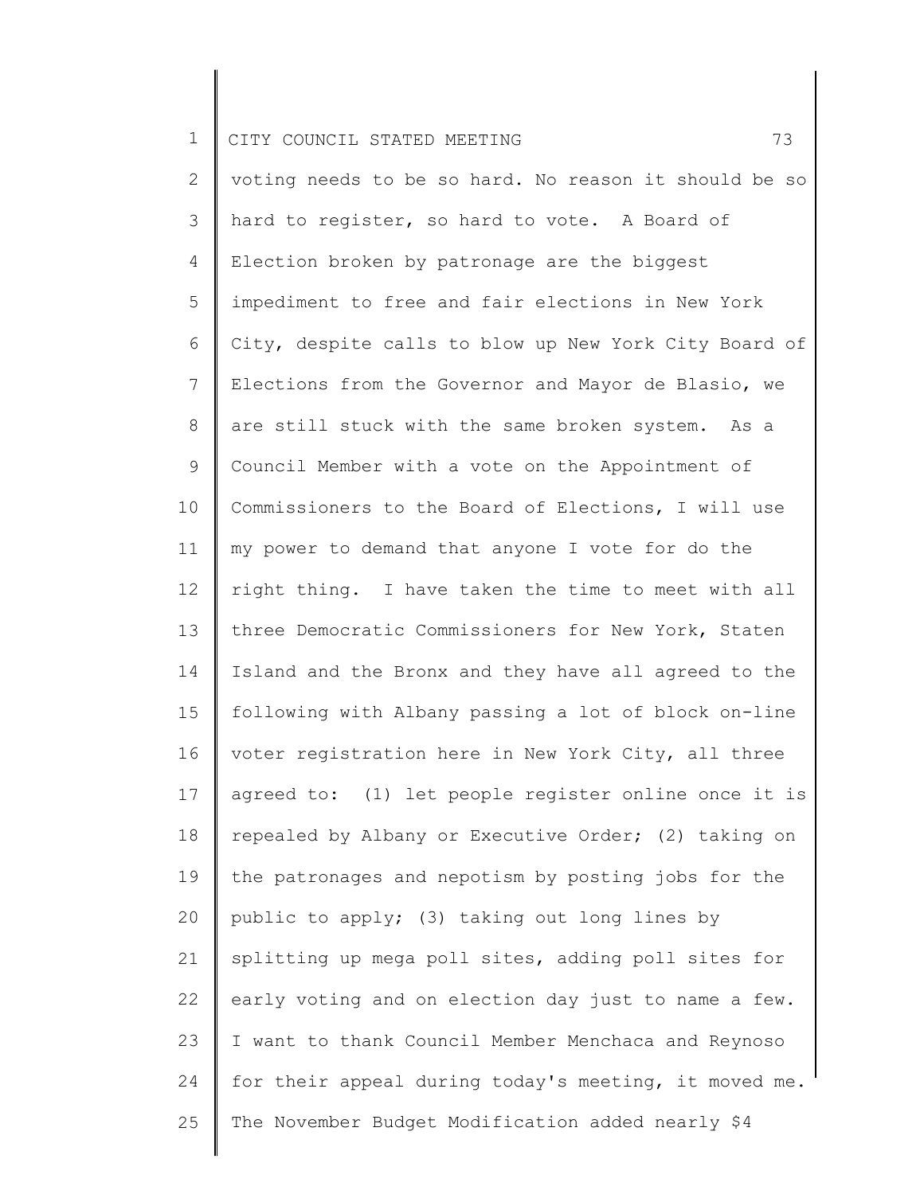| <b>노</b> |  | CITY COUNCIL STATED MEETING |  |  |  |  |  |
|----------|--|-----------------------------|--|--|--|--|--|
|----------|--|-----------------------------|--|--|--|--|--|

2 3 4 5 6 7 8 9 10 11 12 13 14 15 16 17 18 19 20 21 22 23 24 25 voting needs to be so hard. No reason it should be so hard to register, so hard to vote. A Board of Election broken by patronage are the biggest impediment to free and fair elections in New York City, despite calls to blow up New York City Board of Elections from the Governor and Mayor de Blasio, we are still stuck with the same broken system. As a Council Member with a vote on the Appointment of Commissioners to the Board of Elections, I will use my power to demand that anyone I vote for do the right thing. I have taken the time to meet with all three Democratic Commissioners for New York, Staten Island and the Bronx and they have all agreed to the following with Albany passing a lot of block on-line voter registration here in New York City, all three agreed to: (1) let people register online once it is repealed by Albany or Executive Order; (2) taking on the patronages and nepotism by posting jobs for the public to apply; (3) taking out long lines by splitting up mega poll sites, adding poll sites for early voting and on election day just to name a few. I want to thank Council Member Menchaca and Reynoso for their appeal during today's meeting, it moved me. The November Budget Modification added nearly \$4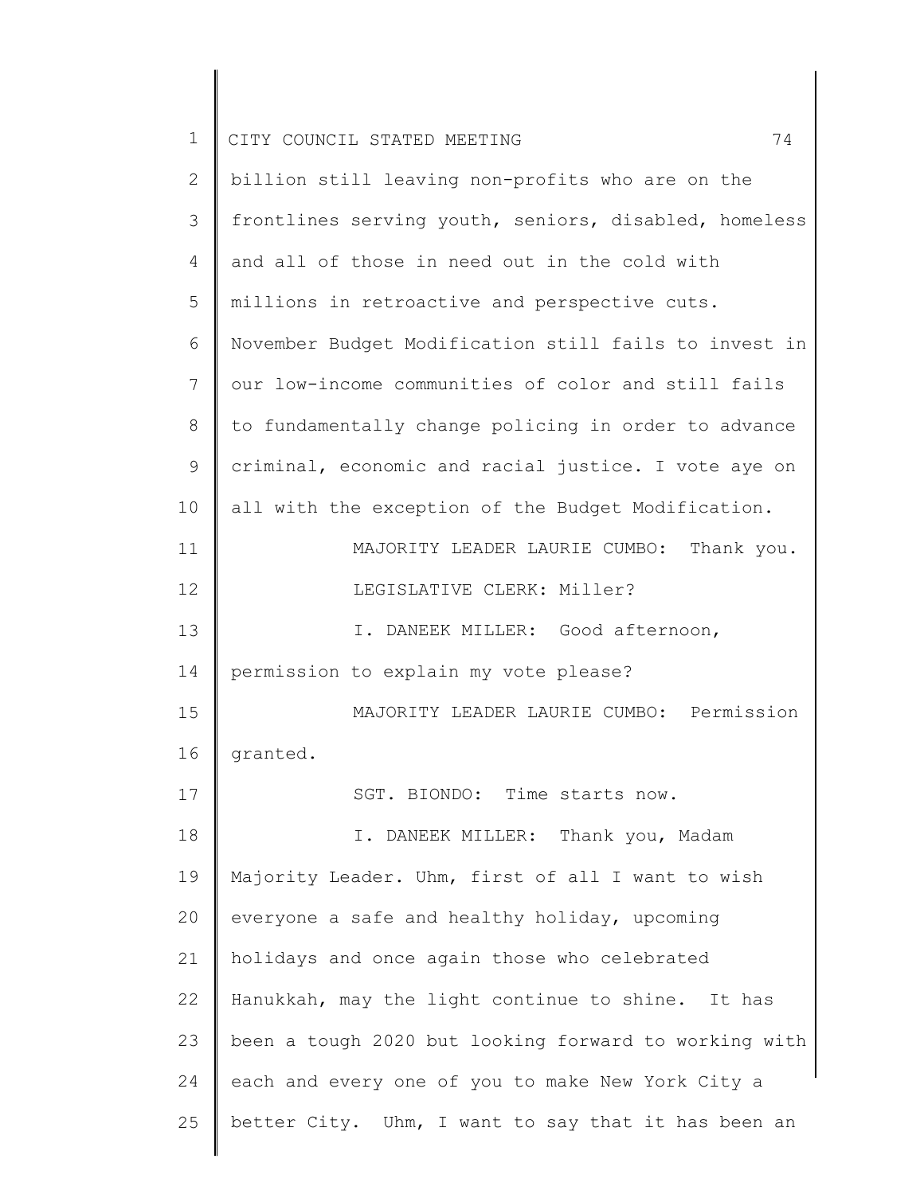| $\mathbf 1$  | 74<br>CITY COUNCIL STATED MEETING                     |
|--------------|-------------------------------------------------------|
| $\mathbf{2}$ | billion still leaving non-profits who are on the      |
|              |                                                       |
| 3            | frontlines serving youth, seniors, disabled, homeless |
| 4            | and all of those in need out in the cold with         |
| 5            | millions in retroactive and perspective cuts.         |
| 6            | November Budget Modification still fails to invest in |
| 7            | our low-income communities of color and still fails   |
| 8            | to fundamentally change policing in order to advance  |
| $\mathsf 9$  | criminal, economic and racial justice. I vote aye on  |
| 10           | all with the exception of the Budget Modification.    |
| 11           | MAJORITY LEADER LAURIE CUMBO:<br>Thank you.           |
| 12           | LEGISLATIVE CLERK: Miller?                            |
| 13           | I. DANEEK MILLER: Good afternoon,                     |
| 14           | permission to explain my vote please?                 |
| 15           | MAJORITY LEADER LAURIE CUMBO: Permission              |
| 16           | granted.                                              |
| 17           | SGT. BIONDO: Time starts now.                         |
| 18           | I. DANEEK MILLER: Thank you, Madam                    |
| 19           | Majority Leader. Uhm, first of all I want to wish     |
| 20           | everyone a safe and healthy holiday, upcoming         |
| 21           | holidays and once again those who celebrated          |
| 22           | Hanukkah, may the light continue to shine. It has     |
| 23           | been a tough 2020 but looking forward to working with |
| 24           | each and every one of you to make New York City a     |
| 25           | better City. Uhm, I want to say that it has been an   |
|              |                                                       |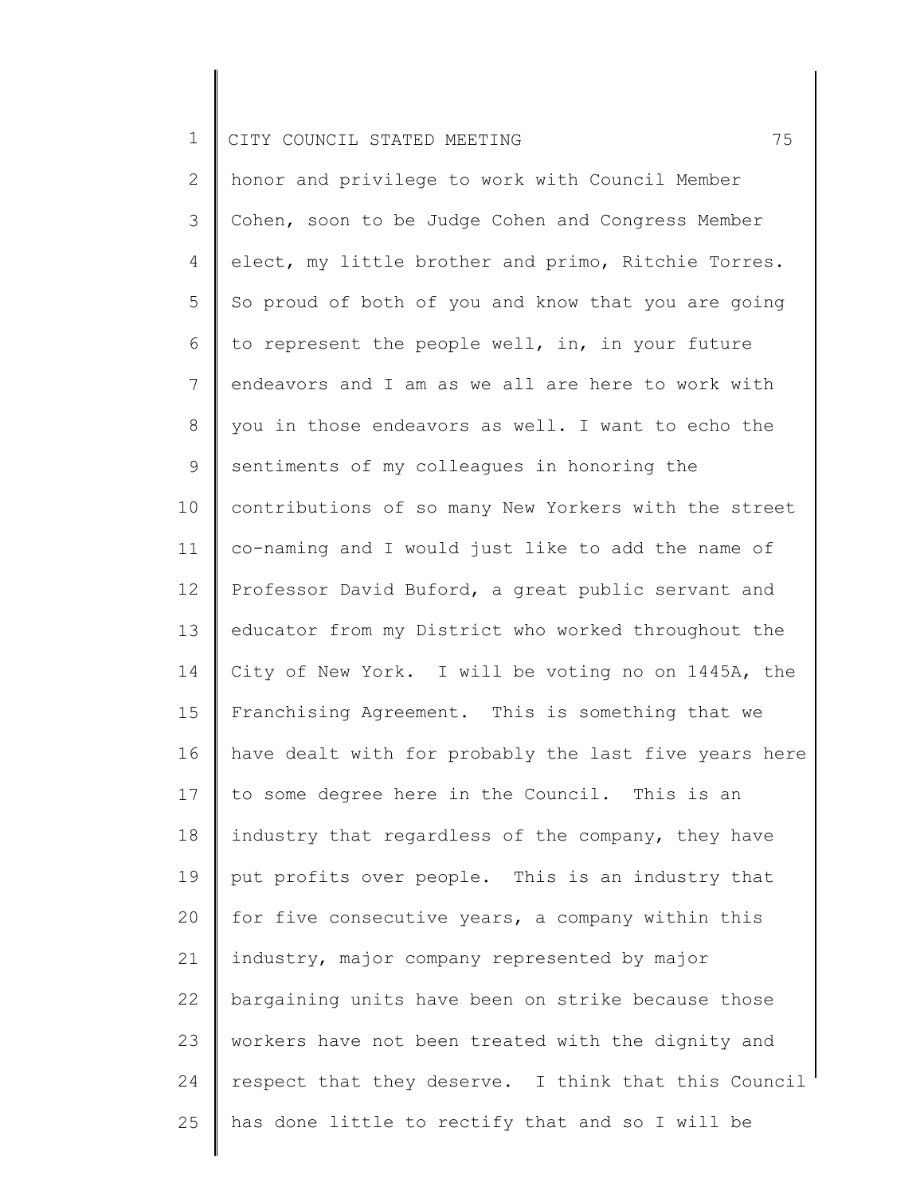2 3 4 5 6 7 8 9 10 11 12 13 14 15 16 17 18 19 20 21 22 23 24 25 honor and privilege to work with Council Member Cohen, soon to be Judge Cohen and Congress Member elect, my little brother and primo, Ritchie Torres. So proud of both of you and know that you are going to represent the people well, in, in your future endeavors and I am as we all are here to work with you in those endeavors as well. I want to echo the sentiments of my colleagues in honoring the contributions of so many New Yorkers with the street co-naming and I would just like to add the name of Professor David Buford, a great public servant and educator from my District who worked throughout the City of New York. I will be voting no on 1445A, the Franchising Agreement. This is something that we have dealt with for probably the last five years here to some degree here in the Council. This is an industry that regardless of the company, they have put profits over people. This is an industry that for five consecutive years, a company within this industry, major company represented by major bargaining units have been on strike because those workers have not been treated with the dignity and respect that they deserve. I think that this Council has done little to rectify that and so I will be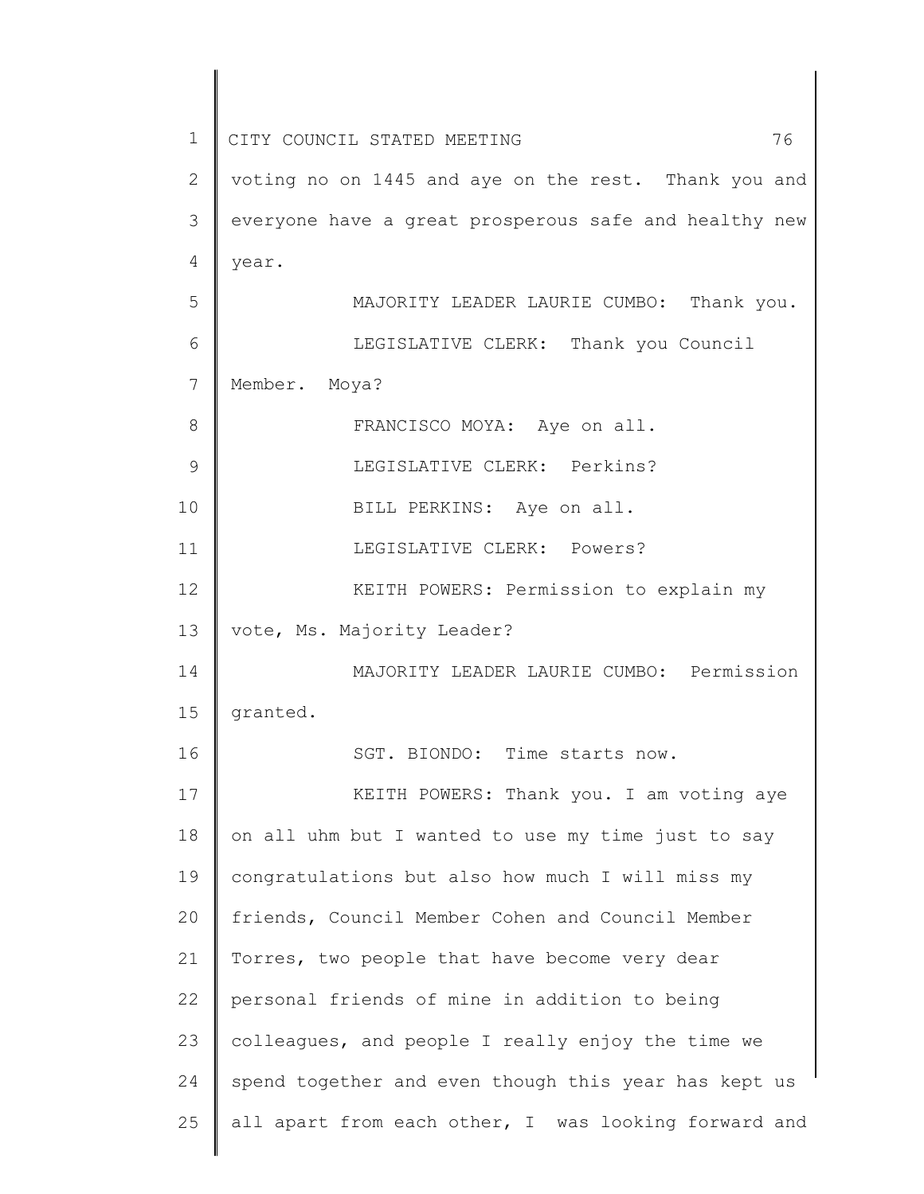1 2 3 4 5 6 7 8 9 10 11 12 13 14 15 16 17 18 19 20 21 22 23 24 25 CITY COUNCIL STATED MEETING 76 voting no on 1445 and aye on the rest. Thank you and everyone have a great prosperous safe and healthy new year. MAJORITY LEADER LAURIE CUMBO: Thank you. LEGISLATIVE CLERK: Thank you Council Member. Moya? FRANCISCO MOYA: Aye on all. LEGISLATIVE CLERK: Perkins? BILL PERKINS: Aye on all. LEGISLATIVE CLERK: Powers? KEITH POWERS: Permission to explain my vote, Ms. Majority Leader? MAJORITY LEADER LAURIE CUMBO: Permission granted. SGT. BIONDO: Time starts now. KEITH POWERS: Thank you. I am voting aye on all uhm but I wanted to use my time just to say congratulations but also how much I will miss my friends, Council Member Cohen and Council Member Torres, two people that have become very dear personal friends of mine in addition to being colleagues, and people I really enjoy the time we spend together and even though this year has kept us all apart from each other, I was looking forward and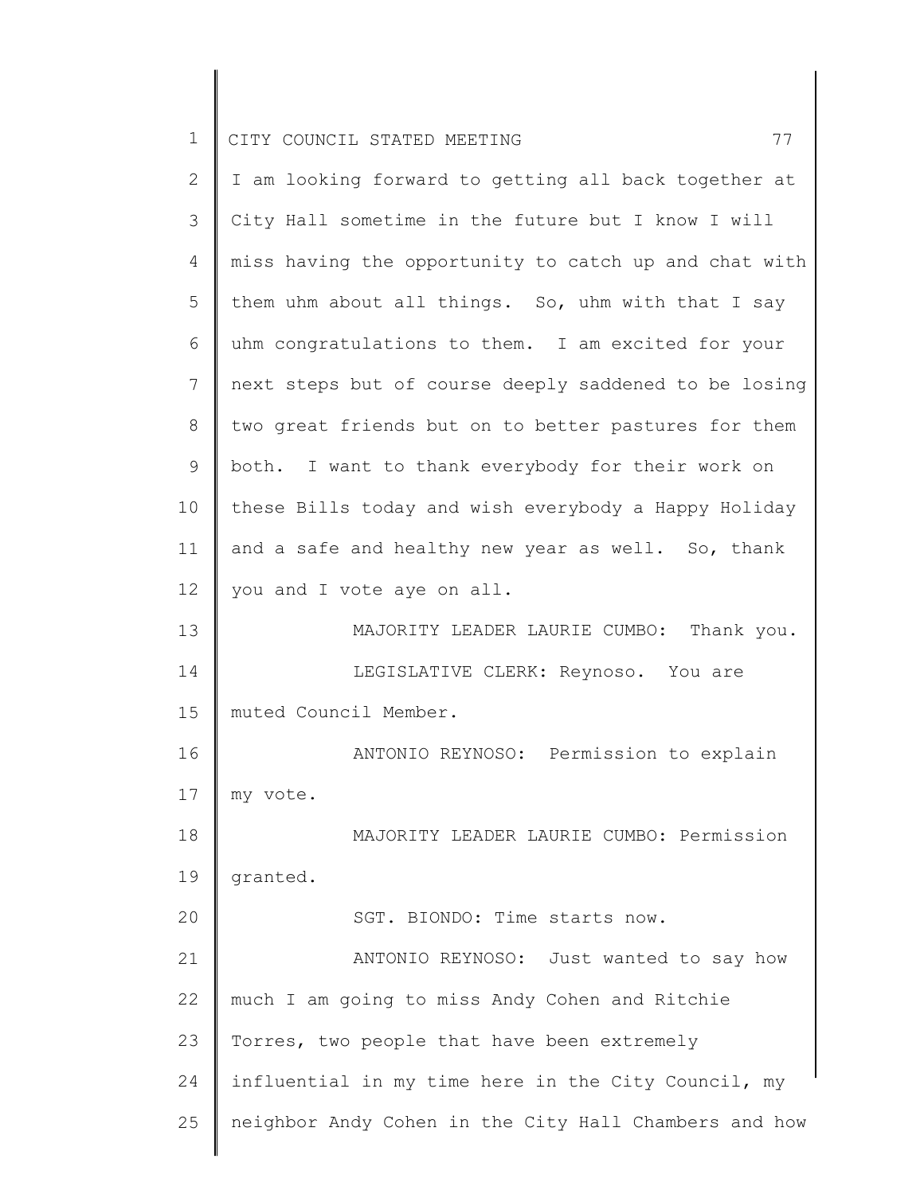|  | CITY COUNCIL STATED MEETING |  |  |  |
|--|-----------------------------|--|--|--|
|  |                             |  |  |  |

| $\mathbf{2}$    | I am looking forward to getting all back together at  |
|-----------------|-------------------------------------------------------|
| 3               | City Hall sometime in the future but I know I will    |
| $\overline{4}$  | miss having the opportunity to catch up and chat with |
| 5               | them uhm about all things. So, uhm with that I say    |
| 6               | uhm congratulations to them. I am excited for your    |
| $7\phantom{.0}$ | next steps but of course deeply saddened to be losing |
| 8               | two great friends but on to better pastures for them  |
| 9               | both. I want to thank everybody for their work on     |
| 10              | these Bills today and wish everybody a Happy Holiday  |
| 11              | and a safe and healthy new year as well. So, thank    |
| 12              | you and I vote aye on all.                            |
| 13              | MAJORITY LEADER LAURIE CUMBO: Thank you.              |
| 14              | LEGISLATIVE CLERK: Reynoso. You are                   |
| 15              | muted Council Member.                                 |
| 16              | ANTONIO REYNOSO: Permission to explain                |
| 17              | my vote.                                              |
| 18              | MAJORITY LEADER LAURIE CUMBO: Permission              |
| 19              | granted.                                              |
| 20              | SGT. BIONDO: Time starts now.                         |
| 21              | ANTONIO REYNOSO: Just wanted to say how               |
| 22              | much I am going to miss Andy Cohen and Ritchie        |
| 23              | Torres, two people that have been extremely           |
| 24              | influential in my time here in the City Council, my   |
| 25              | neighbor Andy Cohen in the City Hall Chambers and how |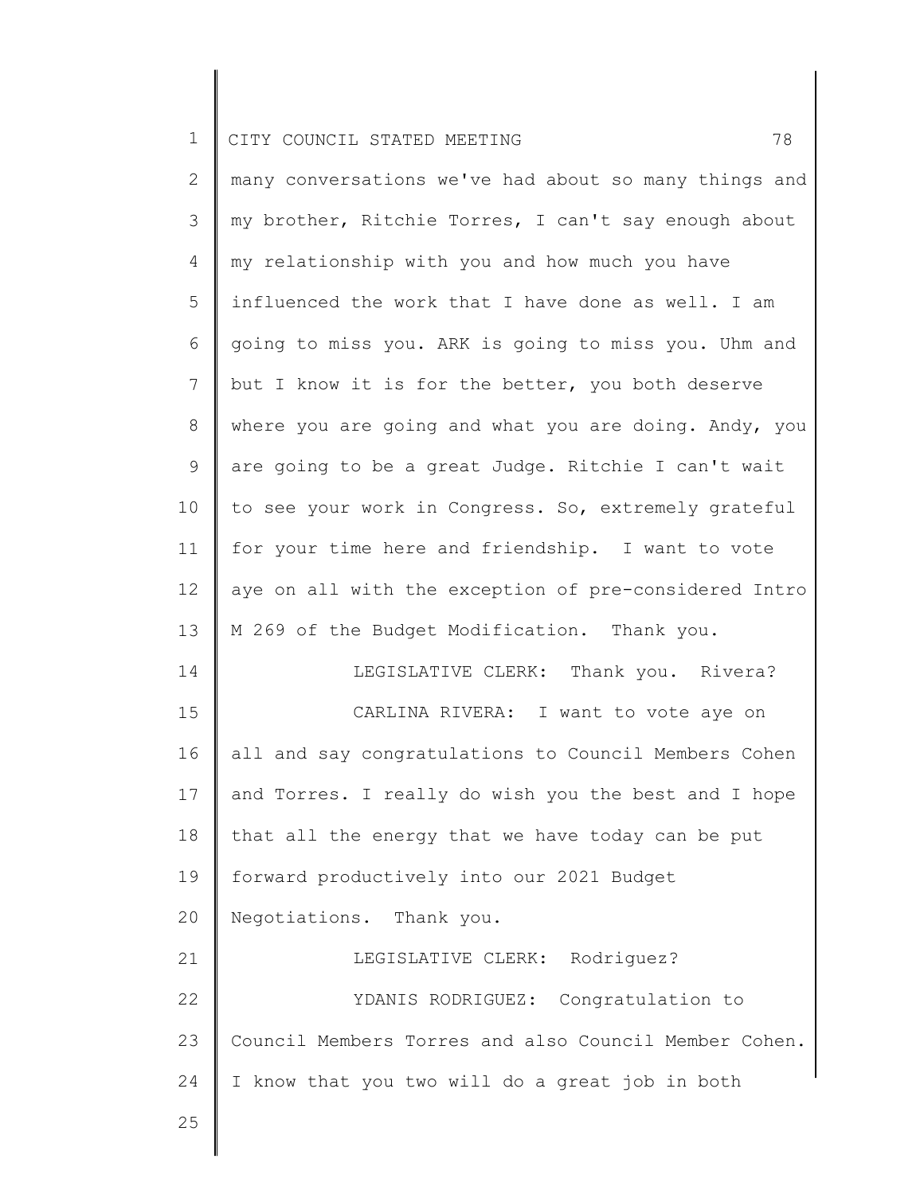|  | CITY COUNCIL STATED MEETING |  |  |  |
|--|-----------------------------|--|--|--|
|  |                             |  |  |  |

| $\overline{2}$ | many conversations we've had about so many things and |
|----------------|-------------------------------------------------------|
| 3              | my brother, Ritchie Torres, I can't say enough about  |
| 4              | my relationship with you and how much you have        |
| 5              | influenced the work that I have done as well. I am    |
| 6              | going to miss you. ARK is going to miss you. Uhm and  |
| $\overline{7}$ | but I know it is for the better, you both deserve     |
| $8\,$          | where you are going and what you are doing. Andy, you |
| 9              | are going to be a great Judge. Ritchie I can't wait   |
| 10             | to see your work in Congress. So, extremely grateful  |
| 11             | for your time here and friendship. I want to vote     |
| 12             | aye on all with the exception of pre-considered Intro |
| 13             | M 269 of the Budget Modification. Thank you.          |
| 14             | LEGISLATIVE CLERK: Thank you. Rivera?                 |
| 15             | CARLINA RIVERA: I want to vote aye on                 |
| 16             | all and say congratulations to Council Members Cohen  |
| 17             | and Torres. I really do wish you the best and I hope  |
| 18             | that all the energy that we have today can be put     |
| 19             | forward productively into our 2021 Budget             |
| 20             | Negotiations. Thank you.                              |
| 21             | LEGISLATIVE CLERK: Rodriquez?                         |
| 22             | YDANIS RODRIGUEZ: Congratulation to                   |
| 23             | Council Members Torres and also Council Member Cohen. |
| 24             | I know that you two will do a great job in both       |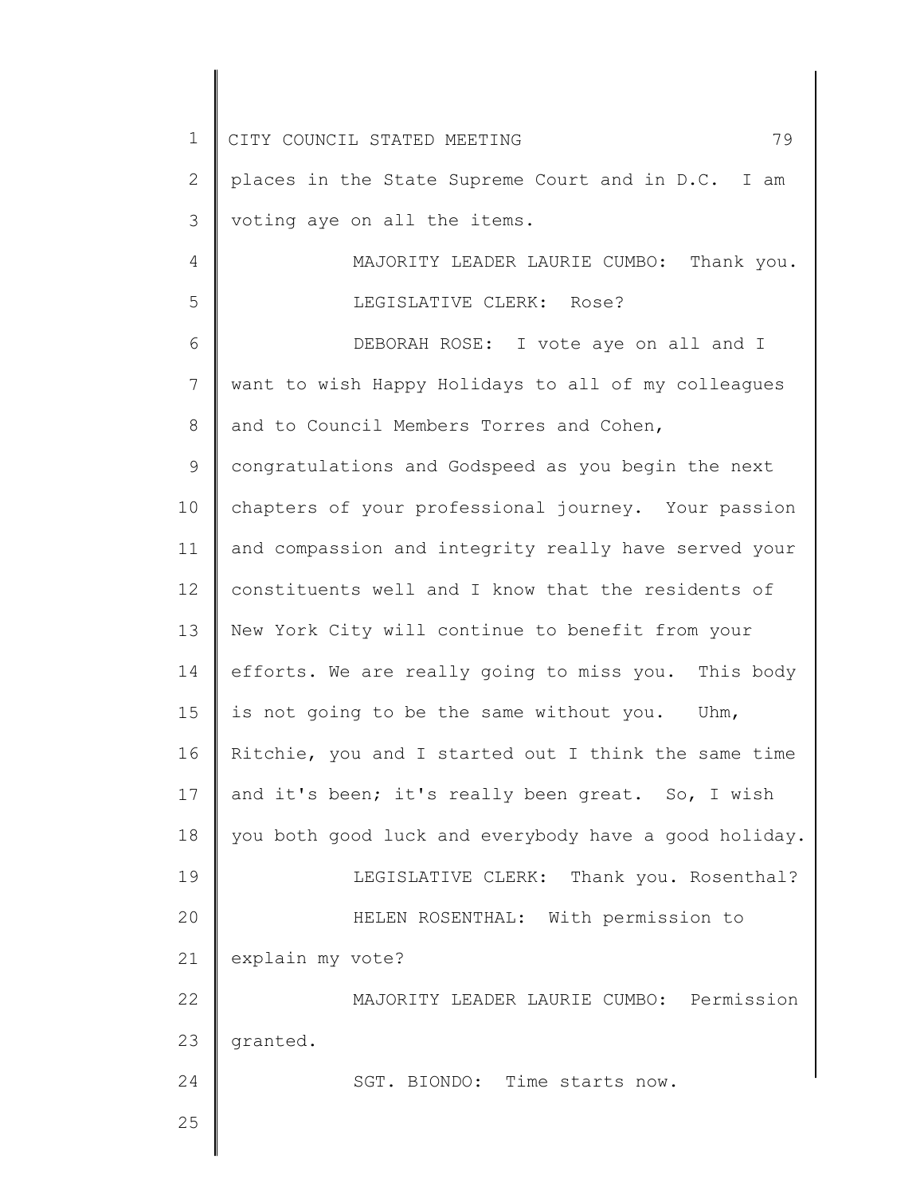| $\mathbf 1$ | 79<br>CITY COUNCIL STATED MEETING                     |
|-------------|-------------------------------------------------------|
| 2           | places in the State Supreme Court and in D.C. I am    |
| 3           | voting aye on all the items.                          |
| 4           | MAJORITY LEADER LAURIE CUMBO: Thank you.              |
| 5           | LEGISLATIVE CLERK: Rose?                              |
| 6           | DEBORAH ROSE: I vote aye on all and I                 |
| 7           | want to wish Happy Holidays to all of my colleagues   |
| 8           | and to Council Members Torres and Cohen,              |
| 9           | congratulations and Godspeed as you begin the next    |
| 10          | chapters of your professional journey. Your passion   |
| 11          | and compassion and integrity really have served your  |
| 12          | constituents well and I know that the residents of    |
| 13          | New York City will continue to benefit from your      |
| 14          | efforts. We are really going to miss you. This body   |
| 15          | is not going to be the same without you. Uhm,         |
| 16          | Ritchie, you and I started out I think the same time  |
| 17          | and it's been; it's really been great. So, I wish     |
| 18          | you both good luck and everybody have a good holiday. |
| 19          | LEGISLATIVE CLERK: Thank you. Rosenthal?              |
| 20          | HELEN ROSENTHAL: With permission to                   |
| 21          | explain my vote?                                      |
| 22          | MAJORITY LEADER LAURIE CUMBO: Permission              |
| 23          | granted.                                              |
| 24          | SGT. BIONDO: Time starts now.                         |
| 25          |                                                       |
|             |                                                       |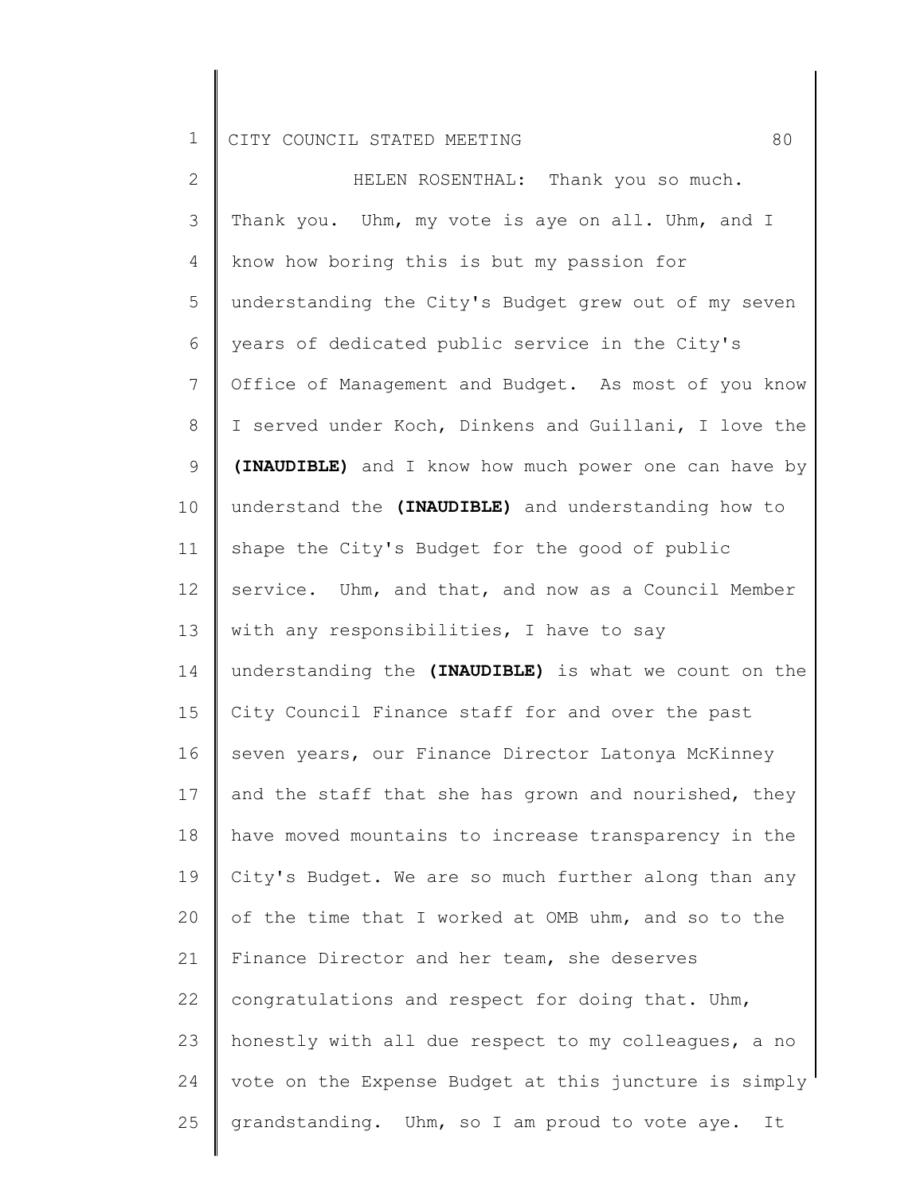2 3 4 5 6 7 8 9 10 11 12 13 14 15 16 17 18 19 20 21 22 23 24 25 HELEN ROSENTHAL: Thank you so much. Thank you. Uhm, my vote is aye on all. Uhm, and I know how boring this is but my passion for understanding the City's Budget grew out of my seven years of dedicated public service in the City's Office of Management and Budget. As most of you know I served under Koch, Dinkens and Guillani, I love the **(INAUDIBLE)** and I know how much power one can have by understand the **(INAUDIBLE)** and understanding how to shape the City's Budget for the good of public service. Uhm, and that, and now as a Council Member with any responsibilities, I have to say understanding the **(INAUDIBLE)** is what we count on the City Council Finance staff for and over the past seven years, our Finance Director Latonya McKinney and the staff that she has grown and nourished, they have moved mountains to increase transparency in the City's Budget. We are so much further along than any of the time that I worked at OMB uhm, and so to the Finance Director and her team, she deserves congratulations and respect for doing that. Uhm, honestly with all due respect to my colleagues, a no vote on the Expense Budget at this juncture is simply grandstanding. Uhm, so I am proud to vote aye. It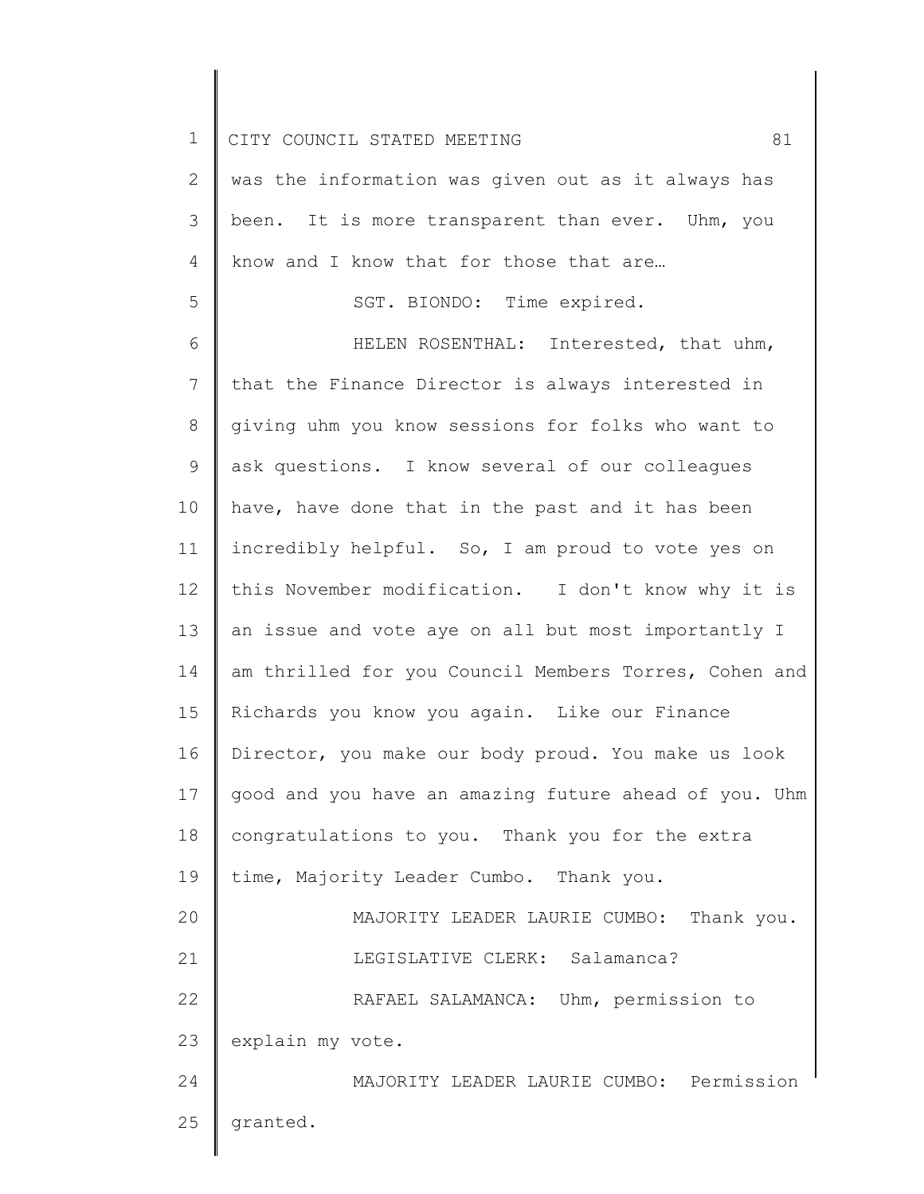1 2 3 4 5 6 7 8 9 10 11 12 13 14 15 16 17 18 19 20 21 22 23 24 25 CITY COUNCIL STATED MEETING 61 was the information was given out as it always has been. It is more transparent than ever. Uhm, you know and I know that for those that are… SGT. BIONDO: Time expired. HELEN ROSENTHAL: Interested, that uhm, that the Finance Director is always interested in giving uhm you know sessions for folks who want to ask questions. I know several of our colleagues have, have done that in the past and it has been incredibly helpful. So, I am proud to vote yes on this November modification. I don't know why it is an issue and vote aye on all but most importantly I am thrilled for you Council Members Torres, Cohen and Richards you know you again. Like our Finance Director, you make our body proud. You make us look good and you have an amazing future ahead of you. Uhm congratulations to you. Thank you for the extra time, Majority Leader Cumbo. Thank you. MAJORITY LEADER LAURIE CUMBO: Thank you. LEGISLATIVE CLERK: Salamanca? RAFAEL SALAMANCA: Uhm, permission to explain my vote. MAJORITY LEADER LAURIE CUMBO: Permission granted.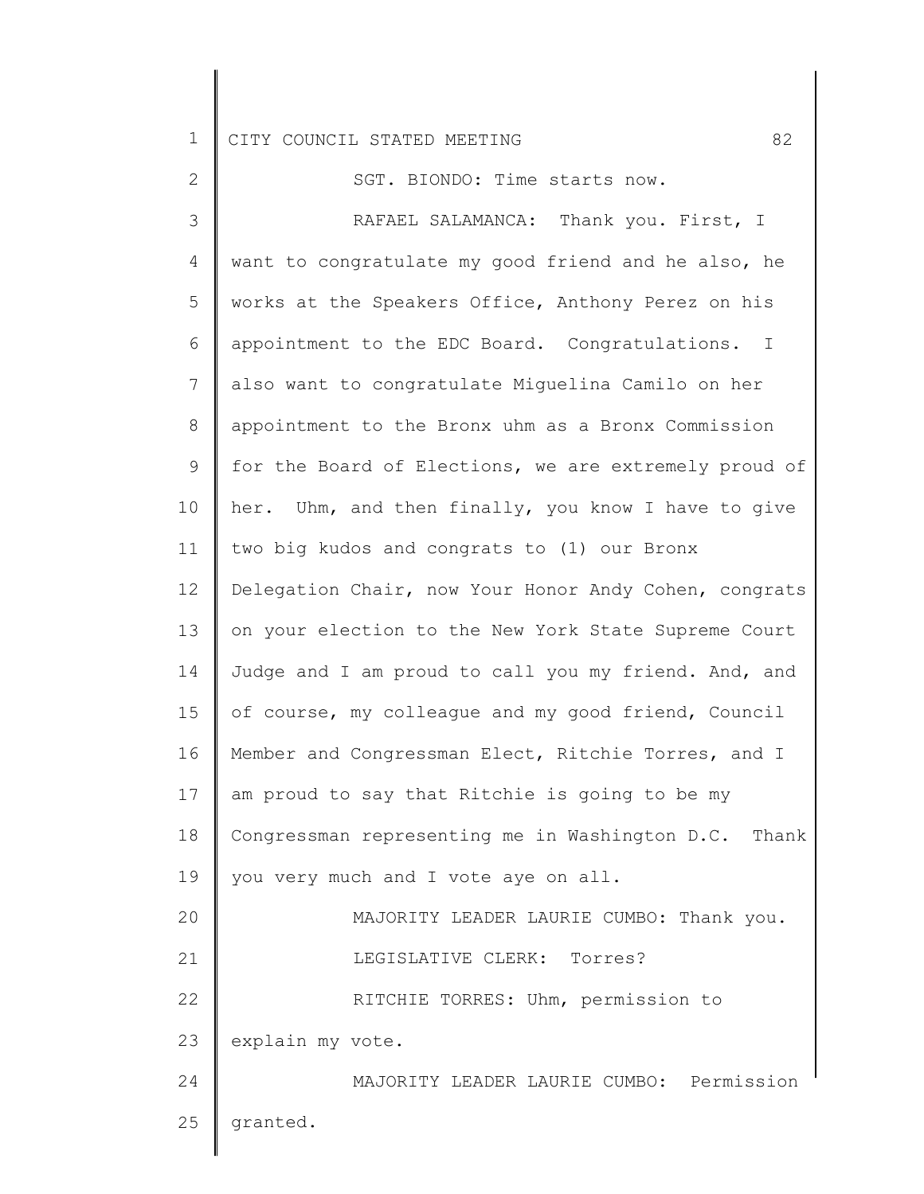| $\mathbf{2}$ | SGT. BIONDO: Time starts now.                         |
|--------------|-------------------------------------------------------|
| 3            | RAFAEL SALAMANCA: Thank you. First, I                 |
| 4            | want to congratulate my good friend and he also, he   |
| 5            | works at the Speakers Office, Anthony Perez on his    |
| 6            | appointment to the EDC Board. Congratulations. I      |
| 7            | also want to congratulate Miguelina Camilo on her     |
| 8            | appointment to the Bronx uhm as a Bronx Commission    |
| 9            | for the Board of Elections, we are extremely proud of |
| 10           | her. Uhm, and then finally, you know I have to give   |
| 11           | two big kudos and congrats to (1) our Bronx           |
| 12           | Delegation Chair, now Your Honor Andy Cohen, congrats |
| 13           | on your election to the New York State Supreme Court  |
| 14           | Judge and I am proud to call you my friend. And, and  |
| 15           | of course, my colleague and my good friend, Council   |
| 16           | Member and Congressman Elect, Ritchie Torres, and I   |
| 17           | am proud to say that Ritchie is going to be my        |
| 18           | Congressman representing me in Washington D.C. Thank  |
| 19           | you very much and I vote aye on all.                  |
| 20           | MAJORITY LEADER LAURIE CUMBO: Thank you.              |
| 21           | LEGISLATIVE CLERK: Torres?                            |
| 22           | RITCHIE TORRES: Uhm, permission to                    |
| 23           | explain my vote.                                      |
| 24           | MAJORITY LEADER LAURIE CUMBO: Permission              |
| 25           | granted.                                              |
|              |                                                       |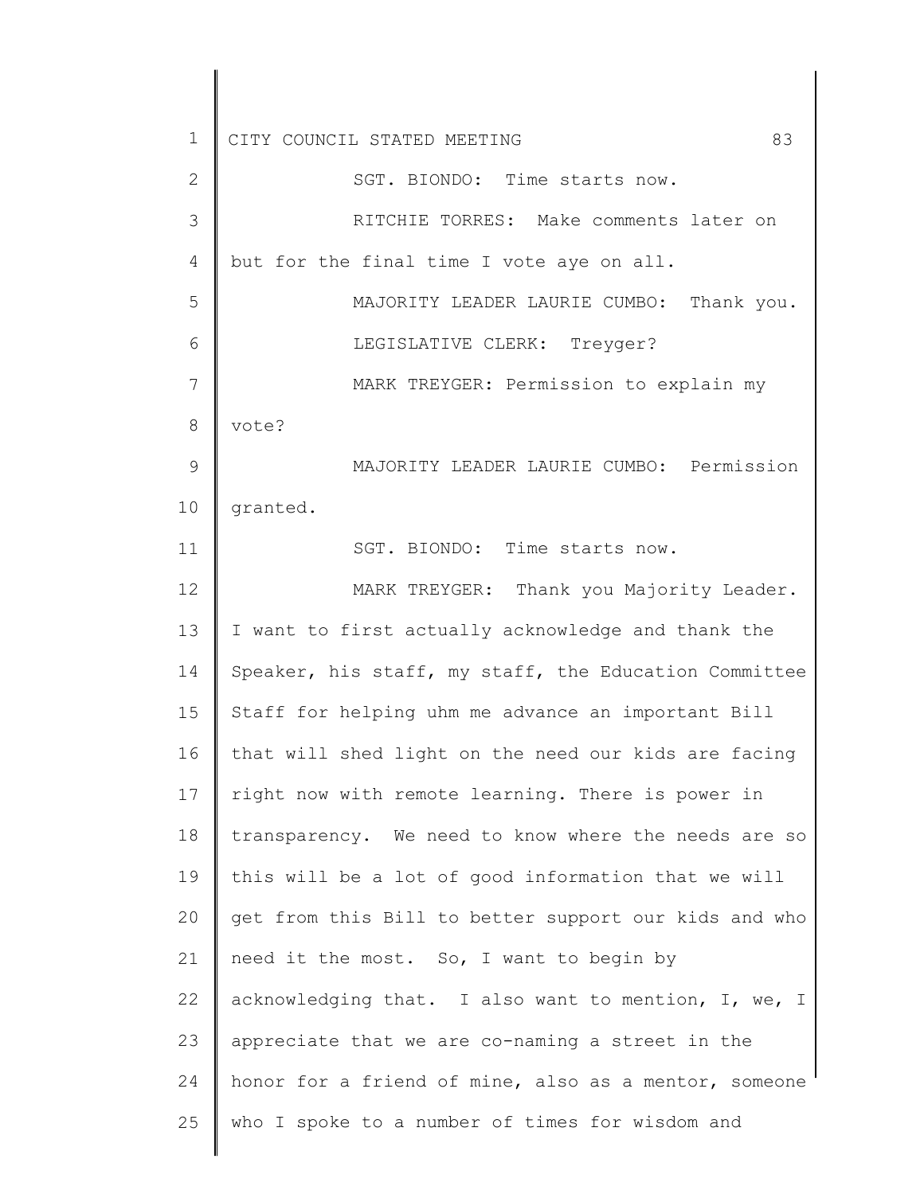1 2 3 4 5 6 7 8 9 10 11 12 13 14 15 16 17 18 19 20 21 22 23 24 25 CITY COUNCIL STATED MEETING 83 SGT. BIONDO: Time starts now. RITCHIE TORRES: Make comments later on but for the final time I vote aye on all. MAJORITY LEADER LAURIE CUMBO: Thank you. LEGISLATIVE CLERK: Treyger? MARK TREYGER: Permission to explain my vote? MAJORITY LEADER LAURIE CUMBO: Permission granted. SGT. BIONDO: Time starts now. MARK TREYGER: Thank you Majority Leader. I want to first actually acknowledge and thank the Speaker, his staff, my staff, the Education Committee Staff for helping uhm me advance an important Bill that will shed light on the need our kids are facing right now with remote learning. There is power in transparency. We need to know where the needs are so this will be a lot of good information that we will get from this Bill to better support our kids and who need it the most. So, I want to begin by acknowledging that. I also want to mention, I, we, I appreciate that we are co-naming a street in the honor for a friend of mine, also as a mentor, someone who I spoke to a number of times for wisdom and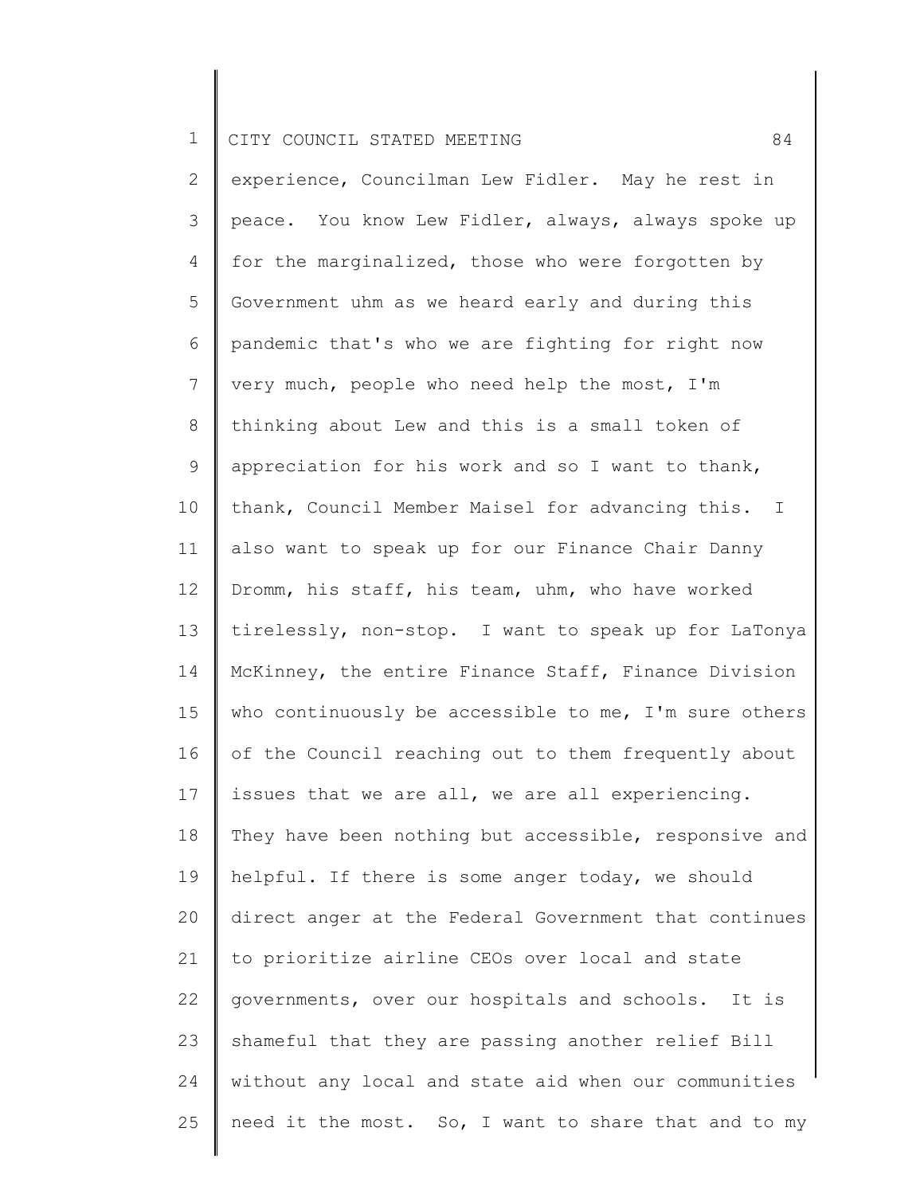2 3 4 5 6 7 8 9 10 11 12 13 14 15 16 17 18 19 20 21 22 23 24 25 experience, Councilman Lew Fidler. May he rest in peace. You know Lew Fidler, always, always spoke up for the marginalized, those who were forgotten by Government uhm as we heard early and during this pandemic that's who we are fighting for right now very much, people who need help the most, I'm thinking about Lew and this is a small token of appreciation for his work and so I want to thank, thank, Council Member Maisel for advancing this. I also want to speak up for our Finance Chair Danny Dromm, his staff, his team, uhm, who have worked tirelessly, non-stop. I want to speak up for LaTonya McKinney, the entire Finance Staff, Finance Division who continuously be accessible to me, I'm sure others of the Council reaching out to them frequently about issues that we are all, we are all experiencing. They have been nothing but accessible, responsive and helpful. If there is some anger today, we should direct anger at the Federal Government that continues to prioritize airline CEOs over local and state governments, over our hospitals and schools. It is shameful that they are passing another relief Bill without any local and state aid when our communities need it the most. So, I want to share that and to my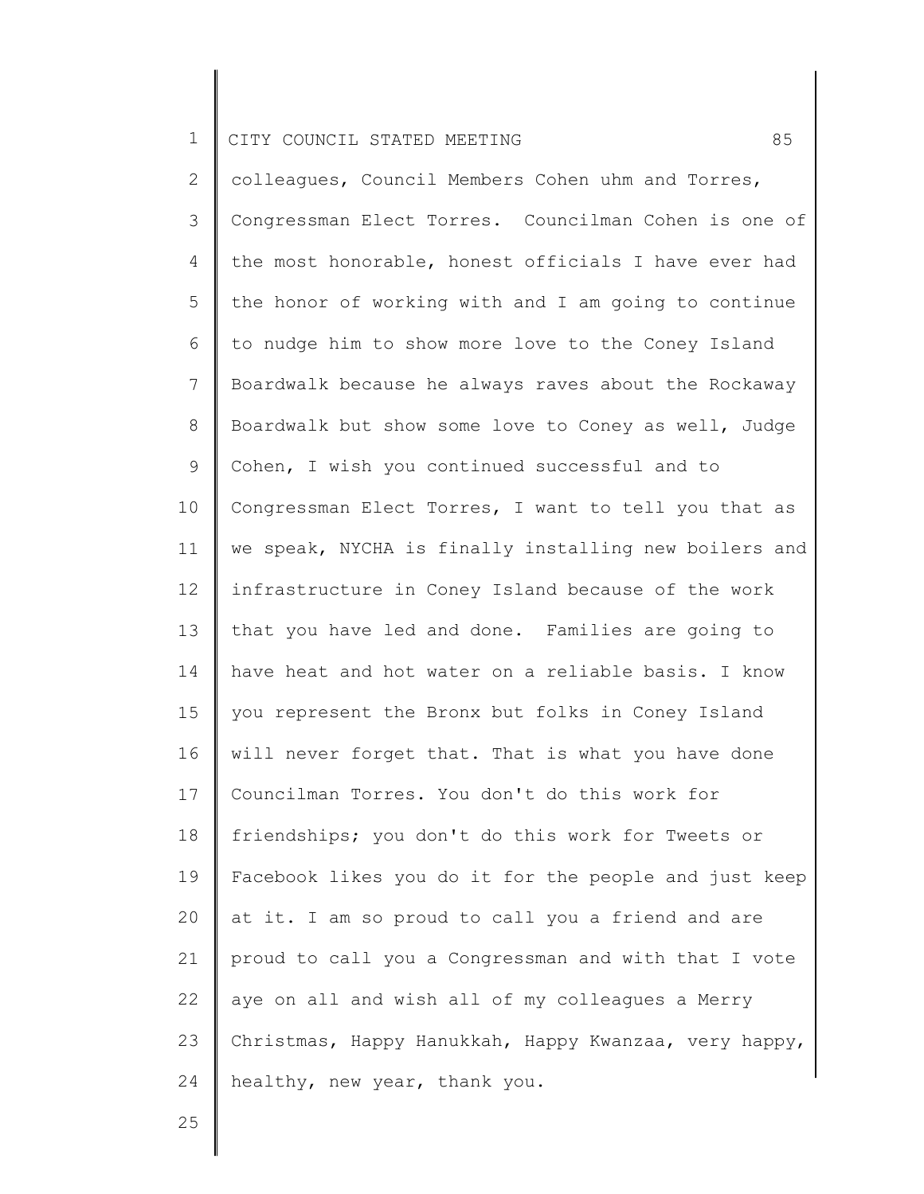2 3 4 5 6 7 8 9 10 11 12 13 14 15 16 17 18 19 20 21 22 23 24 colleagues, Council Members Cohen uhm and Torres, Congressman Elect Torres. Councilman Cohen is one of the most honorable, honest officials I have ever had the honor of working with and I am going to continue to nudge him to show more love to the Coney Island Boardwalk because he always raves about the Rockaway Boardwalk but show some love to Coney as well, Judge Cohen, I wish you continued successful and to Congressman Elect Torres, I want to tell you that as we speak, NYCHA is finally installing new boilers and infrastructure in Coney Island because of the work that you have led and done. Families are going to have heat and hot water on a reliable basis. I know you represent the Bronx but folks in Coney Island will never forget that. That is what you have done Councilman Torres. You don't do this work for friendships; you don't do this work for Tweets or Facebook likes you do it for the people and just keep at it. I am so proud to call you a friend and are proud to call you a Congressman and with that I vote aye on all and wish all of my colleagues a Merry Christmas, Happy Hanukkah, Happy Kwanzaa, very happy, healthy, new year, thank you.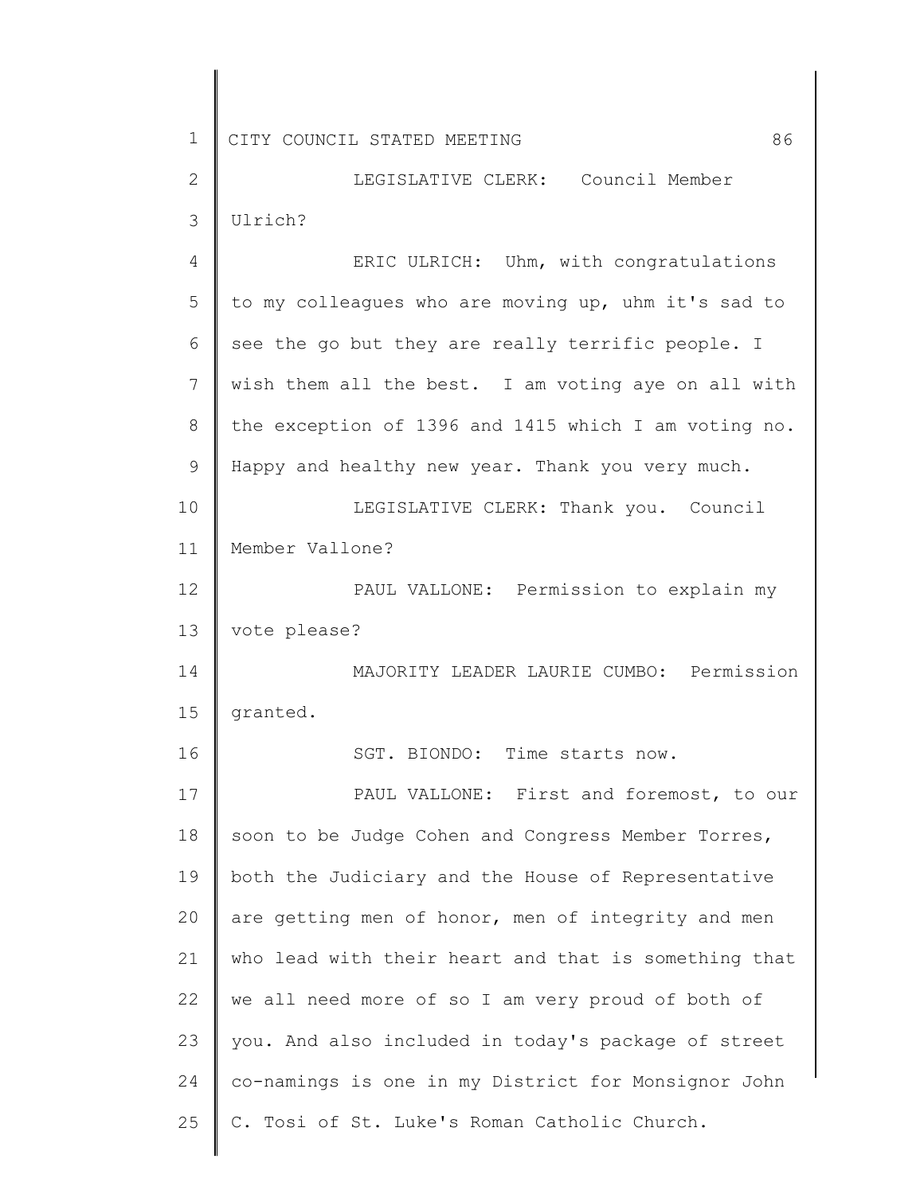2 3 LEGISLATIVE CLERK: Council Member Ulrich?

4 5 6 7 8 9 10 11 12 13 14 15 16 17 18 19 20 21 22 23 24 25 ERIC ULRICH: Uhm, with congratulations to my colleagues who are moving up, uhm it's sad to see the go but they are really terrific people. I wish them all the best. I am voting aye on all with the exception of 1396 and 1415 which I am voting no. Happy and healthy new year. Thank you very much. LEGISLATIVE CLERK: Thank you. Council Member Vallone? PAUL VALLONE: Permission to explain my vote please? MAJORITY LEADER LAURIE CUMBO: Permission granted. SGT. BIONDO: Time starts now. PAUL VALLONE: First and foremost, to our soon to be Judge Cohen and Congress Member Torres, both the Judiciary and the House of Representative are getting men of honor, men of integrity and men who lead with their heart and that is something that we all need more of so I am very proud of both of you. And also included in today's package of street co-namings is one in my District for Monsignor John C. Tosi of St. Luke's Roman Catholic Church.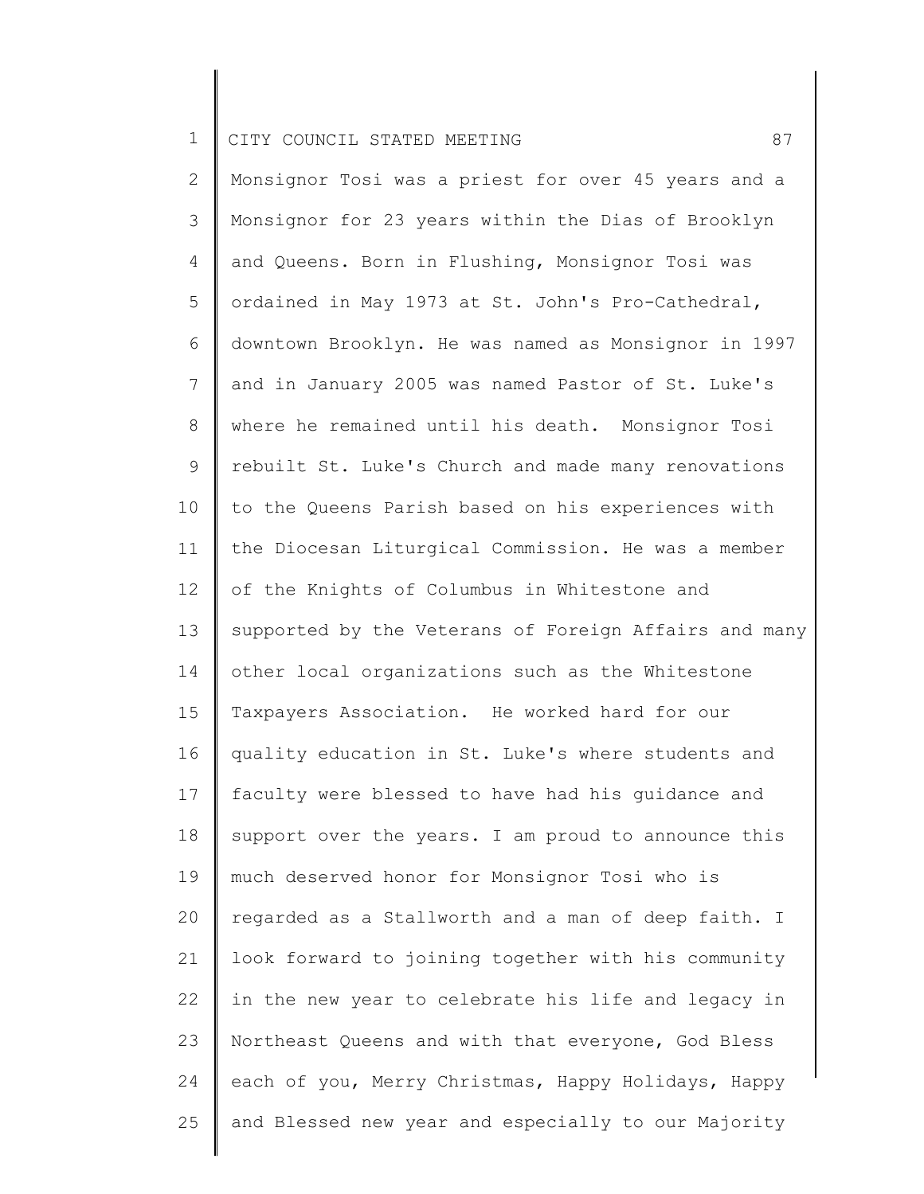2 3 4 5 6 7 8 9 10 11 12 13 14 15 16 17 18 19 20 21 22 23 24 25 Monsignor Tosi was a priest for over 45 years and a Monsignor for 23 years within the Dias of Brooklyn and Queens. Born in Flushing, Monsignor Tosi was ordained in May 1973 at St. John's Pro-Cathedral, downtown Brooklyn. He was named as Monsignor in 1997 and in January 2005 was named Pastor of St. Luke's where he remained until his death. Monsignor Tosi rebuilt St. Luke's Church and made many renovations to the Queens Parish based on his experiences with the Diocesan Liturgical Commission. He was a member of the Knights of Columbus in Whitestone and supported by the Veterans of Foreign Affairs and many other local organizations such as the Whitestone Taxpayers Association. He worked hard for our quality education in St. Luke's where students and faculty were blessed to have had his guidance and support over the years. I am proud to announce this much deserved honor for Monsignor Tosi who is regarded as a Stallworth and a man of deep faith. I look forward to joining together with his community in the new year to celebrate his life and legacy in Northeast Queens and with that everyone, God Bless each of you, Merry Christmas, Happy Holidays, Happy and Blessed new year and especially to our Majority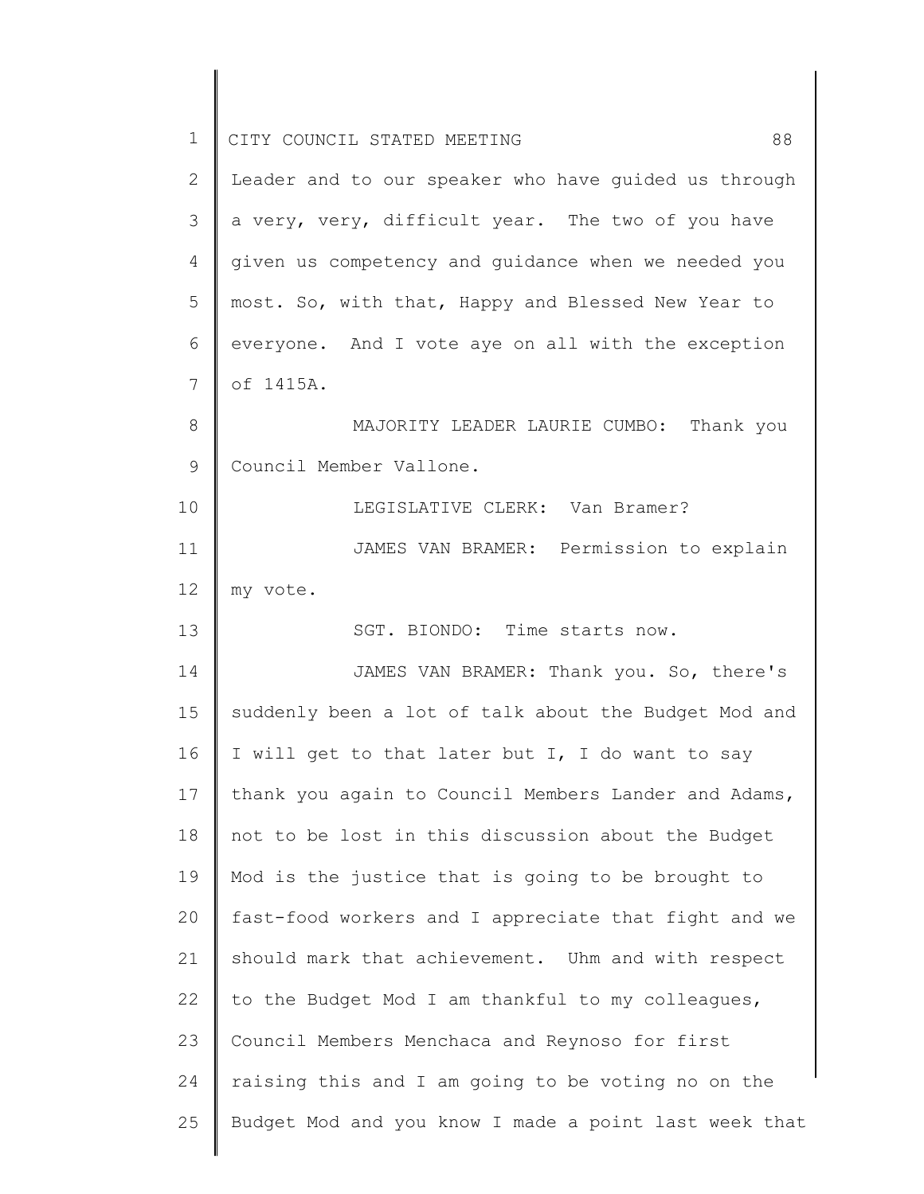| $\mathbf 1$ | 88<br>CITY COUNCIL STATED MEETING                     |
|-------------|-------------------------------------------------------|
| 2           | Leader and to our speaker who have quided us through  |
| 3           | a very, very, difficult year. The two of you have     |
| 4           | given us competency and guidance when we needed you   |
| 5           | most. So, with that, Happy and Blessed New Year to    |
| 6           | everyone. And I vote aye on all with the exception    |
| 7           | of 1415A.                                             |
| 8           | MAJORITY LEADER LAURIE CUMBO: Thank you               |
| 9           | Council Member Vallone.                               |
| 10          | LEGISLATIVE CLERK: Van Bramer?                        |
| 11          | JAMES VAN BRAMER: Permission to explain               |
| 12          | my vote.                                              |
| 13          | SGT. BIONDO: Time starts now.                         |
| 14          | JAMES VAN BRAMER: Thank you. So, there's              |
| 15          | suddenly been a lot of talk about the Budget Mod and  |
| 16          | I will get to that later but I, I do want to say      |
| 17          | thank you again to Council Members Lander and Adams,  |
| 18          | not to be lost in this discussion about the Budget    |
| 19          | Mod is the justice that is going to be brought to     |
| 20          | fast-food workers and I appreciate that fight and we  |
| 21          | should mark that achievement. Uhm and with respect    |
| 22          | to the Budget Mod I am thankful to my colleagues,     |
| 23          | Council Members Menchaca and Reynoso for first        |
| 24          | raising this and I am going to be voting no on the    |
| 25          | Budget Mod and you know I made a point last week that |
|             |                                                       |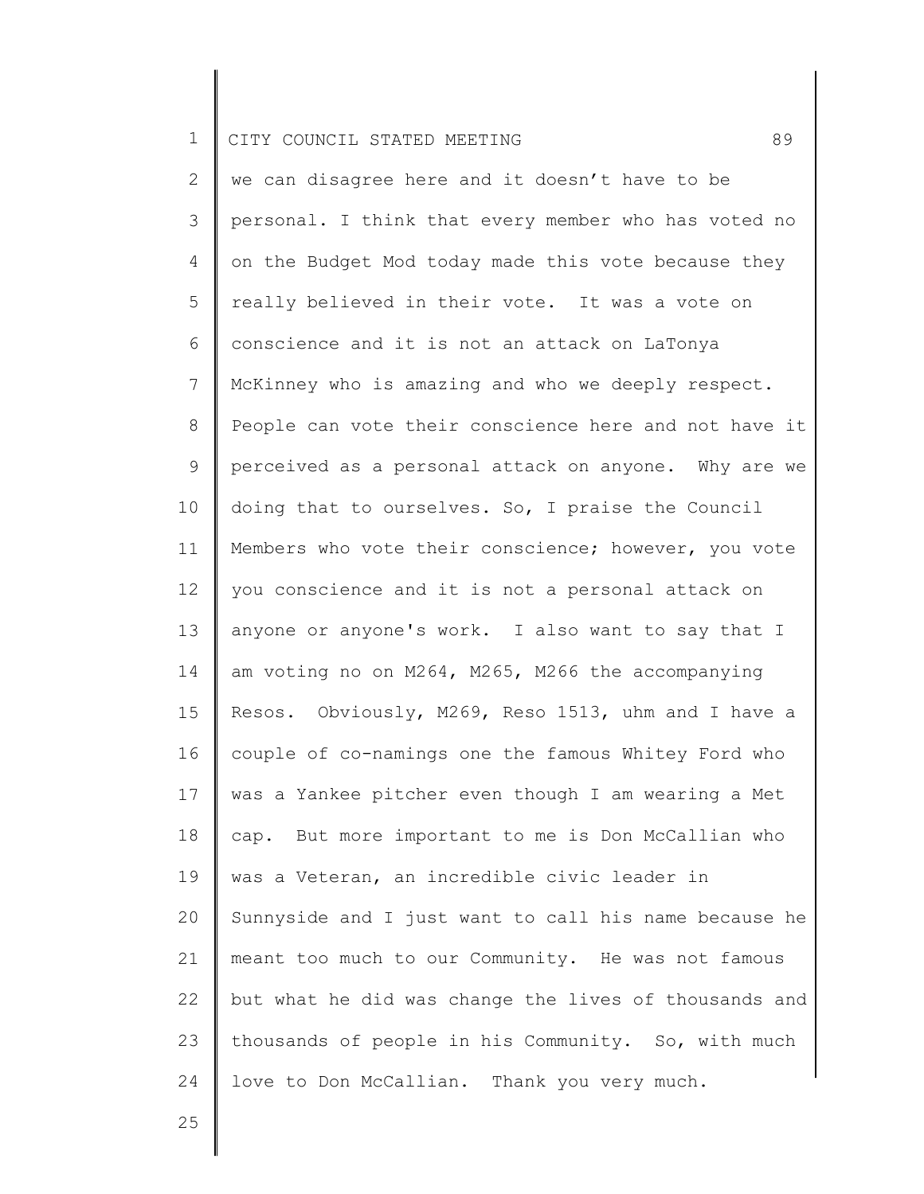2 3 4 5 6 7 8 9 10 11 12 13 14 15 16 17 18 19 20 21 22 23 24 we can disagree here and it doesn't have to be personal. I think that every member who has voted no on the Budget Mod today made this vote because they really believed in their vote. It was a vote on conscience and it is not an attack on LaTonya McKinney who is amazing and who we deeply respect. People can vote their conscience here and not have it perceived as a personal attack on anyone. Why are we doing that to ourselves. So, I praise the Council Members who vote their conscience; however, you vote you conscience and it is not a personal attack on anyone or anyone's work. I also want to say that I am voting no on M264, M265, M266 the accompanying Resos. Obviously, M269, Reso 1513, uhm and I have a couple of co-namings one the famous Whitey Ford who was a Yankee pitcher even though I am wearing a Met cap. But more important to me is Don McCallian who was a Veteran, an incredible civic leader in Sunnyside and I just want to call his name because he meant too much to our Community. He was not famous but what he did was change the lives of thousands and thousands of people in his Community. So, with much love to Don McCallian. Thank you very much.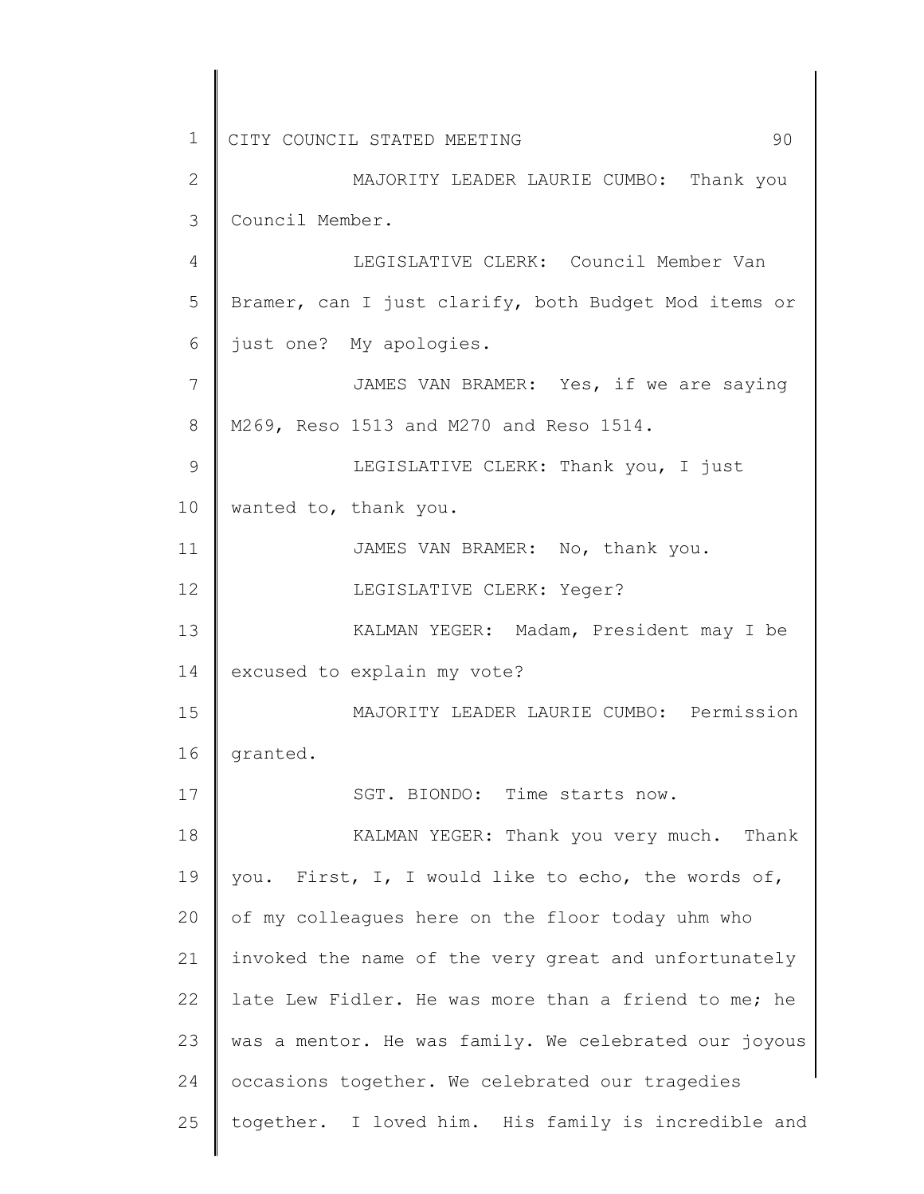| $\mathbf 1$    | 90<br>CITY COUNCIL STATED MEETING                     |
|----------------|-------------------------------------------------------|
| $\overline{2}$ | MAJORITY LEADER LAURIE CUMBO: Thank you               |
| 3              | Council Member.                                       |
| 4              | LEGISLATIVE CLERK: Council Member Van                 |
| 5              | Bramer, can I just clarify, both Budget Mod items or  |
| 6              | just one? My apologies.                               |
| 7              | JAMES VAN BRAMER: Yes, if we are saying               |
| 8              | M269, Reso 1513 and M270 and Reso 1514.               |
| $\mathcal{G}$  | LEGISLATIVE CLERK: Thank you, I just                  |
| 10             | wanted to, thank you.                                 |
| 11             | JAMES VAN BRAMER: No, thank you.                      |
| 12             | LEGISLATIVE CLERK: Yeger?                             |
| 13             | KALMAN YEGER: Madam, President may I be               |
| 14             | excused to explain my vote?                           |
| 15             | MAJORITY LEADER LAURIE CUMBO: Permission              |
| 16             | granted.                                              |
| 17             | SGT. BIONDO: Time starts now.                         |
| 18             | KALMAN YEGER: Thank you very much. Thank              |
| 19             | you. First, I, I would like to echo, the words of,    |
| 20             | of my colleagues here on the floor today uhm who      |
| 21             | invoked the name of the very great and unfortunately  |
| 22             | late Lew Fidler. He was more than a friend to me; he  |
| 23             | was a mentor. He was family. We celebrated our joyous |
| 24             | occasions together. We celebrated our tragedies       |
| 25             | together. I loved him. His family is incredible and   |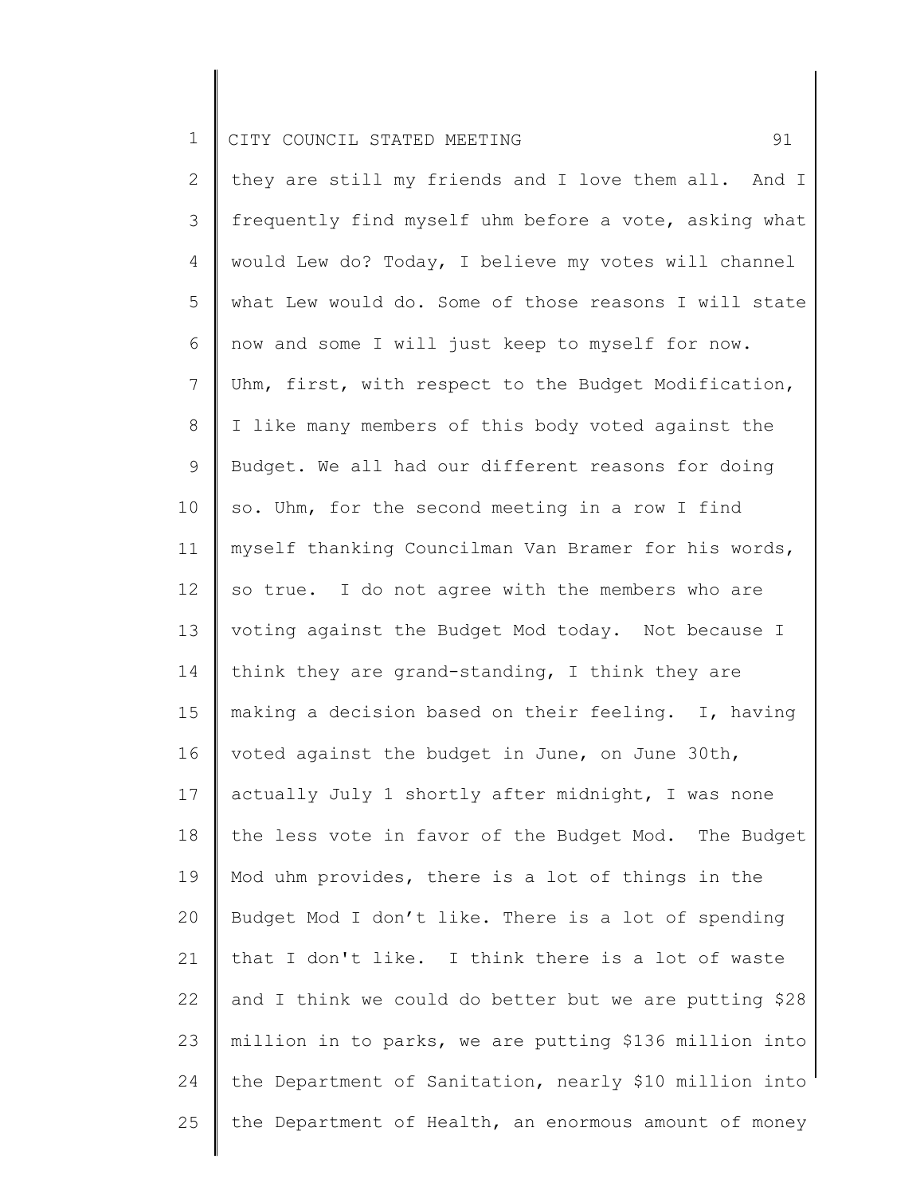2 3 4 5 6 7 8 9 10 11 12 13 14 15 16 17 18 19 20 21 22 23 24 25 they are still my friends and I love them all. And I frequently find myself uhm before a vote, asking what would Lew do? Today, I believe my votes will channel what Lew would do. Some of those reasons I will state now and some I will just keep to myself for now. Uhm, first, with respect to the Budget Modification, I like many members of this body voted against the Budget. We all had our different reasons for doing so. Uhm, for the second meeting in a row I find myself thanking Councilman Van Bramer for his words, so true. I do not agree with the members who are voting against the Budget Mod today. Not because I think they are grand-standing, I think they are making a decision based on their feeling. I, having voted against the budget in June, on June 30th, actually July 1 shortly after midnight, I was none the less vote in favor of the Budget Mod. The Budget Mod uhm provides, there is a lot of things in the Budget Mod I don't like. There is a lot of spending that I don't like. I think there is a lot of waste and I think we could do better but we are putting \$28 million in to parks, we are putting \$136 million into the Department of Sanitation, nearly \$10 million into the Department of Health, an enormous amount of money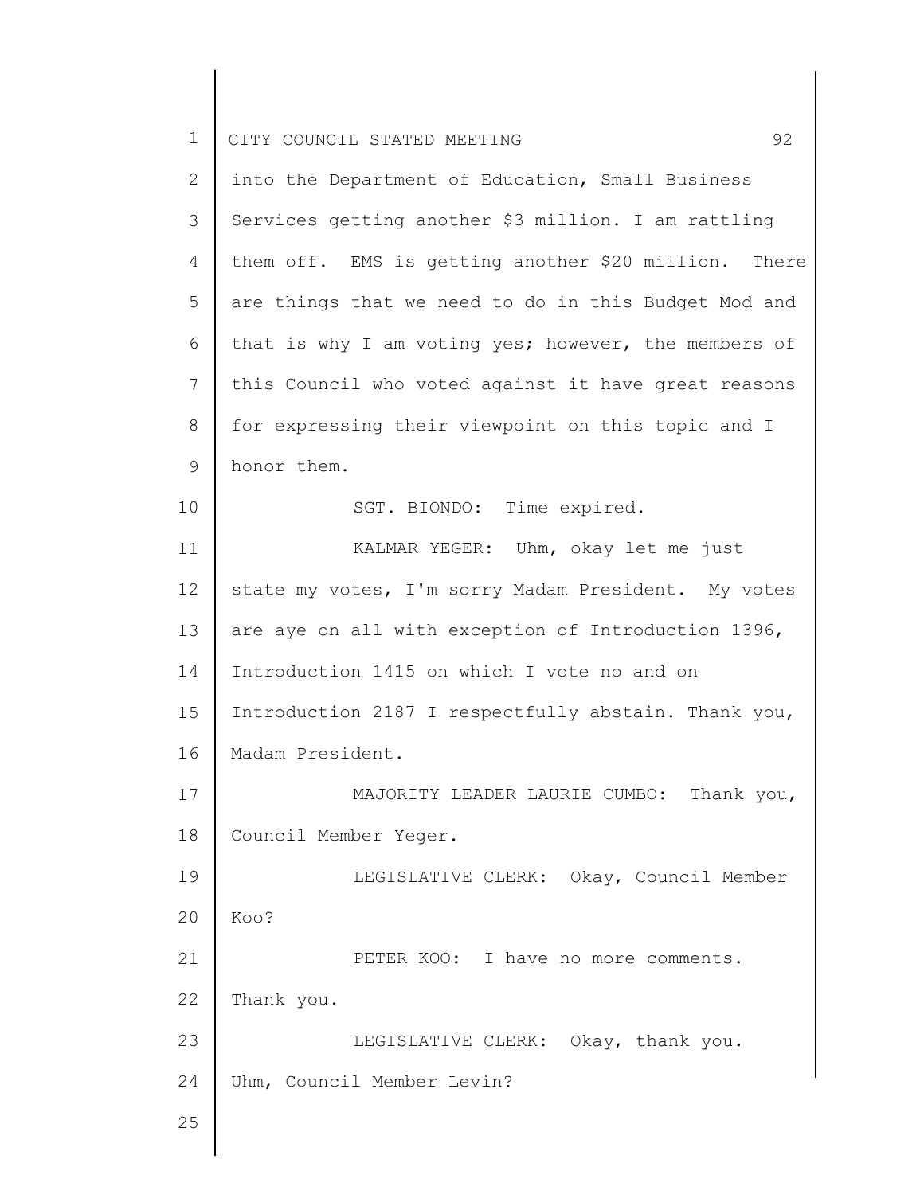| $\mathbf 1$    | 92<br>CITY COUNCIL STATED MEETING                    |
|----------------|------------------------------------------------------|
| $\overline{2}$ | into the Department of Education, Small Business     |
| 3              | Services getting another \$3 million. I am rattling  |
| 4              | them off. EMS is getting another \$20 million. There |
| 5              | are things that we need to do in this Budget Mod and |
| 6              | that is why I am voting yes; however, the members of |
| $7\phantom{.}$ | this Council who voted against it have great reasons |
| $\,8\,$        | for expressing their viewpoint on this topic and I   |
| $\mathsf 9$    | honor them.                                          |
| 10             | SGT. BIONDO: Time expired.                           |
| 11             | KALMAR YEGER: Uhm, okay let me just                  |
| 12             | state my votes, I'm sorry Madam President. My votes  |
| 13             | are aye on all with exception of Introduction 1396,  |
| 14             | Introduction 1415 on which I vote no and on          |
| 15             | Introduction 2187 I respectfully abstain. Thank you, |
| 16             | Madam President.                                     |
| 17             | MAJORITY LEADER LAURIE CUMBO: Thank you,             |
| 18             | Council Member Yeger.                                |
| 19             | LEGISLATIVE CLERK: Okay, Council Member              |
| 20             | Koo?                                                 |
| 21             | PETER KOO: I have no more comments.                  |
| 22             | Thank you.                                           |
| 23             | LEGISLATIVE CLERK: Okay, thank you.                  |
| 24             | Uhm, Council Member Levin?                           |
| 25             |                                                      |
|                |                                                      |

 $\begin{array}{c} \hline \end{array}$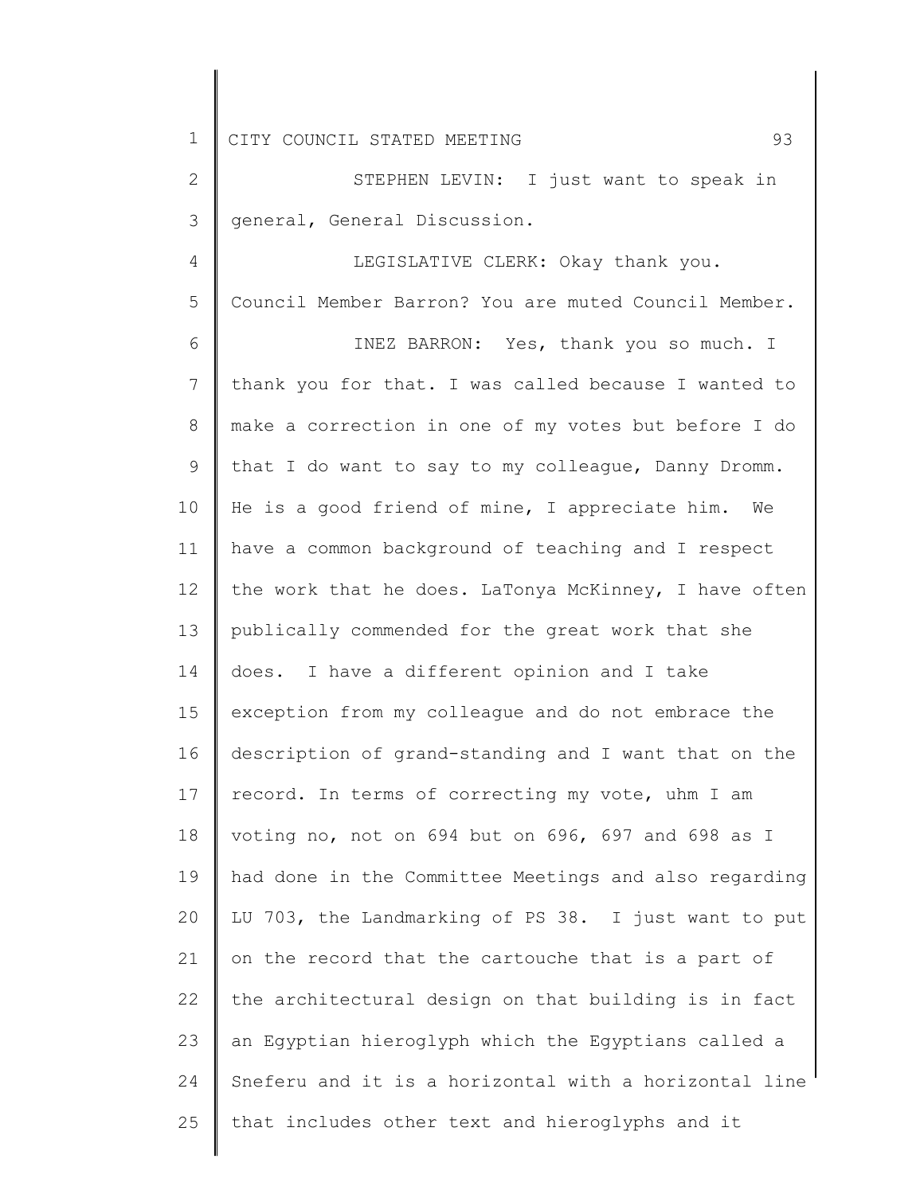2 3 STEPHEN LEVIN: I just want to speak in general, General Discussion.

4 5 LEGISLATIVE CLERK: Okay thank you. Council Member Barron? You are muted Council Member.

6 7 8 9 10 11 12 13 14 15 16 17 18 19 20 21 22 23 24 25 INEZ BARRON: Yes, thank you so much. I thank you for that. I was called because I wanted to make a correction in one of my votes but before I do that I do want to say to my colleague, Danny Dromm. He is a good friend of mine, I appreciate him. We have a common background of teaching and I respect the work that he does. LaTonya McKinney, I have often publically commended for the great work that she does. I have a different opinion and I take exception from my colleague and do not embrace the description of grand-standing and I want that on the record. In terms of correcting my vote, uhm I am voting no, not on 694 but on 696, 697 and 698 as I had done in the Committee Meetings and also regarding LU 703, the Landmarking of PS 38. I just want to put on the record that the cartouche that is a part of the architectural design on that building is in fact an Egyptian hieroglyph which the Egyptians called a Sneferu and it is a horizontal with a horizontal line that includes other text and hieroglyphs and it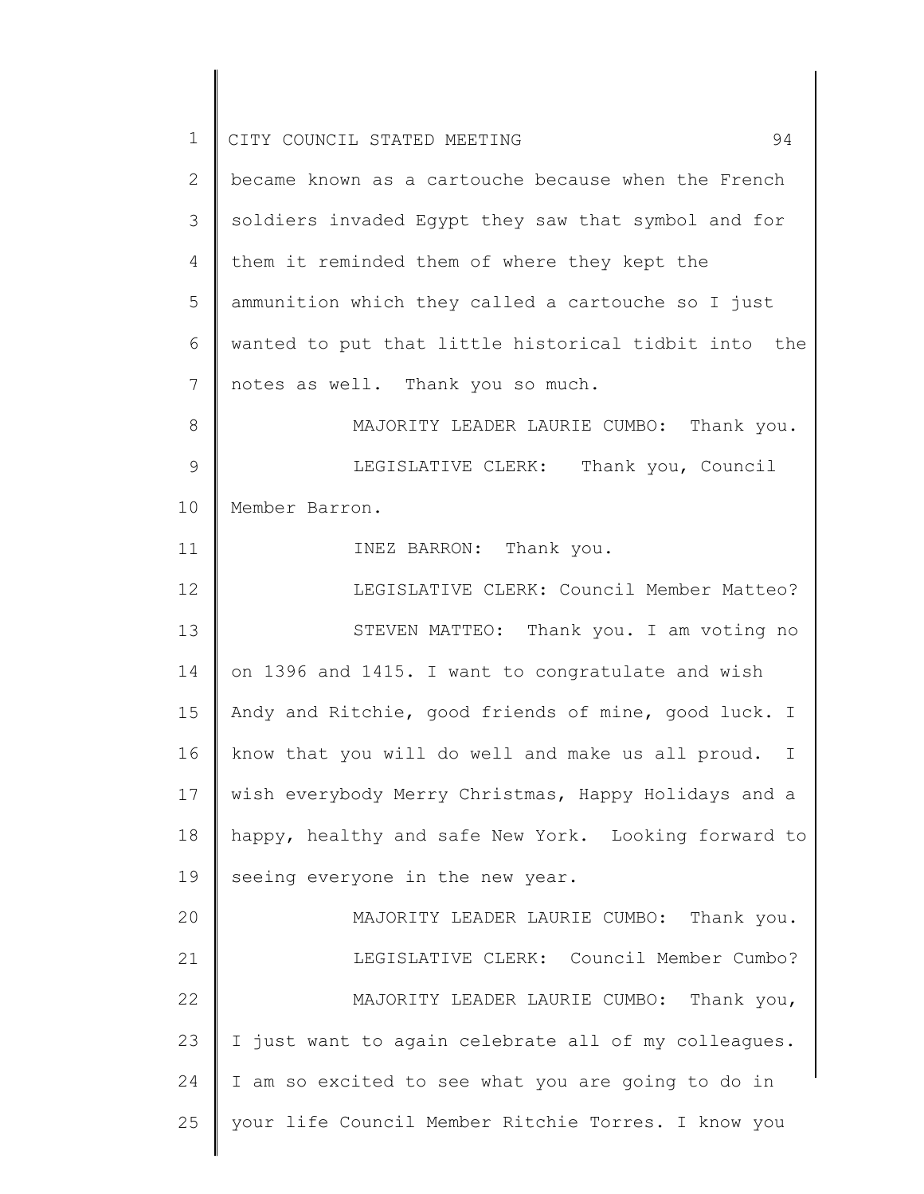| $\mathbf 1$ | 94<br>CITY COUNCIL STATED MEETING                                |
|-------------|------------------------------------------------------------------|
| 2           | became known as a cartouche because when the French              |
| 3           | soldiers invaded Egypt they saw that symbol and for              |
| 4           | them it reminded them of where they kept the                     |
| 5           | ammunition which they called a cartouche so I just               |
| 6           | wanted to put that little historical tidbit into the             |
| 7           | notes as well. Thank you so much.                                |
| 8           | MAJORITY LEADER LAURIE CUMBO: Thank you.                         |
| 9           | LEGISLATIVE CLERK: Thank you, Council                            |
| 10          | Member Barron.                                                   |
| 11          | INEZ BARRON: Thank you.                                          |
| 12          | LEGISLATIVE CLERK: Council Member Matteo?                        |
| 13          | STEVEN MATTEO: Thank you. I am voting no                         |
| 14          | on 1396 and 1415. I want to congratulate and wish                |
| 15          | Andy and Ritchie, good friends of mine, good luck. I             |
| 16          | know that you will do well and make us all proud.<br>$\mathbf I$ |
| 17          | wish everybody Merry Christmas, Happy Holidays and a             |
| 18          | happy, healthy and safe New York. Looking forward to             |
| 19          | seeing everyone in the new year.                                 |
| 20          | MAJORITY LEADER LAURIE CUMBO: Thank you.                         |
| 21          | LEGISLATIVE CLERK: Council Member Cumbo?                         |
| 22          | MAJORITY LEADER LAURIE CUMBO: Thank you,                         |
| 23          | I just want to again celebrate all of my colleagues.             |
| 24          | I am so excited to see what you are going to do in               |
| 25          | your life Council Member Ritchie Torres. I know you              |
|             |                                                                  |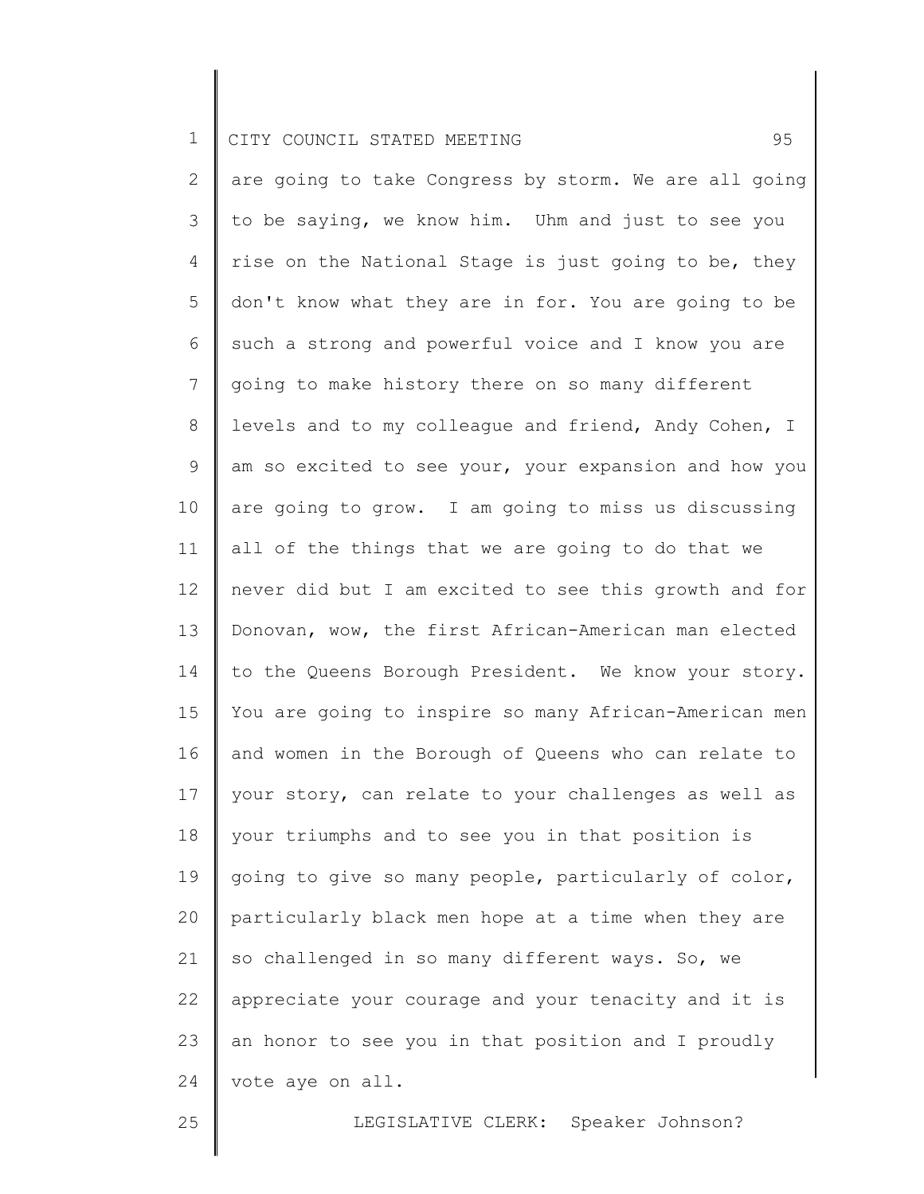2 3 4 5 6 7 8 9 10 11 12 13 14 15 16 17 18 19 20 21 22 23 24 are going to take Congress by storm. We are all going to be saying, we know him. Uhm and just to see you rise on the National Stage is just going to be, they don't know what they are in for. You are going to be such a strong and powerful voice and I know you are going to make history there on so many different levels and to my colleague and friend, Andy Cohen, I am so excited to see your, your expansion and how you are going to grow. I am going to miss us discussing all of the things that we are going to do that we never did but I am excited to see this growth and for Donovan, wow, the first African-American man elected to the Queens Borough President. We know your story. You are going to inspire so many African-American men and women in the Borough of Queens who can relate to your story, can relate to your challenges as well as your triumphs and to see you in that position is going to give so many people, particularly of color, particularly black men hope at a time when they are so challenged in so many different ways. So, we appreciate your courage and your tenacity and it is an honor to see you in that position and I proudly vote aye on all.

25

LEGISLATIVE CLERK: Speaker Johnson?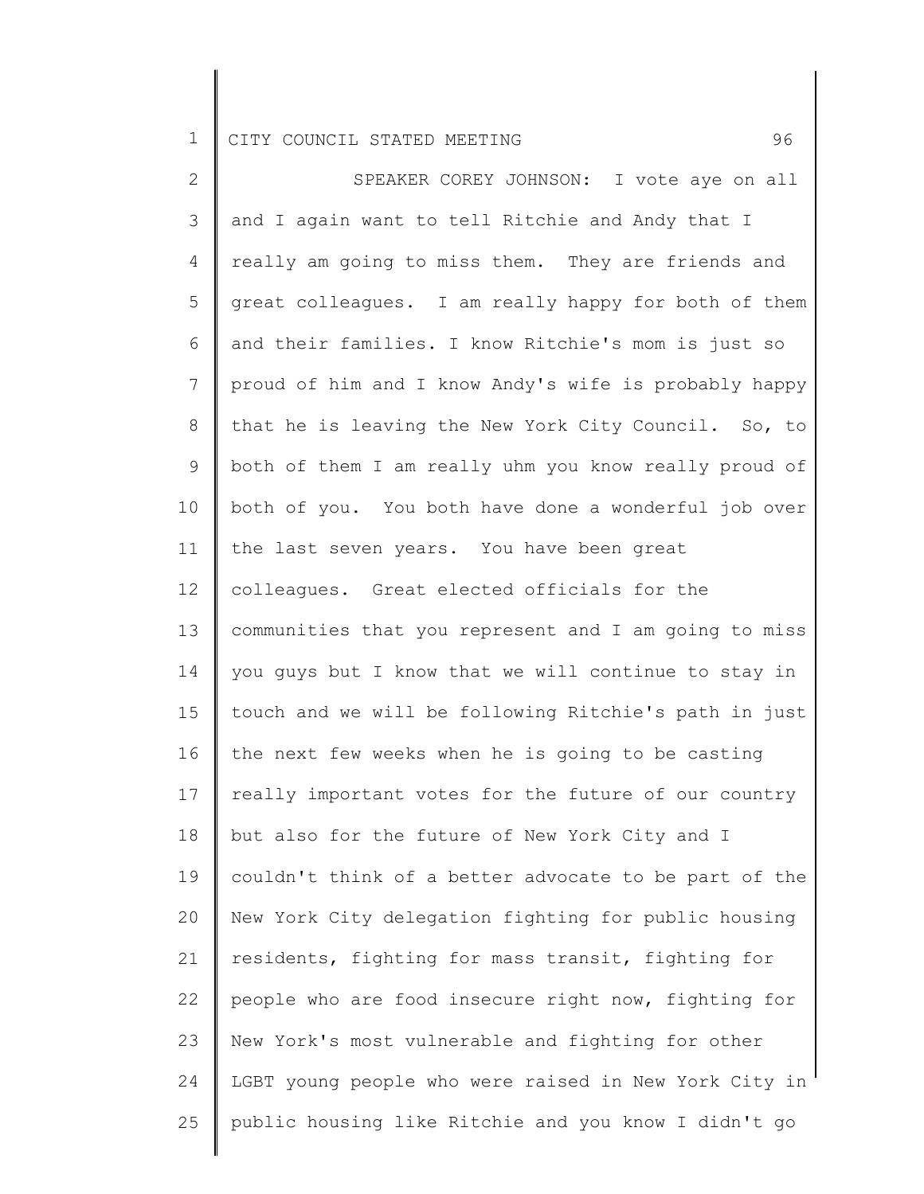| $\overline{2}$ | SPEAKER COREY JOHNSON: I vote aye on all              |
|----------------|-------------------------------------------------------|
| 3              | and I again want to tell Ritchie and Andy that I      |
| 4              | really am going to miss them. They are friends and    |
| 5              | great colleagues. I am really happy for both of them  |
| 6              | and their families. I know Ritchie's mom is just so   |
| $7\phantom{.}$ | proud of him and I know Andy's wife is probably happy |
| 8              | that he is leaving the New York City Council. So, to  |
| 9              | both of them I am really uhm you know really proud of |
| 10             | both of you. You both have done a wonderful job over  |
| 11             | the last seven years. You have been great             |
| 12             | colleagues. Great elected officials for the           |
| 13             | communities that you represent and I am going to miss |
| 14             | you guys but I know that we will continue to stay in  |
| 15             | touch and we will be following Ritchie's path in just |
| 16             | the next few weeks when he is going to be casting     |
| 17             | really important votes for the future of our country  |
| 18             | but also for the future of New York City and I        |
| 19             | couldn't think of a better advocate to be part of the |
| 20             | New York City delegation fighting for public housing  |
| 21             | residents, fighting for mass transit, fighting for    |
| 22             | people who are food insecure right now, fighting for  |
| 23             | New York's most vulnerable and fighting for other     |
| 24             | LGBT young people who were raised in New York City in |
| 25             | public housing like Ritchie and you know I didn't go  |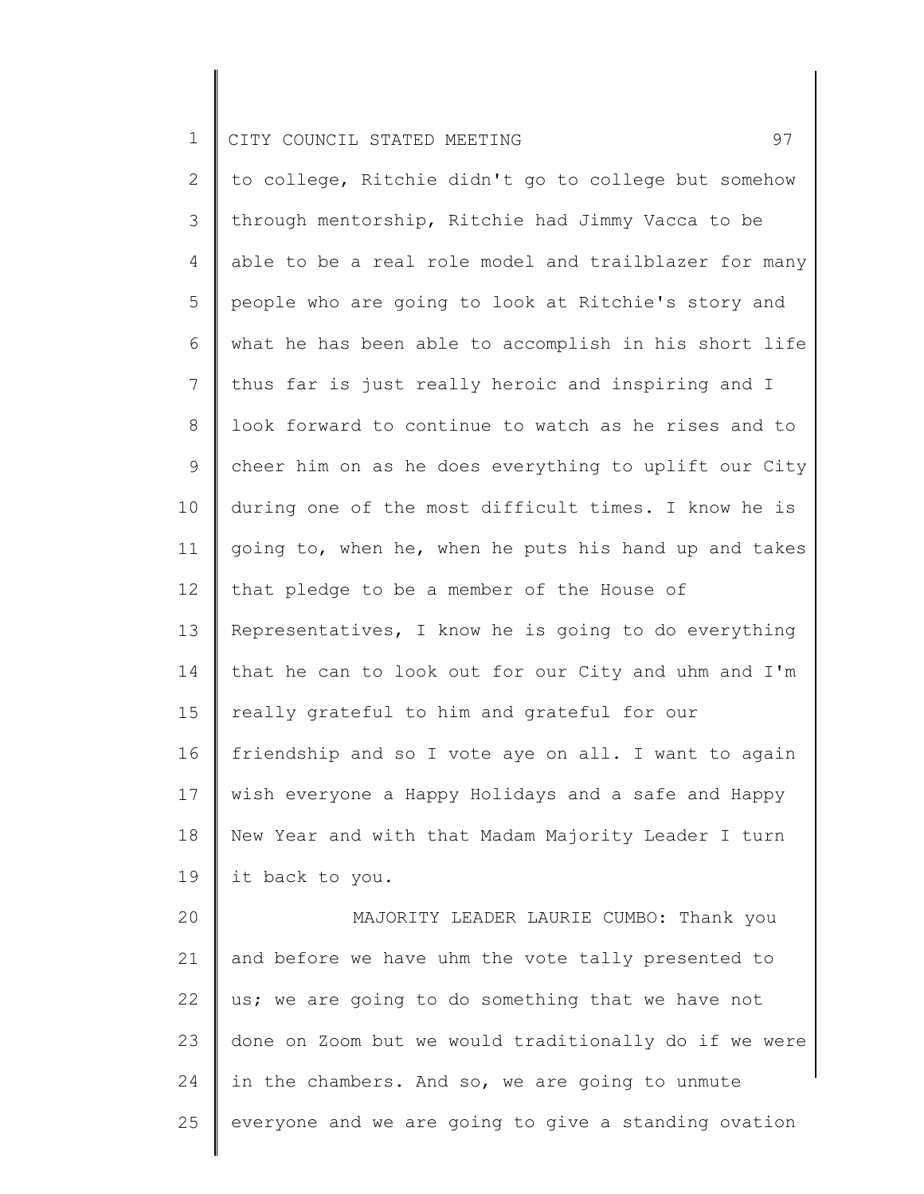24

25

2 3 4 5 6 7 8 9 10 11 12 13 14 15 16 17 18 19 20 21 22 23 to college, Ritchie didn't go to college but somehow through mentorship, Ritchie had Jimmy Vacca to be able to be a real role model and trailblazer for many people who are going to look at Ritchie's story and what he has been able to accomplish in his short life thus far is just really heroic and inspiring and I look forward to continue to watch as he rises and to cheer him on as he does everything to uplift our City during one of the most difficult times. I know he is going to, when he, when he puts his hand up and takes that pledge to be a member of the House of Representatives, I know he is going to do everything that he can to look out for our City and uhm and I'm really grateful to him and grateful for our friendship and so I vote aye on all. I want to again wish everyone a Happy Holidays and a safe and Happy New Year and with that Madam Majority Leader I turn it back to you. MAJORITY LEADER LAURIE CUMBO: Thank you and before we have uhm the vote tally presented to us; we are going to do something that we have not done on Zoom but we would traditionally do if we were

in the chambers. And so, we are going to unmute

everyone and we are going to give a standing ovation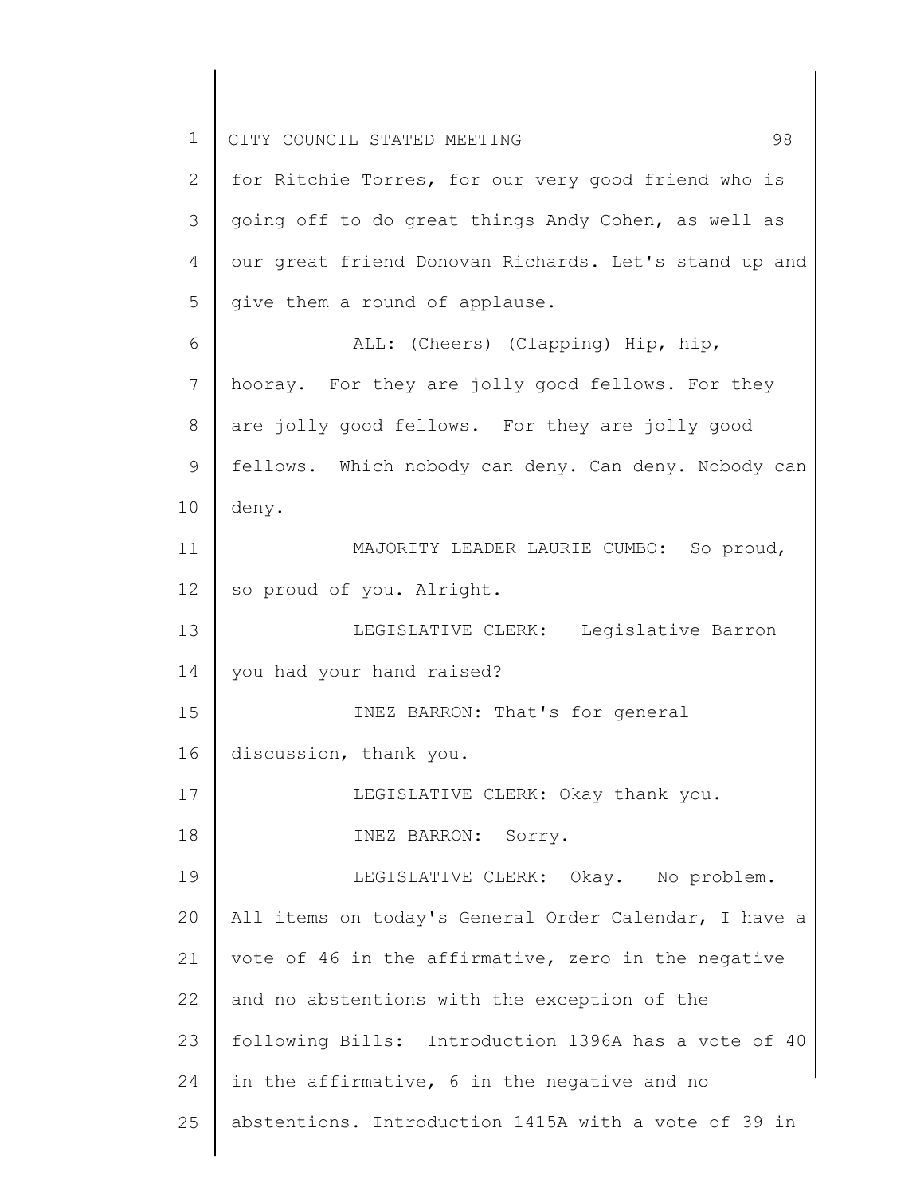| $\mathbf 1$ | CITY COUNCIL STATED MEETING<br>98                     |
|-------------|-------------------------------------------------------|
| 2           | for Ritchie Torres, for our very good friend who is   |
| 3           | going off to do great things Andy Cohen, as well as   |
| 4           | our great friend Donovan Richards. Let's stand up and |
| 5           | give them a round of applause.                        |
| 6           | ALL: (Cheers) (Clapping) Hip, hip,                    |
| 7           | hooray. For they are jolly good fellows. For they     |
| 8           | are jolly good fellows. For they are jolly good       |
| 9           | fellows. Which nobody can deny. Can deny. Nobody can  |
| 10          | deny.                                                 |
| 11          | MAJORITY LEADER LAURIE CUMBO: So proud,               |
| 12          | so proud of you. Alright.                             |
| 13          | LEGISLATIVE CLERK: Legislative Barron                 |
| 14          | you had your hand raised?                             |
| 15          | INEZ BARRON: That's for general                       |
| 16          | discussion, thank you.                                |
| 17          | LEGISLATIVE CLERK: Okay thank you.                    |
| 18          | INEZ BARRON: Sorry.                                   |
| 19          | LEGISLATIVE CLERK: Okay. No problem.                  |
| 20          | All items on today's General Order Calendar, I have a |
| 21          | vote of 46 in the affirmative, zero in the negative   |
| 22          | and no abstentions with the exception of the          |
| 23          | following Bills: Introduction 1396A has a vote of 40  |
| 24          | in the affirmative, 6 in the negative and no          |
| 25          | abstentions. Introduction 1415A with a vote of 39 in  |
|             |                                                       |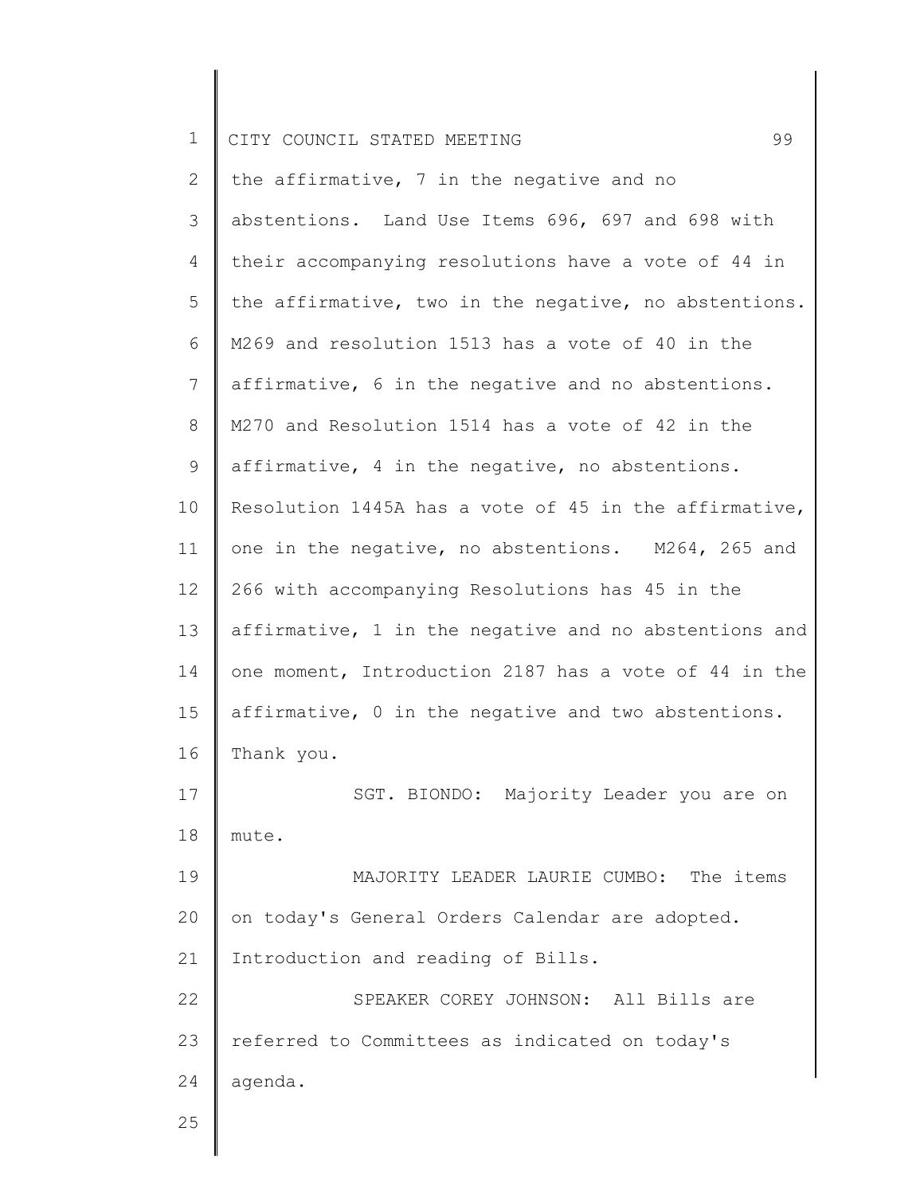| $\mathbf 1$     | 99<br>CITY COUNCIL STATED MEETING                     |
|-----------------|-------------------------------------------------------|
| $\mathbf{2}$    | the affirmative, 7 in the negative and no             |
| 3               | abstentions. Land Use Items 696, 697 and 698 with     |
| 4               | their accompanying resolutions have a vote of 44 in   |
| 5               | the affirmative, two in the negative, no abstentions. |
| 6               | M269 and resolution 1513 has a vote of 40 in the      |
| $7\phantom{.0}$ | affirmative, 6 in the negative and no abstentions.    |
| 8               | M270 and Resolution 1514 has a vote of 42 in the      |
| 9               | affirmative, 4 in the negative, no abstentions.       |
| 10              | Resolution 1445A has a vote of 45 in the affirmative, |
| 11              | one in the negative, no abstentions. M264, 265 and    |
| 12              | 266 with accompanying Resolutions has 45 in the       |
| 13              | affirmative, 1 in the negative and no abstentions and |
| 14              | one moment, Introduction 2187 has a vote of 44 in the |
| 15              | affirmative, 0 in the negative and two abstentions.   |
| 16              | Thank you.                                            |
| 17              | SGT. BIONDO: Majority Leader you are on               |
| 18              | mute.                                                 |
| 19              | MAJORITY LEADER LAURIE CUMBO: The items               |
| 20              | on today's General Orders Calendar are adopted.       |
| 21              | Introduction and reading of Bills.                    |
| 22              | SPEAKER COREY JOHNSON: All Bills are                  |
| 23              | referred to Committees as indicated on today's        |
| 24              | agenda.                                               |
| 25              |                                                       |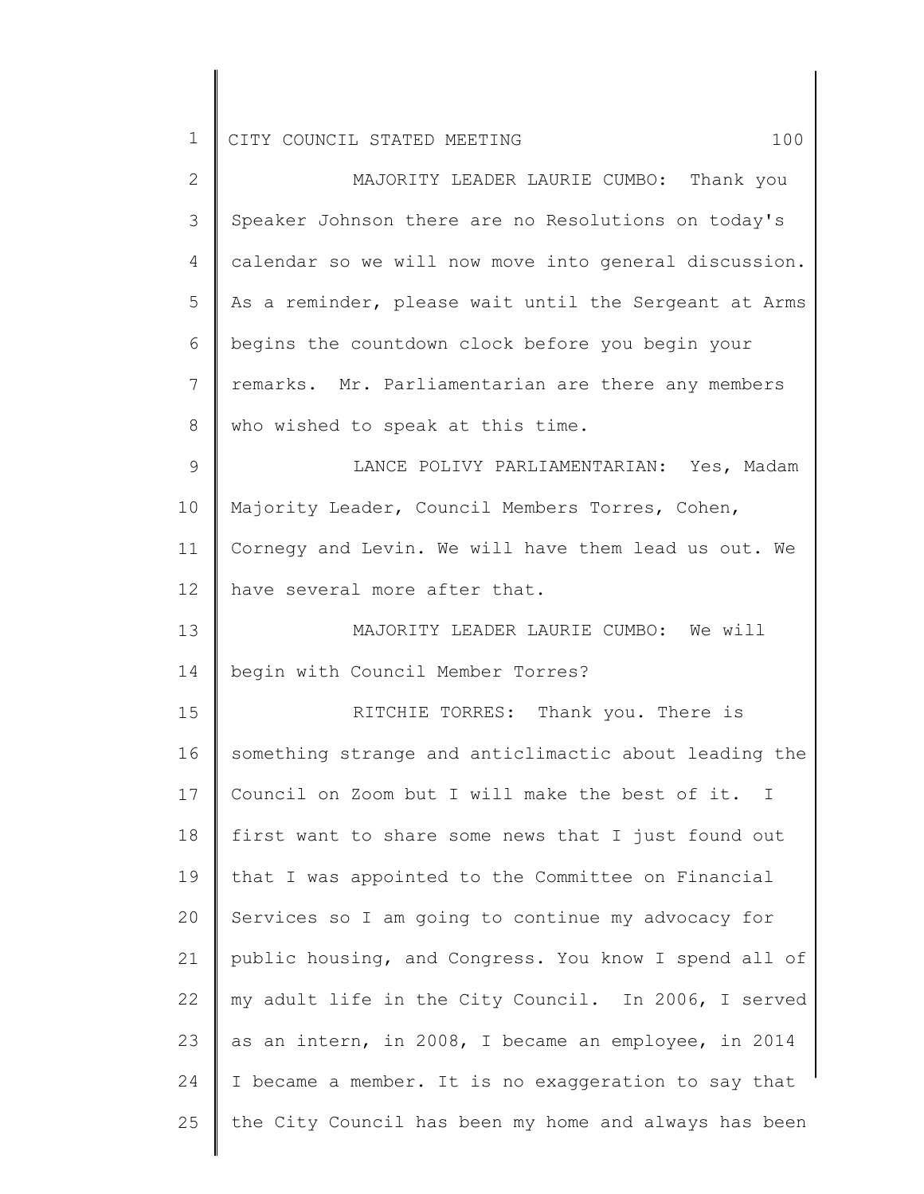| $\overline{2}$ | MAJORITY LEADER LAURIE CUMBO: Thank you               |
|----------------|-------------------------------------------------------|
| 3              | Speaker Johnson there are no Resolutions on today's   |
| 4              | calendar so we will now move into general discussion. |
| 5              | As a reminder, please wait until the Sergeant at Arms |
| 6              | begins the countdown clock before you begin your      |
| 7              | remarks. Mr. Parliamentarian are there any members    |
| 8              | who wished to speak at this time.                     |
| 9              | LANCE POLIVY PARLIAMENTARIAN: Yes, Madam              |
| 10             | Majority Leader, Council Members Torres, Cohen,       |
| 11             | Cornegy and Levin. We will have them lead us out. We  |
| 12             | have several more after that.                         |
| 13             | MAJORITY LEADER LAURIE CUMBO: We will                 |
| 14             | begin with Council Member Torres?                     |
| 15             | RITCHIE TORRES: Thank you. There is                   |
| 16             | something strange and anticlimactic about leading the |
| 17             | Council on Zoom but I will make the best of it. I     |
| 18             | first want to share some news that I just found out   |
| 19             | that I was appointed to the Committee on Financial    |
| 20             | Services so I am going to continue my advocacy for    |
| 21             | public housing, and Congress. You know I spend all of |
| 22             | my adult life in the City Council. In 2006, I served  |
| 23             | as an intern, in 2008, I became an employee, in 2014  |
|                |                                                       |

24 I became a member. It is no exaggeration to say that

the City Council has been my home and always has been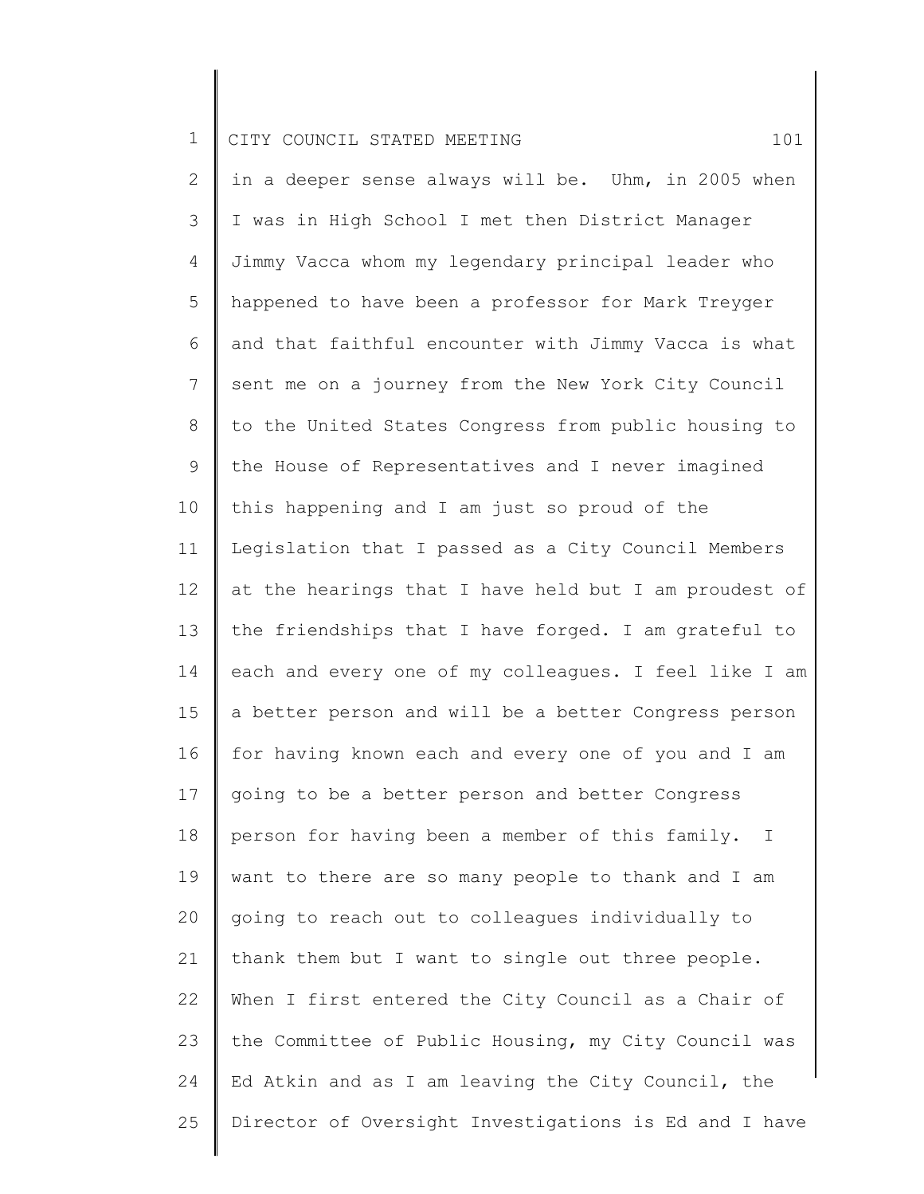2 3 4 5 6 7 8 9 10 11 12 13 14 15 16 17 18 19 20 21 22 23 24 25 in a deeper sense always will be. Uhm, in 2005 when I was in High School I met then District Manager Jimmy Vacca whom my legendary principal leader who happened to have been a professor for Mark Treyger and that faithful encounter with Jimmy Vacca is what sent me on a journey from the New York City Council to the United States Congress from public housing to the House of Representatives and I never imagined this happening and I am just so proud of the Legislation that I passed as a City Council Members at the hearings that I have held but I am proudest of the friendships that I have forged. I am grateful to each and every one of my colleagues. I feel like I am a better person and will be a better Congress person for having known each and every one of you and I am going to be a better person and better Congress person for having been a member of this family. I want to there are so many people to thank and I am going to reach out to colleagues individually to thank them but I want to single out three people. When I first entered the City Council as a Chair of the Committee of Public Housing, my City Council was Ed Atkin and as I am leaving the City Council, the Director of Oversight Investigations is Ed and I have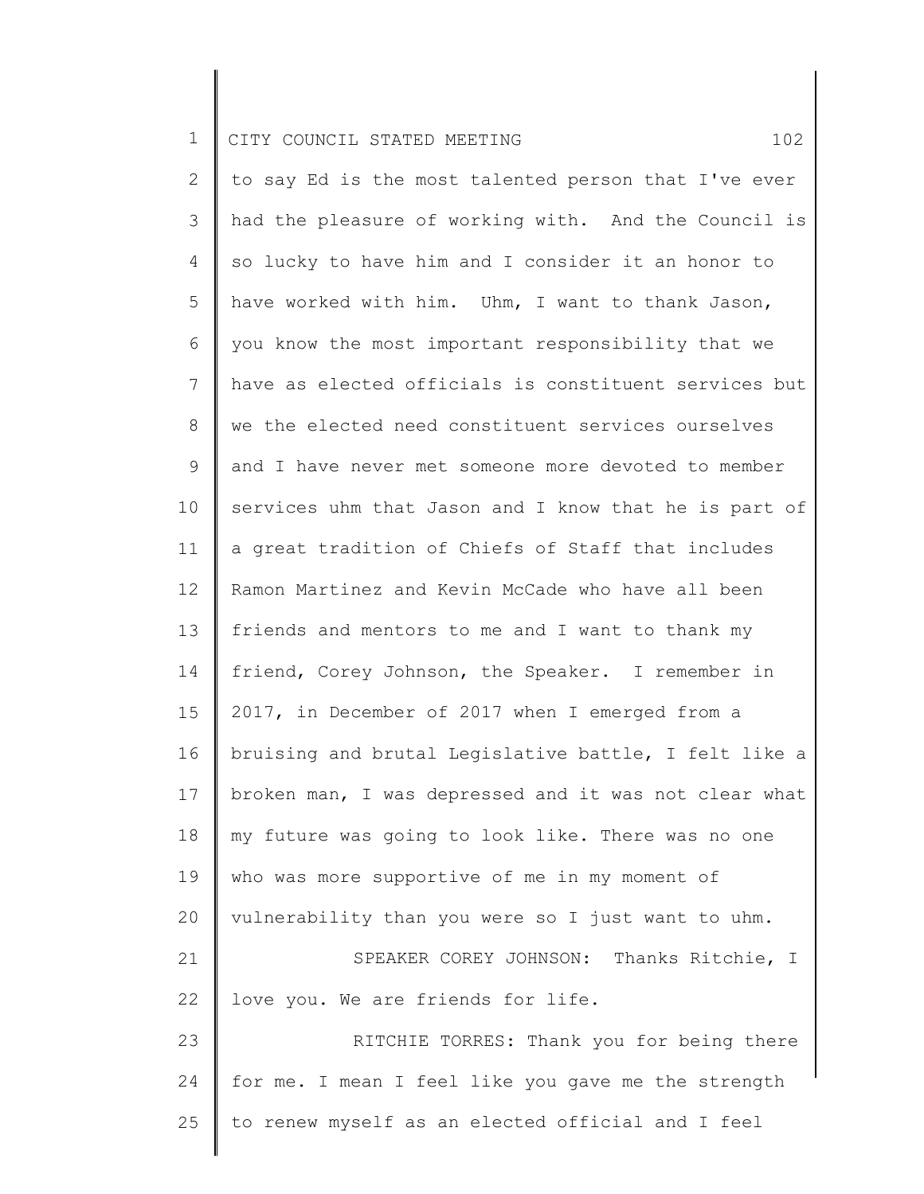2 3 4 5 6 7 8 9 10 11 12 13 14 15 16 17 18 19 20 21 22 23 24 25 to say Ed is the most talented person that I've ever had the pleasure of working with. And the Council is so lucky to have him and I consider it an honor to have worked with him. Uhm, I want to thank Jason, you know the most important responsibility that we have as elected officials is constituent services but we the elected need constituent services ourselves and I have never met someone more devoted to member services uhm that Jason and I know that he is part of a great tradition of Chiefs of Staff that includes Ramon Martinez and Kevin McCade who have all been friends and mentors to me and I want to thank my friend, Corey Johnson, the Speaker. I remember in 2017, in December of 2017 when I emerged from a bruising and brutal Legislative battle, I felt like a broken man, I was depressed and it was not clear what my future was going to look like. There was no one who was more supportive of me in my moment of vulnerability than you were so I just want to uhm. SPEAKER COREY JOHNSON: Thanks Ritchie, I love you. We are friends for life. RITCHIE TORRES: Thank you for being there for me. I mean I feel like you gave me the strength to renew myself as an elected official and I feel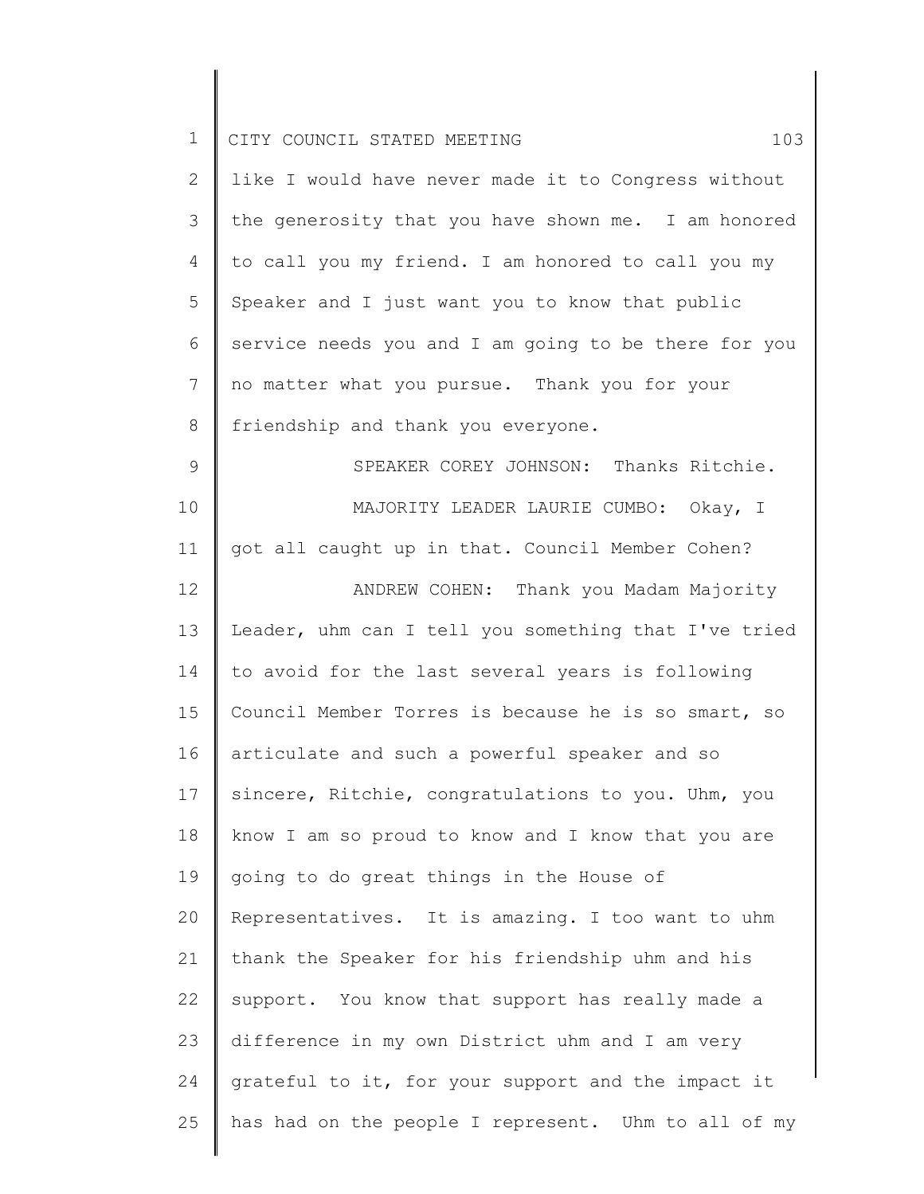| $\mathbf 1$   | CITY COUNCIL STATED MEETING<br>103                   |
|---------------|------------------------------------------------------|
| $\mathbf{2}$  | like I would have never made it to Congress without  |
| 3             | the generosity that you have shown me. I am honored  |
| 4             | to call you my friend. I am honored to call you my   |
| 5             | Speaker and I just want you to know that public      |
| 6             | service needs you and I am going to be there for you |
| 7             | no matter what you pursue. Thank you for your        |
| $\,8\,$       | friendship and thank you everyone.                   |
| $\mathcal{G}$ | SPEAKER COREY JOHNSON: Thanks Ritchie.               |
| 10            | MAJORITY LEADER LAURIE CUMBO: Okay, I                |
| 11            | got all caught up in that. Council Member Cohen?     |
| 12            | ANDREW COHEN: Thank you Madam Majority               |
| 13            | Leader, uhm can I tell you something that I've tried |
| 14            | to avoid for the last several years is following     |
| 15            | Council Member Torres is because he is so smart, so  |
| 16            | articulate and such a powerful speaker and so        |
| 17            | sincere, Ritchie, congratulations to you. Uhm, you   |
| 18            | know I am so proud to know and I know that you are   |
| 19            | going to do great things in the House of             |
| 20            | Representatives. It is amazing. I too want to uhm    |
| 21            | thank the Speaker for his friendship uhm and his     |
| 22            | support. You know that support has really made a     |
| 23            | difference in my own District uhm and I am very      |
| 24            | grateful to it, for your support and the impact it   |
| 25            | has had on the people I represent. Uhm to all of my  |
|               |                                                      |

 $\begin{array}{c} \hline \end{array}$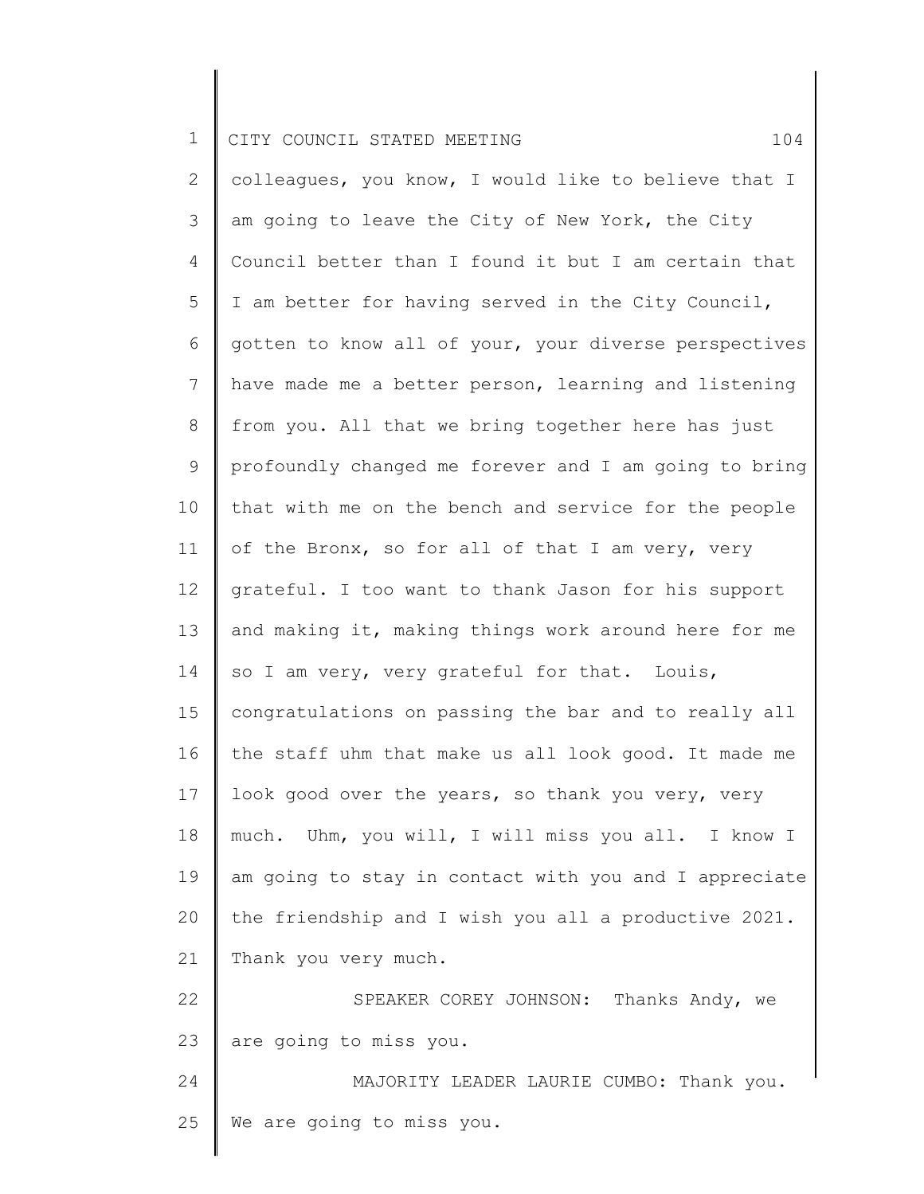2 3 4 5 6 7 8 9 10 11 12 13 14 15 16 17 18 19 20 21 22 23 24 25 colleagues, you know, I would like to believe that I am going to leave the City of New York, the City Council better than I found it but I am certain that I am better for having served in the City Council, gotten to know all of your, your diverse perspectives have made me a better person, learning and listening from you. All that we bring together here has just profoundly changed me forever and I am going to bring that with me on the bench and service for the people of the Bronx, so for all of that I am very, very grateful. I too want to thank Jason for his support and making it, making things work around here for me so I am very, very grateful for that. Louis, congratulations on passing the bar and to really all the staff uhm that make us all look good. It made me look good over the years, so thank you very, very much. Uhm, you will, I will miss you all. I know I am going to stay in contact with you and I appreciate the friendship and I wish you all a productive 2021. Thank you very much. SPEAKER COREY JOHNSON: Thanks Andy, we are going to miss you. MAJORITY LEADER LAURIE CUMBO: Thank you. We are going to miss you.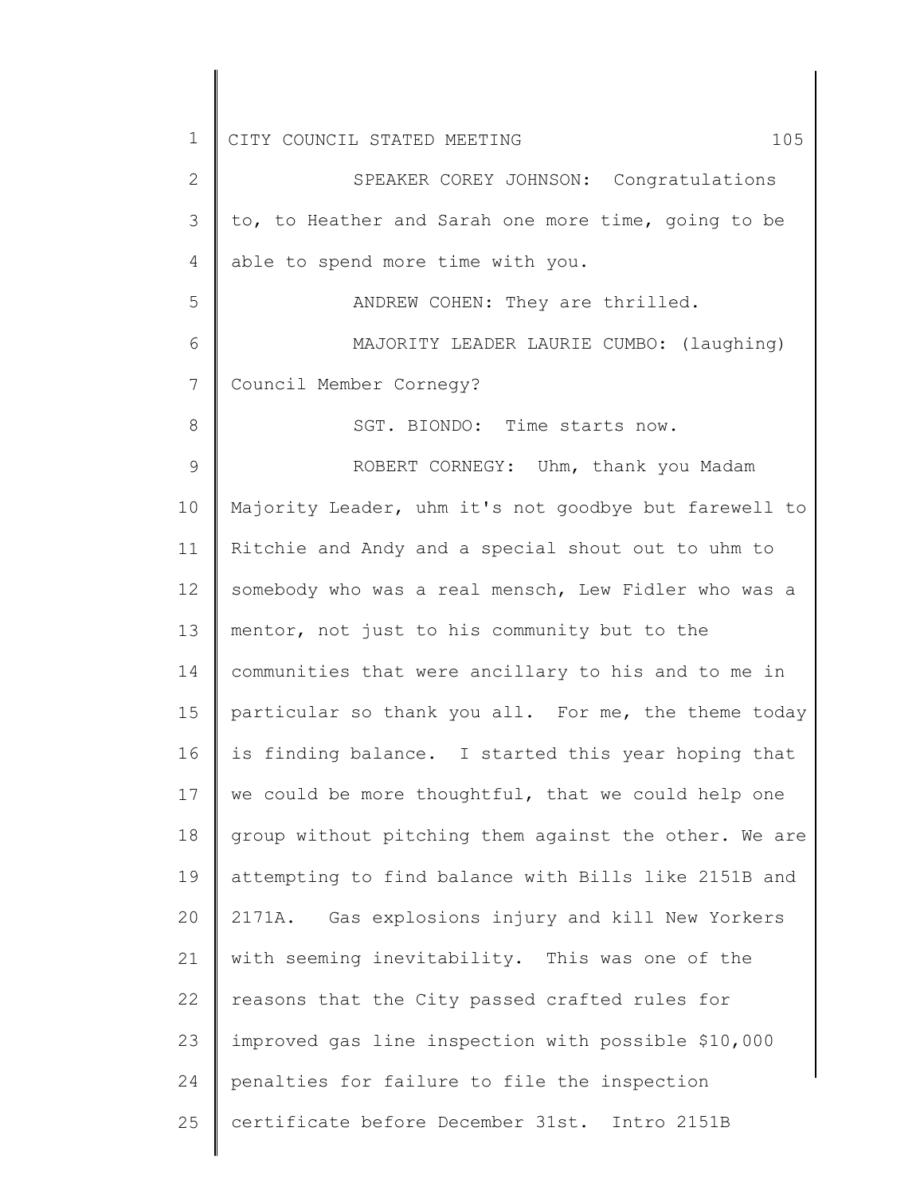1 2 3 4 5 6 7 8 9 10 11 12 13 14 15 16 17 18 19 20 21 22 23 24 25 CITY COUNCIL STATED MEETING 105 SPEAKER COREY JOHNSON: Congratulations to, to Heather and Sarah one more time, going to be able to spend more time with you. ANDREW COHEN: They are thrilled. MAJORITY LEADER LAURIE CUMBO: (laughing) Council Member Cornegy? SGT. BIONDO: Time starts now. ROBERT CORNEGY: Uhm, thank you Madam Majority Leader, uhm it's not goodbye but farewell to Ritchie and Andy and a special shout out to uhm to somebody who was a real mensch, Lew Fidler who was a mentor, not just to his community but to the communities that were ancillary to his and to me in particular so thank you all. For me, the theme today is finding balance. I started this year hoping that we could be more thoughtful, that we could help one group without pitching them against the other. We are attempting to find balance with Bills like 2151B and 2171A. Gas explosions injury and kill New Yorkers with seeming inevitability. This was one of the reasons that the City passed crafted rules for improved gas line inspection with possible \$10,000 penalties for failure to file the inspection certificate before December 31st. Intro 2151B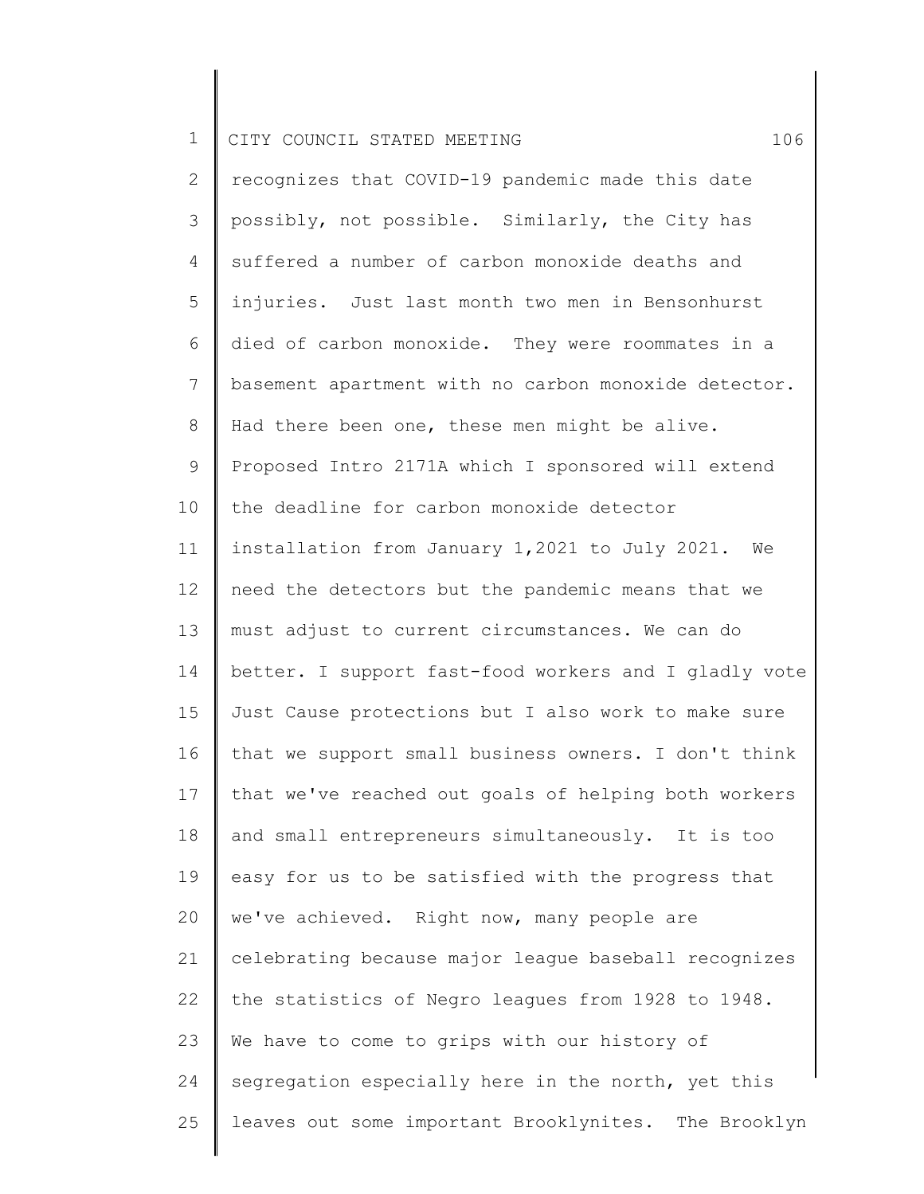2 3 4 5 6 7 8 9 10 11 12 13 14 15 16 17 18 19 20 21 22 23 24 25 recognizes that COVID-19 pandemic made this date possibly, not possible. Similarly, the City has suffered a number of carbon monoxide deaths and injuries. Just last month two men in Bensonhurst died of carbon monoxide. They were roommates in a basement apartment with no carbon monoxide detector. Had there been one, these men might be alive. Proposed Intro 2171A which I sponsored will extend the deadline for carbon monoxide detector installation from January 1,2021 to July 2021. We need the detectors but the pandemic means that we must adjust to current circumstances. We can do better. I support fast-food workers and I gladly vote Just Cause protections but I also work to make sure that we support small business owners. I don't think that we've reached out goals of helping both workers and small entrepreneurs simultaneously. It is too easy for us to be satisfied with the progress that we've achieved. Right now, many people are celebrating because major league baseball recognizes the statistics of Negro leagues from 1928 to 1948. We have to come to grips with our history of segregation especially here in the north, yet this leaves out some important Brooklynites. The Brooklyn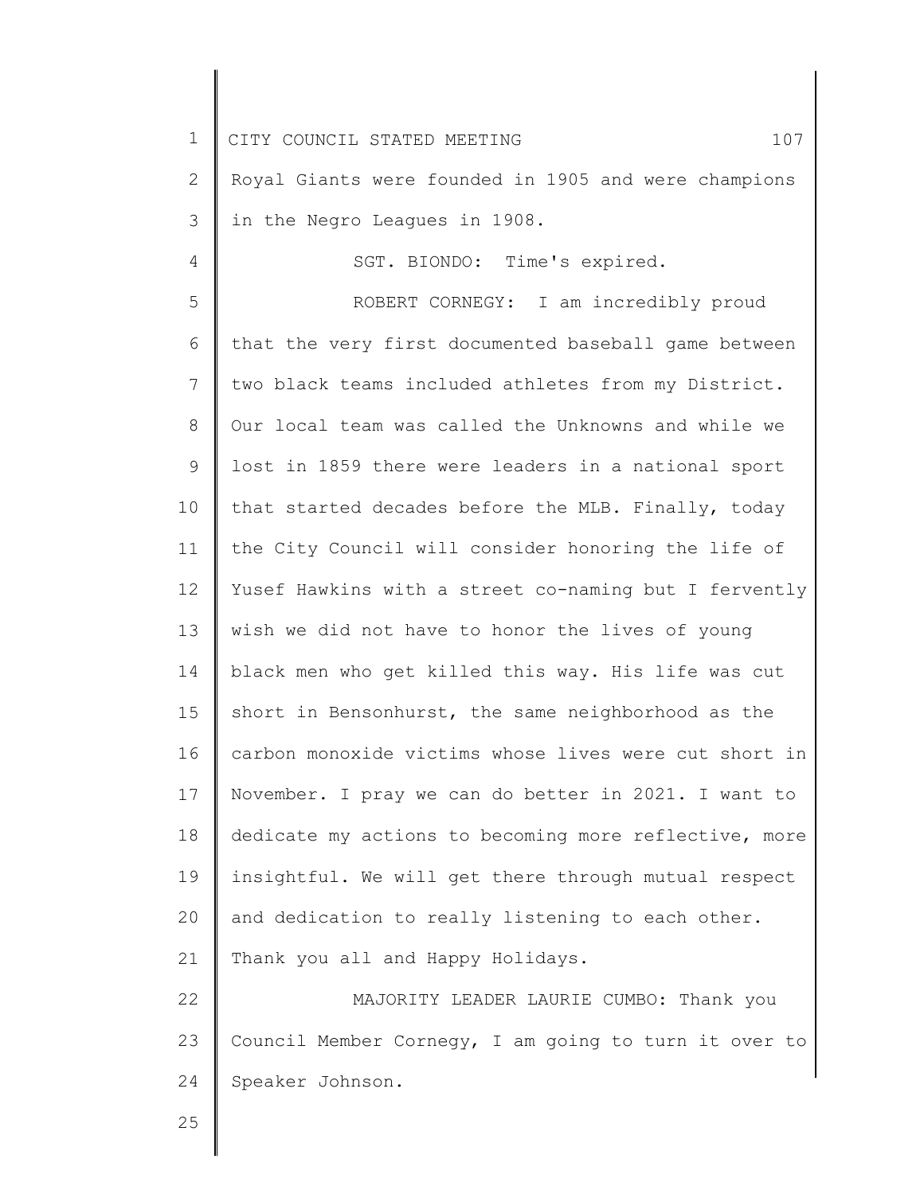1 2 3 4 5 6 7 8 9 10 11 12 13 14 15 16 17 18 19 20 21 22 23 24 25 CITY COUNCIL STATED MEETING 107 Royal Giants were founded in 1905 and were champions in the Negro Leagues in 1908. SGT. BIONDO: Time's expired. ROBERT CORNEGY: I am incredibly proud that the very first documented baseball game between two black teams included athletes from my District. Our local team was called the Unknowns and while we lost in 1859 there were leaders in a national sport that started decades before the MLB. Finally, today the City Council will consider honoring the life of Yusef Hawkins with a street co-naming but I fervently wish we did not have to honor the lives of young black men who get killed this way. His life was cut short in Bensonhurst, the same neighborhood as the carbon monoxide victims whose lives were cut short in November. I pray we can do better in 2021. I want to dedicate my actions to becoming more reflective, more insightful. We will get there through mutual respect and dedication to really listening to each other. Thank you all and Happy Holidays. MAJORITY LEADER LAURIE CUMBO: Thank you Council Member Cornegy, I am going to turn it over to Speaker Johnson.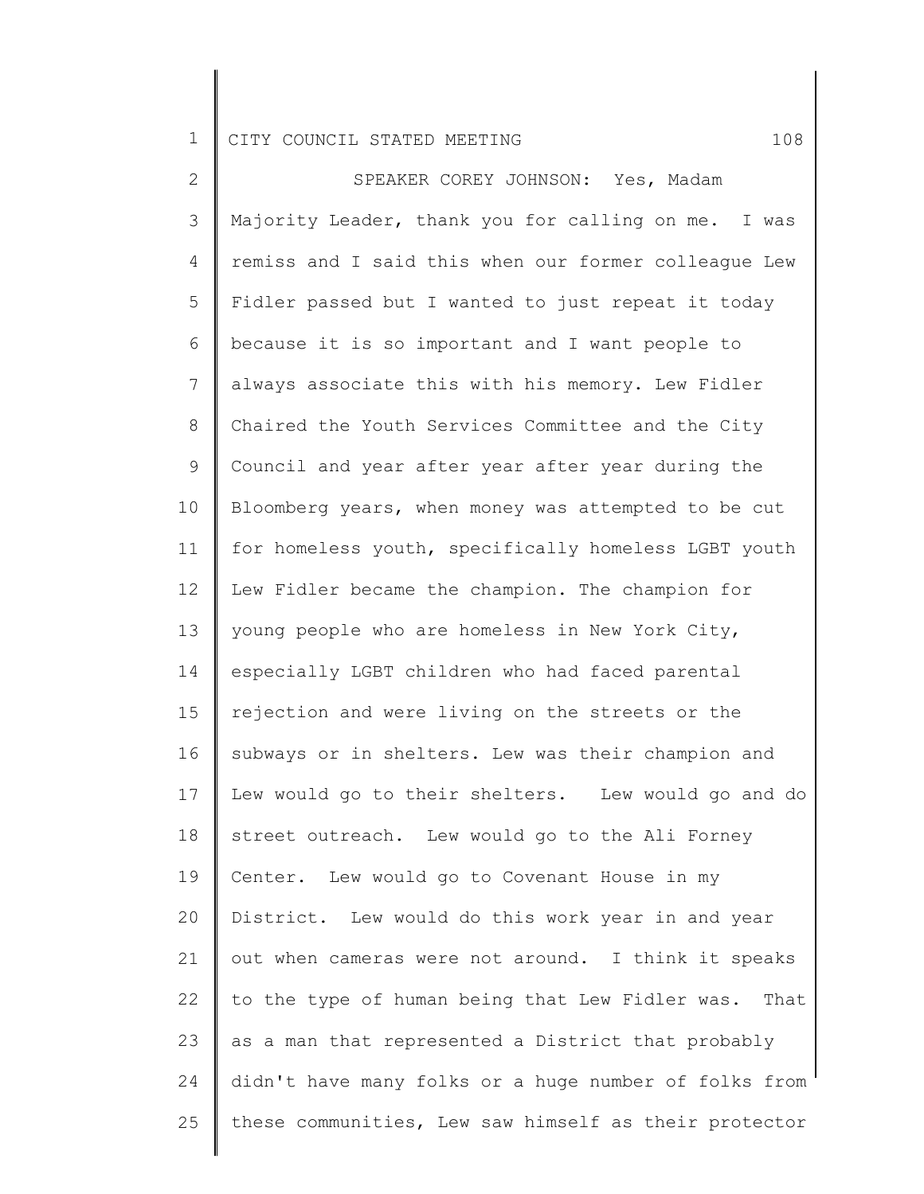2 3 4 5 6 7 8 9 10 11 12 13 14 15 16 17 18 19 20 21 22 23 24 25 SPEAKER COREY JOHNSON: Yes, Madam Majority Leader, thank you for calling on me. I was remiss and I said this when our former colleague Lew Fidler passed but I wanted to just repeat it today because it is so important and I want people to always associate this with his memory. Lew Fidler Chaired the Youth Services Committee and the City Council and year after year after year during the Bloomberg years, when money was attempted to be cut for homeless youth, specifically homeless LGBT youth Lew Fidler became the champion. The champion for young people who are homeless in New York City, especially LGBT children who had faced parental rejection and were living on the streets or the subways or in shelters. Lew was their champion and Lew would go to their shelters. Lew would go and do street outreach. Lew would go to the Ali Forney Center. Lew would go to Covenant House in my District. Lew would do this work year in and year out when cameras were not around. I think it speaks to the type of human being that Lew Fidler was. That as a man that represented a District that probably didn't have many folks or a huge number of folks from these communities, Lew saw himself as their protector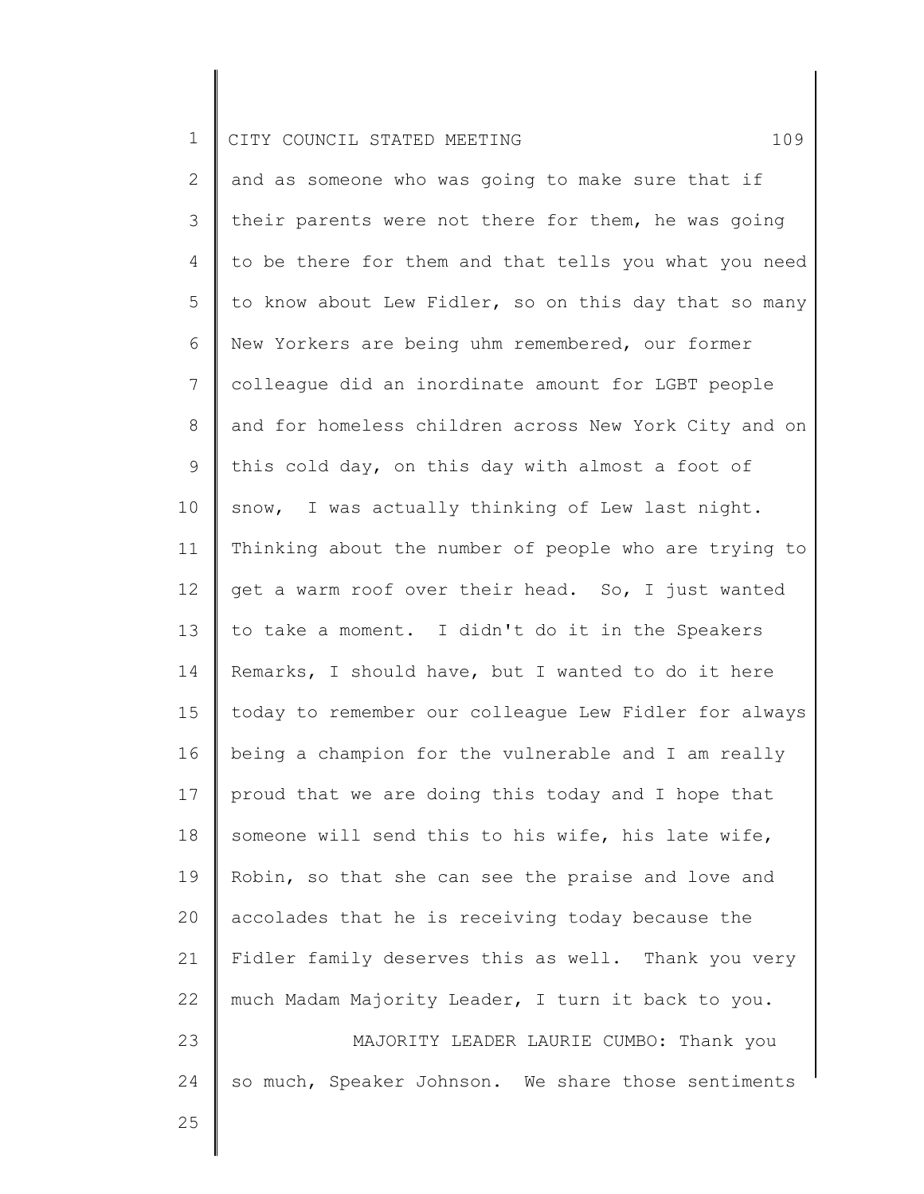2 3 4 5 6 7 8 9 10 11 12 13 14 15 16 17 18 19 20 21 22 23 24 and as someone who was going to make sure that if their parents were not there for them, he was going to be there for them and that tells you what you need to know about Lew Fidler, so on this day that so many New Yorkers are being uhm remembered, our former colleague did an inordinate amount for LGBT people and for homeless children across New York City and on this cold day, on this day with almost a foot of snow, I was actually thinking of Lew last night. Thinking about the number of people who are trying to get a warm roof over their head. So, I just wanted to take a moment. I didn't do it in the Speakers Remarks, I should have, but I wanted to do it here today to remember our colleague Lew Fidler for always being a champion for the vulnerable and I am really proud that we are doing this today and I hope that someone will send this to his wife, his late wife, Robin, so that she can see the praise and love and accolades that he is receiving today because the Fidler family deserves this as well. Thank you very much Madam Majority Leader, I turn it back to you. MAJORITY LEADER LAURIE CUMBO: Thank you so much, Speaker Johnson. We share those sentiments

25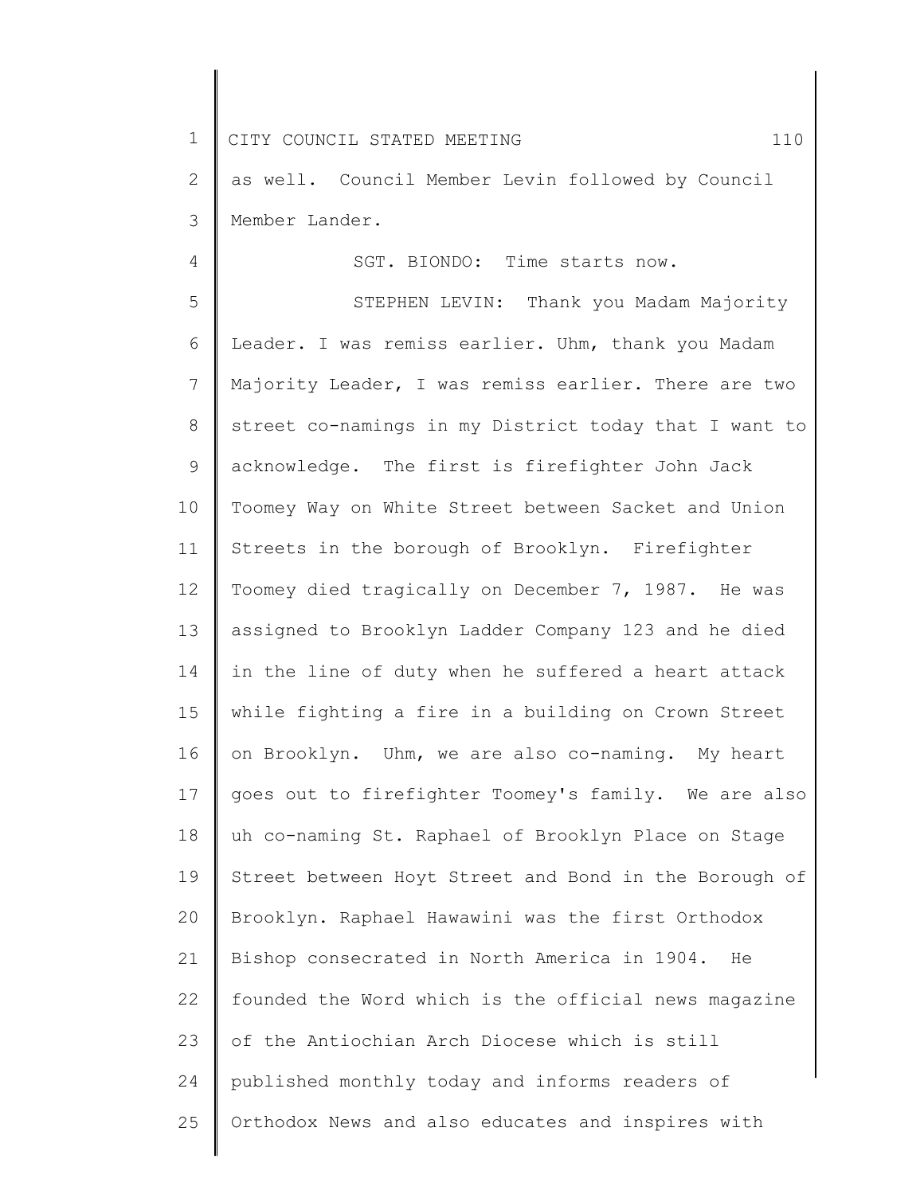4

2 3 as well. Council Member Levin followed by Council Member Lander.

SGT. BIONDO: Time starts now.

5 6 7 8 9 10 11 12 13 14 15 16 17 18 19 20 21 22 23 24 25 STEPHEN LEVIN: Thank you Madam Majority Leader. I was remiss earlier. Uhm, thank you Madam Majority Leader, I was remiss earlier. There are two street co-namings in my District today that I want to acknowledge. The first is firefighter John Jack Toomey Way on White Street between Sacket and Union Streets in the borough of Brooklyn. Firefighter Toomey died tragically on December 7, 1987. He was assigned to Brooklyn Ladder Company 123 and he died in the line of duty when he suffered a heart attack while fighting a fire in a building on Crown Street on Brooklyn. Uhm, we are also co-naming. My heart goes out to firefighter Toomey's family. We are also uh co-naming St. Raphael of Brooklyn Place on Stage Street between Hoyt Street and Bond in the Borough of Brooklyn. Raphael Hawawini was the first Orthodox Bishop consecrated in North America in 1904. He founded the Word which is the official news magazine of the Antiochian Arch Diocese which is still published monthly today and informs readers of Orthodox News and also educates and inspires with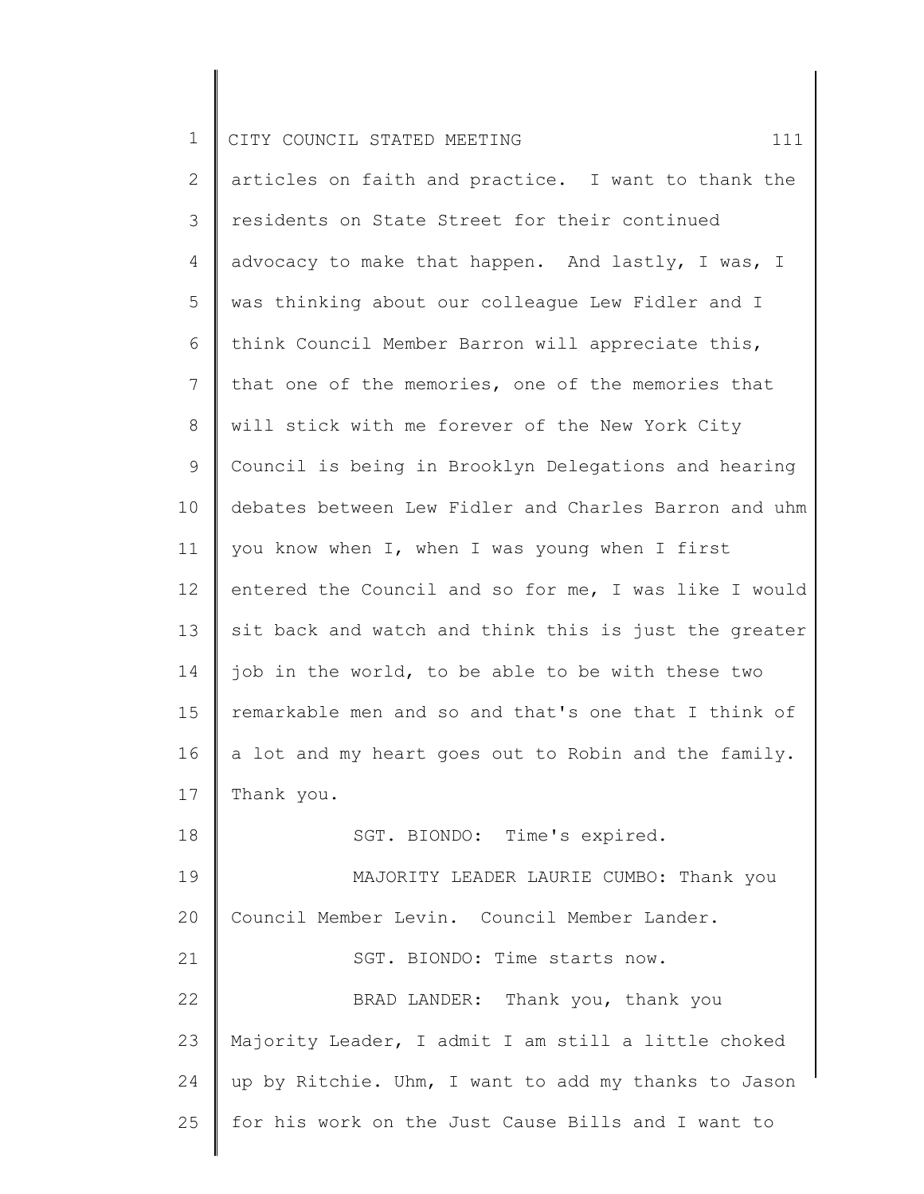| $\mathbf 1$ | 111<br>CITY COUNCIL STATED MEETING                    |
|-------------|-------------------------------------------------------|
| 2           | articles on faith and practice. I want to thank the   |
| 3           | residents on State Street for their continued         |
| 4           | advocacy to make that happen. And lastly, I was, I    |
| 5           | was thinking about our colleague Lew Fidler and I     |
| 6           | think Council Member Barron will appreciate this,     |
| 7           | that one of the memories, one of the memories that    |
| 8           | will stick with me forever of the New York City       |
| 9           | Council is being in Brooklyn Delegations and hearing  |
| 10          | debates between Lew Fidler and Charles Barron and uhm |
| 11          | you know when I, when I was young when I first        |
| 12          | entered the Council and so for me, I was like I would |
| 13          | sit back and watch and think this is just the greater |
| 14          | job in the world, to be able to be with these two     |
| 15          | remarkable men and so and that's one that I think of  |
| 16          | a lot and my heart goes out to Robin and the family.  |
| 17          | Thank you.                                            |
| 18          | SGT. BIONDO: Time's expired.                          |
| 19          | MAJORITY LEADER LAURIE CUMBO: Thank you               |
| 20          | Council Member Levin. Council Member Lander.          |
| 21          | SGT. BIONDO: Time starts now.                         |
| 22          | BRAD LANDER: Thank you, thank you                     |
| 23          | Majority Leader, I admit I am still a little choked   |
| 24          | up by Ritchie. Uhm, I want to add my thanks to Jason  |
| 25          | for his work on the Just Cause Bills and I want to    |
|             |                                                       |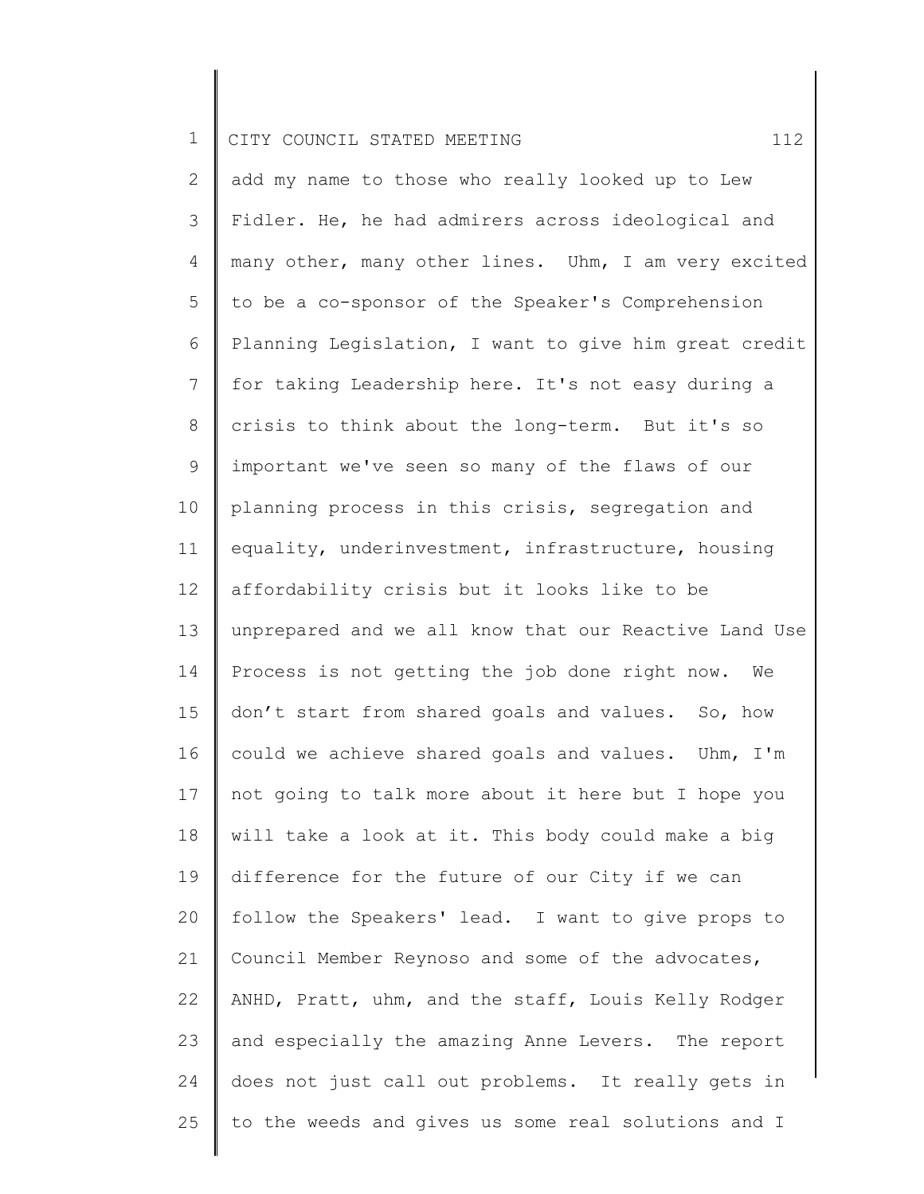2 3 4 5 6 7 8 9 10 11 12 13 14 15 16 17 18 19 20 21 22 23 24 25 add my name to those who really looked up to Lew Fidler. He, he had admirers across ideological and many other, many other lines. Uhm, I am very excited to be a co-sponsor of the Speaker's Comprehension Planning Legislation, I want to give him great credit for taking Leadership here. It's not easy during a crisis to think about the long-term. But it's so important we've seen so many of the flaws of our planning process in this crisis, segregation and equality, underinvestment, infrastructure, housing affordability crisis but it looks like to be unprepared and we all know that our Reactive Land Use Process is not getting the job done right now. We don't start from shared goals and values. So, how could we achieve shared goals and values. Uhm, I'm not going to talk more about it here but I hope you will take a look at it. This body could make a big difference for the future of our City if we can follow the Speakers' lead. I want to give props to Council Member Reynoso and some of the advocates, ANHD, Pratt, uhm, and the staff, Louis Kelly Rodger and especially the amazing Anne Levers. The report does not just call out problems. It really gets in to the weeds and gives us some real solutions and I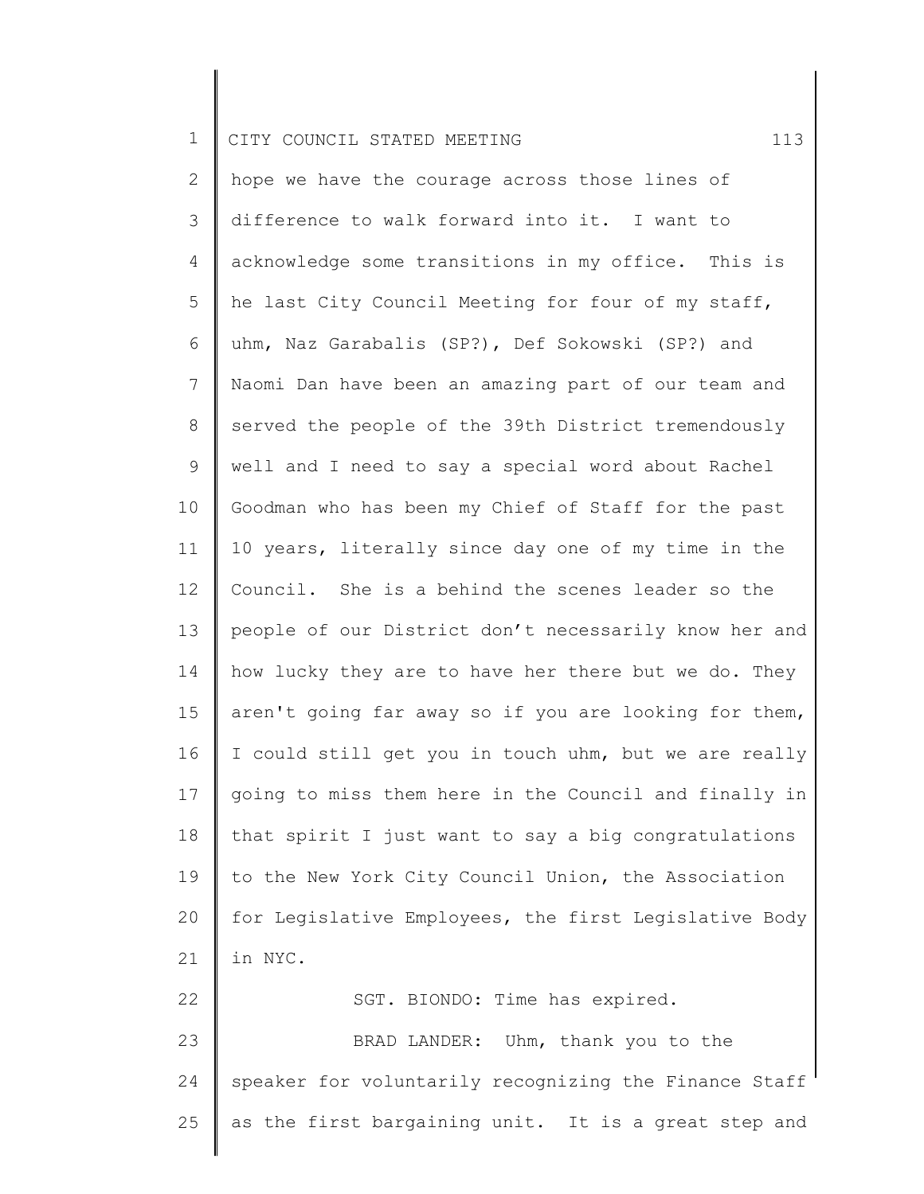|  |  | CITY COUNCIL STATED MEETING |  |  |  |  |  |  |
|--|--|-----------------------------|--|--|--|--|--|--|
|--|--|-----------------------------|--|--|--|--|--|--|

25

2 3 4 5 6 7 8 9 10 11 12 13 14 15 16 17 18 19 20 21 22 23 24 hope we have the courage across those lines of difference to walk forward into it. I want to acknowledge some transitions in my office. This is he last City Council Meeting for four of my staff, uhm, Naz Garabalis (SP?), Def Sokowski (SP?) and Naomi Dan have been an amazing part of our team and served the people of the 39th District tremendously well and I need to say a special word about Rachel Goodman who has been my Chief of Staff for the past 10 years, literally since day one of my time in the Council. She is a behind the scenes leader so the people of our District don't necessarily know her and how lucky they are to have her there but we do. They aren't going far away so if you are looking for them, I could still get you in touch uhm, but we are really going to miss them here in the Council and finally in that spirit I just want to say a big congratulations to the New York City Council Union, the Association for Legislative Employees, the first Legislative Body in NYC. SGT. BIONDO: Time has expired. BRAD LANDER: Uhm, thank you to the speaker for voluntarily recognizing the Finance Staff

as the first bargaining unit. It is a great step and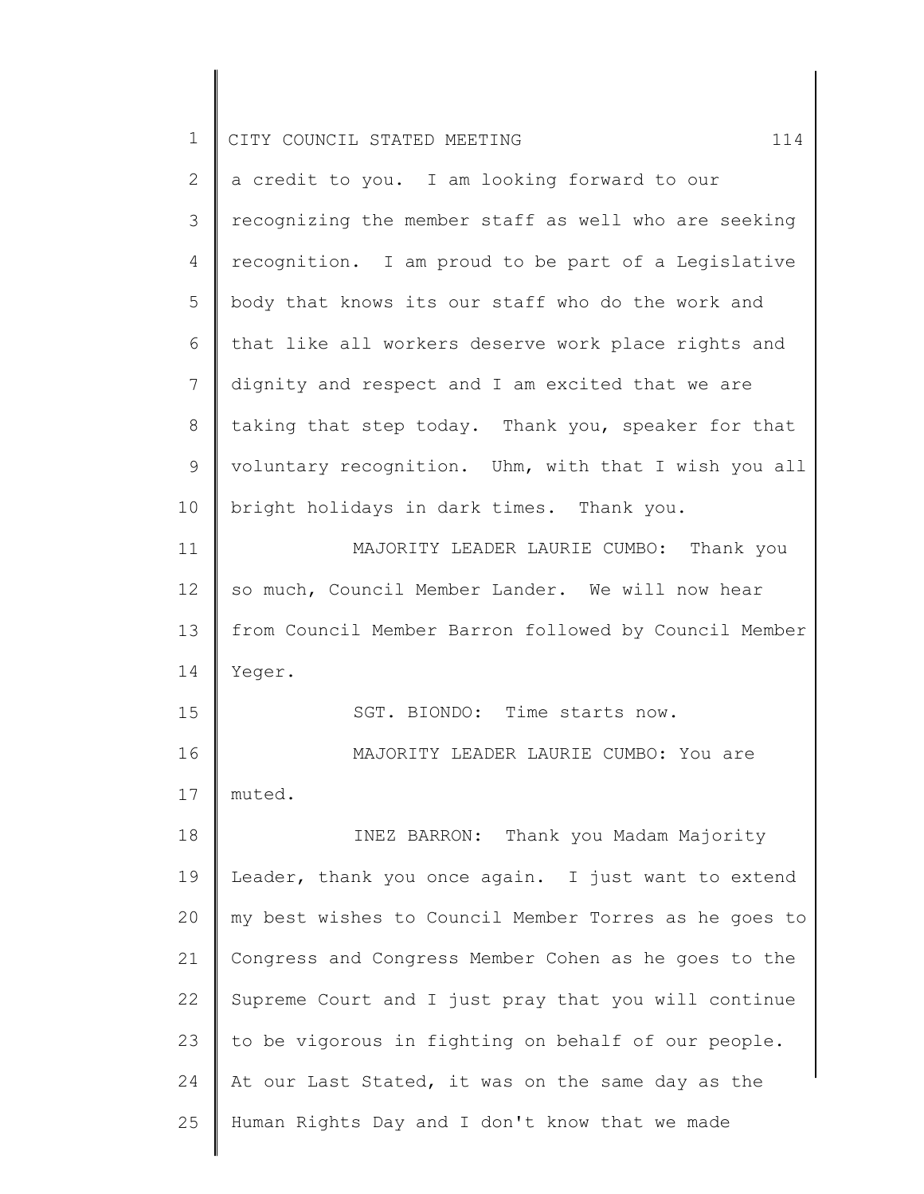| $\mathbf 1$ | 114<br>CITY COUNCIL STATED MEETING                    |
|-------------|-------------------------------------------------------|
| 2           | a credit to you. I am looking forward to our          |
| 3           | recognizing the member staff as well who are seeking  |
| 4           | recognition. I am proud to be part of a Legislative   |
| 5           | body that knows its our staff who do the work and     |
| 6           | that like all workers deserve work place rights and   |
| 7           | dignity and respect and I am excited that we are      |
| $8\,$       | taking that step today. Thank you, speaker for that   |
| 9           | voluntary recognition. Uhm, with that I wish you all  |
| 10          | bright holidays in dark times. Thank you.             |
| 11          | MAJORITY LEADER LAURIE CUMBO: Thank you               |
| 12          | so much, Council Member Lander. We will now hear      |
| 13          | from Council Member Barron followed by Council Member |
| 14          | Yeger.                                                |
| 15          | SGT. BIONDO: Time starts now.                         |
| 16          | MAJORITY LEADER LAURIE CUMBO: You are                 |
| 17          | muted.                                                |
| 18          | INEZ BARRON: Thank you Madam Majority                 |
| 19          | Leader, thank you once again. I just want to extend   |
| 20          | my best wishes to Council Member Torres as he goes to |
| 21          | Congress and Congress Member Cohen as he goes to the  |
| 22          | Supreme Court and I just pray that you will continue  |
| 23          | to be vigorous in fighting on behalf of our people.   |
| 24          | At our Last Stated, it was on the same day as the     |
| 25          | Human Rights Day and I don't know that we made        |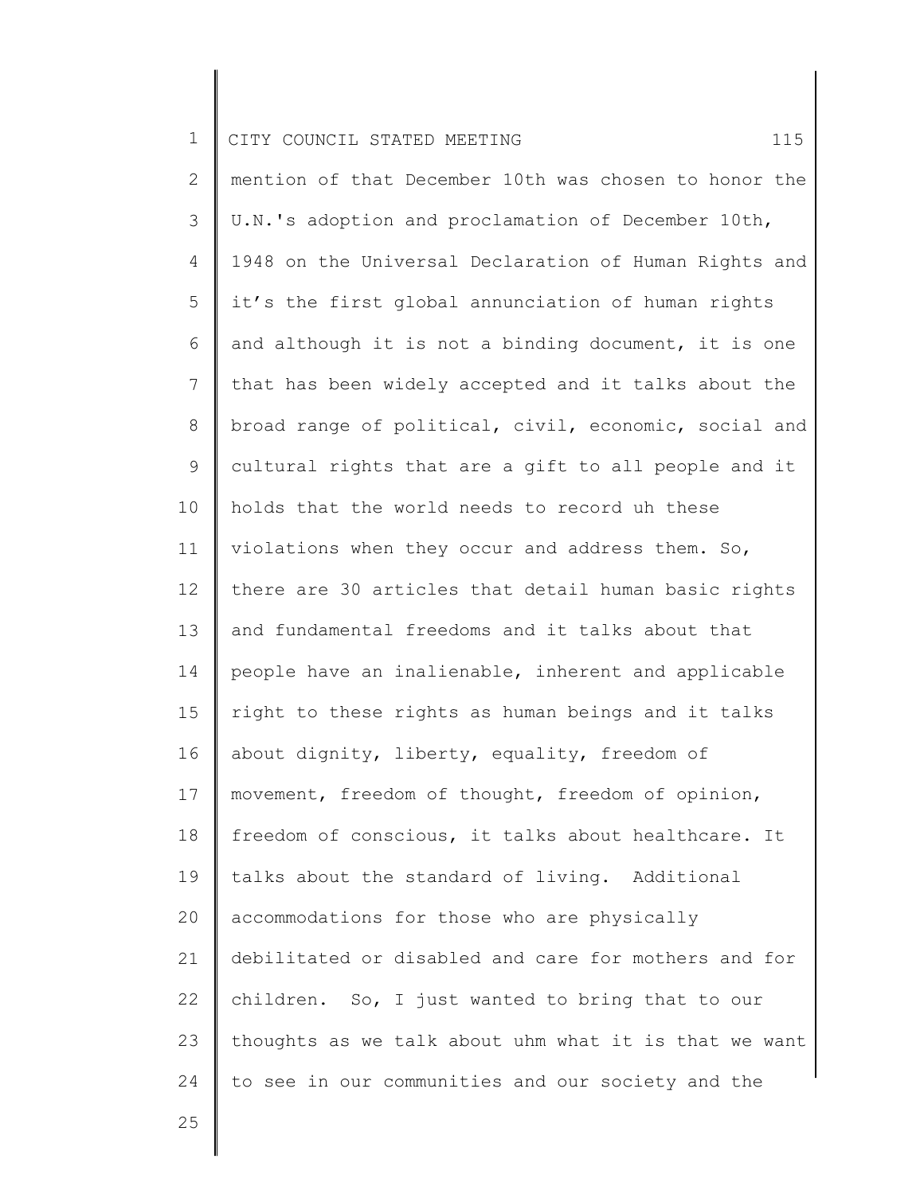2 3 4 5 6 7 8 9 10 11 12 13 14 15 16 17 18 19 20 21 22 23 24 mention of that December 10th was chosen to honor the U.N.'s adoption and proclamation of December 10th, 1948 on the Universal Declaration of Human Rights and it's the first global annunciation of human rights and although it is not a binding document, it is one that has been widely accepted and it talks about the broad range of political, civil, economic, social and cultural rights that are a gift to all people and it holds that the world needs to record uh these violations when they occur and address them. So, there are 30 articles that detail human basic rights and fundamental freedoms and it talks about that people have an inalienable, inherent and applicable right to these rights as human beings and it talks about dignity, liberty, equality, freedom of movement, freedom of thought, freedom of opinion, freedom of conscious, it talks about healthcare. It talks about the standard of living. Additional accommodations for those who are physically debilitated or disabled and care for mothers and for children. So, I just wanted to bring that to our thoughts as we talk about uhm what it is that we want to see in our communities and our society and the

25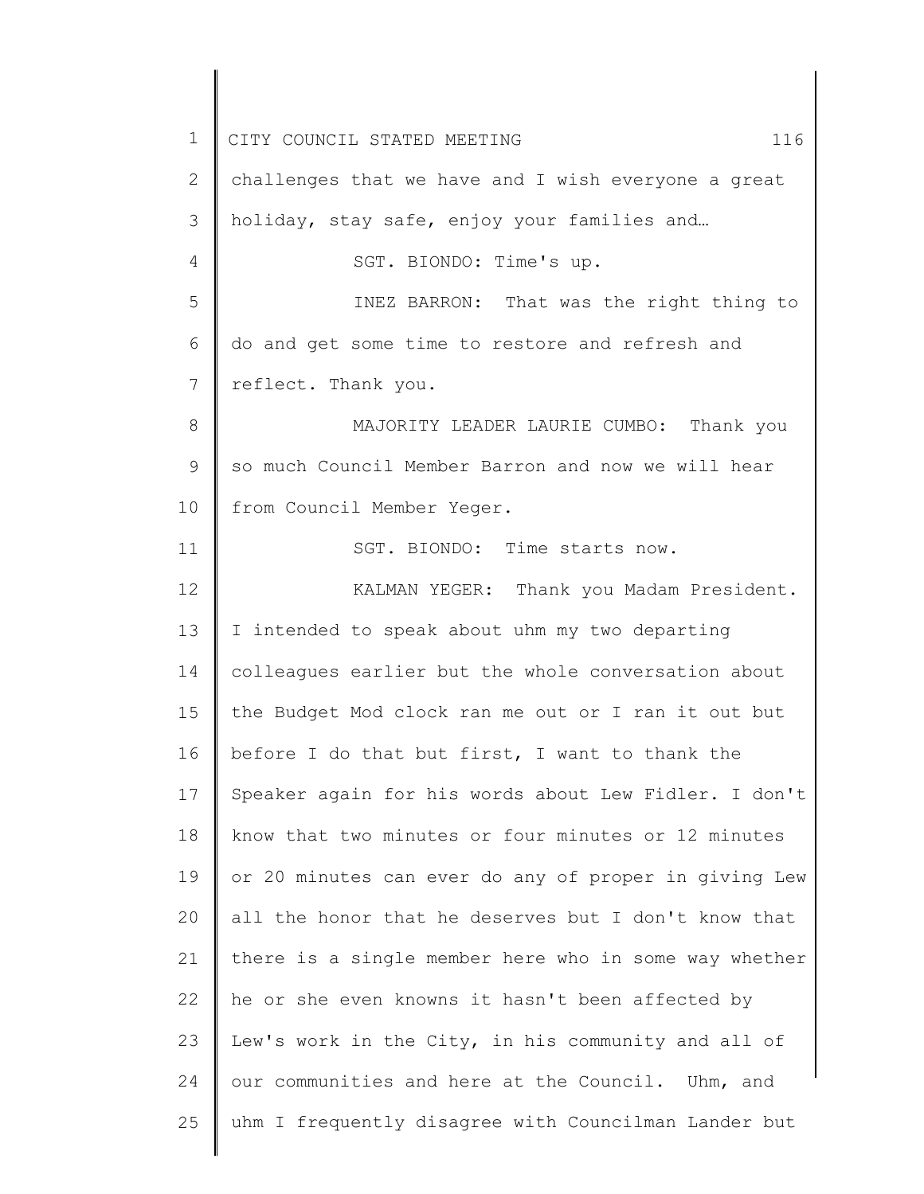1 2 3 4 5 6 7 8 9 10 11 12 13 14 15 16 17 18 19 20 21 22 23 24 25 CITY COUNCIL STATED MEETING 116 challenges that we have and I wish everyone a great holiday, stay safe, enjoy your families and… SGT. BIONDO: Time's up. INEZ BARRON: That was the right thing to do and get some time to restore and refresh and reflect. Thank you. MAJORITY LEADER LAURIE CUMBO: Thank you so much Council Member Barron and now we will hear from Council Member Yeger. SGT. BIONDO: Time starts now. KALMAN YEGER: Thank you Madam President. I intended to speak about uhm my two departing colleagues earlier but the whole conversation about the Budget Mod clock ran me out or I ran it out but before I do that but first, I want to thank the Speaker again for his words about Lew Fidler. I don't know that two minutes or four minutes or 12 minutes or 20 minutes can ever do any of proper in giving Lew all the honor that he deserves but I don't know that there is a single member here who in some way whether he or she even knowns it hasn't been affected by Lew's work in the City, in his community and all of our communities and here at the Council. Uhm, and uhm I frequently disagree with Councilman Lander but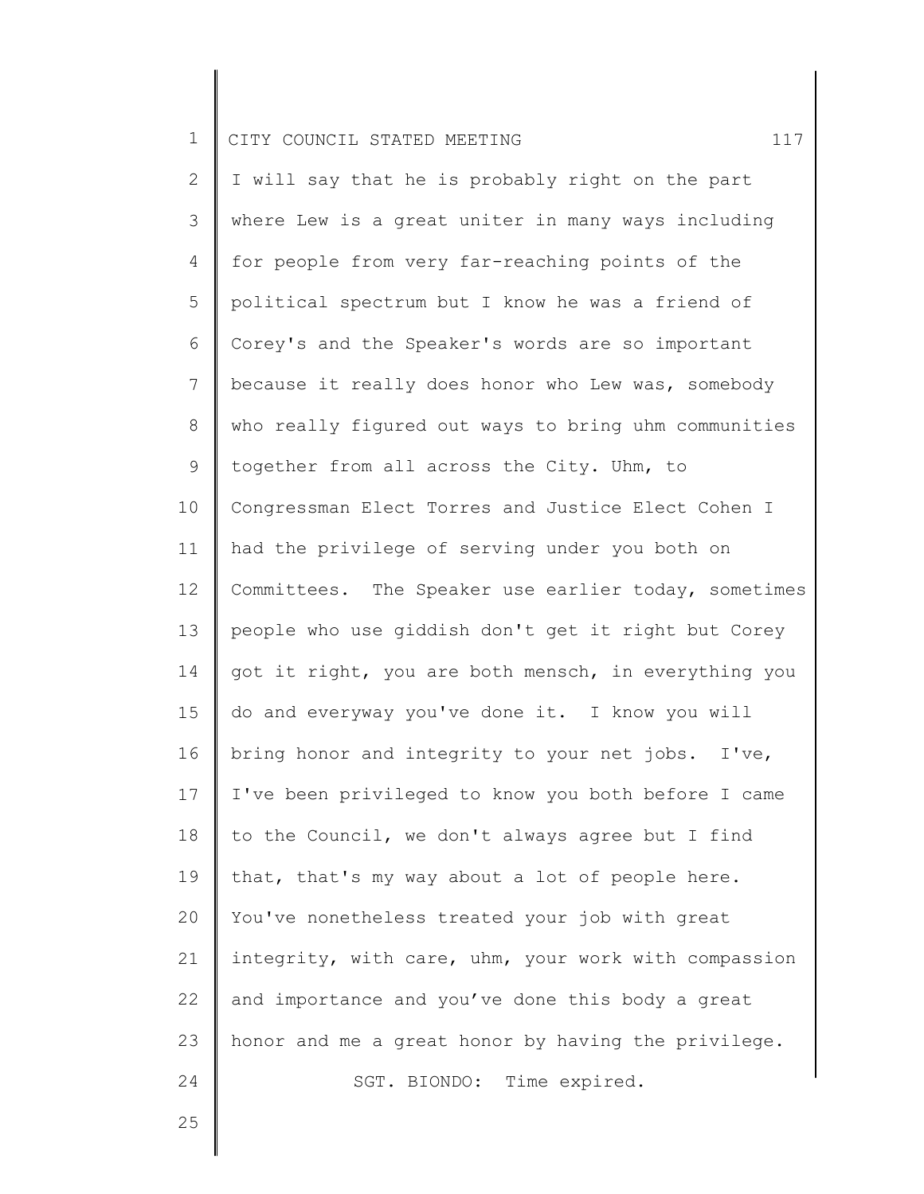2 3 4 5 6 7 8 9 10 11 12 13 14 15 16 17 18 19 20 21 22 23 24 I will say that he is probably right on the part where Lew is a great uniter in many ways including for people from very far-reaching points of the political spectrum but I know he was a friend of Corey's and the Speaker's words are so important because it really does honor who Lew was, somebody who really figured out ways to bring uhm communities together from all across the City. Uhm, to Congressman Elect Torres and Justice Elect Cohen I had the privilege of serving under you both on Committees. The Speaker use earlier today, sometimes people who use giddish don't get it right but Corey got it right, you are both mensch, in everything you do and everyway you've done it. I know you will bring honor and integrity to your net jobs. I've, I've been privileged to know you both before I came to the Council, we don't always agree but I find that, that's my way about a lot of people here. You've nonetheless treated your job with great integrity, with care, uhm, your work with compassion and importance and you've done this body a great honor and me a great honor by having the privilege. SGT. BIONDO: Time expired.

25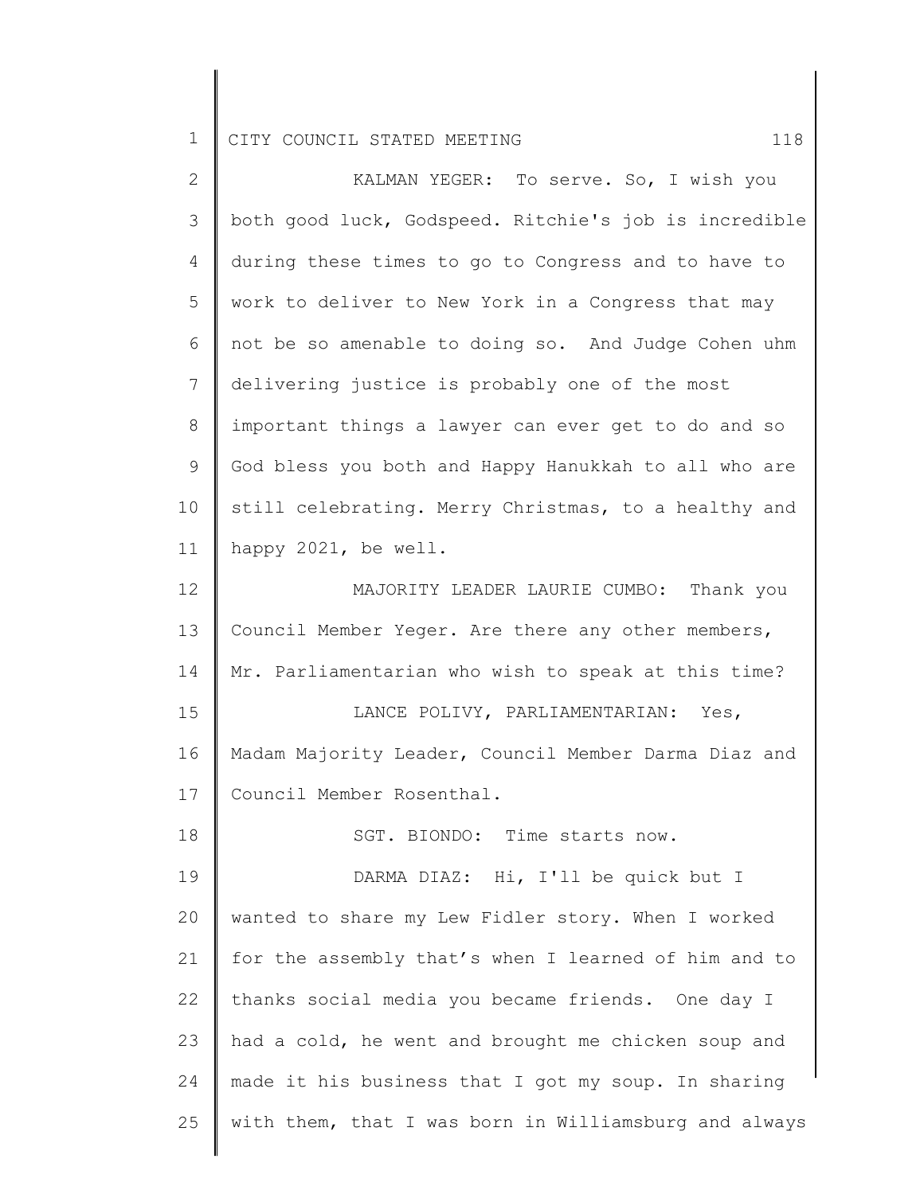| $\mathbf{2}$ | KALMAN YEGER: To serve. So, I wish you                |
|--------------|-------------------------------------------------------|
| 3            | both good luck, Godspeed. Ritchie's job is incredible |
| 4            | during these times to go to Congress and to have to   |
| 5            | work to deliver to New York in a Congress that may    |
| 6            | not be so amenable to doing so. And Judge Cohen uhm   |
| 7            | delivering justice is probably one of the most        |
| 8            | important things a lawyer can ever get to do and so   |
| 9            | God bless you both and Happy Hanukkah to all who are  |
| 10           | still celebrating. Merry Christmas, to a healthy and  |
| 11           | happy 2021, be well.                                  |
| 12           | MAJORITY LEADER LAURIE CUMBO: Thank you               |
| 13           | Council Member Yeger. Are there any other members,    |
| 14           | Mr. Parliamentarian who wish to speak at this time?   |
| 15           | LANCE POLIVY, PARLIAMENTARIAN: Yes,                   |
| 16           | Madam Majority Leader, Council Member Darma Diaz and  |
| 17           | Council Member Rosenthal.                             |
| 18           | SGT. BIONDO: Time starts now.                         |
| 19           | DARMA DIAZ: Hi, I'll be quick but I                   |
| 20           | wanted to share my Lew Fidler story. When I worked    |
| 21           | for the assembly that's when I learned of him and to  |
| 22           | thanks social media you became friends. One day I     |
| 23           | had a cold, he went and brought me chicken soup and   |
| 24           | made it his business that I got my soup. In sharing   |
| 25           | with them, that I was born in Williamsburg and always |
|              |                                                       |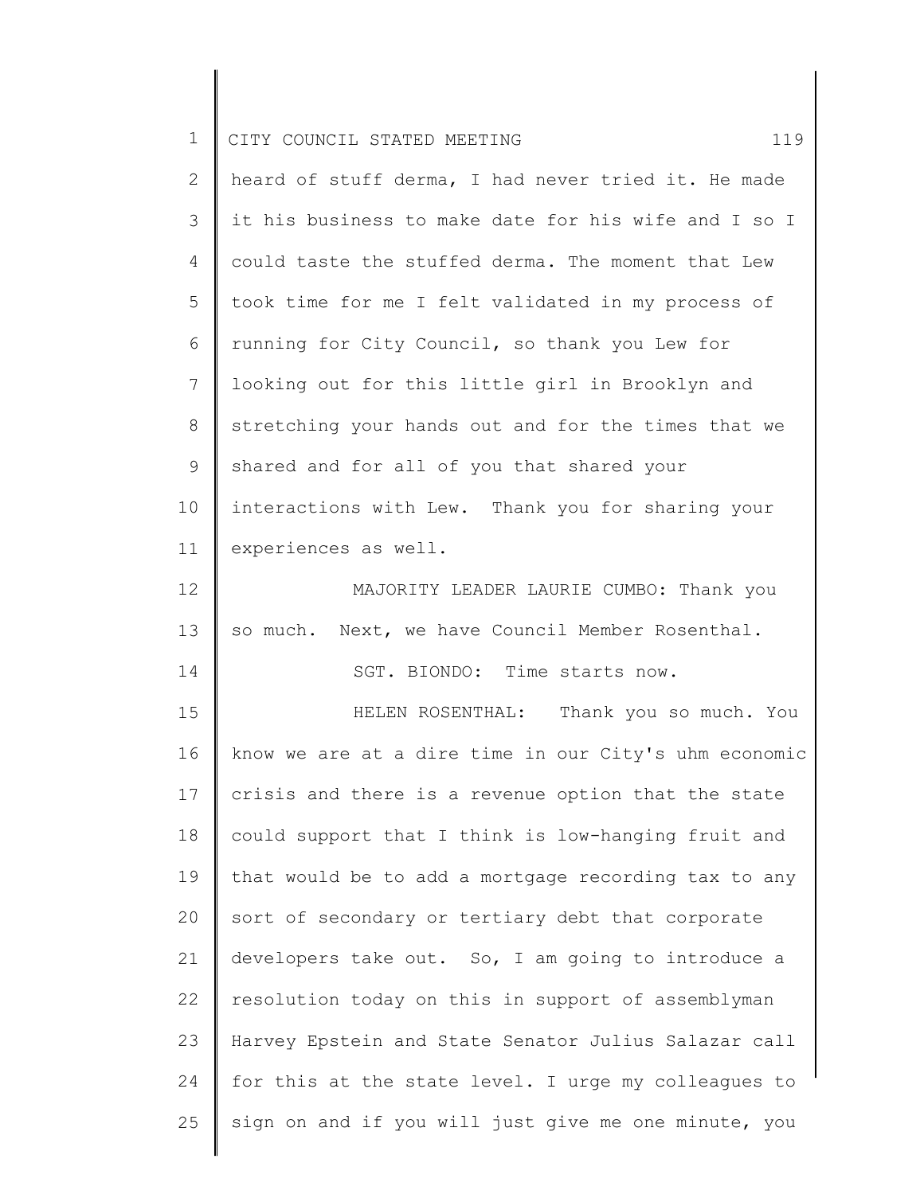| $\mathbf 1$     | CITY COUNCIL STATED MEETING<br>119                    |
|-----------------|-------------------------------------------------------|
| $\overline{2}$  | heard of stuff derma, I had never tried it. He made   |
| 3               | it his business to make date for his wife and I so I  |
| 4               | could taste the stuffed derma. The moment that Lew    |
| 5               | took time for me I felt validated in my process of    |
| 6               | running for City Council, so thank you Lew for        |
| $7\overline{ }$ | looking out for this little girl in Brooklyn and      |
| $8\,$           | stretching your hands out and for the times that we   |
| $\mathsf 9$     | shared and for all of you that shared your            |
| 10              | interactions with Lew. Thank you for sharing your     |
| 11              | experiences as well.                                  |
| 12              | MAJORITY LEADER LAURIE CUMBO: Thank you               |
| 13              | so much. Next, we have Council Member Rosenthal.      |
| 14              | SGT. BIONDO: Time starts now.                         |
| 15              | HELEN ROSENTHAL: Thank you so much. You               |
| 16              | know we are at a dire time in our City's uhm economic |
| 17              | crisis and there is a revenue option that the state   |
| 18              | could support that I think is low-hanging fruit and   |
| 19              | that would be to add a mortgage recording tax to any  |
| 20              | sort of secondary or tertiary debt that corporate     |
| 21              | developers take out. So, I am going to introduce a    |
| 22              | resolution today on this in support of assemblyman    |
| 23              | Harvey Epstein and State Senator Julius Salazar call  |
| 24              | for this at the state level. I urge my colleagues to  |
| 25              | sign on and if you will just give me one minute, you  |

║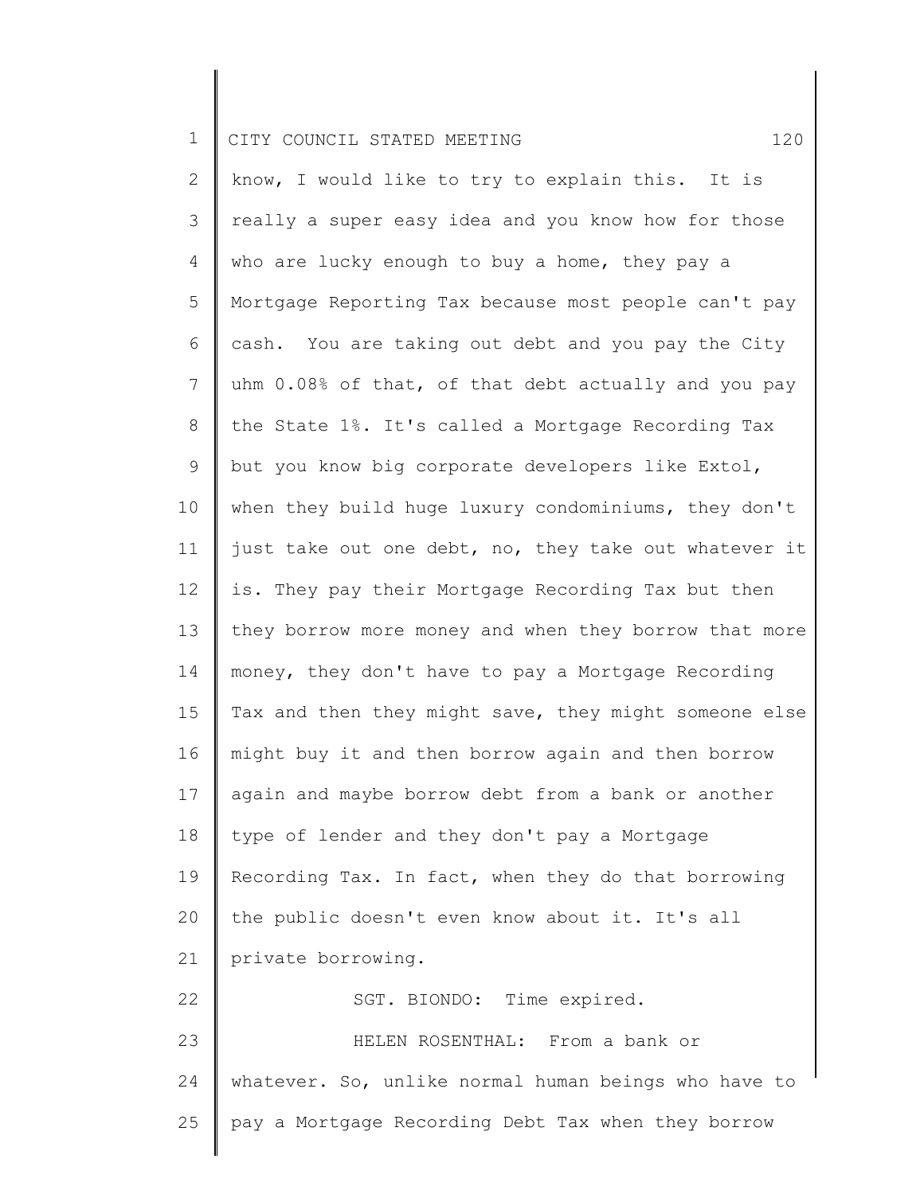2 3 4 5 6 7 8 9 10 11 12 13 14 15 16 17 18 19 20 21 22 23 24 25 know, I would like to try to explain this. It is really a super easy idea and you know how for those who are lucky enough to buy a home, they pay a Mortgage Reporting Tax because most people can't pay cash. You are taking out debt and you pay the City uhm 0.08% of that, of that debt actually and you pay the State 1%. It's called a Mortgage Recording Tax but you know big corporate developers like Extol, when they build huge luxury condominiums, they don't just take out one debt, no, they take out whatever it is. They pay their Mortgage Recording Tax but then they borrow more money and when they borrow that more money, they don't have to pay a Mortgage Recording Tax and then they might save, they might someone else might buy it and then borrow again and then borrow again and maybe borrow debt from a bank or another type of lender and they don't pay a Mortgage Recording Tax. In fact, when they do that borrowing the public doesn't even know about it. It's all private borrowing. SGT. BIONDO: Time expired. HELEN ROSENTHAL: From a bank or whatever. So, unlike normal human beings who have to pay a Mortgage Recording Debt Tax when they borrow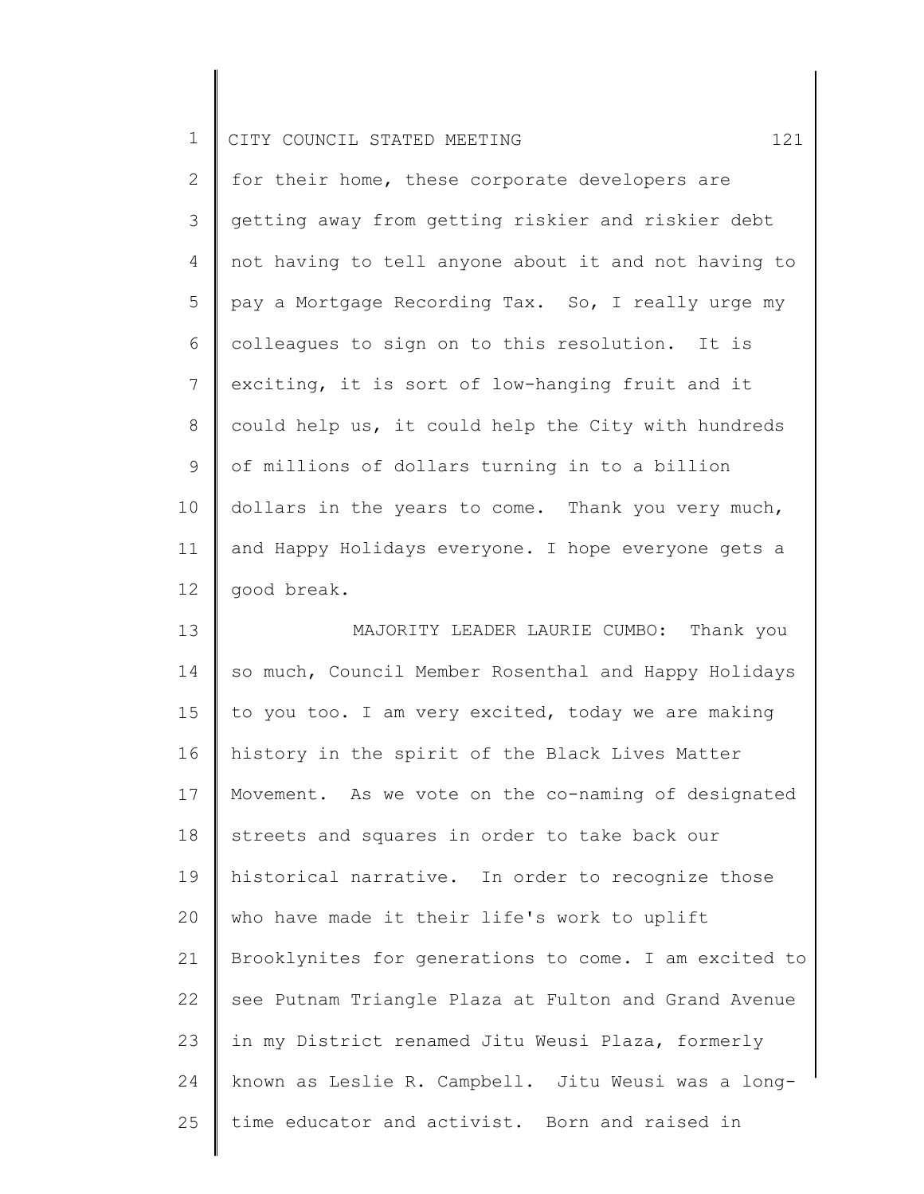2 3 4 5 6 7 8 9 10 11 12 for their home, these corporate developers are getting away from getting riskier and riskier debt not having to tell anyone about it and not having to pay a Mortgage Recording Tax. So, I really urge my colleagues to sign on to this resolution. It is exciting, it is sort of low-hanging fruit and it could help us, it could help the City with hundreds of millions of dollars turning in to a billion dollars in the years to come. Thank you very much, and Happy Holidays everyone. I hope everyone gets a good break.

13 14 15 16 17 18 19 20 21 22 23 24 25 MAJORITY LEADER LAURIE CUMBO: Thank you so much, Council Member Rosenthal and Happy Holidays to you too. I am very excited, today we are making history in the spirit of the Black Lives Matter Movement. As we vote on the co-naming of designated streets and squares in order to take back our historical narrative. In order to recognize those who have made it their life's work to uplift Brooklynites for generations to come. I am excited to see Putnam Triangle Plaza at Fulton and Grand Avenue in my District renamed Jitu Weusi Plaza, formerly known as Leslie R. Campbell. Jitu Weusi was a longtime educator and activist. Born and raised in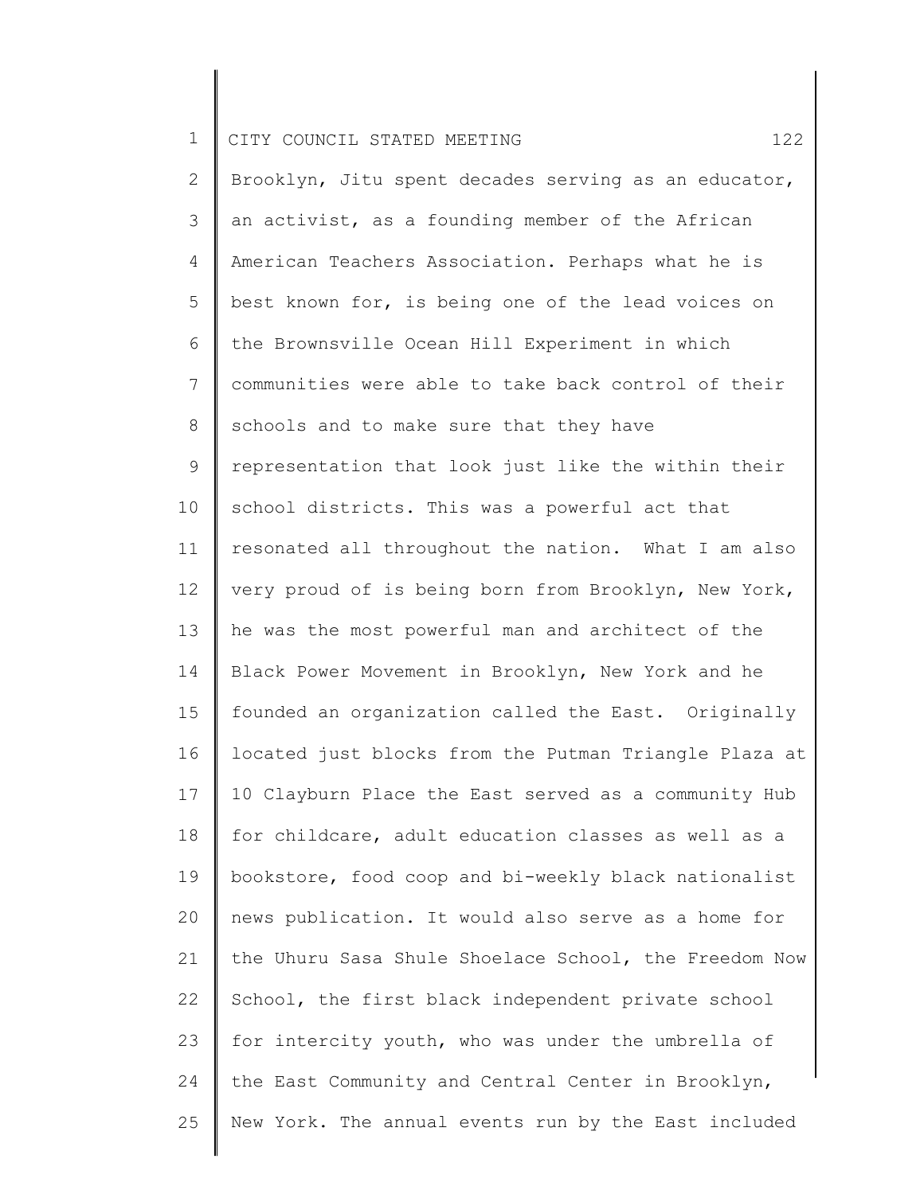|  |  | CITY COUNCIL STATED MEETING |  |  |  |  |  |  |
|--|--|-----------------------------|--|--|--|--|--|--|
|--|--|-----------------------------|--|--|--|--|--|--|

2 3 4 5 6 7 8 9 10 11 12 13 14 15 16 17 18 19 20 21 22 23 24 25 Brooklyn, Jitu spent decades serving as an educator, an activist, as a founding member of the African American Teachers Association. Perhaps what he is best known for, is being one of the lead voices on the Brownsville Ocean Hill Experiment in which communities were able to take back control of their schools and to make sure that they have representation that look just like the within their school districts. This was a powerful act that resonated all throughout the nation. What I am also very proud of is being born from Brooklyn, New York, he was the most powerful man and architect of the Black Power Movement in Brooklyn, New York and he founded an organization called the East. Originally located just blocks from the Putman Triangle Plaza at 10 Clayburn Place the East served as a community Hub for childcare, adult education classes as well as a bookstore, food coop and bi-weekly black nationalist news publication. It would also serve as a home for the Uhuru Sasa Shule Shoelace School, the Freedom Now School, the first black independent private school for intercity youth, who was under the umbrella of the East Community and Central Center in Brooklyn, New York. The annual events run by the East included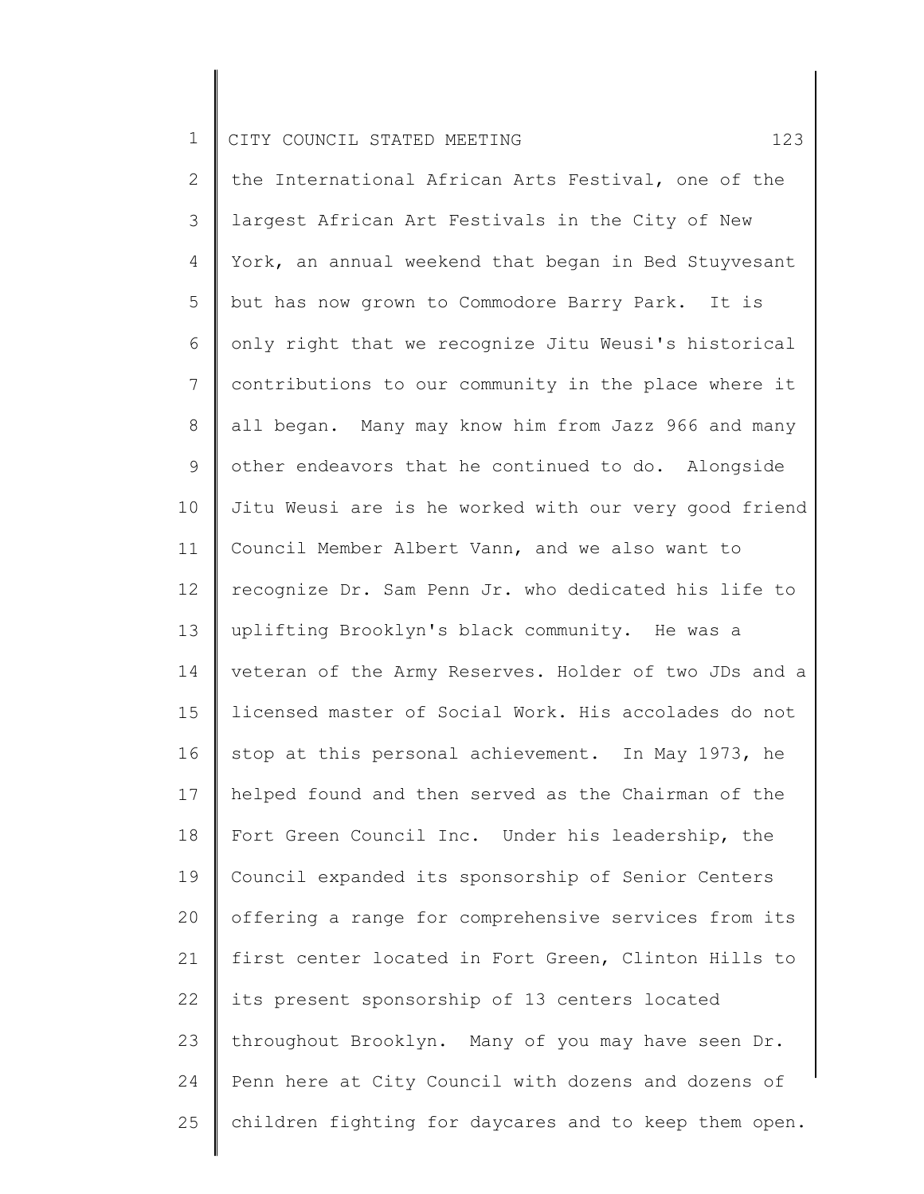2 3 4 5 6 7 8 9 10 11 12 13 14 15 16 17 18 19 20 21 22 23 24 25 the International African Arts Festival, one of the largest African Art Festivals in the City of New York, an annual weekend that began in Bed Stuyvesant but has now grown to Commodore Barry Park. It is only right that we recognize Jitu Weusi's historical contributions to our community in the place where it all began. Many may know him from Jazz 966 and many other endeavors that he continued to do. Alongside Jitu Weusi are is he worked with our very good friend Council Member Albert Vann, and we also want to recognize Dr. Sam Penn Jr. who dedicated his life to uplifting Brooklyn's black community. He was a veteran of the Army Reserves. Holder of two JDs and a licensed master of Social Work. His accolades do not stop at this personal achievement. In May 1973, he helped found and then served as the Chairman of the Fort Green Council Inc. Under his leadership, the Council expanded its sponsorship of Senior Centers offering a range for comprehensive services from its first center located in Fort Green, Clinton Hills to its present sponsorship of 13 centers located throughout Brooklyn. Many of you may have seen Dr. Penn here at City Council with dozens and dozens of children fighting for daycares and to keep them open.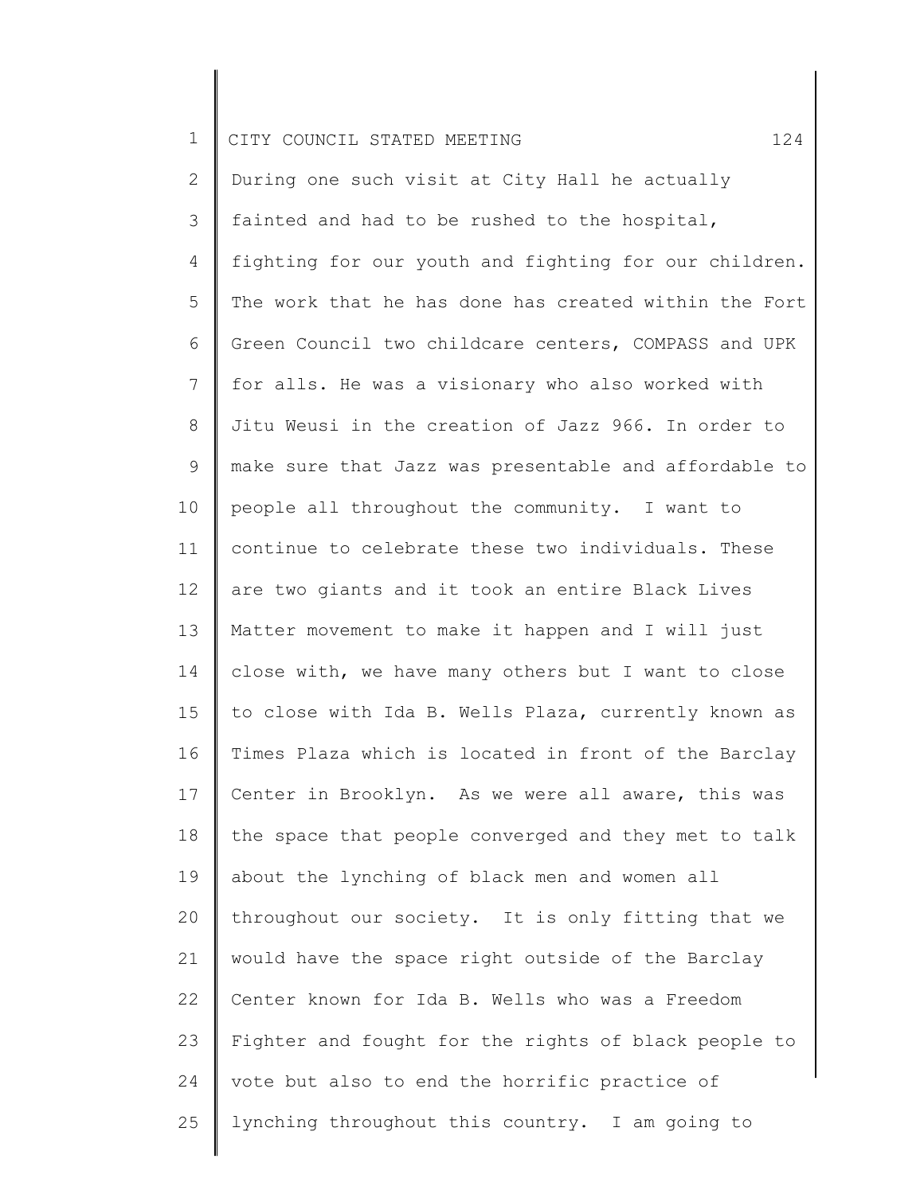|  |  | I CITY COUNCIL STATED MEETING |  |  |  |  |  |  |
|--|--|-------------------------------|--|--|--|--|--|--|
|--|--|-------------------------------|--|--|--|--|--|--|

2 3 4 5 6 7 8 9 10 11 12 13 14 15 16 17 18 19 20 21 22 23 24 25 During one such visit at City Hall he actually fainted and had to be rushed to the hospital, fighting for our youth and fighting for our children. The work that he has done has created within the Fort Green Council two childcare centers, COMPASS and UPK for alls. He was a visionary who also worked with Jitu Weusi in the creation of Jazz 966. In order to make sure that Jazz was presentable and affordable to people all throughout the community. I want to continue to celebrate these two individuals. These are two giants and it took an entire Black Lives Matter movement to make it happen and I will just close with, we have many others but I want to close to close with Ida B. Wells Plaza, currently known as Times Plaza which is located in front of the Barclay Center in Brooklyn. As we were all aware, this was the space that people converged and they met to talk about the lynching of black men and women all throughout our society. It is only fitting that we would have the space right outside of the Barclay Center known for Ida B. Wells who was a Freedom Fighter and fought for the rights of black people to vote but also to end the horrific practice of lynching throughout this country. I am going to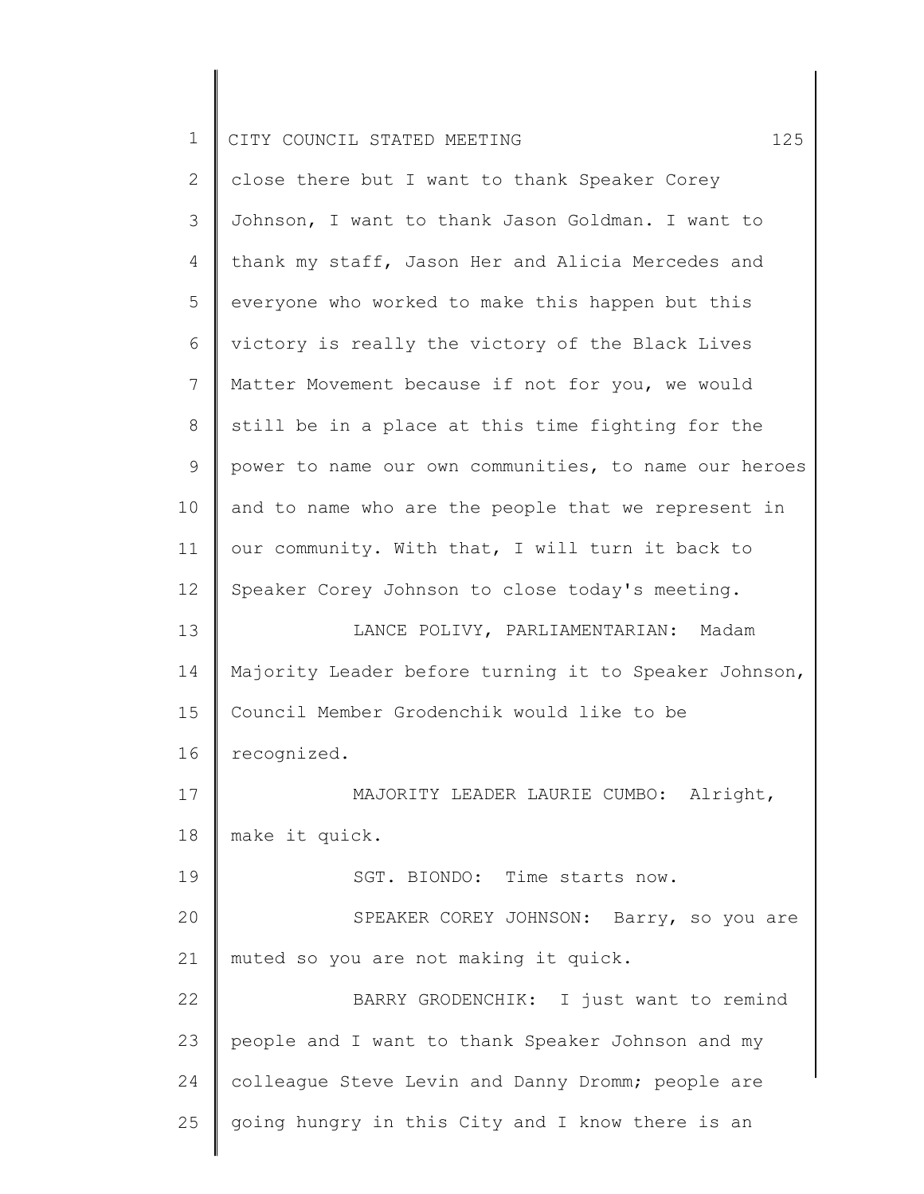2 3 4 5 6 7 8 9 10 11 12 13 14 15 16 17 18 19 20 21 22 23 24 25 close there but I want to thank Speaker Corey Johnson, I want to thank Jason Goldman. I want to thank my staff, Jason Her and Alicia Mercedes and everyone who worked to make this happen but this victory is really the victory of the Black Lives Matter Movement because if not for you, we would still be in a place at this time fighting for the power to name our own communities, to name our heroes and to name who are the people that we represent in our community. With that, I will turn it back to Speaker Corey Johnson to close today's meeting. LANCE POLIVY, PARLIAMENTARIAN: Madam Majority Leader before turning it to Speaker Johnson, Council Member Grodenchik would like to be recognized. MAJORITY LEADER LAURIE CUMBO: Alright, make it quick. SGT. BIONDO: Time starts now. SPEAKER COREY JOHNSON: Barry, so you are muted so you are not making it quick. BARRY GRODENCHIK: I just want to remind people and I want to thank Speaker Johnson and my colleague Steve Levin and Danny Dromm; people are going hungry in this City and I know there is an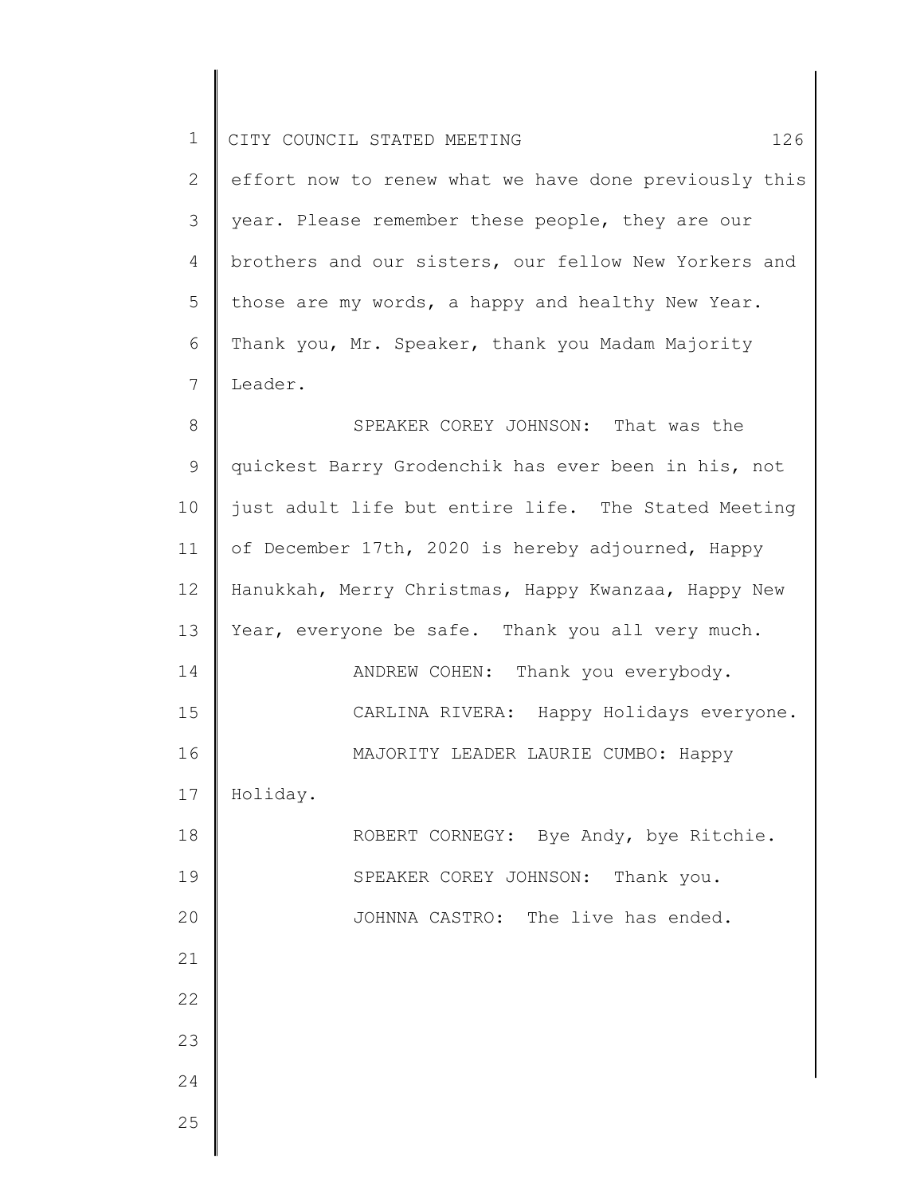| $\mathbf 1$    | CITY COUNCIL STATED MEETING<br>126                    |
|----------------|-------------------------------------------------------|
| $\overline{2}$ | effort now to renew what we have done previously this |
| 3              | year. Please remember these people, they are our      |
| 4              | brothers and our sisters, our fellow New Yorkers and  |
| 5              | those are my words, a happy and healthy New Year.     |
| 6              | Thank you, Mr. Speaker, thank you Madam Majority      |
| 7              | Leader.                                               |
| 8              | SPEAKER COREY JOHNSON: That was the                   |
| 9              | quickest Barry Grodenchik has ever been in his, not   |
| 10             | just adult life but entire life. The Stated Meeting   |
| 11             | of December 17th, 2020 is hereby adjourned, Happy     |
| 12             | Hanukkah, Merry Christmas, Happy Kwanzaa, Happy New   |
| 13             | Year, everyone be safe. Thank you all very much.      |
| 14             | ANDREW COHEN: Thank you everybody.                    |
| 15             | CARLINA RIVERA:<br>Happy Holidays everyone.           |
| 16             | MAJORITY LEADER LAURIE CUMBO: Happy                   |
| 17             | Holiday.                                              |
| 18             | ROBERT CORNEGY: Bye Andy, bye Ritchie.                |
| 19             | SPEAKER COREY JOHNSON: Thank you.                     |
| 20             | JOHNNA CASTRO: The live has ended.                    |
| 21             |                                                       |
| 22             |                                                       |
| 23             |                                                       |
| 24             |                                                       |
| 25             |                                                       |
|                |                                                       |